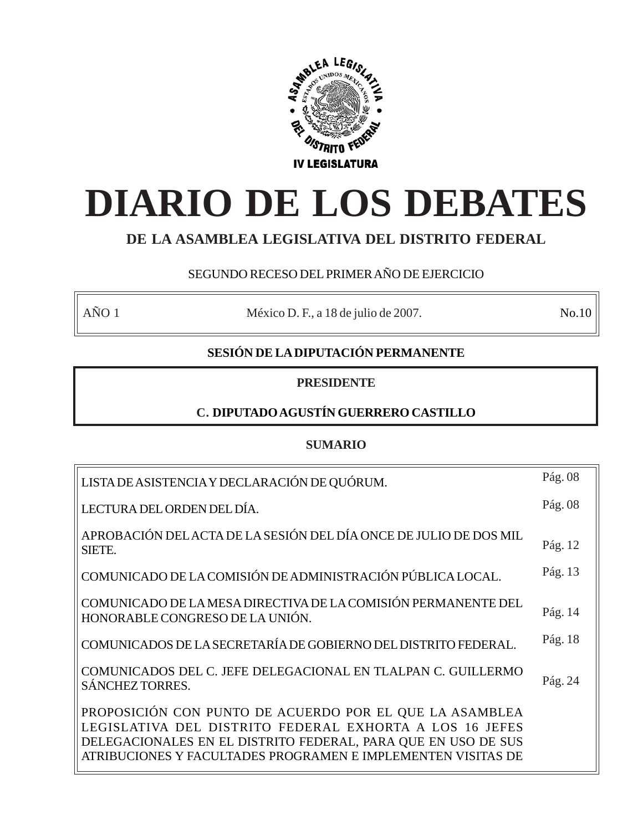

# **DIARIO DE LOS DEBATES**

# **DE LA ASAMBLEA LEGISLATIVA DEL DISTRITO FEDERAL**

# SEGUNDO RECESO DEL PRIMER AÑO DE EJERCICIO

AÑO 1 México D. F., a 18 de julio de 2007. No.10

# **SESIÓN DE LA DIPUTACIÓN PERMANENTE**

# **PRESIDENTE**

# **C. DIPUTADO AGUSTÍN GUERRERO CASTILLO**

# **SUMARIO**

| LISTA DE ASISTENCIA Y DECLARACIÓN DE QUÓRUM.                                                                                                                                                                                                        | Pág. 08 |
|-----------------------------------------------------------------------------------------------------------------------------------------------------------------------------------------------------------------------------------------------------|---------|
| LECTURA DEL ORDEN DEL DÍA.                                                                                                                                                                                                                          | Pág. 08 |
| APROBACIÓN DEL ACTA DE LA SESIÓN DEL DÍA ONCE DE JULIO DE DOS MIL<br>SIETE.                                                                                                                                                                         | Pág. 12 |
| COMUNICADO DE LA COMISIÓN DE ADMINISTRACIÓN PÚBLICA LOCAL.                                                                                                                                                                                          | Pág. 13 |
| COMUNICADO DE LA MESA DIRECTIVA DE LA COMISIÓN PERMANENTE DEL<br>HONORABLE CONGRESO DE LA UNIÓN.                                                                                                                                                    | Pág. 14 |
| COMUNICADOS DE LA SECRETARÍA DE GOBIERNO DEL DISTRITO FEDERAL.                                                                                                                                                                                      | Pág. 18 |
| COMUNICADOS DEL C. JEFE DELEGACIONAL EN TLALPAN C. GUILLERMO<br><b>SÁNCHEZ TORRES.</b>                                                                                                                                                              | Pág. 24 |
| PROPOSICIÓN CON PUNTO DE ACUERDO POR EL QUE LA ASAMBLEA<br>LEGISLATIVA DEL DISTRITO FEDERAL EXHORTA A LOS 16 JEFES<br>DELEGACIONALES EN EL DISTRITO FEDERAL, PARA QUE EN USO DE SUS<br>ATRIBUCIONES Y FACULTADES PROGRAMEN E IMPLEMENTEN VISITAS DE |         |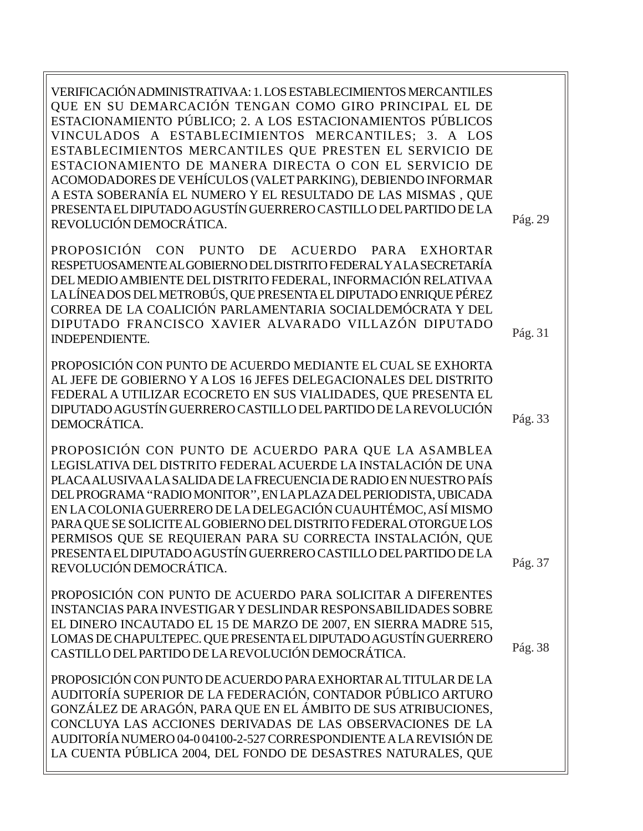VERIFICACIÓN ADMINISTRATIVA A: 1. LOS ESTABLECIMIENTOS MERCANTILES QUE EN SU DEMARCACIÓN TENGAN COMO GIRO PRINCIPAL EL DE ESTACIONAMIENTO PÚBLICO; 2. A LOS ESTACIONAMIENTOS PÚBLICOS VINCULADOS A ESTABLECIMIENTOS MERCANTILES; 3. A LOS ESTABLECIMIENTOS MERCANTILES QUE PRESTEN EL SERVICIO DE ESTACIONAMIENTO DE MANERA DIRECTA O CON EL SERVICIO DE ACOMODADORES DE VEHÍCULOS (VALET PARKING), DEBIENDO INFORMAR A ESTA SOBERANÍA EL NUMERO Y EL RESULTADO DE LAS MISMAS , QUE PRESENTA EL DIPUTADO AGUSTÍN GUERRERO CASTILLO DEL PARTIDO DE LA REVOLUCIÓN DEMOCRÁTICA.

PROPOSICIÓN CON PUNTO DE ACUERDO PARA EXHORTAR RESPETUOSAMENTE AL GOBIERNO DEL DISTRITO FEDERAL Y A LA SECRETARÍA DEL MEDIO AMBIENTE DEL DISTRITO FEDERAL, INFORMACIÓN RELATIVA A LA LÍNEA DOS DEL METROBÚS, QUE PRESENTA EL DIPUTADO ENRIQUE PÉREZ CORREA DE LA COALICIÓN PARLAMENTARIA SOCIALDEMÓCRATA Y DEL DIPUTADO FRANCISCO XAVIER ALVARADO VILLAZÓN DIPUTADO INDEPENDIENTE.

PROPOSICIÓN CON PUNTO DE ACUERDO MEDIANTE EL CUAL SE EXHORTA AL JEFE DE GOBIERNO Y A LOS 16 JEFES DELEGACIONALES DEL DISTRITO FEDERAL A UTILIZAR ECOCRETO EN SUS VIALIDADES, QUE PRESENTA EL DIPUTADO AGUSTÍN GUERRERO CASTILLO DEL PARTIDO DE LA REVOLUCIÓN DEMOCRÁTICA.

PROPOSICIÓN CON PUNTO DE ACUERDO PARA QUE LA ASAMBLEA LEGISLATIVA DEL DISTRITO FEDERAL ACUERDE LA INSTALACIÓN DE UNA PLACA ALUSIVA A LA SALIDA DE LA FRECUENCIA DE RADIO EN NUESTRO PAÍS DEL PROGRAMA ''RADIO MONITOR'', EN LA PLAZA DEL PERIODISTA, UBICADA EN LA COLONIA GUERRERO DE LA DELEGACIÓN CUAUHTÉMOC, ASÍ MISMO PARA QUE SE SOLICITE AL GOBIERNO DEL DISTRITO FEDERAL OTORGUE LOS PERMISOS QUE SE REQUIERAN PARA SU CORRECTA INSTALACIÓN, QUE PRESENTA EL DIPUTADO AGUSTÍN GUERRERO CASTILLO DEL PARTIDO DE LA REVOLUCIÓN DEMOCRÁTICA.

PROPOSICIÓN CON PUNTO DE ACUERDO PARA SOLICITAR A DIFERENTES INSTANCIAS PARA INVESTIGAR Y DESLINDAR RESPONSABILIDADES SOBRE EL DINERO INCAUTADO EL 15 DE MARZO DE 2007, EN SIERRA MADRE 515, LOMAS DE CHAPULTEPEC. QUE PRESENTA EL DIPUTADO AGUSTÍN GUERRERO CASTILLO DEL PARTIDO DE LA REVOLUCIÓN DEMOCRÁTICA.

PROPOSICIÓN CON PUNTO DE ACUERDO PARA EXHORTAR AL TITULAR DE LA AUDITORÍA SUPERIOR DE LA FEDERACIÓN, CONTADOR PÚBLICO ARTURO GONZÁLEZ DE ARAGÓN, PARA QUE EN EL ÁMBITO DE SUS ATRIBUCIONES, CONCLUYA LAS ACCIONES DERIVADAS DE LAS OBSERVACIONES DE LA AUDITORÍA NUMERO 04-0 04100-2-527 CORRESPONDIENTE A LA REVISIÓN DE LA CUENTA PÚBLICA 2004, DEL FONDO DE DESASTRES NATURALES, QUE Pág. 29

Pág. 33

Pág. 31

Pág. 37

Pág. 38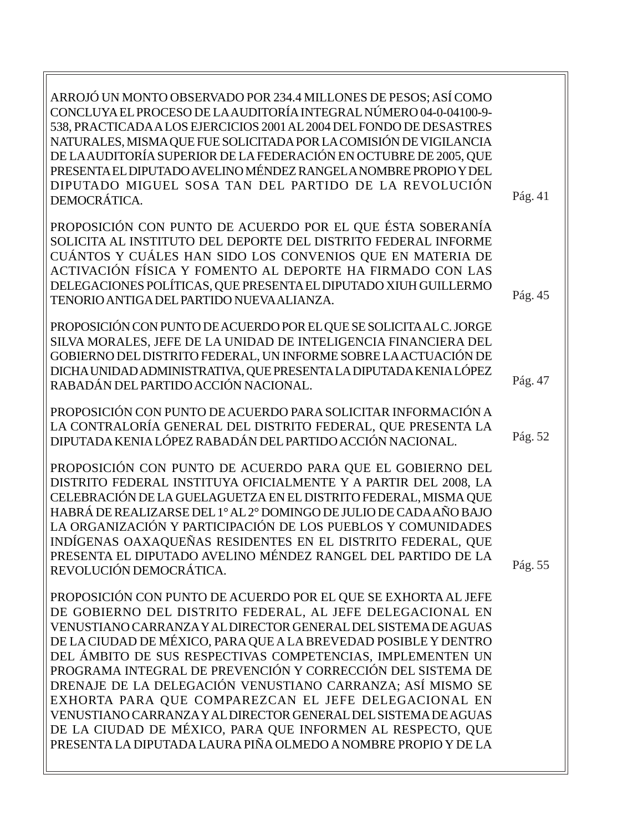| ARROJÓ UN MONTO OBSERVADO POR 234.4 MILLONES DE PESOS; ASÍ COMO<br>CONCLUYA EL PROCESO DE LA AUDITORÍA INTEGRAL NÚMERO 04-0-04100-9-<br>538, PRACTICADA A LOS EJERCICIOS 2001 AL 2004 DEL FONDO DE DESASTRES<br>NATURALES, MISMA QUE FUE SOLICITADA POR LA COMISIÓN DE VIGILANCIA<br>DE LA AUDITORÍA SUPERIOR DE LA FEDERACIÓN EN OCTUBRE DE 2005, QUE<br>PRESENTA EL DIPUTADO AVELINO MÉNDEZ RANGEL A NOMBRE PROPIO Y DEL<br>DIPUTADO MIGUEL SOSA TAN DEL PARTIDO DE LA REVOLUCIÓN<br>DEMOCRÁTICA.                                                                                                                                                                                                                   | Pág. 41 |
|-----------------------------------------------------------------------------------------------------------------------------------------------------------------------------------------------------------------------------------------------------------------------------------------------------------------------------------------------------------------------------------------------------------------------------------------------------------------------------------------------------------------------------------------------------------------------------------------------------------------------------------------------------------------------------------------------------------------------|---------|
| PROPOSICIÓN CON PUNTO DE ACUERDO POR EL QUE ÉSTA SOBERANÍA<br>SOLICITA AL INSTITUTO DEL DEPORTE DEL DISTRITO FEDERAL INFORME<br>CUÁNTOS Y CUÁLES HAN SIDO LOS CONVENIOS QUE EN MATERIA DE<br>ACTIVACIÓN FÍSICA Y FOMENTO AL DEPORTE HA FIRMADO CON LAS<br>DELEGACIONES POLÍTICAS, QUE PRESENTA EL DIPUTADO XIUH GUILLERMO<br>TENORIO ANTIGA DEL PARTIDO NUEVA ALIANZA.                                                                                                                                                                                                                                                                                                                                                | Pág. 45 |
| PROPOSICIÓN CON PUNTO DE ACUERDO POR EL QUE SE SOLICITA AL C. JORGE<br>SILVA MORALES, JEFE DE LA UNIDAD DE INTELIGENCIA FINANCIERA DEL<br>GOBIERNO DEL DISTRITO FEDERAL, UN INFORME SOBRE LA ACTUACIÓN DE<br>DICHA UNIDAD ADMINISTRATIVA, QUE PRESENTA LA DIPUTADA KENIA LÓPEZ<br>RABADÁN DEL PARTIDO ACCIÓN NACIONAL.                                                                                                                                                                                                                                                                                                                                                                                                | Pág. 47 |
| PROPOSICIÓN CON PUNTO DE ACUERDO PARA SOLICITAR INFORMACIÓN A<br>LA CONTRALORÍA GENERAL DEL DISTRITO FEDERAL, QUE PRESENTA LA<br>DIPUTADA KENIA LÓPEZ RABADÁN DEL PARTIDO ACCIÓN NACIONAL.                                                                                                                                                                                                                                                                                                                                                                                                                                                                                                                            | Pág. 52 |
| PROPOSICIÓN CON PUNTO DE ACUERDO PARA QUE EL GOBIERNO DEL<br>DISTRITO FEDERAL INSTITUYA OFICIALMENTE Y A PARTIR DEL 2008, LA<br>CELEBRACIÓN DE LA GUELAGUETZA EN EL DISTRITO FEDERAL, MISMA QUE<br>HABRÁ DE REALIZARSE DEL 1º AL 2º DOMINGO DE JULIO DE CADA AÑO BAJO<br>LA ORGANIZACIÓN Y PARTICIPACIÓN DE LOS PUEBLOS Y COMUNIDADES<br>INDÍGENAS OAXAQUEÑAS RESIDENTES EN EL DISTRITO FEDERAL, QUE<br>PRESENTA EL DIPUTADO AVELINO MÉNDEZ RANGEL DEL PARTIDO DE LA<br>REVOLUCIÓN DEMOCRÁTICA.                                                                                                                                                                                                                       | Pág. 55 |
| PROPOSICIÓN CON PUNTO DE ACUERDO POR EL QUE SE EXHORTA AL JEFE<br>DE GOBIERNO DEL DISTRITO FEDERAL, AL JEFE DELEGACIONAL EN<br>VENUSTIANO CARRANZA Y AL DIRECTOR GENERAL DEL SISTEMA DE AGUAS<br>DE LA CIUDAD DE MÉXICO, PARA QUE A LA BREVEDAD POSIBLE Y DENTRO<br>DEL ÁMBITO DE SUS RESPECTIVAS COMPETENCIAS, IMPLEMENTEN UN<br>PROGRAMA INTEGRAL DE PREVENCIÓN Y CORRECCIÓN DEL SISTEMA DE<br>DRENAJE DE LA DELEGACIÓN VENUSTIANO CARRANZA; ASÍ MISMO SE<br>EXHORTA PARA QUE COMPAREZCAN EL JEFE DELEGACIONAL EN<br>VENUSTIANO CARRANZA Y AL DIRECTOR GENERAL DEL SISTEMA DE AGUAS<br>DE LA CIUDAD DE MÉXICO, PARA QUE INFORMEN AL RESPECTO, QUE<br>PRESENTA LA DIPUTADA LAURA PIÑA OLMEDO A NOMBRE PROPIO Y DE LA |         |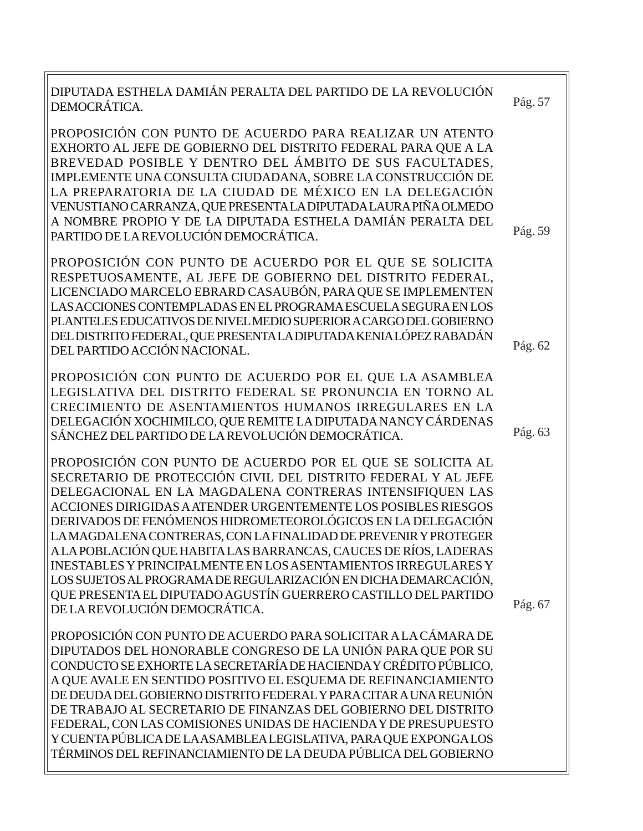| DIPUTADA ESTHELA DAMIÁN PERALTA DEL PARTIDO DE LA REVOLUCIÓN<br>DEMOCRÁTICA.                                                                                                                                                                                                                                                                                                                                                                                                                                                                                                                                                                                                                                   | Pág. 57 |
|----------------------------------------------------------------------------------------------------------------------------------------------------------------------------------------------------------------------------------------------------------------------------------------------------------------------------------------------------------------------------------------------------------------------------------------------------------------------------------------------------------------------------------------------------------------------------------------------------------------------------------------------------------------------------------------------------------------|---------|
| PROPOSICIÓN CON PUNTO DE ACUERDO PARA REALIZAR UN ATENTO<br>EXHORTO AL JEFE DE GOBIERNO DEL DISTRITO FEDERAL PARA QUE A LA<br>BREVEDAD POSIBLE Y DENTRO DEL ÁMBITO DE SUS FACULTADES,<br>IMPLEMENTE UNA CONSULTA CIUDADANA, SOBRE LA CONSTRUCCIÓN DE<br>LA PREPARATORIA DE LA CIUDAD DE MÉXICO EN LA DELEGACIÓN<br>VENUSTIANO CARRANZA, QUE PRESENTA LA DIPUTADA LAURA PIÑA OLMEDO<br>A NOMBRE PROPIO Y DE LA DIPUTADA ESTHELA DAMIÁN PERALTA DEL<br>PARTIDO DE LA REVOLUCIÓN DEMOCRÁTICA.                                                                                                                                                                                                                     | Pág. 59 |
| PROPOSICIÓN CON PUNTO DE ACUERDO POR EL QUE SE SOLICITA<br>RESPETUOSAMENTE, AL JEFE DE GOBIERNO DEL DISTRITO FEDERAL,<br>LICENCIADO MARCELO EBRARD CASAUBÓN, PARA QUE SE IMPLEMENTEN<br>LAS ACCIONES CONTEMPLADAS EN EL PROGRAMA ESCUELA SEGURA EN LOS<br>PLANTELES EDUCATIVOS DE NIVEL MEDIO SUPERIOR A CARGO DEL GOBIERNO<br>DEL DISTRITO FEDERAL, QUE PRESENTA LA DIPUTADA KENIA LÓPEZ RABADÁN<br>DEL PARTIDO ACCIÓN NACIONAL.                                                                                                                                                                                                                                                                              | Pág. 62 |
| PROPOSICIÓN CON PUNTO DE ACUERDO POR EL QUE LA ASAMBLEA<br>LEGISLATIVA DEL DISTRITO FEDERAL SE PRONUNCIA EN TORNO AL<br>CRECIMIENTO DE ASENTAMIENTOS HUMANOS IRREGULARES EN LA<br>DELEGACIÓN XOCHIMILCO, QUE REMITE LA DIPUTADA NANCY CÁRDENAS<br>SÁNCHEZ DEL PARTIDO DE LA REVOLUCIÓN DEMOCRÁTICA.                                                                                                                                                                                                                                                                                                                                                                                                            | Pág. 63 |
| PROPOSICIÓN CON PUNTO DE ACUERDO POR EL QUE SE SOLICITA AL<br>SECRETARIO DE PROTECCIÓN CIVIL DEL DISTRITO FEDERAL Y AL JEFE<br>DELEGACIONAL EN LA MAGDALENA CONTRERAS INTENSIFIQUEN LAS<br>ACCIONES DIRIGIDAS A ATENDER URGENTEMENTE LOS POSIBLES RIESGOS<br>DERIVADOS DE FENÓMENOS HIDROMETEOROLÓGICOS EN LA DELEGACIÓN<br>LA MAGDALENA CONTRERAS, CON LA FINALIDAD DE PREVENIR Y PROTEGER<br>A LA POBLACIÓN QUE HABITA LAS BARRANCAS, CAUCES DE RÍOS, LADERAS<br><b>INESTABLES Y PRINCIPALMENTE EN LOS ASENTAMIENTOS IRREGULARES Y</b><br>LOS SUJETOS AL PROGRAMA DE REGULARIZACIÓN EN DICHA DEMARCACIÓN,<br>QUE PRESENTA EL DIPUTADO AGUSTÍN GUERRERO CASTILLO DEL PARTIDO<br>DE LA REVOLUCIÓN DEMOCRÁTICA. | Pág. 67 |
| PROPOSICIÓN CON PUNTO DE ACUERDO PARA SOLICITAR A LA CÁMARA DE<br>DIPUTADOS DEL HONORABLE CONGRESO DE LA UNIÓN PARA QUE POR SU<br>CONDUCTO SE EXHORTE LA SECRETARÍA DE HACIENDA Y CRÉDITO PÚBLICO,<br>A QUE AVALE EN SENTIDO POSITIVO EL ESQUEMA DE REFINANCIAMIENTO<br>DE DEUDA DEL GOBIERNO DISTRITO FEDERAL Y PARA CITAR A UNA REUNIÓN<br>DE TRABAJO AL SECRETARIO DE FINANZAS DEL GOBIERNO DEL DISTRITO<br>FEDERAL, CON LAS COMISIONES UNIDAS DE HACIENDA Y DE PRESUPUESTO<br>Y CUENTA PÚBLICA DE LA ASAMBLEA LEGISLATIVA, PARA QUE EXPONGA LOS<br>TÉRMINOS DEL REFINANCIAMIENTO DE LA DEUDA PÚBLICA DEL GOBIERNO                                                                                          |         |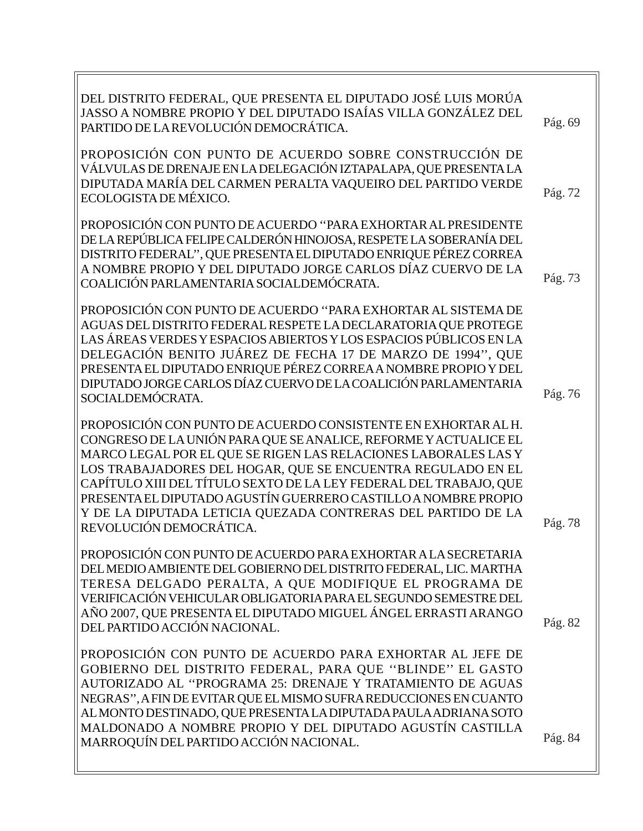| DEL DISTRITO FEDERAL, QUE PRESENTA EL DIPUTADO JOSÉ LUIS MORÚA<br>JASSO A NOMBRE PROPIO Y DEL DIPUTADO ISAÍAS VILLA GONZÁLEZ DEL<br>PARTIDO DE LA REVOLUCIÓN DEMOCRÁTICA.                                                                                                                                                                                                                                                                                                                             | Pág. 69 |
|-------------------------------------------------------------------------------------------------------------------------------------------------------------------------------------------------------------------------------------------------------------------------------------------------------------------------------------------------------------------------------------------------------------------------------------------------------------------------------------------------------|---------|
| PROPOSICIÓN CON PUNTO DE ACUERDO SOBRE CONSTRUCCIÓN DE<br>VÁLVULAS DE DRENAJE EN LA DELEGACIÓN IZTAPALAPA, QUE PRESENTA LA<br>DIPUTADA MARÍA DEL CARMEN PERALTA VAQUEIRO DEL PARTIDO VERDE<br>ECOLOGISTA DE MÉXICO.                                                                                                                                                                                                                                                                                   | Pág. 72 |
| PROPOSICIÓN CON PUNTO DE ACUERDO "PARA EXHORTAR AL PRESIDENTE<br>DE LA REPÚBLICA FELIPE CALDERÓN HINOJOSA, RESPETE LA SOBERANÍA DEL<br>DISTRITO FEDERAL", QUE PRESENTA EL DIPUTADO ENRIQUE PÉREZ CORREA<br>A NOMBRE PROPIO Y DEL DIPUTADO JORGE CARLOS DÍAZ CUERVO DE LA<br>COALICIÓN PARLAMENTARIA SOCIALDEMÓCRATA.                                                                                                                                                                                  | Pág. 73 |
| PROPOSICIÓN CON PUNTO DE ACUERDO "PARA EXHORTAR AL SISTEMA DE<br>AGUAS DEL DISTRITO FEDERAL RESPETE LA DECLARATORIA QUE PROTEGE<br>LAS ÁREAS VERDES Y ESPACIOS ABIERTOS Y LOS ESPACIOS PÚBLICOS EN LA<br>DELEGACIÓN BENITO JUÁREZ DE FECHA 17 DE MARZO DE 1994", QUE<br>PRESENTA EL DIPUTADO ENRIQUE PÉREZ CORREA A NOMBRE PROPIO Y DEL<br>DIPUTADO JORGE CARLOS DÍAZ CUERVO DE LA COALICIÓN PARLAMENTARIA<br>SOCIALDEMÓCRATA.                                                                        | Pág. 76 |
| PROPOSICIÓN CON PUNTO DE ACUERDO CONSISTENTE EN EXHORTAR AL H.<br>CONGRESO DE LA UNIÓN PARA QUE SE ANALICE, REFORME Y ACTUALICE EL<br>MARCO LEGAL POR EL QUE SE RIGEN LAS RELACIONES LABORALES LAS Y<br>LOS TRABAJADORES DEL HOGAR, QUE SE ENCUENTRA REGULADO EN EL<br>CAPÍTULO XIII DEL TÍTULO SEXTO DE LA LEY FEDERAL DEL TRABAJO, QUE<br>PRESENTA EL DIPUTADO AGUSTÍN GUERRERO CASTILLO A NOMBRE PROPIO<br>Y DE LA DIPUTADA LETICIA QUEZADA CONTRERAS DEL PARTIDO DE LA<br>REVOLUCIÓN DEMOCRÁTICA. | Pág. 78 |
| PROPOSICIÓN CON PUNTO DE ACUERDO PARA EXHORTAR A LA SECRETARIA<br>DEL MEDIO AMBIENTE DEL GOBIERNO DEL DISTRITO FEDERAL, LIC. MARTHA<br>TERESA DELGADO PERALTA, A QUE MODIFIQUE EL PROGRAMA DE<br>VERIFICACIÓN VEHICULAR OBLIGATORIA PARA EL SEGUNDO SEMESTRE DEL<br>AÑO 2007, QUE PRESENTA EL DIPUTADO MIGUEL ÁNGEL ERRASTI ARANGO<br>DEL PARTIDO ACCIÓN NACIONAL.                                                                                                                                    | Pág. 82 |
| PROPOSICIÓN CON PUNTO DE ACUERDO PARA EXHORTAR AL JEFE DE<br>GOBIERNO DEL DISTRITO FEDERAL, PARA QUE "BLINDE" EL GASTO<br>AUTORIZADO AL "PROGRAMA 25: DRENAJE Y TRATAMIENTO DE AGUAS<br>NEGRAS", A FIN DE EVITAR QUE EL MISMO SUFRA REDUCCIONES EN CUANTO<br>AL MONTO DESTINADO, QUE PRESENTA LA DIPUTADA PAULA ADRIANA SOTO<br>MALDONADO A NOMBRE PROPIO Y DEL DIPUTADO AGUSTÍN CASTILLA<br>MARROQUÍN DEL PARTIDO ACCIÓN NACIONAL.                                                                   | Pág. 84 |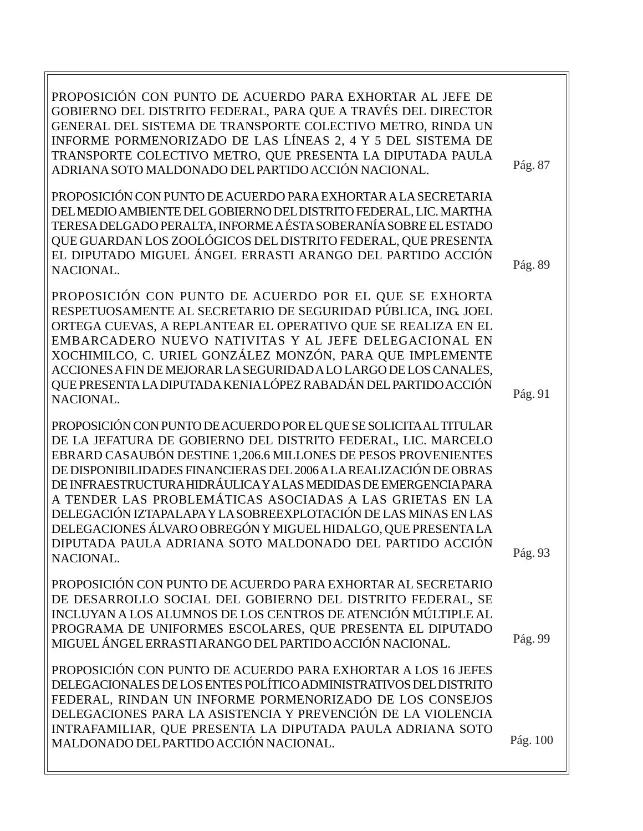PROPOSICIÓN CON PUNTO DE ACUERDO PARA EXHORTAR AL JEFE DE GOBIERNO DEL DISTRITO FEDERAL, PARA QUE A TRAVÉS DEL DIRECTOR GENERAL DEL SISTEMA DE TRANSPORTE COLECTIVO METRO, RINDA UN INFORME PORMENORIZADO DE LAS LÍNEAS 2, 4 Y 5 DEL SISTEMA DE TRANSPORTE COLECTIVO METRO, QUE PRESENTA LA DIPUTADA PAULA ADRIANA SOTO MALDONADO DEL PARTIDO ACCIÓN NACIONAL. PROPOSICIÓN CON PUNTO DE ACUERDO PARA EXHORTAR A LA SECRETARIA DEL MEDIO AMBIENTE DEL GOBIERNO DEL DISTRITO FEDERAL, LIC. MARTHA TERESA DELGADO PERALTA, INFORME A ÉSTA SOBERANÍA SOBRE EL ESTADO QUE GUARDAN LOS ZOOLÓGICOS DEL DISTRITO FEDERAL, QUE PRESENTA EL DIPUTADO MIGUEL ÁNGEL ERRASTI ARANGO DEL PARTIDO ACCIÓN NACIONAL. PROPOSICIÓN CON PUNTO DE ACUERDO POR EL QUE SE EXHORTA RESPETUOSAMENTE AL SECRETARIO DE SEGURIDAD PÚBLICA, ING. JOEL ORTEGA CUEVAS, A REPLANTEAR EL OPERATIVO QUE SE REALIZA EN EL EMBARCADERO NUEVO NATIVITAS Y AL JEFE DELEGACIONAL EN XOCHIMILCO, C. URIEL GONZÁLEZ MONZÓN, PARA QUE IMPLEMENTE ACCIONES A FIN DE MEJORAR LA SEGURIDAD A LO LARGO DE LOS CANALES, QUE PRESENTA LA DIPUTADA KENIA LÓPEZ RABADÁN DEL PARTIDO ACCIÓN NACIONAL. PROPOSICIÓN CON PUNTO DE ACUERDO POR EL QUE SE SOLICITA AL TITULAR DE LA JEFATURA DE GOBIERNO DEL DISTRITO FEDERAL, LIC. MARCELO EBRARD CASAUBÓN DESTINE 1,206.6 MILLONES DE PESOS PROVENIENTES DE DISPONIBILIDADES FINANCIERAS DEL 2006 A LA REALIZACIÓN DE OBRAS DE INFRAESTRUCTURA HIDRÁULICA Y A LAS MEDIDAS DE EMERGENCIA PARA A TENDER LAS PROBLEMÁTICAS ASOCIADAS A LAS GRIETAS EN LA DELEGACIÓN IZTAPALAPA Y LA SOBREEXPLOTACIÓN DE LAS MINAS EN LAS DELEGACIONES ÁLVARO OBREGÓN Y MIGUEL HIDALGO, QUE PRESENTA LA DIPUTADA PAULA ADRIANA SOTO MALDONADO DEL PARTIDO ACCIÓN NACIONAL. PROPOSICIÓN CON PUNTO DE ACUERDO PARA EXHORTAR AL SECRETARIO DE DESARROLLO SOCIAL DEL GOBIERNO DEL DISTRITO FEDERAL, SE INCLUYAN A LOS ALUMNOS DE LOS CENTROS DE ATENCIÓN MÚLTIPLE AL PROGRAMA DE UNIFORMES ESCOLARES, QUE PRESENTA EL DIPUTADO MIGUEL ÁNGEL ERRASTI ARANGO DEL PARTIDO ACCIÓN NACIONAL. PROPOSICIÓN CON PUNTO DE ACUERDO PARA EXHORTAR A LOS 16 JEFES DELEGACIONALES DE LOS ENTES POLÍTICO ADMINISTRATIVOS DEL DISTRITO FEDERAL, RINDAN UN INFORME PORMENORIZADO DE LOS CONSEJOS Pág. 87 Pág. 93 Pág. 99 Pág. 89 Pág. 91

DELEGACIONES PARA LA ASISTENCIA Y PREVENCIÓN DE LA VIOLENCIA

MALDONADO DEL PARTIDO ACCIÓN NACIONAL.

INTRAFAMILIAR, QUE PRESENTA LA DIPUTADA PAULA ADRIANA SOTO

Pág. 100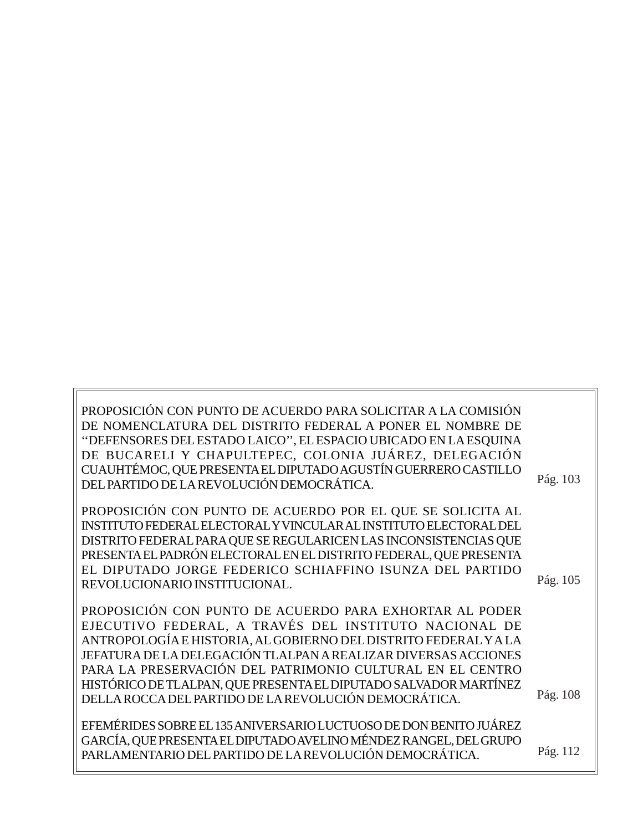| PROPOSICIÓN CON PUNTO DE ACUERDO PARA SOLICITAR A LA COMISIÓN<br>DE NOMENCLATURA DEL DISTRITO FEDERAL A PONER EL NOMBRE DE<br>"DEFENSORES DEL ESTADO LAICO", EL ESPACIO UBICADO EN LA ESQUINA<br>DE BUCARELI Y CHAPULTEPEC, COLONIA JUÁREZ, DELEGACIÓN<br>CUAUHTÉMOC, QUE PRESENTA EL DIPUTADO AGUSTÍN GUERRERO CASTILLO<br>DEL PARTIDO DE LA REVOLUCIÓN DEMOCRÁTICA.                                                                            | Pág. 103 |
|--------------------------------------------------------------------------------------------------------------------------------------------------------------------------------------------------------------------------------------------------------------------------------------------------------------------------------------------------------------------------------------------------------------------------------------------------|----------|
| PROPOSICIÓN CON PUNTO DE ACUERDO POR EL QUE SE SOLICITA AL<br>INSTITUTO FEDERAL ELECTORAL Y VINCULAR AL INSTITUTO ELECTORAL DEL<br>DISTRITO FEDERAL PARA QUE SE REGULARICEN LAS INCONSISTENCIAS QUE<br>PRESENTA EL PADRÓN ELECTORAL EN EL DISTRITO FEDERAL, QUE PRESENTA<br>EL DIPUTADO JORGE FEDERICO SCHIAFFINO ISUNZA DEL PARTIDO<br>REVOLUCIONARIO INSTITUCIONAL.                                                                            | Pág. 105 |
| PROPOSICIÓN CON PUNTO DE ACUERDO PARA EXHORTAR AL PODER<br>EJECUTIVO FEDERAL, A TRAVÉS DEL INSTITUTO NACIONAL DE<br>ANTROPOLOGÍA E HISTORIA, AL GOBIERNO DEL DISTRITO FEDERAL Y A LA<br>JEFATURA DE LA DELEGACIÓN TLALPAN A REALIZAR DIVERSAS ACCIONES<br>PARA LA PRESERVACIÓN DEL PATRIMONIO CULTURAL EN EL CENTRO<br>HISTÓRICO DE TLALPAN, QUE PRESENTA EL DIPUTADO SALVADOR MARTÍNEZ<br>DELLA ROCCA DEL PARTIDO DE LA REVOLUCIÓN DEMOCRÁTICA. | Pág. 108 |
| EFEMÉRIDES SOBRE EL 135 ANIVERSARIO LUCTUOSO DE DON BENITO JUÁREZ<br>GARCÍA, QUE PRESENTA EL DIPUTADO AVELINO MÉNDEZ RANGEL, DEL GRUPO<br>PARLAMENTARIO DEL PARTIDO DE LA REVOLUCIÓN DEMOCRÁTICA.                                                                                                                                                                                                                                                | Pág. 112 |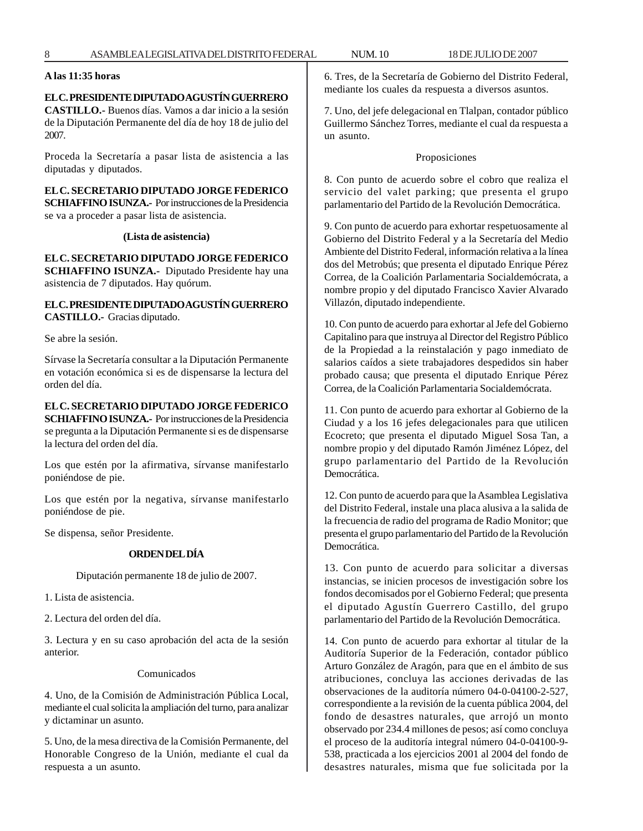#### **A las 11:35 horas**

#### **EL C. PRESIDENTE DIPUTADO AGUSTÍN GUERRERO**

**CASTILLO.-** Buenos días. Vamos a dar inicio a la sesión de la Diputación Permanente del día de hoy 18 de julio del 2007.

Proceda la Secretaría a pasar lista de asistencia a las diputadas y diputados.

**EL C. SECRETARIO DIPUTADO JORGE FEDERICO SCHIAFFINO ISUNZA.-** Por instrucciones de la Presidencia se va a proceder a pasar lista de asistencia.

#### **(Lista de asistencia)**

**EL C. SECRETARIO DIPUTADO JORGE FEDERICO SCHIAFFINO ISUNZA.-** Diputado Presidente hay una asistencia de 7 diputados. Hay quórum.

#### **EL C. PRESIDENTE DIPUTADO AGUSTÍN GUERRERO CASTILLO.-** Gracias diputado.

Se abre la sesión.

Sírvase la Secretaría consultar a la Diputación Permanente en votación económica si es de dispensarse la lectura del orden del día.

#### **EL C. SECRETARIO DIPUTADO JORGE FEDERICO SCHIAFFINO ISUNZA.-** Por instrucciones de la Presidencia se pregunta a la Diputación Permanente si es de dispensarse la lectura del orden del día.

Los que estén por la afirmativa, sírvanse manifestarlo poniéndose de pie.

Los que estén por la negativa, sírvanse manifestarlo poniéndose de pie.

Se dispensa, señor Presidente.

#### **ORDEN DEL DÍA**

Diputación permanente 18 de julio de 2007.

1. Lista de asistencia.

2. Lectura del orden del día.

3. Lectura y en su caso aprobación del acta de la sesión anterior.

#### Comunicados

4. Uno, de la Comisión de Administración Pública Local, mediante el cual solicita la ampliación del turno, para analizar y dictaminar un asunto.

5. Uno, de la mesa directiva de la Comisión Permanente, del Honorable Congreso de la Unión, mediante el cual da respuesta a un asunto.

6. Tres, de la Secretaría de Gobierno del Distrito Federal, mediante los cuales da respuesta a diversos asuntos.

7. Uno, del jefe delegacional en Tlalpan, contador público Guillermo Sánchez Torres, mediante el cual da respuesta a un asunto.

#### Proposiciones

8. Con punto de acuerdo sobre el cobro que realiza el servicio del valet parking; que presenta el grupo parlamentario del Partido de la Revolución Democrática.

9. Con punto de acuerdo para exhortar respetuosamente al Gobierno del Distrito Federal y a la Secretaría del Medio Ambiente del Distrito Federal, información relativa a la línea dos del Metrobús; que presenta el diputado Enrique Pérez Correa, de la Coalición Parlamentaria Socialdemócrata, a nombre propio y del diputado Francisco Xavier Alvarado Villazón, diputado independiente.

10. Con punto de acuerdo para exhortar al Jefe del Gobierno Capitalino para que instruya al Director del Registro Público de la Propiedad a la reinstalación y pago inmediato de salarios caídos a siete trabajadores despedidos sin haber probado causa; que presenta el diputado Enrique Pérez Correa, de la Coalición Parlamentaria Socialdemócrata.

11. Con punto de acuerdo para exhortar al Gobierno de la Ciudad y a los 16 jefes delegacionales para que utilicen Ecocreto; que presenta el diputado Miguel Sosa Tan, a nombre propio y del diputado Ramón Jiménez López, del grupo parlamentario del Partido de la Revolución Democrática.

12. Con punto de acuerdo para que la Asamblea Legislativa del Distrito Federal, instale una placa alusiva a la salida de la frecuencia de radio del programa de Radio Monitor; que presenta el grupo parlamentario del Partido de la Revolución Democrática.

13. Con punto de acuerdo para solicitar a diversas instancias, se inicien procesos de investigación sobre los fondos decomisados por el Gobierno Federal; que presenta el diputado Agustín Guerrero Castillo, del grupo parlamentario del Partido de la Revolución Democrática.

14. Con punto de acuerdo para exhortar al titular de la Auditoría Superior de la Federación, contador público Arturo González de Aragón, para que en el ámbito de sus atribuciones, concluya las acciones derivadas de las observaciones de la auditoría número 04-0-04100-2-527, correspondiente a la revisión de la cuenta pública 2004, del fondo de desastres naturales, que arrojó un monto observado por 234.4 millones de pesos; así como concluya el proceso de la auditoría integral número 04-0-04100-9- 538, practicada a los ejercicios 2001 al 2004 del fondo de desastres naturales, misma que fue solicitada por la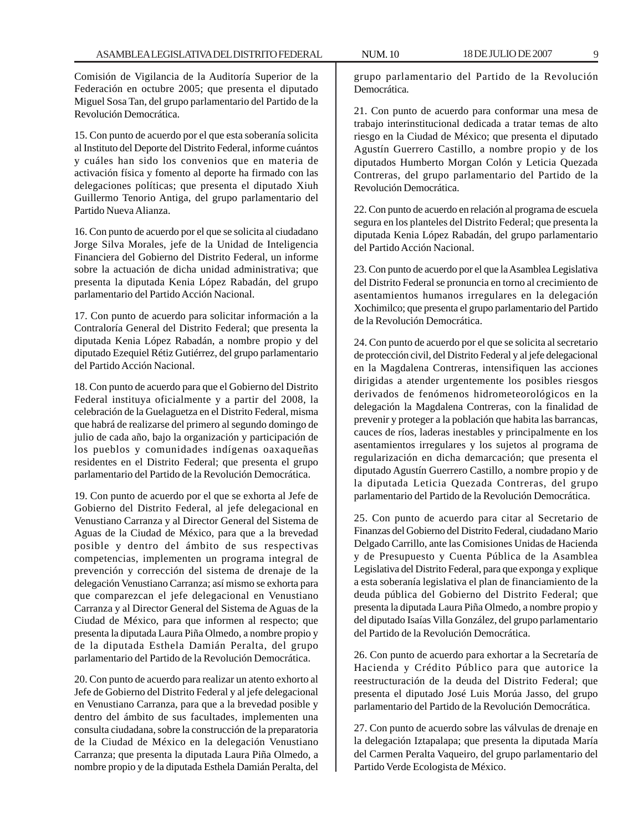Comisión de Vigilancia de la Auditoría Superior de la Federación en octubre 2005; que presenta el diputado Miguel Sosa Tan, del grupo parlamentario del Partido de la Revolución Democrática.

15. Con punto de acuerdo por el que esta soberanía solicita al Instituto del Deporte del Distrito Federal, informe cuántos y cuáles han sido los convenios que en materia de activación física y fomento al deporte ha firmado con las delegaciones políticas; que presenta el diputado Xiuh Guillermo Tenorio Antiga, del grupo parlamentario del Partido Nueva Alianza.

16. Con punto de acuerdo por el que se solicita al ciudadano Jorge Silva Morales, jefe de la Unidad de Inteligencia Financiera del Gobierno del Distrito Federal, un informe sobre la actuación de dicha unidad administrativa; que presenta la diputada Kenia López Rabadán, del grupo parlamentario del Partido Acción Nacional.

17. Con punto de acuerdo para solicitar información a la Contraloría General del Distrito Federal; que presenta la diputada Kenia López Rabadán, a nombre propio y del diputado Ezequiel Rétiz Gutiérrez, del grupo parlamentario del Partido Acción Nacional.

18. Con punto de acuerdo para que el Gobierno del Distrito Federal instituya oficialmente y a partir del 2008, la celebración de la Guelaguetza en el Distrito Federal, misma que habrá de realizarse del primero al segundo domingo de julio de cada año, bajo la organización y participación de los pueblos y comunidades indígenas oaxaqueñas residentes en el Distrito Federal; que presenta el grupo parlamentario del Partido de la Revolución Democrática.

19. Con punto de acuerdo por el que se exhorta al Jefe de Gobierno del Distrito Federal, al jefe delegacional en Venustiano Carranza y al Director General del Sistema de Aguas de la Ciudad de México, para que a la brevedad posible y dentro del ámbito de sus respectivas competencias, implementen un programa integral de prevención y corrección del sistema de drenaje de la delegación Venustiano Carranza; así mismo se exhorta para que comparezcan el jefe delegacional en Venustiano Carranza y al Director General del Sistema de Aguas de la Ciudad de México, para que informen al respecto; que presenta la diputada Laura Piña Olmedo, a nombre propio y de la diputada Esthela Damián Peralta, del grupo parlamentario del Partido de la Revolución Democrática.

20. Con punto de acuerdo para realizar un atento exhorto al Jefe de Gobierno del Distrito Federal y al jefe delegacional en Venustiano Carranza, para que a la brevedad posible y dentro del ámbito de sus facultades, implementen una consulta ciudadana, sobre la construcción de la preparatoria de la Ciudad de México en la delegación Venustiano Carranza; que presenta la diputada Laura Piña Olmedo, a nombre propio y de la diputada Esthela Damián Peralta, del grupo parlamentario del Partido de la Revolución Democrática.

21. Con punto de acuerdo para conformar una mesa de trabajo interinstitucional dedicada a tratar temas de alto riesgo en la Ciudad de México; que presenta el diputado Agustín Guerrero Castillo, a nombre propio y de los diputados Humberto Morgan Colón y Leticia Quezada Contreras, del grupo parlamentario del Partido de la Revolución Democrática.

22. Con punto de acuerdo en relación al programa de escuela segura en los planteles del Distrito Federal; que presenta la diputada Kenia López Rabadán, del grupo parlamentario del Partido Acción Nacional.

23. Con punto de acuerdo por el que la Asamblea Legislativa del Distrito Federal se pronuncia en torno al crecimiento de asentamientos humanos irregulares en la delegación Xochimilco; que presenta el grupo parlamentario del Partido de la Revolución Democrática.

24. Con punto de acuerdo por el que se solicita al secretario de protección civil, del Distrito Federal y al jefe delegacional en la Magdalena Contreras, intensifiquen las acciones dirigidas a atender urgentemente los posibles riesgos derivados de fenómenos hidrometeorológicos en la delegación la Magdalena Contreras, con la finalidad de prevenir y proteger a la población que habita las barrancas, cauces de ríos, laderas inestables y principalmente en los asentamientos irregulares y los sujetos al programa de regularización en dicha demarcación; que presenta el diputado Agustín Guerrero Castillo, a nombre propio y de la diputada Leticia Quezada Contreras, del grupo parlamentario del Partido de la Revolución Democrática.

25. Con punto de acuerdo para citar al Secretario de Finanzas del Gobierno del Distrito Federal, ciudadano Mario Delgado Carrillo, ante las Comisiones Unidas de Hacienda y de Presupuesto y Cuenta Pública de la Asamblea Legislativa del Distrito Federal, para que exponga y explique a esta soberanía legislativa el plan de financiamiento de la deuda pública del Gobierno del Distrito Federal; que presenta la diputada Laura Piña Olmedo, a nombre propio y del diputado Isaías Villa González, del grupo parlamentario del Partido de la Revolución Democrática.

26. Con punto de acuerdo para exhortar a la Secretaría de Hacienda y Crédito Público para que autorice la reestructuración de la deuda del Distrito Federal; que presenta el diputado José Luis Morúa Jasso, del grupo parlamentario del Partido de la Revolución Democrática.

27. Con punto de acuerdo sobre las válvulas de drenaje en la delegación Iztapalapa; que presenta la diputada María del Carmen Peralta Vaqueiro, del grupo parlamentario del Partido Verde Ecologista de México.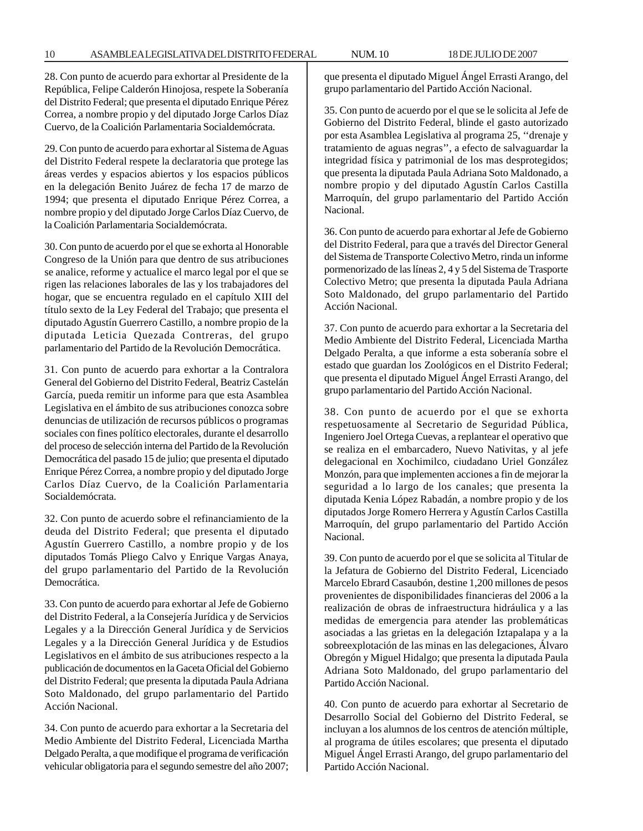28. Con punto de acuerdo para exhortar al Presidente de la República, Felipe Calderón Hinojosa, respete la Soberanía del Distrito Federal; que presenta el diputado Enrique Pérez Correa, a nombre propio y del diputado Jorge Carlos Díaz Cuervo, de la Coalición Parlamentaria Socialdemócrata.

29. Con punto de acuerdo para exhortar al Sistema de Aguas del Distrito Federal respete la declaratoria que protege las áreas verdes y espacios abiertos y los espacios públicos en la delegación Benito Juárez de fecha 17 de marzo de 1994; que presenta el diputado Enrique Pérez Correa, a nombre propio y del diputado Jorge Carlos Díaz Cuervo, de la Coalición Parlamentaria Socialdemócrata.

30. Con punto de acuerdo por el que se exhorta al Honorable Congreso de la Unión para que dentro de sus atribuciones se analice, reforme y actualice el marco legal por el que se rigen las relaciones laborales de las y los trabajadores del hogar, que se encuentra regulado en el capítulo XIII del título sexto de la Ley Federal del Trabajo; que presenta el diputado Agustín Guerrero Castillo, a nombre propio de la diputada Leticia Quezada Contreras, del grupo parlamentario del Partido de la Revolución Democrática.

31. Con punto de acuerdo para exhortar a la Contralora General del Gobierno del Distrito Federal, Beatriz Castelán García, pueda remitir un informe para que esta Asamblea Legislativa en el ámbito de sus atribuciones conozca sobre denuncias de utilización de recursos públicos o programas sociales con fines político electorales, durante el desarrollo del proceso de selección interna del Partido de la Revolución Democrática del pasado 15 de julio; que presenta el diputado Enrique Pérez Correa, a nombre propio y del diputado Jorge Carlos Díaz Cuervo, de la Coalición Parlamentaria Socialdemócrata.

32. Con punto de acuerdo sobre el refinanciamiento de la deuda del Distrito Federal; que presenta el diputado Agustín Guerrero Castillo, a nombre propio y de los diputados Tomás Pliego Calvo y Enrique Vargas Anaya, del grupo parlamentario del Partido de la Revolución Democrática.

33. Con punto de acuerdo para exhortar al Jefe de Gobierno del Distrito Federal, a la Consejería Jurídica y de Servicios Legales y a la Dirección General Jurídica y de Servicios Legales y a la Dirección General Jurídica y de Estudios Legislativos en el ámbito de sus atribuciones respecto a la publicación de documentos en la Gaceta Oficial del Gobierno del Distrito Federal; que presenta la diputada Paula Adriana Soto Maldonado, del grupo parlamentario del Partido Acción Nacional.

34. Con punto de acuerdo para exhortar a la Secretaria del Medio Ambiente del Distrito Federal, Licenciada Martha Delgado Peralta, a que modifique el programa de verificación vehicular obligatoria para el segundo semestre del año 2007; que presenta el diputado Miguel Ángel Errasti Arango, del grupo parlamentario del Partido Acción Nacional.

35. Con punto de acuerdo por el que se le solicita al Jefe de Gobierno del Distrito Federal, blinde el gasto autorizado por esta Asamblea Legislativa al programa 25, ''drenaje y tratamiento de aguas negras'', a efecto de salvaguardar la integridad física y patrimonial de los mas desprotegidos; que presenta la diputada Paula Adriana Soto Maldonado, a nombre propio y del diputado Agustín Carlos Castilla Marroquín, del grupo parlamentario del Partido Acción Nacional.

36. Con punto de acuerdo para exhortar al Jefe de Gobierno del Distrito Federal, para que a través del Director General del Sistema de Transporte Colectivo Metro, rinda un informe pormenorizado de las líneas 2, 4 y 5 del Sistema de Trasporte Colectivo Metro; que presenta la diputada Paula Adriana Soto Maldonado, del grupo parlamentario del Partido Acción Nacional.

37. Con punto de acuerdo para exhortar a la Secretaria del Medio Ambiente del Distrito Federal, Licenciada Martha Delgado Peralta, a que informe a esta soberanía sobre el estado que guardan los Zoológicos en el Distrito Federal; que presenta el diputado Miguel Ángel Errasti Arango, del grupo parlamentario del Partido Acción Nacional.

38. Con punto de acuerdo por el que se exhorta respetuosamente al Secretario de Seguridad Pública, Ingeniero Joel Ortega Cuevas, a replantear el operativo que se realiza en el embarcadero, Nuevo Nativitas, y al jefe delegacional en Xochimilco, ciudadano Uriel González Monzón, para que implementen acciones a fin de mejorar la seguridad a lo largo de los canales; que presenta la diputada Kenia López Rabadán, a nombre propio y de los diputados Jorge Romero Herrera y Agustín Carlos Castilla Marroquín, del grupo parlamentario del Partido Acción Nacional.

39. Con punto de acuerdo por el que se solicita al Titular de la Jefatura de Gobierno del Distrito Federal, Licenciado Marcelo Ebrard Casaubón, destine 1,200 millones de pesos provenientes de disponibilidades financieras del 2006 a la realización de obras de infraestructura hidráulica y a las medidas de emergencia para atender las problemáticas asociadas a las grietas en la delegación Iztapalapa y a la sobreexplotación de las minas en las delegaciones, Álvaro Obregón y Miguel Hidalgo; que presenta la diputada Paula Adriana Soto Maldonado, del grupo parlamentario del Partido Acción Nacional.

40. Con punto de acuerdo para exhortar al Secretario de Desarrollo Social del Gobierno del Distrito Federal, se incluyan a los alumnos de los centros de atención múltiple, al programa de útiles escolares; que presenta el diputado Miguel Ángel Errasti Arango, del grupo parlamentario del Partido Acción Nacional.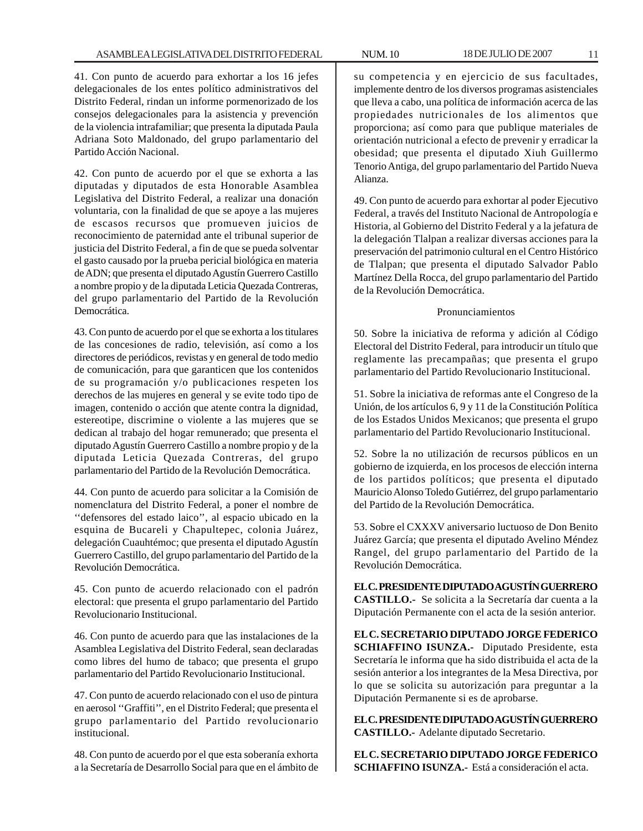41. Con punto de acuerdo para exhortar a los 16 jefes delegacionales de los entes político administrativos del Distrito Federal, rindan un informe pormenorizado de los consejos delegacionales para la asistencia y prevención de la violencia intrafamiliar; que presenta la diputada Paula Adriana Soto Maldonado, del grupo parlamentario del Partido Acción Nacional.

42. Con punto de acuerdo por el que se exhorta a las diputadas y diputados de esta Honorable Asamblea Legislativa del Distrito Federal, a realizar una donación voluntaria, con la finalidad de que se apoye a las mujeres de escasos recursos que promueven juicios de reconocimiento de paternidad ante el tribunal superior de justicia del Distrito Federal, a fin de que se pueda solventar el gasto causado por la prueba pericial biológica en materia de ADN; que presenta el diputado Agustín Guerrero Castillo a nombre propio y de la diputada Leticia Quezada Contreras, del grupo parlamentario del Partido de la Revolución Democrática.

43. Con punto de acuerdo por el que se exhorta a los titulares de las concesiones de radio, televisión, así como a los directores de periódicos, revistas y en general de todo medio de comunicación, para que garanticen que los contenidos de su programación y/o publicaciones respeten los derechos de las mujeres en general y se evite todo tipo de imagen, contenido o acción que atente contra la dignidad, estereotipe, discrimine o violente a las mujeres que se dedican al trabajo del hogar remunerado; que presenta el diputado Agustín Guerrero Castillo a nombre propio y de la diputada Leticia Quezada Contreras, del grupo parlamentario del Partido de la Revolución Democrática.

44. Con punto de acuerdo para solicitar a la Comisión de nomenclatura del Distrito Federal, a poner el nombre de ''defensores del estado laico'', al espacio ubicado en la esquina de Bucareli y Chapultepec, colonia Juárez, delegación Cuauhtémoc; que presenta el diputado Agustín Guerrero Castillo, del grupo parlamentario del Partido de la Revolución Democrática.

45. Con punto de acuerdo relacionado con el padrón electoral: que presenta el grupo parlamentario del Partido Revolucionario Institucional.

46. Con punto de acuerdo para que las instalaciones de la Asamblea Legislativa del Distrito Federal, sean declaradas como libres del humo de tabaco; que presenta el grupo parlamentario del Partido Revolucionario Institucional.

47. Con punto de acuerdo relacionado con el uso de pintura en aerosol ''Graffiti'', en el Distrito Federal; que presenta el grupo parlamentario del Partido revolucionario institucional.

48. Con punto de acuerdo por el que esta soberanía exhorta a la Secretaría de Desarrollo Social para que en el ámbito de

su competencia y en ejercicio de sus facultades, implemente dentro de los diversos programas asistenciales que lleva a cabo, una política de información acerca de las propiedades nutricionales de los alimentos que proporciona; así como para que publique materiales de orientación nutricional a efecto de prevenir y erradicar la obesidad; que presenta el diputado Xiuh Guillermo Tenorio Antiga, del grupo parlamentario del Partido Nueva Alianza.

49. Con punto de acuerdo para exhortar al poder Ejecutivo Federal, a través del Instituto Nacional de Antropología e Historia, al Gobierno del Distrito Federal y a la jefatura de la delegación Tlalpan a realizar diversas acciones para la preservación del patrimonio cultural en el Centro Histórico de Tlalpan; que presenta el diputado Salvador Pablo Martínez Della Rocca, del grupo parlamentario del Partido de la Revolución Democrática.

#### Pronunciamientos

50. Sobre la iniciativa de reforma y adición al Código Electoral del Distrito Federal, para introducir un título que reglamente las precampañas; que presenta el grupo parlamentario del Partido Revolucionario Institucional.

51. Sobre la iniciativa de reformas ante el Congreso de la Unión, de los artículos 6, 9 y 11 de la Constitución Política de los Estados Unidos Mexicanos; que presenta el grupo parlamentario del Partido Revolucionario Institucional.

52. Sobre la no utilización de recursos públicos en un gobierno de izquierda, en los procesos de elección interna de los partidos políticos; que presenta el diputado Mauricio Alonso Toledo Gutiérrez, del grupo parlamentario del Partido de la Revolución Democrática.

53. Sobre el CXXXV aniversario luctuoso de Don Benito Juárez García; que presenta el diputado Avelino Méndez Rangel, del grupo parlamentario del Partido de la Revolución Democrática.

**EL C. PRESIDENTE DIPUTADO AGUSTÍN GUERRERO CASTILLO.-** Se solicita a la Secretaría dar cuenta a la Diputación Permanente con el acta de la sesión anterior.

**EL C. SECRETARIO DIPUTADO JORGE FEDERICO SCHIAFFINO ISUNZA.-** Diputado Presidente, esta Secretaría le informa que ha sido distribuida el acta de la sesión anterior a los integrantes de la Mesa Directiva, por lo que se solicita su autorización para preguntar a la Diputación Permanente si es de aprobarse.

**EL C. PRESIDENTE DIPUTADO AGUSTÍN GUERRERO CASTILLO.-** Adelante diputado Secretario.

**EL C. SECRETARIO DIPUTADO JORGE FEDERICO SCHIAFFINO ISUNZA.-** Está a consideración el acta.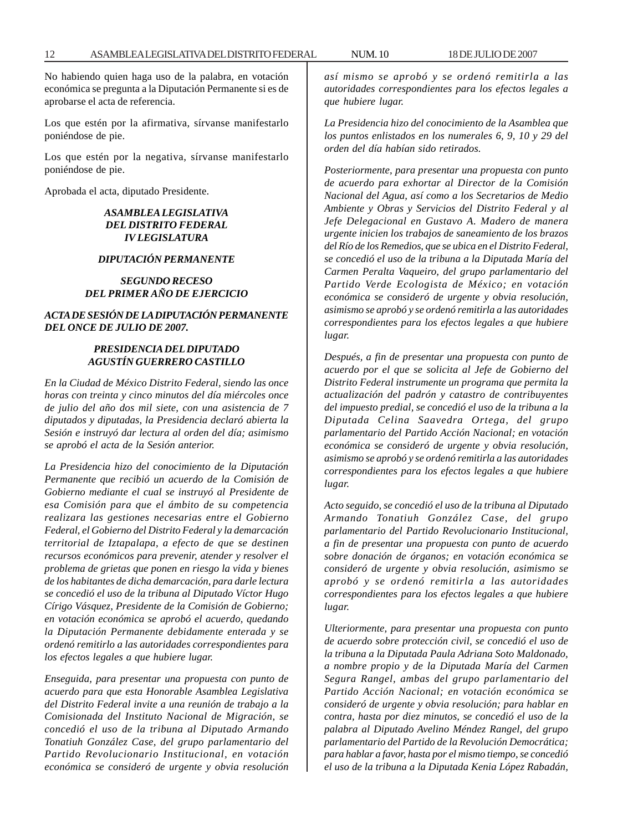No habiendo quien haga uso de la palabra, en votación económica se pregunta a la Diputación Permanente si es de aprobarse el acta de referencia.

Los que estén por la afirmativa, sírvanse manifestarlo poniéndose de pie.

Los que estén por la negativa, sírvanse manifestarlo poniéndose de pie.

Aprobada el acta, diputado Presidente.

#### *ASAMBLEA LEGISLATIVA DEL DISTRITO FEDERAL IV LEGISLATURA*

#### *DIPUTACIÓN PERMANENTE*

#### *SEGUNDO RECESO DEL PRIMER AÑO DE EJERCICIO*

#### *ACTA DE SESIÓN DE LA DIPUTACIÓN PERMANENTE DEL ONCE DE JULIO DE 2007.*

#### *PRESIDENCIA DEL DIPUTADO AGUSTÍN GUERRERO CASTILLO*

*En la Ciudad de México Distrito Federal, siendo las once horas con treinta y cinco minutos del día miércoles once de julio del año dos mil siete, con una asistencia de 7 diputados y diputadas, la Presidencia declaró abierta la Sesión e instruyó dar lectura al orden del día; asimismo se aprobó el acta de la Sesión anterior.*

*La Presidencia hizo del conocimiento de la Diputación Permanente que recibió un acuerdo de la Comisión de Gobierno mediante el cual se instruyó al Presidente de esa Comisión para que el ámbito de su competencia realizara las gestiones necesarias entre el Gobierno Federal, el Gobierno del Distrito Federal y la demarcación territorial de Iztapalapa, a efecto de que se destinen recursos económicos para prevenir, atender y resolver el problema de grietas que ponen en riesgo la vida y bienes de los habitantes de dicha demarcación, para darle lectura se concedió el uso de la tribuna al Diputado Víctor Hugo Círigo Vásquez, Presidente de la Comisión de Gobierno; en votación económica se aprobó el acuerdo, quedando la Diputación Permanente debidamente enterada y se ordenó remitirlo a las autoridades correspondientes para los efectos legales a que hubiere lugar.*

*Enseguida, para presentar una propuesta con punto de acuerdo para que esta Honorable Asamblea Legislativa del Distrito Federal invite a una reunión de trabajo a la Comisionada del Instituto Nacional de Migración, se concedió el uso de la tribuna al Diputado Armando Tonatiuh González Case, del grupo parlamentario del Partido Revolucionario Institucional, en votación económica se consideró de urgente y obvia resolución* *así mismo se aprobó y se ordenó remitirla a las autoridades correspondientes para los efectos legales a que hubiere lugar.*

*La Presidencia hizo del conocimiento de la Asamblea que los puntos enlistados en los numerales 6, 9, 10 y 29 del orden del día habían sido retirados.*

*Posteriormente, para presentar una propuesta con punto de acuerdo para exhortar al Director de la Comisión Nacional del Agua, así como a los Secretarios de Medio Ambiente y Obras y Servicios del Distrito Federal y al Jefe Delegacional en Gustavo A. Madero de manera urgente inicien los trabajos de saneamiento de los brazos del Río de los Remedios, que se ubica en el Distrito Federal, se concedió el uso de la tribuna a la Diputada María del Carmen Peralta Vaqueiro, del grupo parlamentario del Partido Verde Ecologista de México; en votación económica se consideró de urgente y obvia resolución, asimismo se aprobó y se ordenó remitirla a las autoridades correspondientes para los efectos legales a que hubiere lugar.*

*Después, a fin de presentar una propuesta con punto de acuerdo por el que se solicita al Jefe de Gobierno del Distrito Federal instrumente un programa que permita la actualización del padrón y catastro de contribuyentes del impuesto predial, se concedió el uso de la tribuna a la Diputada Celina Saavedra Ortega, del grupo parlamentario del Partido Acción Nacional; en votación económica se consideró de urgente y obvia resolución, asimismo se aprobó y se ordenó remitirla a las autoridades correspondientes para los efectos legales a que hubiere lugar.*

*Acto seguido, se concedió el uso de la tribuna al Diputado Armando Tonatiuh González Case, del grupo parlamentario del Partido Revolucionario Institucional, a fin de presentar una propuesta con punto de acuerdo sobre donación de órganos; en votación económica se consideró de urgente y obvia resolución, asimismo se aprobó y se ordenó remitirla a las autoridades correspondientes para los efectos legales a que hubiere lugar.*

*Ulteriormente, para presentar una propuesta con punto de acuerdo sobre protección civil, se concedió el uso de la tribuna a la Diputada Paula Adriana Soto Maldonado, a nombre propio y de la Diputada María del Carmen Segura Rangel, ambas del grupo parlamentario del Partido Acción Nacional; en votación económica se consideró de urgente y obvia resolución; para hablar en contra, hasta por diez minutos, se concedió el uso de la palabra al Diputado Avelino Méndez Rangel, del grupo parlamentario del Partido de la Revolución Democrática; para hablar a favor, hasta por el mismo tiempo, se concedió el uso de la tribuna a la Diputada Kenia López Rabadán,*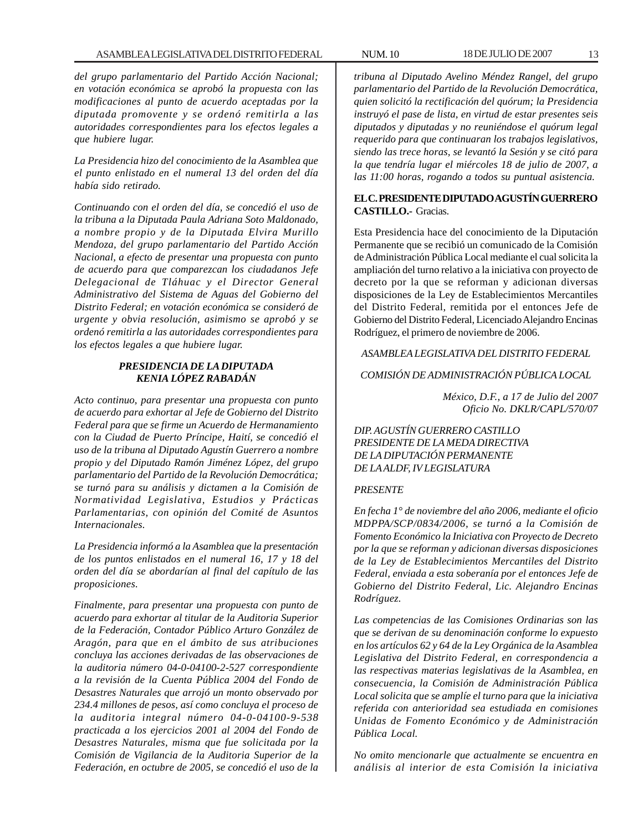*del grupo parlamentario del Partido Acción Nacional; en votación económica se aprobó la propuesta con las modificaciones al punto de acuerdo aceptadas por la diputada promovente y se ordenó remitirla a las autoridades correspondientes para los efectos legales a que hubiere lugar.*

*La Presidencia hizo del conocimiento de la Asamblea que el punto enlistado en el numeral 13 del orden del día había sido retirado.*

*Continuando con el orden del día, se concedió el uso de la tribuna a la Diputada Paula Adriana Soto Maldonado, a nombre propio y de la Diputada Elvira Murillo Mendoza, del grupo parlamentario del Partido Acción Nacional, a efecto de presentar una propuesta con punto de acuerdo para que comparezcan los ciudadanos Jefe Delegacional de Tláhuac y el Director General Administrativo del Sistema de Aguas del Gobierno del Distrito Federal; en votación económica se consideró de urgente y obvia resolución, asimismo se aprobó y se ordenó remitirla a las autoridades correspondientes para los efectos legales a que hubiere lugar.*

#### *PRESIDENCIA DE LA DIPUTADA KENIA LÓPEZ RABADÁN*

*Acto continuo, para presentar una propuesta con punto de acuerdo para exhortar al Jefe de Gobierno del Distrito Federal para que se firme un Acuerdo de Hermanamiento con la Ciudad de Puerto Príncipe, Haití, se concedió el uso de la tribuna al Diputado Agustín Guerrero a nombre propio y del Diputado Ramón Jiménez López, del grupo parlamentario del Partido de la Revolución Democrática; se turnó para su análisis y dictamen a la Comisión de Normatividad Legislativa, Estudios y Prácticas Parlamentarias, con opinión del Comité de Asuntos Internacionales.*

*La Presidencia informó a la Asamblea que la presentación de los puntos enlistados en el numeral 16, 17 y 18 del orden del día se abordarían al final del capítulo de las proposiciones.*

*Finalmente, para presentar una propuesta con punto de acuerdo para exhortar al titular de la Auditoria Superior de la Federación, Contador Público Arturo González de Aragón, para que en el ámbito de sus atribuciones concluya las acciones derivadas de las observaciones de la auditoria número 04-0-04100-2-527 correspondiente a la revisión de la Cuenta Pública 2004 del Fondo de Desastres Naturales que arrojó un monto observado por 234.4 millones de pesos, así como concluya el proceso de la auditoria integral número 04-0-04100-9-538 practicada a los ejercicios 2001 al 2004 del Fondo de Desastres Naturales, misma que fue solicitada por la Comisión de Vigilancia de la Auditoria Superior de la Federación, en octubre de 2005, se concedió el uso de la*

*tribuna al Diputado Avelino Méndez Rangel, del grupo parlamentario del Partido de la Revolución Democrática, quien solicitó la rectificación del quórum; la Presidencia instruyó el pase de lista, en virtud de estar presentes seis diputados y diputadas y no reuniéndose el quórum legal requerido para que continuaran los trabajos legislativos, siendo las trece horas, se levantó la Sesión y se citó para la que tendría lugar el miércoles 18 de julio de 2007, a las 11:00 horas, rogando a todos su puntual asistencia.*

#### **EL C. PRESIDENTE DIPUTADO AGUSTÍN GUERRERO CASTILLO.-** Gracias.

Esta Presidencia hace del conocimiento de la Diputación Permanente que se recibió un comunicado de la Comisión de Administración Pública Local mediante el cual solicita la ampliación del turno relativo a la iniciativa con proyecto de decreto por la que se reforman y adicionan diversas disposiciones de la Ley de Establecimientos Mercantiles del Distrito Federal, remitida por el entonces Jefe de Gobierno del Distrito Federal, Licenciado Alejandro Encinas Rodríguez, el primero de noviembre de 2006.

#### *ASAMBLEA LEGISLATIVA DEL DISTRITO FEDERAL*

## *COMISIÓN DE ADMINISTRACIÓN PÚBLICA LOCAL*

*México, D.F., a 17 de Julio del 2007 Oficio No. DKLR/CAPL/570/07*

### *DIP. AGUSTÍN GUERRERO CASTILLO PRESIDENTE DE LA MEDA DIRECTIVA DE LA DIPUTACIÓN PERMANENTE DE LA ALDF, IV LEGISLATURA*

#### *PRESENTE*

*En fecha 1° de noviembre del año 2006, mediante el oficio MDPPA/SCP/0834/2006, se turnó a la Comisión de Fomento Económico la Iniciativa con Proyecto de Decreto por la que se reforman y adicionan diversas disposiciones de la Ley de Establecimientos Mercantiles del Distrito Federal, enviada a esta soberanía por el entonces Jefe de Gobierno del Distrito Federal, Lic. Alejandro Encinas Rodríguez.*

*Las competencias de las Comisiones Ordinarias son las que se derivan de su denominación conforme lo expuesto en los artículos 62 y 64 de la Ley Orgánica de la Asamblea Legislativa del Distrito Federal, en correspondencia a las respectivas materias legislativas de la Asamblea, en consecuencia, la Comisión de Administración Pública Local solicita que se amplíe el turno para que la iniciativa referida con anterioridad sea estudiada en comisiones Unidas de Fomento Económico y de Administración Pública Local.*

*No omito mencionarle que actualmente se encuentra en análisis al interior de esta Comisión la iniciativa*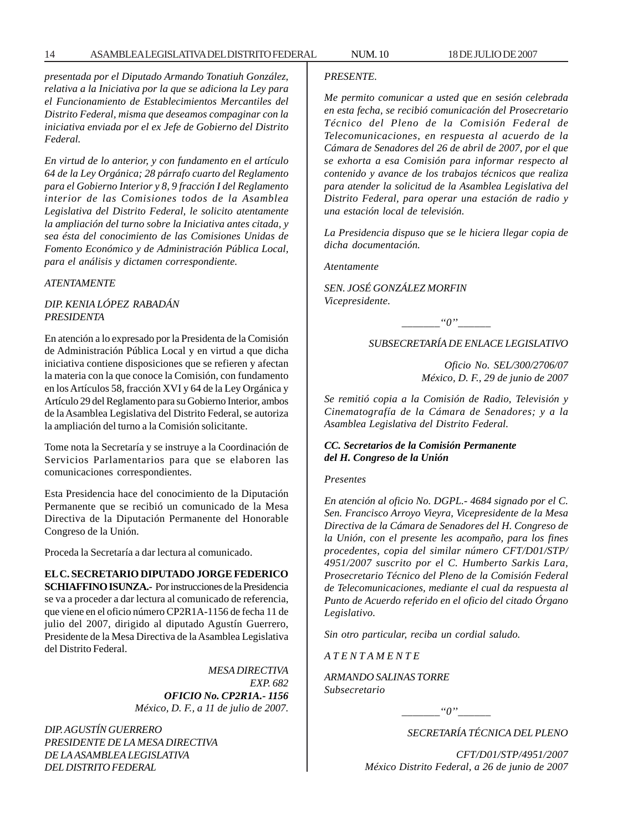#### 14 ASAMBLEA LEGISLATIVA DEL DISTRITO FEDERAL NUM. 10 18 DE JULIO DE 2007

*presentada por el Diputado Armando Tonatiuh González, relativa a la Iniciativa por la que se adiciona la Ley para el Funcionamiento de Establecimientos Mercantiles del Distrito Federal, misma que deseamos compaginar con la iniciativa enviada por el ex Jefe de Gobierno del Distrito Federal.*

*En virtud de lo anterior, y con fundamento en el artículo 64 de la Ley Orgánica; 28 párrafo cuarto del Reglamento para el Gobierno Interior y 8, 9 fracción I del Reglamento interior de las Comisiones todos de la Asamblea Legislativa del Distrito Federal, le solicito atentamente la ampliación del turno sobre la Iniciativa antes citada, y sea ésta del conocimiento de las Comisiones Unidas de Fomento Económico y de Administración Pública Local, para el análisis y dictamen correspondiente.*

#### *ATENTAMENTE*

#### *DIP. KENIA LÓPEZ RABADÁN PRESIDENTA*

En atención a lo expresado por la Presidenta de la Comisión de Administración Pública Local y en virtud a que dicha iniciativa contiene disposiciones que se refieren y afectan la materia con la que conoce la Comisión, con fundamento en los Artículos 58, fracción XVI y 64 de la Ley Orgánica y Artículo 29 del Reglamento para su Gobierno Interior, ambos de la Asamblea Legislativa del Distrito Federal, se autoriza la ampliación del turno a la Comisión solicitante.

Tome nota la Secretaría y se instruye a la Coordinación de Servicios Parlamentarios para que se elaboren las comunicaciones correspondientes.

Esta Presidencia hace del conocimiento de la Diputación Permanente que se recibió un comunicado de la Mesa Directiva de la Diputación Permanente del Honorable Congreso de la Unión.

Proceda la Secretaría a dar lectura al comunicado.

# **EL C. SECRETARIO DIPUTADO JORGE FEDERICO**

**SCHIAFFINO ISUNZA.-** Por instrucciones de la Presidencia se va a proceder a dar lectura al comunicado de referencia, que viene en el oficio número CP2R1A-1156 de fecha 11 de julio del 2007, dirigido al diputado Agustín Guerrero, Presidente de la Mesa Directiva de la Asamblea Legislativa del Distrito Federal.

> *MESA DIRECTIVA EXP. 682 OFICIO No. CP2R1A.- 1156 México, D. F., a 11 de julio de 2007.*

*DIP. AGUSTÍN GUERRERO PRESIDENTE DE LA MESA DIRECTIVA DE LA ASAMBLEA LEGISLATIVA DEL DISTRITO FEDERAL*

#### *PRESENTE.*

*Me permito comunicar a usted que en sesión celebrada en esta fecha, se recibió comunicación del Prosecretario Técnico del Pleno de la Comisión Federal de Telecomunicaciones, en respuesta al acuerdo de la Cámara de Senadores del 26 de abril de 2007, por el que se exhorta a esa Comisión para informar respecto al contenido y avance de los trabajos técnicos que realiza para atender la solicitud de la Asamblea Legislativa del Distrito Federal, para operar una estación de radio y una estación local de televisión.*

*La Presidencia dispuso que se le hiciera llegar copia de dicha documentación.*

*Atentamente*

*SEN. JOSÉ GONZÁLEZ MORFIN Vicepresidente.*

*\_\_\_\_\_\_\_''0''\_\_\_\_\_\_*

#### *SUBSECRETARÍA DE ENLACE LEGISLATIVO*

*Oficio No. SEL/300/2706/07 México, D. F., 29 de junio de 2007*

*Se remitió copia a la Comisión de Radio, Televisión y Cinematografía de la Cámara de Senadores; y a la Asamblea Legislativa del Distrito Federal.*

#### *CC. Secretarios de la Comisión Permanente del H. Congreso de la Unión*

#### *Presentes*

*En atención al oficio No. DGPL.- 4684 signado por el C. Sen. Francisco Arroyo Vieyra, Vicepresidente de la Mesa Directiva de la Cámara de Senadores del H. Congreso de la Unión, con el presente les acompaño, para los fines procedentes, copia del similar número CFT/D01/STP/ 4951/2007 suscrito por el C. Humberto Sarkis Lara, Prosecretario Técnico del Pleno de la Comisión Federal de Telecomunicaciones, mediante el cual da respuesta al Punto de Acuerdo referido en el oficio del citado Órgano Legislativo.*

*Sin otro particular, reciba un cordial saludo.*

*A T E N T A M E N T E*

*ARMANDO SALINAS TORRE Subsecretario*

 $\lq o''$ 

*SECRETARÍA TÉCNICA DEL PLENO*

*CFT/D01/STP/4951/2007 México Distrito Federal, a 26 de junio de 2007*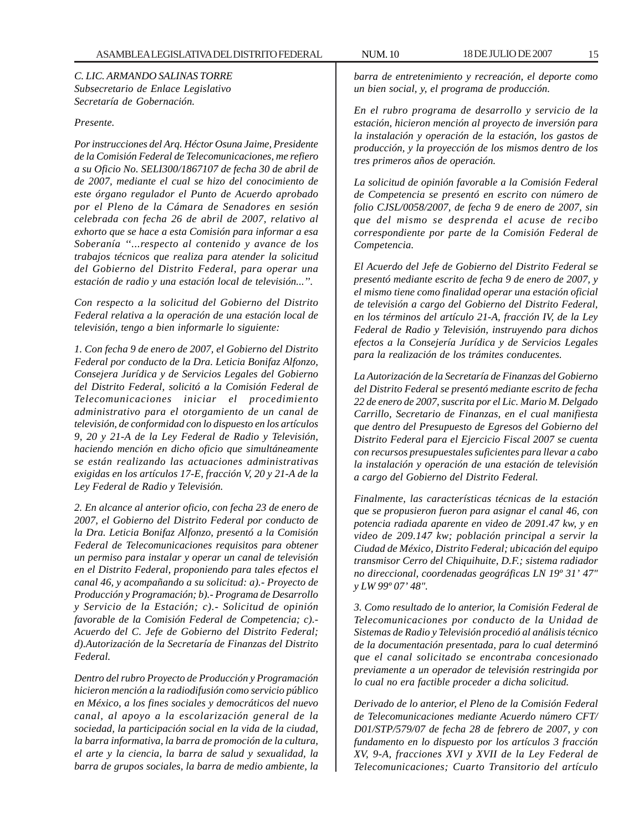*C. LIC. ARMANDO SALINAS TORRE Subsecretario de Enlace Legislativo Secretaría de Gobernación.*

#### *Presente.*

*Por instrucciones del Arq. Héctor Osuna Jaime, Presidente de la Comisión Federal de Telecomunicaciones, me refiero a su Oficio No. SELI300/1867107 de fecha 30 de abril de de 2007, mediante el cual se hizo del conocimiento de este órgano regulador el Punto de Acuerdo aprobado por el Pleno de la Cámara de Senadores en sesión celebrada con fecha 26 de abril de 2007, relativo al exhorto que se hace a esta Comisión para informar a esa Soberanía ''...respecto al contenido y avance de los trabajos técnicos que realiza para atender la solicitud del Gobierno del Distrito Federal, para operar una estación de radio y una estación local de televisión...''.*

*Con respecto a la solicitud del Gobierno del Distrito Federal relativa a la operación de una estación local de televisión, tengo a bien informarle lo siguiente:*

*1. Con fecha 9 de enero de 2007, el Gobierno del Distrito Federal por conducto de la Dra. Leticia Bonifaz Alfonzo, Consejera Jurídica y de Servicios Legales del Gobierno del Distrito Federal, solicitó a la Comisión Federal de Telecomunicaciones iniciar el procedimiento administrativo para el otorgamiento de un canal de televisión, de conformidad con lo dispuesto en los artículos 9, 20 y 21-A de la Ley Federal de Radio y Televisión, haciendo mención en dicho oficio que simultáneamente se están realizando las actuaciones administrativas exigidas en los artículos 17-E, fracción V, 20 y 21-A de la Ley Federal de Radio y Televisión.*

*2. En alcance al anterior oficio, con fecha 23 de enero de 2007, el Gobierno del Distrito Federal por conducto de la Dra. Leticia Bonifaz Alfonzo, presentó a la Comisión Federal de Telecomunicaciones requisitos para obtener un permiso para instalar y operar un canal de televisión en el Distrito Federal, proponiendo para tales efectos el canal 46, y acompañando a su solicitud: a).- Proyecto de Producción y Programación; b).- Programa de Desarrollo y Servicio de la Estación; c).- Solicitud de opinión favorable de la Comisión Federal de Competencia; c).- Acuerdo del C. Jefe de Gobierno del Distrito Federal; d).Autorización de la Secretaría de Finanzas del Distrito Federal.*

*Dentro del rubro Proyecto de Producción y Programación hicieron mención a la radiodifusión como servicio público en México, a los fines sociales y democráticos del nuevo canal, al apoyo a la escolarización general de la sociedad, la participación social en la vida de la ciudad, la barra informativa, la barra de promoción de la cultura, el arte y la ciencia, la barra de salud y sexualidad, la barra de grupos sociales, la barra de medio ambiente, la*

*barra de entretenimiento y recreación, el deporte como un bien social, y, el programa de producción.*

*En el rubro programa de desarrollo y servicio de la estación, hicieron mención al proyecto de inversión para la instalación y operación de la estación, los gastos de producción, y la proyección de los mismos dentro de los tres primeros años de operación.*

*La solicitud de opinión favorable a la Comisión Federal de Competencia se presentó en escrito con número de folio CJSL/0058/2007, de fecha 9 de enero de 2007, sin que del mismo se desprenda el acuse de recibo correspondiente por parte de la Comisión Federal de Competencia.*

*El Acuerdo del Jefe de Gobierno del Distrito Federal se presentó mediante escrito de fecha 9 de enero de 2007, y el mismo tiene como finalidad operar una estación oficial de televisión a cargo del Gobierno del Distrito Federal, en los términos del artículo 21-A, fracción IV, de la Ley Federal de Radio y Televisión, instruyendo para dichos efectos a la Consejería Jurídica y de Servicios Legales para la realización de los trámites conducentes.*

*La Autorización de la Secretaría de Finanzas del Gobierno del Distrito Federal se presentó mediante escrito de fecha 22 de enero de 2007, suscrita por el Lic. Mario M. Delgado Carrillo, Secretario de Finanzas, en el cual manifiesta que dentro del Presupuesto de Egresos del Gobierno del Distrito Federal para el Ejercicio Fiscal 2007 se cuenta con recursos presupuestales suficientes para llevar a cabo la instalación y operación de una estación de televisión a cargo del Gobierno del Distrito Federal.*

*Finalmente, las características técnicas de la estación que se propusieron fueron para asignar el canal 46, con potencia radiada aparente en video de 2091.47 kw, y en video de 209.147 kw; población principal a servir la Ciudad de México, Distrito Federal; ubicación del equipo transmisor Cerro del Chiquihuite, D.F.; sistema radiador no direccional, coordenadas geográficas LN 19º 31' 47" y LW 99º 07' 48".*

*3. Como resultado de lo anterior, la Comisión Federal de Telecomunicaciones por conducto de la Unidad de Sistemas de Radio y Televisión procedió al análisis técnico de la documentación presentada, para lo cual determinó que el canal solicitado se encontraba concesionado previamente a un operador de televisión restringida por lo cual no era factible proceder a dicha solicitud.*

*Derivado de lo anterior, el Pleno de la Comisión Federal de Telecomunicaciones mediante Acuerdo número CFT/ D01/STP/579/07 de fecha 28 de febrero de 2007, y con fundamento en lo dispuesto por los artículos 3 fracción XV, 9-A, fracciones XVI y XVII de la Ley Federal de Telecomunicaciones; Cuarto Transitorio del artículo*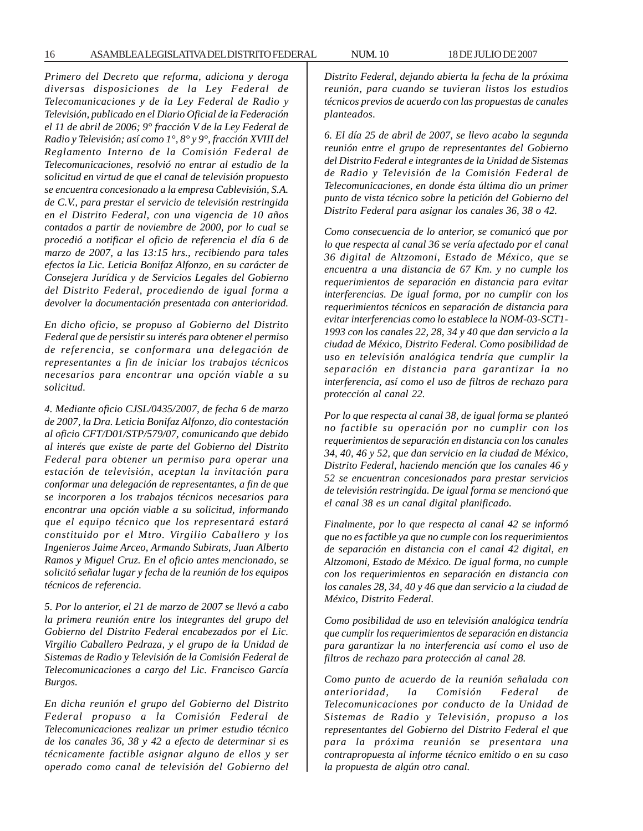*Primero del Decreto que reforma, adiciona y deroga diversas disposiciones de la Ley Federal de Telecomunicaciones y de la Ley Federal de Radio y Televisión, publicado en el Diario Oficial de la Federación el 11 de abril de 2006; 9° fracción V de la Ley Federal de Radio y Televisión; así como 1°, 8° y 9°, fracción XVIII del Reglamento Interno de la Comisión Federal de Telecomunicaciones, resolvió no entrar al estudio de la solicitud en virtud de que el canal de televisión propuesto se encuentra concesionado a la empresa Cablevisión, S.A. de C.V., para prestar el servicio de televisión restringida en el Distrito Federal, con una vigencia de 10 años contados a partir de noviembre de 2000, por lo cual se procedió a notificar el oficio de referencia el día 6 de marzo de 2007, a las 13:15 hrs., recibiendo para tales efectos la Lic. Leticia Bonifaz Alfonzo, en su carácter de Consejera Jurídica y de Servicios Legales del Gobierno del Distrito Federal, procediendo de igual forma a devolver la documentación presentada con anterioridad.*

*En dicho oficio, se propuso al Gobierno del Distrito Federal que de persistir su interés para obtener el permiso de referencia, se conformara una delegación de representantes a fin de iniciar los trabajos técnicos necesarios para encontrar una opción viable a su solicitud.*

*4. Mediante oficio CJSL/0435/2007, de fecha 6 de marzo de 2007, la Dra. Leticia Bonifaz Alfonzo, dio contestación al oficio CFT/D01/STP/579/07, comunicando que debido al interés que existe de parte del Gobierno del Distrito Federal para obtener un permiso para operar una estación de televisión, aceptan la invitación para conformar una delegación de representantes, a fin de que se incorporen a los trabajos técnicos necesarios para encontrar una opción viable a su solicitud, informando que el equipo técnico que los representará estará constituido por el Mtro. Virgilio Caballero y los Ingenieros Jaime Arceo, Armando Subirats, Juan Alberto Ramos y Miguel Cruz. En el oficio antes mencionado, se solicitó señalar lugar y fecha de la reunión de los equipos técnicos de referencia.*

*5. Por lo anterior, el 21 de marzo de 2007 se llevó a cabo la primera reunión entre los integrantes del grupo del Gobierno del Distrito Federal encabezados por el Lic. Virgilio Caballero Pedraza, y el grupo de la Unidad de Sistemas de Radio y Televisión de la Comisión Federal de Telecomunicaciones a cargo del Lic. Francisco García Burgos.*

*En dicha reunión el grupo del Gobierno del Distrito Federal propuso a la Comisión Federal de Telecomunicaciones realizar un primer estudio técnico de los canales 36, 38 y 42 a efecto de determinar si es técnicamente factible asignar alguno de ellos y ser operado como canal de televisión del Gobierno del* *Distrito Federal, dejando abierta la fecha de la próxima reunión, para cuando se tuvieran listos los estudios técnicos previos de acuerdo con las propuestas de canales planteados.*

*6. El día 25 de abril de 2007, se llevo acabo la segunda reunión entre el grupo de representantes del Gobierno del Distrito Federal e integrantes de la Unidad de Sistemas de Radio y Televisión de la Comisión Federal de Telecomunicaciones, en donde ésta última dio un primer punto de vista técnico sobre la petición del Gobierno del Distrito Federal para asignar los canales 36, 38 o 42.*

*Como consecuencia de lo anterior, se comunicó que por lo que respecta al canal 36 se vería afectado por el canal 36 digital de Altzomoni, Estado de México, que se encuentra a una distancia de 67 Km. y no cumple los requerimientos de separación en distancia para evitar interferencias. De igual forma, por no cumplir con los requerimientos técnicos en separación de distancia para evitar interferencias como lo establece la NOM-03-SCT1- 1993 con los canales 22, 28, 34 y 40 que dan servicio a la ciudad de México, Distrito Federal. Como posibilidad de uso en televisión analógica tendría que cumplir la separación en distancia para garantizar la no interferencia, así como el uso de filtros de rechazo para protección al canal 22.*

*Por lo que respecta al canal 38, de igual forma se planteó no factible su operación por no cumplir con los requerimientos de separación en distancia con los canales 34, 40, 46 y 52, que dan servicio en la ciudad de México, Distrito Federal, haciendo mención que los canales 46 y 52 se encuentran concesionados para prestar servicios de televisión restringida. De igual forma se mencionó que el canal 38 es un canal digital planificado.*

*Finalmente, por lo que respecta al canal 42 se informó que no es factible ya que no cumple con los requerimientos de separación en distancia con el canal 42 digital, en Altzomoni, Estado de México. De igual forma, no cumple con los requerimientos en separación en distancia con los canales 28, 34, 40 y 46 que dan servicio a la ciudad de México, Distrito Federal.*

*Como posibilidad de uso en televisión analógica tendría que cumplir los requerimientos de separación en distancia para garantizar la no interferencia así como el uso de filtros de rechazo para protección al canal 28.*

*Como punto de acuerdo de la reunión señalada con anterioridad, la Comisión Federal de Telecomunicaciones por conducto de la Unidad de Sistemas de Radio y Televisión, propuso a los representantes del Gobierno del Distrito Federal el que para la próxima reunión se presentara una contrapropuesta al informe técnico emitido o en su caso la propuesta de algún otro canal.*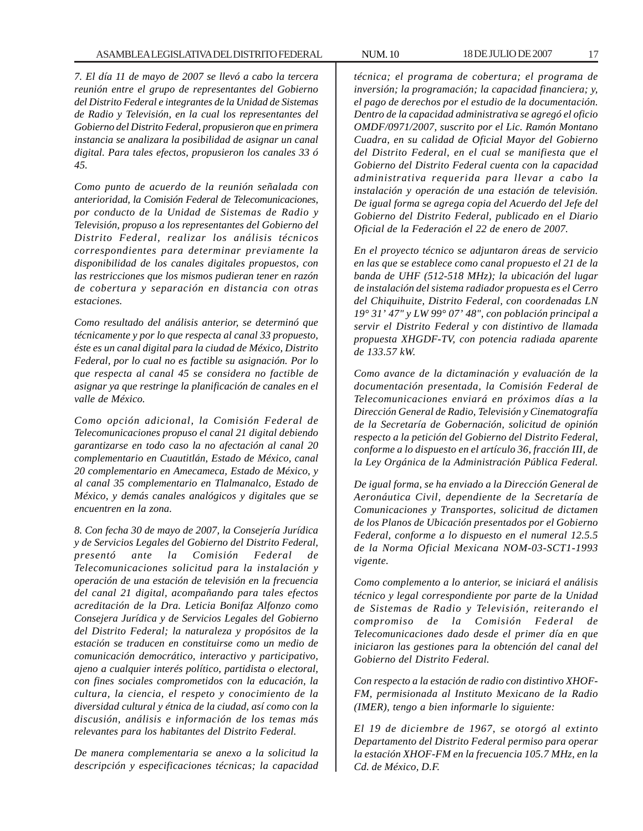*7. El día 11 de mayo de 2007 se llevó a cabo la tercera reunión entre el grupo de representantes del Gobierno del Distrito Federal e integrantes de la Unidad de Sistemas de Radio y Televisión, en la cual los representantes del Gobierno del Distrito Federal, propusieron que en primera instancia se analizara la posibilidad de asignar un canal digital. Para tales efectos, propusieron los canales 33 ó 45.*

*Como punto de acuerdo de la reunión señalada con anterioridad, la Comisión Federal de Telecomunicaciones, por conducto de la Unidad de Sistemas de Radio y Televisión, propuso a los representantes del Gobierno del Distrito Federal, realizar los análisis técnicos correspondientes para determinar previamente la disponibilidad de los canales digitales propuestos, con las restricciones que los mismos pudieran tener en razón de cobertura y separación en distancia con otras estaciones.*

*Como resultado del análisis anterior, se determinó que técnicamente y por lo que respecta al canal 33 propuesto, éste es un canal digital para la ciudad de México, Distrito Federal, por lo cual no es factible su asignación. Por lo que respecta al canal 45 se considera no factible de asignar ya que restringe la planificación de canales en el valle de México.*

*Como opción adicional, la Comisión Federal de Telecomunicaciones propuso el canal 21 digital debiendo garantizarse en todo caso la no afectación al canal 20 complementario en Cuautitlán, Estado de México, canal 20 complementario en Amecameca, Estado de México, y al canal 35 complementario en Tlalmanalco, Estado de México, y demás canales analógicos y digitales que se encuentren en la zona.*

*8. Con fecha 30 de mayo de 2007, la Consejería Jurídica y de Servicios Legales del Gobierno del Distrito Federal, presentó ante la Comisión Federal de Telecomunicaciones solicitud para la instalación y operación de una estación de televisión en la frecuencia del canal 21 digital, acompañando para tales efectos acreditación de la Dra. Leticia Bonifaz Alfonzo como Consejera Jurídica y de Servicios Legales del Gobierno del Distrito Federal; la naturaleza y propósitos de la estación se traducen en constituirse como un medio de comunicación democrático, interactivo y participativo, ajeno a cualquier interés político, partidista o electoral, con fines sociales comprometidos con la educación, la cultura, la ciencia, el respeto y conocimiento de la diversidad cultural y étnica de la ciudad, así como con la discusión, análisis e información de los temas más relevantes para los habitantes del Distrito Federal.*

*De manera complementaria se anexo a la solicitud la descripción y especificaciones técnicas; la capacidad* *técnica; el programa de cobertura; el programa de inversión; la programación; la capacidad financiera; y, el pago de derechos por el estudio de la documentación. Dentro de la capacidad administrativa se agregó el oficio OMDF/0971/2007, suscrito por el Lic. Ramón Montano Cuadra, en su calidad de Oficial Mayor del Gobierno del Distrito Federal, en el cual se manifiesta que el Gobierno del Distrito Federal cuenta con la capacidad administrativa requerida para llevar a cabo la instalación y operación de una estación de televisión. De igual forma se agrega copia del Acuerdo del Jefe del Gobierno del Distrito Federal, publicado en el Diario Oficial de la Federación el 22 de enero de 2007.*

*En el proyecto técnico se adjuntaron áreas de servicio en las que se establece como canal propuesto el 21 de la banda de UHF (512-518 MHz); la ubicación del lugar de instalación del sistema radiador propuesta es el Cerro del Chiquihuite, Distrito Federal, con coordenadas LN 19° 31' 47" y LW 99° 07' 48", con población principal a servir el Distrito Federal y con distintivo de llamada propuesta XHGDF-TV, con potencia radiada aparente de 133.57 kW.*

*Como avance de la dictaminación y evaluación de la documentación presentada, la Comisión Federal de Telecomunicaciones enviará en próximos días a la Dirección General de Radio, Televisión y Cinematografía de la Secretaría de Gobernación, solicitud de opinión respecto a la petición del Gobierno del Distrito Federal, conforme a lo dispuesto en el artículo 36, fracción III, de la Ley Orgánica de la Administración Pública Federal.*

*De igual forma, se ha enviado a la Dirección General de Aeronáutica Civil, dependiente de la Secretaría de Comunicaciones y Transportes, solicitud de dictamen de los Planos de Ubicación presentados por el Gobierno Federal, conforme a lo dispuesto en el numeral 12.5.5 de la Norma Oficial Mexicana NOM-03-SCT1-1993 vigente.*

*Como complemento a lo anterior, se iniciará el análisis técnico y legal correspondiente por parte de la Unidad de Sistemas de Radio y Televisión, reiterando el compromiso de la Comisión Federal de Telecomunicaciones dado desde el primer día en que iniciaron las gestiones para la obtención del canal del Gobierno del Distrito Federal.*

*Con respecto a la estación de radio con distintivo XHOF-FM, permisionada al Instituto Mexicano de la Radio (IMER), tengo a bien informarle lo siguiente:*

*El 19 de diciembre de 1967, se otorgó al extinto Departamento del Distrito Federal permiso para operar la estación XHOF-FM en la frecuencia 105.7 MHz, en la Cd. de México, D.F.*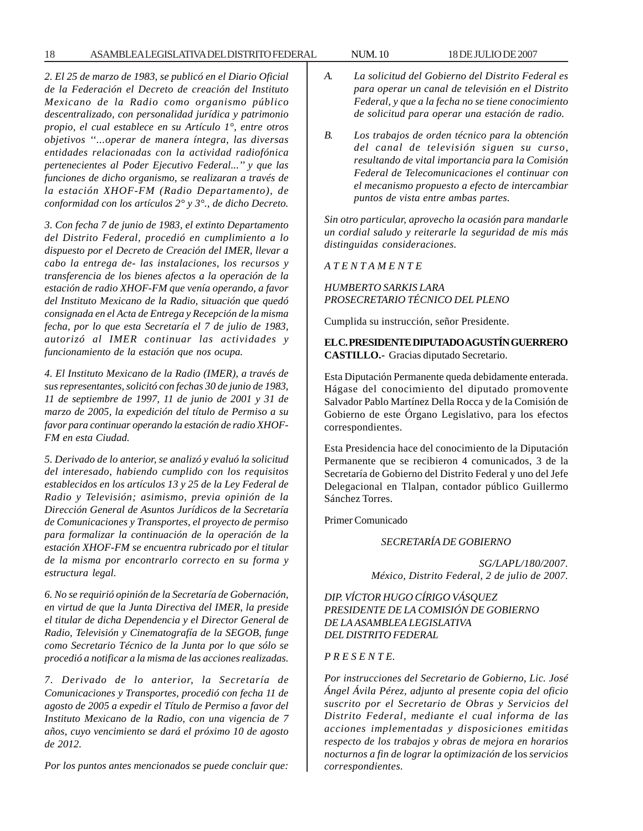#### 18 ASAMBLEA LEGISLATIVA DEL DISTRITO FEDERAL NUM. 10 18 DE JULIO DE 2007

*2. El 25 de marzo de 1983, se publicó en el Diario Oficial de la Federación el Decreto de creación del Instituto Mexicano de la Radio como organismo público descentralizado, con personalidad jurídica y patrimonio propio, el cual establece en su Artículo 1°, entre otros objetivos ''...operar de manera íntegra, las diversas entidades relacionadas con la actividad radiofónica pertenecientes al Poder Ejecutivo Federal...'' y que las funciones de dicho organismo, se realizaran a través de la estación XHOF-FM (Radio Departamento), de conformidad con los artículos 2° y 3°., de dicho Decreto.*

*3. Con fecha 7 de junio de 1983, el extinto Departamento del Distrito Federal, procedió en cumplimiento a lo dispuesto por el Decreto de Creación del IMER, llevar a cabo la entrega de- las instalaciones, los recursos y transferencia de los bienes afectos a la operación de la estación de radio XHOF-FM que venía operando, a favor del Instituto Mexicano de la Radio, situación que quedó consignada en el Acta de Entrega y Recepción de la misma fecha, por lo que esta Secretaría el 7 de julio de 1983, autorizó al IMER continuar las actividades y funcionamiento de la estación que nos ocupa.*

*4. El Instituto Mexicano de la Radio (IMER), a través de sus representantes, solicitó con fechas 30 de junio de 1983, 11 de septiembre de 1997, 11 de junio de 2001 y 31 de marzo de 2005, la expedición del título de Permiso a su favor para continuar operando la estación de radio XHOF-FM en esta Ciudad.*

*5. Derivado de lo anterior, se analizó y evaluó la solicitud del interesado, habiendo cumplido con los requisitos establecidos en los artículos 13 y 25 de la Ley Federal de Radio y Televisión; asimismo, previa opinión de la Dirección General de Asuntos Jurídicos de la Secretaría de Comunicaciones y Transportes, el proyecto de permiso para formalizar la continuación de la operación de la estación XHOF-FM se encuentra rubricado por el titular de la misma por encontrarlo correcto en su forma y estructura legal.*

*6. No se requirió opinión de la Secretaría de Gobernación, en virtud de que la Junta Directiva del IMER, la preside el titular de dicha Dependencia y el Director General de Radio, Televisión y Cinematografía de la SEGOB, funge como Secretario Técnico de la Junta por lo que sólo se procedió a notificar a la misma de las acciones realizadas.*

*7. Derivado de lo anterior, la Secretaría de Comunicaciones y Transportes, procedió con fecha 11 de agosto de 2005 a expedir el Título de Permiso a favor del Instituto Mexicano de la Radio, con una vigencia de 7 años, cuyo vencimiento se dará el próximo 10 de agosto de 2012.*

*Por los puntos antes mencionados se puede concluir que:*

- *A. La solicitud del Gobierno del Distrito Federal es para operar un canal de televisión en el Distrito Federal, y que a la fecha no se tiene conocimiento de solicitud para operar una estación de radio.*
- *B. Los trabajos de orden técnico para la obtención del canal de televisión siguen su curso, resultando de vital importancia para la Comisión Federal de Telecomunicaciones el continuar con el mecanismo propuesto a efecto de intercambiar puntos de vista entre ambas partes.*

*Sin otro particular, aprovecho la ocasión para mandarle un cordial saludo y reiterarle la seguridad de mis más distinguidas consideraciones.*

*A T E N T A M E N T E*

*HUMBERTO SARKIS LARA PROSECRETARIO TÉCNICO DEL PLENO*

Cumplida su instrucción, señor Presidente.

**EL C. PRESIDENTE DIPUTADO AGUSTÍN GUERRERO CASTILLO.-** Gracias diputado Secretario.

Esta Diputación Permanente queda debidamente enterada. Hágase del conocimiento del diputado promovente Salvador Pablo Martínez Della Rocca y de la Comisión de Gobierno de este Órgano Legislativo, para los efectos correspondientes.

Esta Presidencia hace del conocimiento de la Diputación Permanente que se recibieron 4 comunicados, 3 de la Secretaría de Gobierno del Distrito Federal y uno del Jefe Delegacional en Tlalpan, contador público Guillermo Sánchez Torres.

Primer Comunicado

*SECRETARÍA DE GOBIERNO*

*SG/LAPL/180/2007. México, Distrito Federal, 2 de julio de 2007.*

*DIP. VÍCTOR HUGO CÍRIGO VÁSQUEZ PRESIDENTE DE LA COMISIÓN DE GOBIERNO DE LA ASAMBLEA LEGISLATIVA DEL DISTRITO FEDERAL*

#### *P R E S E N T E.*

*Por instrucciones del Secretario de Gobierno, Lic. José Ángel Ávila Pérez, adjunto al presente copia del oficio suscrito por el Secretario de Obras y Servicios del Distrito Federal, mediante el cual informa de las acciones implementadas y disposiciones emitidas respecto de los trabajos y obras de mejora en horarios nocturnos a fin de lograr la optimización de* los *servicios correspondientes.*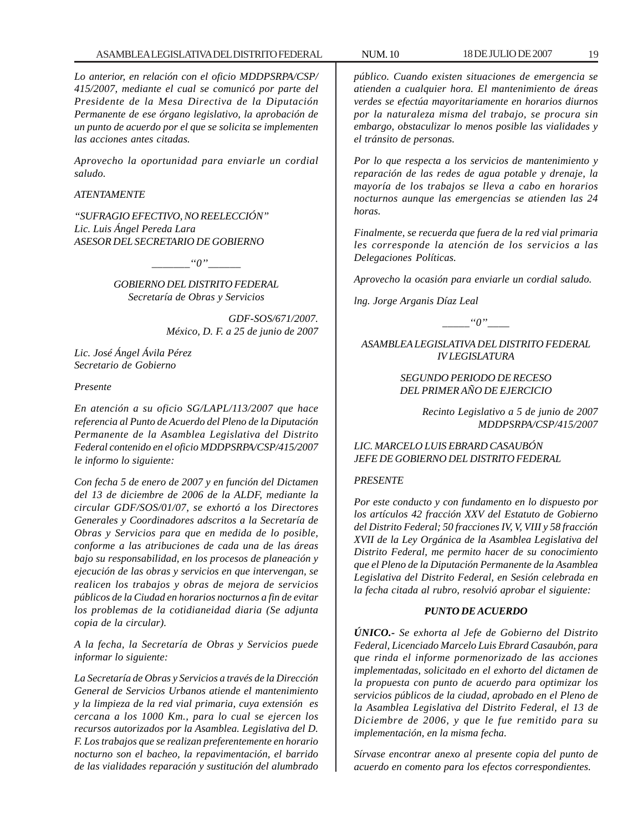*Lo anterior, en relación con el oficio MDDPSRPA/CSP/ 415/2007, mediante el cual se comunicó por parte del Presidente de la Mesa Directiva de la Diputación Permanente de ese órgano legislativo, la aprobación de un punto de acuerdo por el que se solicita se implementen las acciones antes citadas.*

*Aprovecho la oportunidad para enviarle un cordial saludo.*

#### *ATENTAMENTE*

*''SUFRAGIO EFECTIVO, NO REELECCIÓN'' Lic. Luis Ángel Pereda Lara ASESOR DEL SECRETARIO DE GOBIERNO*

*\_\_\_\_\_\_\_''0''\_\_\_\_\_\_*

*GOBIERNO DEL DISTRITO FEDERAL Secretaría de Obras y Servicios*

> *GDF-SOS/671/2007. México, D. F. a 25 de junio de 2007*

*Lic. José Ángel Ávila Pérez Secretario de Gobierno*

#### *Presente*

*En atención a su oficio SG/LAPL/113/2007 que hace referencia al Punto de Acuerdo del Pleno de la Diputación Permanente de la Asamblea Legislativa del Distrito Federal contenido en el oficio MDDPSRPA/CSP/415/2007 le informo lo siguiente:*

*Con fecha 5 de enero de 2007 y en función del Dictamen del 13 de diciembre de 2006 de la ALDF, mediante la circular GDF/SOS/01/07, se exhortó a los Directores Generales y Coordinadores adscritos a la Secretaría de Obras y Servicios para que en medida de lo posible, conforme a las atribuciones de cada una de las áreas bajo su responsabilidad, en los procesos de planeación y ejecución de las obras y servicios en que intervengan, se realicen los trabajos y obras de mejora de servicios públicos de la Ciudad en horarios nocturnos a fin de evitar los problemas de la cotidianeidad diaria (Se adjunta copia de la circular).*

*A la fecha, la Secretaría de Obras y Servicios puede informar lo siguiente:*

*La Secretaría de Obras y Servicios a través de la Dirección General de Servicios Urbanos atiende el mantenimiento y la limpieza de la red vial primaria, cuya extensión es cercana a los 1000 Km., para lo cual se ejercen los recursos autorizados por la Asamblea. Legislativa del D. F. Los trabajos que se realizan preferentemente en horario nocturno son el bacheo, la repavimentación, el barrido de las vialidades reparación y sustitución del alumbrado*

*público. Cuando existen situaciones de emergencia se atienden a cualquier hora. El mantenimiento de áreas verdes se efectúa mayoritariamente en horarios diurnos por la naturaleza misma del trabajo, se procura sin embargo, obstaculizar lo menos posible las vialidades y el tránsito de personas.*

*Por lo que respecta a los servicios de mantenimiento y reparación de las redes de agua potable y drenaje, la mayoría de los trabajos se lleva a cabo en horarios nocturnos aunque las emergencias se atienden las 24 horas.*

*Finalmente, se recuerda que fuera de la red vial primaria les corresponde la atención de los servicios a las Delegaciones Políticas.*

*Aprovecho la ocasión para enviarle un cordial saludo.*

*lng. Jorge Arganis Díaz Leal*

 $\lq\lq'0$ ''

*ASAMBLEA LEGISLATIVA DEL DISTRITO FEDERAL IV LEGISLATURA*

## *SEGUNDO PERIODO DE RECESO DEL PRIMER AÑO DE EJERCICIO*

*Recinto Legislativo a 5 de junio de 2007 MDDPSRPA/CSP/415/2007*

#### *LIC. MARCELO LUIS EBRARD CASAUBÓN JEFE DE GOBIERNO DEL DISTRITO FEDERAL*

#### *PRESENTE*

*Por este conducto y con fundamento en lo dispuesto por los artículos 42 fracción XXV del Estatuto de Gobierno del Distrito Federal; 50 fracciones IV, V, VIII y 58 fracción XVII de la Ley Orgánica de la Asamblea Legislativa del Distrito Federal, me permito hacer de su conocimiento que el Pleno de la Diputación Permanente de la Asamblea Legislativa del Distrito Federal, en Sesión celebrada en la fecha citada al rubro, resolvió aprobar el siguiente:*

#### *PUNTO DE ACUERDO*

*ÚNICO.- Se exhorta al Jefe de Gobierno del Distrito Federal, Licenciado Marcelo Luis Ebrard Casaubón, para que rinda el informe pormenorizado de las acciones implementadas, solicitado en el exhorto del dictamen de la propuesta con punto de acuerdo para optimizar los servicios públicos de la ciudad, aprobado en el Pleno de la Asamblea Legislativa del Distrito Federal, el 13 de Diciembre de 2006, y que le fue remitido para su implementación, en la misma fecha.*

*Sírvase encontrar anexo al presente copia del punto de acuerdo en comento para los efectos correspondientes.*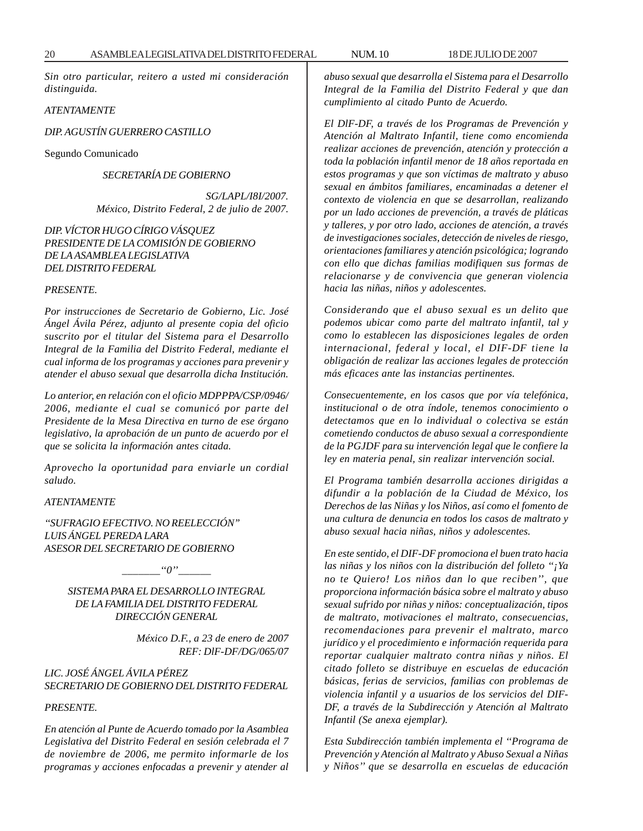*Sin otro particular, reitero a usted mi consideración distinguida.*

#### *ATENTAMENTE*

#### *DIP. AGUSTÍN GUERRERO CASTILLO*

Segundo Comunicado

#### *SECRETARÍA DE GOBIERNO*

*SG/LAPL/I8I/2007. México, Distrito Federal, 2 de julio de 2007.*

#### *DIP. VÍCTOR HUGO CÍRIGO VÁSQUEZ PRESIDENTE DE LA COMISIÓN DE GOBIERNO DE LA ASAMBLEA LEGISLATIVA DEL DISTRITO FEDERAL*

#### *PRESENTE.*

*Por instrucciones de Secretario de Gobierno, Lic. José Ángel Ávila Pérez, adjunto al presente copia del oficio suscrito por el titular del Sistema para el Desarrollo Integral de la Familia del Distrito Federal, mediante el cual informa de los programas y acciones para prevenir y atender el abuso sexual que desarrolla dicha Institución.*

*Lo anterior, en relación con el oficio MDPPPA/CSP/0946/ 2006, mediante el cual se comunicó por parte del Presidente de la Mesa Directiva en turno de ese órgano legislativo, la aprobación de un punto de acuerdo por el que se solicita la información antes citada.*

*Aprovecho la oportunidad para enviarle un cordial saludo.*

#### *ATENTAMENTE*

*''SUFRAGIO EFECTIVO. NO REELECCIÓN'' LUIS ÁNGEL PEREDA LARA ASESOR DEL SECRETARIO DE GOBIERNO*

 $"0"$ 

#### *SISTEMA PARA EL DESARROLLO INTEGRAL DE LA FAMILIA DEL DISTRITO FEDERAL DIRECCIÓN GENERAL*

*México D.F., a 23 de enero de 2007 REF: DlF-DF/DG/065/07*

*LIC. JOSÉ ÁNGEL ÁVILA PÉREZ SECRETARIO DE GOBIERNO DEL DISTRITO FEDERAL*

#### *PRESENTE.*

*En atención al Punte de Acuerdo tomado por la Asamblea Legislativa del Distrito Federal en sesión celebrada el 7 de noviembre de 2006, me permito informarle de los programas y acciones enfocadas a prevenir y atender al* *abuso sexual que desarrolla el Sistema para el Desarrollo Integral de la Familia del Distrito Federal y que dan cumplimiento al citado Punto de Acuerdo.*

*El DlF-DF, a través de los Programas de Prevención y Atención al Maltrato Infantil, tiene como encomienda realizar acciones de prevención, atención y protección a toda la población infantil menor de 18 años reportada en estos programas y que son víctimas de maltrato y abuso sexual en ámbitos familiares, encaminadas a detener el contexto de violencia en que se desarrollan, realizando por un lado acciones de prevención, a través de pláticas y talleres, y por otro lado, acciones de atención, a través de investigaciones sociales, detección de niveles de riesgo, orientaciones familiares y atención psicológica; logrando con ello que dichas familias modifiquen sus formas de relacionarse y de convivencia que generan violencia hacia las niñas, niños y adolescentes.*

*Considerando que el abuso sexual es un delito que podemos ubicar como parte del maltrato infantil, tal y como lo establecen las disposiciones legales de orden internacional, federal y local, el DIF-DF tiene la obligación de realizar las acciones legales de protección más eficaces ante las instancias pertinentes.*

*Consecuentemente, en los casos que por vía telefónica, institucional o de otra índole, tenemos conocimiento o detectamos que en lo individual o colectiva se están cometiendo conductos de abuso sexual a correspondiente de la PGJDF para su intervención legal que le confiere la ley en materia penal, sin realizar intervención social.*

*El Programa también desarrolla acciones dirigidas a difundir a la población de la Ciudad de México, los Derechos de las Niñas y los Niños, así como el fomento de una cultura de denuncia en todos los casos de maltrato y abuso sexual hacia niñas, niños y adolescentes.*

*En este sentido, el DIF-DF promociona el buen trato hacia las niñas y los niños con la distribución del folleto ''¡Ya no te Quiero! Los niños dan lo que reciben'', que proporciona información básica sobre el maltrato y abuso sexual sufrido por niñas y niños: conceptualización, tipos de maltrato, motivaciones el maltrato, consecuencias, recomendaciones para prevenir el maltrato, marco jurídico y el procedimiento e información requerida para reportar cualquier maltrato contra niñas y niños. El citado folleto se distribuye en escuelas de educación básicas, ferias de servicios, familias con problemas de violencia infantil y a usuarios de los servicios del DIF-DF, a través de la Subdirección y Atención al Maltrato Infantil (Se anexa ejemplar).*

*Esta Subdirección también implementa el ''Programa de Prevención y Atención al Maltrato y Abuso Sexual a Niñas y Niños'' que se desarrolla en escuelas de educación*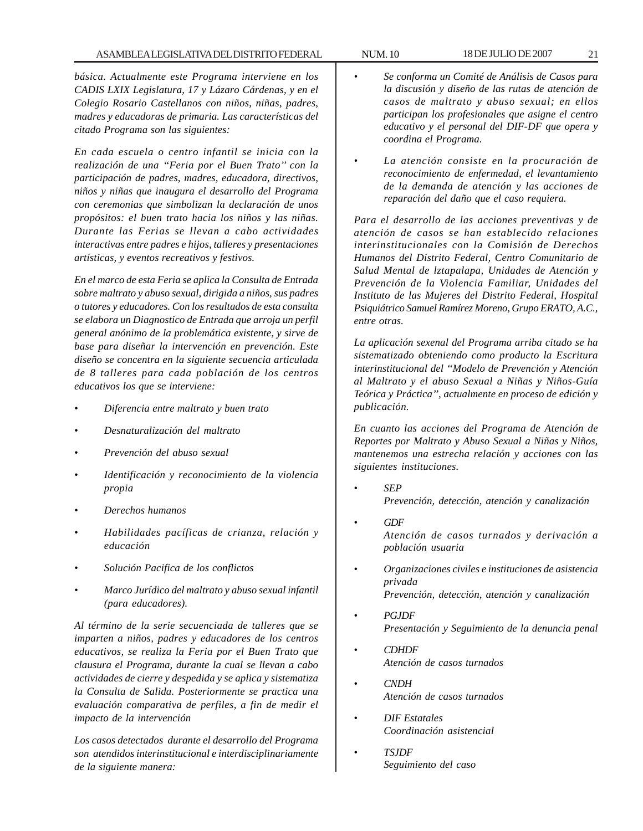*básica. Actualmente este Programa interviene en los CADIS LXIX Legislatura, 17 y Lázaro Cárdenas, y en el Colegio Rosario Castellanos con niños, niñas, padres, madres y educadoras de primaria. Las características del citado Programa son las siguientes:*

*En cada escuela o centro infantil se inicia con la realización de una ''Feria por el Buen Trato'' con la participación de padres, madres, educadora, directivos, niños y niñas que inaugura el desarrollo del Programa con ceremonias que simbolizan la declaración de unos propósitos: el buen trato hacia los niños y las niñas. Durante las Ferias se llevan a cabo actividades interactivas entre padres e hijos, talleres y presentaciones artísticas, y eventos recreativos y festivos.*

*En el marco de esta Feria se aplica la Consulta de Entrada sobre maltrato y abuso sexual, dirigida a niños, sus padres o tutores y educadores. Con los resultados de esta consulta se elabora un Diagnostico de Entrada que arroja un perfil general anónimo de la problemática existente, y sirve de base para diseñar la intervención en prevención. Este diseño se concentra en la siguiente secuencia articulada de 8 talleres para cada población de los centros educativos los que se interviene:*

- *Diferencia entre maltrato y buen trato*
- *Desnaturalización del maltrato*
- *Prevención del abuso sexual*
- *Identificación y reconocimiento de la violencia propia*
- *Derechos humanos*
- *Habilidades pacíficas de crianza, relación y educación*
- *Solución Pacifica de los conflictos*
- *Marco Jurídico del maltrato y abuso sexual infantil (para educadores).*

*Al término de la serie secuenciada de talleres que se imparten a niños, padres y educadores de los centros educativos, se realiza la Feria por el Buen Trato que clausura el Programa, durante la cual se llevan a cabo actividades de cierre y despedida y se aplica y sistematiza la Consulta de Salida. Posteriormente se practica una evaluación comparativa de perfiles, a fin de medir el impacto de la intervención*

*Los casos detectados durante el desarrollo del Programa son atendidos interinstitucional e interdisciplinariamente de la siguiente manera:*

- *Se conforma un Comité de Análisis de Casos para la discusión y diseño de las rutas de atención de casos de maltrato y abuso sexual; en ellos participan los profesionales que asigne el centro educativo y el personal del DIF-DF que opera y coordina el Programa.*
- *La atención consiste en la procuración de reconocimiento de enfermedad, el levantamiento de la demanda de atención y las acciones de reparación del daño que el caso requiera.*

*Para el desarrollo de las acciones preventivas y de atención de casos se han establecido relaciones interinstitucionales con la Comisión de Derechos Humanos del Distrito Federal, Centro Comunitario de Salud Mental de lztapalapa, Unidades de Atención y Prevención de la Violencia Familiar, Unidades del Instituto de las Mujeres del Distrito Federal, Hospital Psiquiátrico Samuel Ramírez Moreno, Grupo ERATO, A.C., entre otras.*

*La aplicación sexenal del Programa arriba citado se ha sistematizado obteniendo como producto la Escritura interinstitucional del ''Modelo de Prevención y Atención al Maltrato y el abuso Sexual a Niñas y Niños-Guía Teórica y Práctica'', actualmente en proceso de edición y publicación.*

*En cuanto las acciones del Programa de Atención de Reportes por Maltrato y Abuso Sexual a Niñas y Niños, mantenemos una estrecha relación y acciones con las siguientes instituciones.*

- *SEP Prevención, detección, atención y canalización*
- *GDF Atención de casos turnados y derivación a población usuaria*
- *Organizaciones civiles e instituciones de asistencia privada Prevención, detección, atención y canalización*
- *PGJDF Presentación y Seguimiento de la denuncia penal*
- *CDHDF Atención de casos turnados*
- *CNDH Atención de casos turnados*
- *DIF Estatales Coordinación asistencial*
- *TSJDF Seguimiento del caso*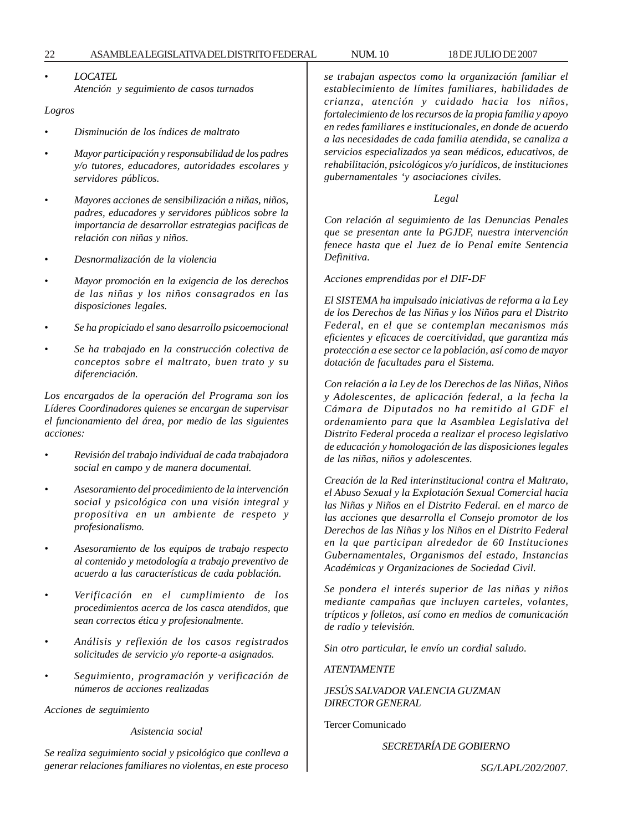• *LOCATEL Atención y seguimiento de casos turnados*

#### *Logros*

- *Disminución de los índices de maltrato*
- *Mayor participación y responsabilidad de los padres y/o tutores, educadores, autoridades escolares y servidores públicos.*
- *Mayores acciones de sensibilización a niñas, niños, padres, educadores y servidores públicos sobre la importancia de desarrollar estrategias pacificas de relación con niñas y niños.*
- *Desnormalización de la violencia*
- *Mayor promoción en la exigencia de los derechos de las niñas y los niños consagrados en las disposiciones legales.*
- *Se ha propiciado el sano desarrollo psicoemocional*
- *Se ha trabajado en la construcción colectiva de conceptos sobre el maltrato, buen trato y su diferenciación.*

*Los encargados de la operación del Programa son los Líderes Coordinadores quienes se encargan de supervisar el funcionamiento del área, por medio de las siguientes acciones:*

- *Revisión del trabajo individual de cada trabajadora social en campo y de manera documental.*
- *Asesoramiento del procedimiento de la intervención social y psicológica con una visión integral y propositiva en un ambiente de respeto y profesionalismo.*
- *Asesoramiento de los equipos de trabajo respecto al contenido y metodología a trabajo preventivo de acuerdo a las características de cada población.*
- *Verificación en el cumplimiento de los procedimientos acerca de los casca atendidos, que sean correctos ética y profesionalmente.*
- *Análisis y reflexión de los casos registrados solicitudes de servicio y/o reporte-a asignados.*
- *Seguimiento, programación y verificación de números de acciones realizadas*

*Acciones de seguimiento*

#### *Asistencia social*

*Se realiza seguimiento social y psicológico que conlleva a generar relaciones familiares no violentas, en este proceso* *se trabajan aspectos como la organización familiar el establecimiento de límites familiares, habilidades de crianza, atención y cuidado hacia los niños, fortalecimiento de los recursos de la propia familia y apoyo en redes familiares e institucionales, en donde de acuerdo a las necesidades de cada familia atendida, se canaliza a servicios especializados ya sean médicos, educativos, de rehabilitación, psicológicos y/o jurídicos, de instituciones gubernamentales 'y asociaciones civiles.*

## *Legal*

*Con relación al seguimiento de las Denuncias Penales que se presentan ante la PGJDF, nuestra intervención fenece hasta que el Juez de lo Penal emite Sentencia Definitiva.*

#### *Acciones emprendidas por el DIF-DF*

*El SISTEMA ha impulsado iniciativas de reforma a la Ley de los Derechos de las Niñas y los Niños para el Distrito Federal, en el que se contemplan mecanismos más eficientes y eficaces de coercitividad, que garantiza más protección a ese sector ce la población, así como de mayor dotación de facultades para el Sistema.*

*Con relación a la Ley de los Derechos de las Niñas, Niños y Adolescentes, de aplicación federal, a la fecha la Cámara de Diputados no ha remitido al GDF el ordenamiento para que la Asamblea Legislativa del Distrito Federal proceda a realizar el proceso legislativo de educación y homologación de las disposiciones legales de las niñas, niños y adolescentes.*

*Creación de la Red interinstitucional contra el Maltrato, el Abuso Sexual y la Explotación Sexual Comercial hacia las Niñas y Niños en el Distrito Federal. en el marco de las acciones que desarrolla el Consejo promotor de los Derechos de las Niñas y los Niños en el Distrito Federal en la que participan alrededor de 60 Instituciones Gubernamentales, Organismos del estado, Instancias Académicas y Organizaciones de Sociedad Civil.*

*Se pondera el interés superior de las niñas y niños mediante campañas que incluyen carteles, volantes, trípticos y folletos, así como en medios de comunicación de radio y televisión.*

*Sin otro particular, le envío un cordial saludo.*

*ATENTAMENTE*

*JESÚS SALVADOR VALENCIA GUZMAN DIRECTOR GENERAL*

Tercer Comunicado

*SECRETARÍA DE GOBIERNO*

*SG/LAPL/202/2007.*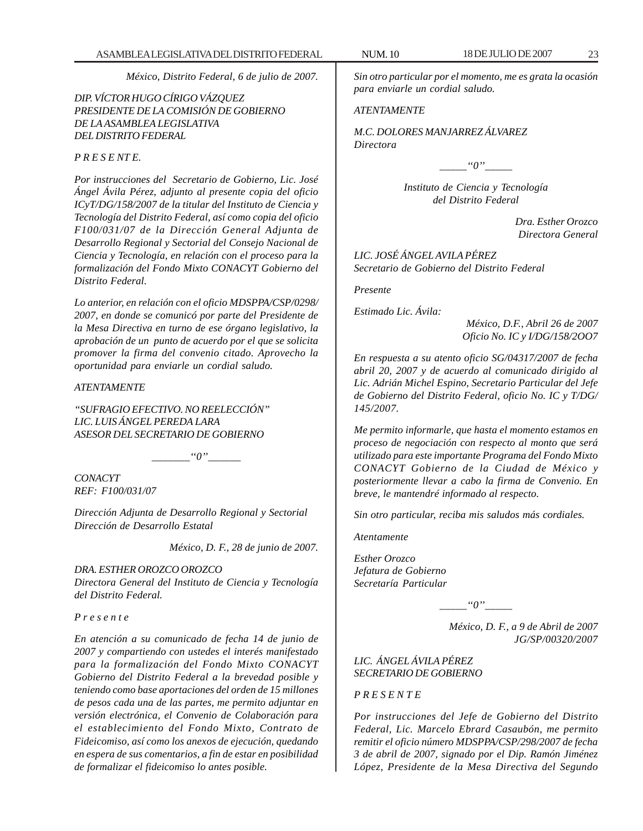*México, Distrito Federal, 6 de julio de 2007.*

*DIP. VÍCTOR HUGO CÍRIGO VÁZQUEZ PRESIDENTE DE LA COMISIÓN DE GOBIERNO DE LA ASAMBLEA LEGISLATIVA DEL DISTRITO FEDERAL*

#### *P R E S E NT E.*

*Por instrucciones del Secretario de Gobierno, Lic. José Ángel Ávila Pérez, adjunto al presente copia del oficio ICyT/DG/158/2007 de la titular del Instituto de Ciencia y Tecnología del Distrito Federal, así como copia del oficio F100/031/07 de la Dirección General Adjunta de Desarrollo Regional y Sectorial del Consejo Nacional de Ciencia y Tecnología, en relación con el proceso para la formalización del Fondo Mixto CONACYT Gobierno del Distrito Federal.*

*Lo anterior, en relación con el oficio MDSPPA/CSP/0298/ 2007, en donde se comunicó por parte del Presidente de la Mesa Directiva en turno de ese órgano legislativo, la aprobación de un punto de acuerdo por el que se solicita promover la firma del convenio citado. Aprovecho la oportunidad para enviarle un cordial saludo.*

#### *ATENTAMENTE*

*''SUFRAGIO EFECTIVO. NO REELECCIÓN'' LIC. LUIS ÁNGEL PEREDA LARA ASESOR DEL SECRETARIO DE GOBIERNO*

 $\lq a \lq o''$ 

*CONACYT REF: F100/031/07*

*Dirección Adjunta de Desarrollo Regional y Sectorial Dirección de Desarrollo Estatal*

*México, D. F., 28 de junio de 2007.*

*DRA. ESTHER OROZCO OROZCO Directora General del Instituto de Ciencia y Tecnología del Distrito Federal.*

*P r e s e n t e*

*En atención a su comunicado de fecha 14 de junio de 2007 y compartiendo con ustedes el interés manifestado para la formalización del Fondo Mixto CONACYT Gobierno del Distrito Federal a la brevedad posible y teniendo como base aportaciones del orden de 15 millones de pesos cada una de las partes, me permito adjuntar en versión electrónica, el Convenio de Colaboración para el establecimiento del Fondo Mixto, Contrato de Fideicomiso, así como los anexos de ejecución, quedando en espera de sus comentarios, a fin de estar en posibilidad de formalizar el fideicomiso lo antes posible.*

*Sin otro particular por el momento, me es grata la ocasión para enviarle un cordial saludo.*

#### *ATENTAMENTE*

*M.C. DOLORES MANJARREZ ÁLVAREZ Directora*

*\_\_\_\_\_''0''\_\_\_\_\_*

*Instituto de Ciencia y Tecnología del Distrito Federal*

> *Dra. Esther Orozco Directora General*

*LIC. JOSÉ ÁNGEL AVILA PÉREZ Secretario de Gobierno del Distrito Federal*

*Presente*

*Estimado Lic. Ávila:*

*México, D.F., Abril 26 de 2007 Oficio No. IC y I/DG/158/2OO7*

*En respuesta a su atento oficio SG/04317/2007 de fecha abril 20, 2007 y de acuerdo al comunicado dirigido al Lic. Adrián Michel Espino, Secretario Particular del Jefe de Gobierno del Distrito Federal, oficio No. IC y T/DG/ 145/2007.*

*Me permito informarle, que hasta el momento estamos en proceso de negociación con respecto al monto que será utilizado para este importante Programa del Fondo Mixto CONACYT Gobierno de la Ciudad de México y posteriormente llevar a cabo la firma de Convenio. En breve, le mantendré informado al respecto.*

*Sin otro particular, reciba mis saludos más cordiales.*

*Atentamente*

*Esther Orozco Jefatura de Gobierno Secretaría Particular*

*\_\_\_\_\_''0''\_\_\_\_\_*

*México, D. F., a 9 de Abril de 2007 JG/SP/00320/2007*

*LIC. ÁNGEL ÁVILA PÉREZ SECRETARIO DE GOBIERNO*

*P R E S E N T E*

*Por instrucciones del Jefe de Gobierno del Distrito Federal, Lic. Marcelo Ebrard Casaubón, me permito remitir el oficio número MDSPPA/CSP/298/2007 de fecha 3 de abril de 2007, signado por el Dip. Ramón Jiménez López, Presidente de la Mesa Directiva del Segundo*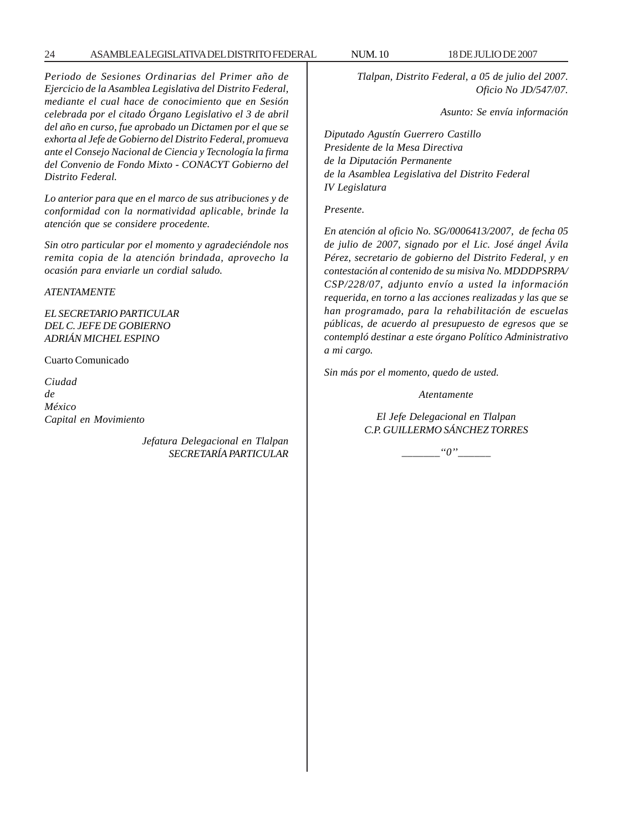#### 24 ASAMBLEA LEGISLATIVA DEL DISTRITO FEDERAL NUM. 10 18 DE JULIO DE 2007

*Periodo de Sesiones Ordinarias del Primer año de Ejercicio de la Asamblea Legislativa del Distrito Federal, mediante el cual hace de conocimiento que en Sesión celebrada por el citado Órgano Legislativo el 3 de abril del año en curso, fue aprobado un Dictamen por el que se exhorta al Jefe de Gobierno del Distrito Federal, promueva ante el Consejo Nacional de Ciencia y Tecnología la firma del Convenio de Fondo Mixto - CONACYT Gobierno del Distrito Federal.*

*Lo anterior para que en el marco de sus atribuciones y de conformidad con la normatividad aplicable, brinde la atención que se considere procedente.*

*Sin otro particular por el momento y agradeciéndole nos remita copia de la atención brindada, aprovecho la ocasión para enviarle un cordial saludo.*

#### *ATENTAMENTE*

*EL SECRETARIO PARTICULAR DEL C. JEFE DE GOBIERNO ADRIÁN MICHEL ESPINO*

Cuarto Comunicado

*Ciudad de México Capital en Movimiento*

> *Jefatura Delegacional en Tlalpan SECRETARÍA PARTICULAR*

*Tlalpan, Distrito Federal, a 05 de julio del 2007.*

*Oficio No JD/547/07.*

*Asunto: Se envía información*

*Diputado Agustín Guerrero Castillo Presidente de la Mesa Directiva de la Diputación Permanente de la Asamblea Legislativa del Distrito Federal IV Legislatura*

*Presente.*

*En atención al oficio No. SG/0006413/2007, de fecha 05 de julio de 2007, signado por el Lic. José ángel Ávila Pérez, secretario de gobierno del Distrito Federal, y en contestación al contenido de su misiva No. MDDDPSRPA/ CSP/228/07, adjunto envío a usted la información requerida, en torno a las acciones realizadas y las que se han programado, para la rehabilitación de escuelas públicas, de acuerdo al presupuesto de egresos que se contempló destinar a este órgano Político Administrativo a mi cargo.*

*Sin más por el momento, quedo de usted.*

*Atentamente*

*El Jefe Delegacional en Tlalpan C.P. GUILLERMO SÁNCHEZ TORRES*

 $\lq\lq o''$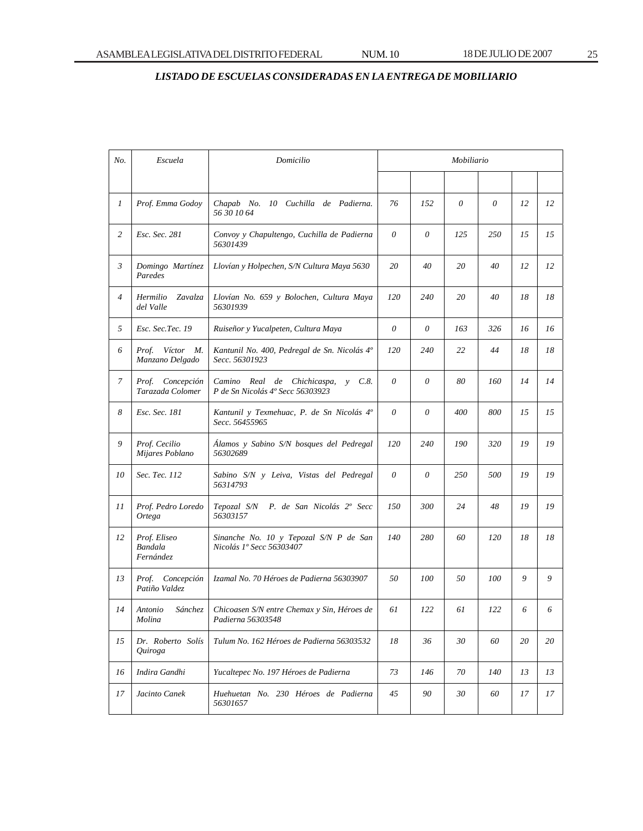# *LISTADO DE ESCUELAS CONSIDERADAS EN LA ENTREGA DE MOBILIARIO*

| No.            | Escuela                                     | Domicilio                                                                         | Mobiliario |          |     |     |    |    |
|----------------|---------------------------------------------|-----------------------------------------------------------------------------------|------------|----------|-----|-----|----|----|
|                |                                             |                                                                                   |            |          |     |     |    |    |
| 1              | Prof. Emma Godoy                            | Chapab No. 10 Cuchilla de Padierna.<br>56 30 10 64                                | 76         | 152      | 0   | 0   | 12 | 12 |
| 2              | Esc. Sec. 281                               | Convoy y Chapultengo, Cuchilla de Padierna<br>56301439                            | $\theta$   | 0        | 125 | 250 | 15 | 15 |
| 3              | Domingo Martínez<br>Paredes                 | Llovían y Holpechen, S/N Cultura Maya 5630                                        | 20         | 40       | 20  | 40  | 12 | 12 |
| $\overline{4}$ | Hermilio<br>Zavalza<br>del Valle            | Llovían No. 659 y Bolochen, Cultura Maya<br>56301939                              | 120        | 240      | 20  | 40  | 18 | 18 |
| 5              | Esc. Sec.Tec. 19                            | Ruiseñor y Yucalpeten, Cultura Maya                                               | 0          | 0        | 163 | 326 | 16 | 16 |
| 6              | Prof. Víctor M.<br>Manzano Delgado          | Kantunil No. 400, Pedregal de Sn. Nicolás 4º<br>Secc. 56301923                    | 120        | 240      | 22  | 44  | 18 | 18 |
| 7              | Prof. Concepción<br>Tarazada Colomer        | $v \quad C.8.$<br>Camino Real de Chichicaspa,<br>P de Sn Nicolás 4º Secc 56303923 | $\theta$   | $\theta$ | 80  | 160 | 14 | 14 |
| 8              | Esc. Sec. 181                               | Kantunil y Texmehuac, P. de Sn Nicolás 4°<br>Secc. 56455965                       | $\theta$   | 0        | 400 | 800 | 15 | 15 |
| 9              | Prof. Cecilio<br>Mijares Poblano            | Álamos y Sabino S/N bosques del Pedregal<br>56302689                              | 120        | 240      | 190 | 320 | 19 | 19 |
| 10             | Sec. Tec. 112                               | Sabino S/N y Leiva, Vistas del Pedregal<br>56314793                               | $\theta$   | 0        | 250 | 500 | 19 | 19 |
| 11             | Prof. Pedro Loredo<br>Ortega                | Tepozal S/N P. de San Nicolás 2° Secc<br>56303157                                 | 150        | 300      | 24  | 48  | 19 | 19 |
| 12             | Prof. Eliseo<br><b>Bandala</b><br>Fernández | Sinanche No. 10 y Tepozal S/N P de San<br>Nicolás 1º Secc 56303407                | 140        | 280      | 60  | 120 | 18 | 18 |
| 13             | Prof. Concepción<br>Patiño Valdez           | Izamal No. 70 Héroes de Padierna 56303907                                         | 50         | 100      | 50  | 100 | 9  | 9  |
| 14             | Antonio<br>Sánchez<br>Molina                | Chicoasen S/N entre Chemax y Sin, Héroes de<br>Padierna 56303548                  | 61         | 122      | 61  | 122 | 6  | 6  |
| 15             | Dr. Roberto Solís<br>Quiroga                | Tulum No. 162 Héroes de Padierna 56303532                                         | 18         | 36       | 30  | 60  | 20 | 20 |
| 16             | Indira Gandhi                               | Yucaltepec No. 197 Héroes de Padierna                                             | 73         | 146      | 70  | 140 | 13 | 13 |
| 17             | Jacinto Canek                               | Huehuetan No. 230 Héroes de Padierna<br>56301657                                  | 45         | 90       | 30  | 60  | 17 | 17 |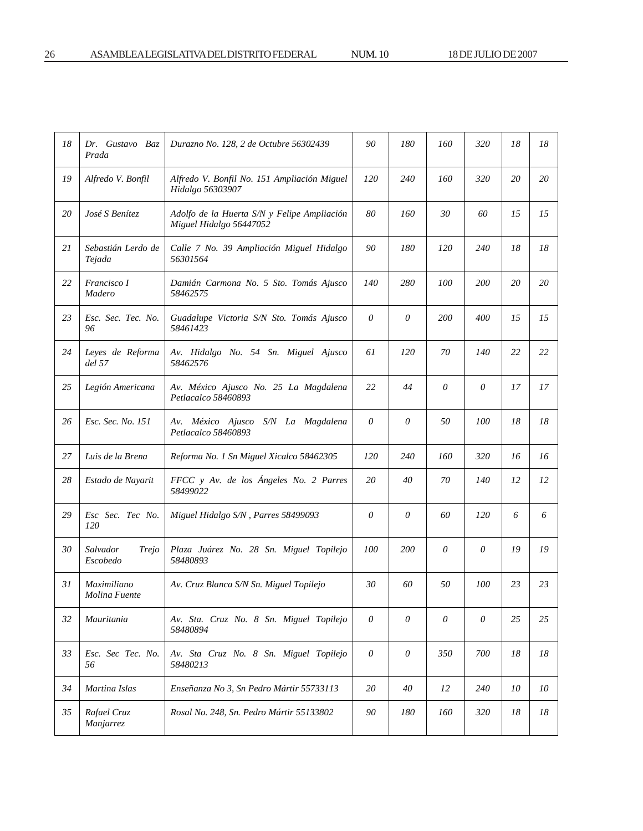| 18 | Dr. Gustavo Baz<br>Prada      | Durazno No. 128, 2 de Octubre 56302439                                 | 90       | 180        | 160 | 320        | 18 | 18 |
|----|-------------------------------|------------------------------------------------------------------------|----------|------------|-----|------------|----|----|
| 19 | Alfredo V. Bonfil             | Alfredo V. Bonfil No. 151 Ampliación Miguel<br>Hidalgo 56303907        | 120      | <i>240</i> | 160 | 320        | 20 | 20 |
| 20 | José S Benítez                | Adolfo de la Huerta S/N y Felipe Ampliación<br>Miguel Hidalgo 56447052 | 80       | 160        | 30  | 60         | 15 | 15 |
| 21 | Sebastián Lerdo de<br>Tejada  | Calle 7 No. 39 Ampliación Miguel Hidalgo<br>56301564                   | 90       | 180        | 120 | 240        | 18 | 18 |
| 22 | Francisco I<br>Madero         | Damián Carmona No. 5 Sto. Tomás Ajusco<br>58462575                     | 140      | 280        | 100 | 200        | 20 | 20 |
| 23 | Esc. Sec. Tec. No.<br>96      | Guadalupe Victoria S/N Sto. Tomás Ajusco<br>58461423                   | $\theta$ | 0          | 200 | 400        | 15 | 15 |
| 24 | Leyes de Reforma<br>del 57    | Av. Hidalgo No. 54 Sn. Miguel Ajusco<br>58462576                       | 61       | 120        | 70  | 140        | 22 | 22 |
| 25 | Legión Americana              | Av. México Ajusco No. 25 La Magdalena<br>Petlacalco 58460893           | 22       | 44         | 0   | 0          | 17 | 17 |
| 26 | Esc. Sec. No. 151             | Av. México Ajusco S/N La Magdalena<br>Petlacalco 58460893              | $\theta$ | 0          | 50  | 100        | 18 | 18 |
| 27 | Luis de la Brena              | Reforma No. 1 Sn Miguel Xicalco 58462305                               | 120      | 240        | 160 | 320        | 16 | 16 |
| 28 | Estado de Nayarit             | FFCC y Av. de los Ángeles No. 2 Parres<br>58499022                     | 20       | 40         | 70  | <i>140</i> | 12 | 12 |
| 29 | Esc Sec. Tec No.<br>120       | Miguel Hidalgo S/N, Parres 58499093                                    | 0        | 0          | 60  | 120        | 6  | 6  |
| 30 | Salvador<br>Trejo<br>Escobedo | Plaza Juárez No. 28 Sn. Miguel Topilejo<br>58480893                    | 100      | 200        | 0   | $\theta$   | 19 | 19 |
| 31 | Maximiliano<br>Molina Fuente  | Av. Cruz Blanca S/N Sn. Miguel Topilejo                                | 30       | 60         | 50  | 100        | 23 | 23 |
| 32 | Mauritania                    | Av. Sta. Cruz No. 8 Sn. Miguel Topilejo<br>58480894                    | 0        | 0          | 0   | $\theta$   | 25 | 25 |
| 33 | Esc. Sec Tec. No.<br>56       | Av. Sta Cruz No. 8 Sn. Miguel Topilejo<br>58480213                     | $\theta$ | 0          | 350 | 700        | 18 | 18 |
| 34 | Martina Islas                 | Enseñanza No 3, Sn Pedro Mártir 55733113                               | 20       | 40         | 12  | 240        | 10 | 10 |
| 35 | Rafael Cruz<br>Manjarrez      | Rosal No. 248, Sn. Pedro Mártir 55133802                               | 90       | 180        | 160 | 320        | 18 | 18 |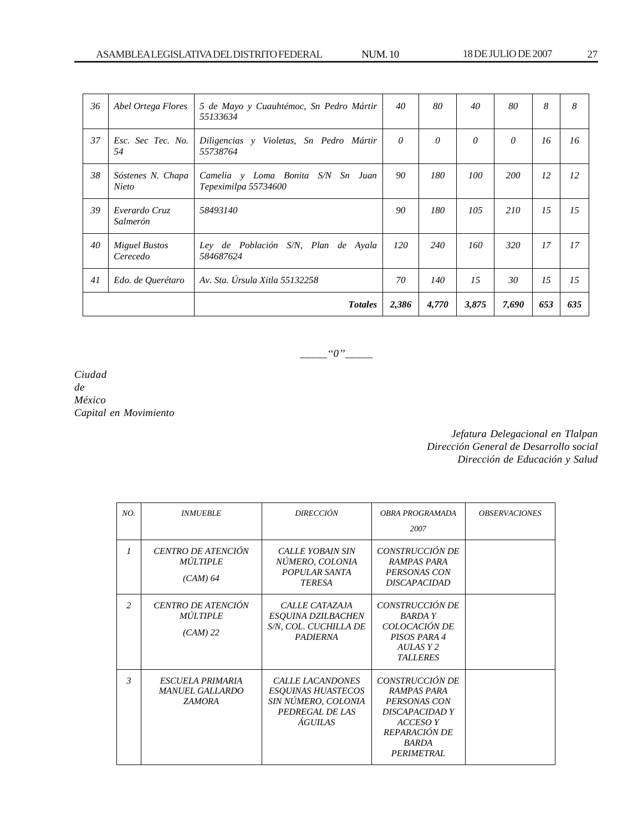| 36 | Abel Ortega Flores               | 5 de Mayo y Cuauhtémoc, Sn Pedro Mártir<br>55133634             | 40       | 80       | 40       | 80         | 8   | 8   |
|----|----------------------------------|-----------------------------------------------------------------|----------|----------|----------|------------|-----|-----|
| 37 | Esc. Sec Tec. No.<br>54          | Diligencias y Violetas, Sn Pedro Mártir<br>55738764             | $\theta$ | $\theta$ | $\theta$ | $\theta$   | 16  | 16  |
| 38 | Sóstenes N. Chapa<br>Nieto       | Camelia y Loma Bonita<br>S/N<br>Sn Juan<br>Tepeximilpa 55734600 | 90       | 180      | 100      | <i>200</i> | 12  | 12  |
| 39 | Everardo Cruz<br>Salmerón        | 58493140                                                        | 90       | 180      | 105      | 210        | 15  | 15  |
| 40 | <b>Miguel Bustos</b><br>Cerecedo | Ley de Población S/N, Plan de Ayala<br>584687624                | 120      | 240      | 160      | 320        | 17  | 17  |
| 41 | Edo. de Querétaro                | Av. Sta. Úrsula Xitla 55132258                                  | 70       | 140      | 15       | 30         | 15  | 15  |
|    |                                  | <b>Totales</b>                                                  | 2,386    | 4,770    | 3,875    | 7,690      | 653 | 635 |

*\_\_\_\_\_''0''\_\_\_\_\_*

*Ciudad de México Capital en Movimiento*

> *Jefatura Delegacional en Tlalpan Dirección General de Desarrollo social Dirección de Educación y Salud*

| NO.            | <b>INMUEBLE</b>                                             | <b>DIRECCIÓN</b>                                                                                                 | OBRA PROGRAMADA<br>2007                                                                                                            | <b>OBSERVACIONES</b> |
|----------------|-------------------------------------------------------------|------------------------------------------------------------------------------------------------------------------|------------------------------------------------------------------------------------------------------------------------------------|----------------------|
| $\mathcal{I}$  | CENTRO DE ATENCIÓN<br><b>MÚLTIPLE</b><br>$(CAM)$ 64         | <b>CALLE YOBAIN SIN</b><br>NÚMERO, COLONIA<br>POPULAR SANTA<br><b>TERESA</b>                                     | CONSTRUCCIÓN DE<br><b>RAMPAS PARA</b><br>PERSONAS CON<br><b>DISCAPACIDAD</b>                                                       |                      |
| $\overline{c}$ | CENTRO DE ATENCIÓN<br><b>MÚLTIPLE</b><br>$(CAM)$ 22         | CALLE CATAZAJA<br><b>ESQUINA DZILBACHEN</b><br>S/N, COL. CUCHILLA DE<br><b>PADIERNA</b>                          | CONSTRUCCIÓN DE<br>BARDA Y<br>COLOCACIÓN DE<br>PISOS PARA 4<br>AULAS Y 2<br><b>TALLERES</b>                                        |                      |
| $\mathfrak{Z}$ | ESCUELA PRIMARIA<br><b>MANUEL GALLARDO</b><br><b>ZAMORA</b> | <b>CALLE LACANDONES</b><br><b>ESQUINAS HUASTECOS</b><br>SIN NÚMERO, COLONIA<br>PEDREGAL DE LAS<br><b>ÁGUILAS</b> | CONSTRUCCIÓN DE<br>RAMPAS PARA<br>PERSONAS CON<br>DISCAPACIDAD Y<br><b>ACCESO Y</b><br>REPARACIÓN DE<br><b>BARDA</b><br>PERIMETRAL |                      |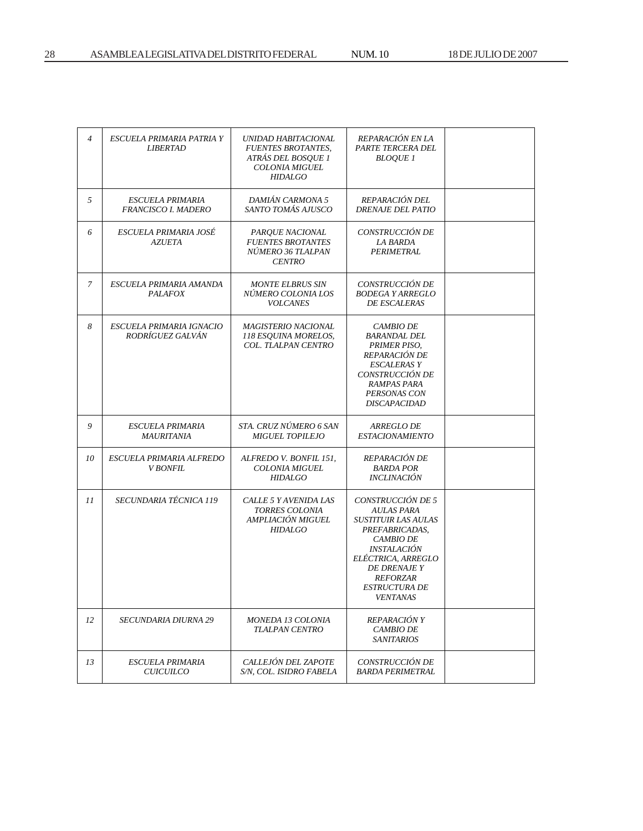| $\overline{4}$ | ESCUELA PRIMARIA PATRIA Y<br><b>LIBERTAD</b>          | UNIDAD HABITACIONAL<br><b>FUENTES BROTANTES,</b><br>ATRÁS DEL BOSQUE 1<br><b>COLONIA MIGUEL</b><br><b>HIDALGO</b> | REPARACIÓN EN LA<br>PARTE TERCERA DEL<br><b>BLOQUE 1</b>                                                                                                                                                                                    |  |
|----------------|-------------------------------------------------------|-------------------------------------------------------------------------------------------------------------------|---------------------------------------------------------------------------------------------------------------------------------------------------------------------------------------------------------------------------------------------|--|
| 5              | <i><b>ESCUELA PRIMARIA</b></i><br>FRANCISCO I. MADERO | DAMIÁN CARMONA 5<br>SANTO TOMÁS AJUSCO                                                                            | REPARACIÓN DEL<br><b>DRENAJE DEL PATIO</b>                                                                                                                                                                                                  |  |
| 6              | ESCUELA PRIMARIA JOSÉ<br><b>AZUETA</b>                | PARQUE NACIONAL<br><b>FUENTES BROTANTES</b><br>NÚMERO 36 TLALPAN<br><b>CENTRO</b>                                 | CONSTRUCCIÓN DE<br>LA BARDA<br>PERIMETRAL                                                                                                                                                                                                   |  |
| 7              | ESCUELA PRIMARIA AMANDA<br><b>PALAFOX</b>             | <b>MONTE ELBRUS SIN</b><br>NÚMERO COLONIA LOS<br><b>VOLCANES</b>                                                  | CONSTRUCCIÓN DE<br><b>BODEGA Y ARREGLO</b><br><b>DE ESCALERAS</b>                                                                                                                                                                           |  |
| 8              | ESCUELA PRIMARIA IGNACIO<br>RODRÍGUEZ GALVÁN          | <b>MAGISTERIO NACIONAL</b><br>118 ESQUINA MORELOS,<br>COL. TLALPAN CENTRO                                         | <i>CAMBIO DE</i><br><b>BARANDAL DEL</b><br>PRIMER PISO,<br>REPARACIÓN DE<br>ESCALERAS Y<br>CONSTRUCCIÓN DE<br>RAMPAS PARA<br>PERSONAS CON<br><b>DISCAPACIDAD</b>                                                                            |  |
| 9              | <i><b>ESCUELA PRIMARIA</b></i><br><i>MAURITANIA</i>   | STA. CRUZ NÚMERO 6 SAN<br><b>MIGUEL TOPILEJO</b>                                                                  | <i>ARREGLO DE</i><br><b>ESTACIONAMIENTO</b>                                                                                                                                                                                                 |  |
| 10             | ESCUELA PRIMARIA ALFREDO<br><b>V BONFIL</b>           | ALFREDO V. BONFIL 151,<br><b>COLONIA MIGUEL</b><br><b>HIDALGO</b>                                                 | REPARACIÓN DE<br><b>BARDA POR</b><br><i><b>INCLINACIÓN</b></i>                                                                                                                                                                              |  |
| 11             | SECUNDARIA TÉCNICA 119                                | CALLE 5 Y AVENIDA LAS<br>TORRES COLONIA<br>AMPLIACIÓN MIGUEL<br><b>HIDALGO</b>                                    | CONSTRUCCIÓN DE 5<br>AULAS PARA<br><b>SUSTITUIR LAS AULAS</b><br>PREFABRICADAS,<br><b>CAMBIO DE</b><br><i><b>INSTALACIÓN</b></i><br>ELÉCTRICA, ARREGLO<br><b>DE DRENAJE Y</b><br><b>REFORZAR</b><br><i><b>ESTRUCTURA DE</b></i><br>VENTANAS |  |
| 12             | <i>SECUNDARIA DIURNA 29</i>                           | <i>MONEDA 13 COLONIA</i><br><b>TLALPAN CENTRO</b>                                                                 | <i>REPARACIÓN Y</i><br><b>CAMBIO DE</b><br><i>SANITARIOS</i>                                                                                                                                                                                |  |
| 13             | <b>ESCUELA PRIMARIA</b><br><b>CUICUILCO</b>           | CALLEJÓN DEL ZAPOTE<br>S/N, COL. ISIDRO FABELA                                                                    | CONSTRUCCIÓN DE<br><b>BARDA PERIMETRAL</b>                                                                                                                                                                                                  |  |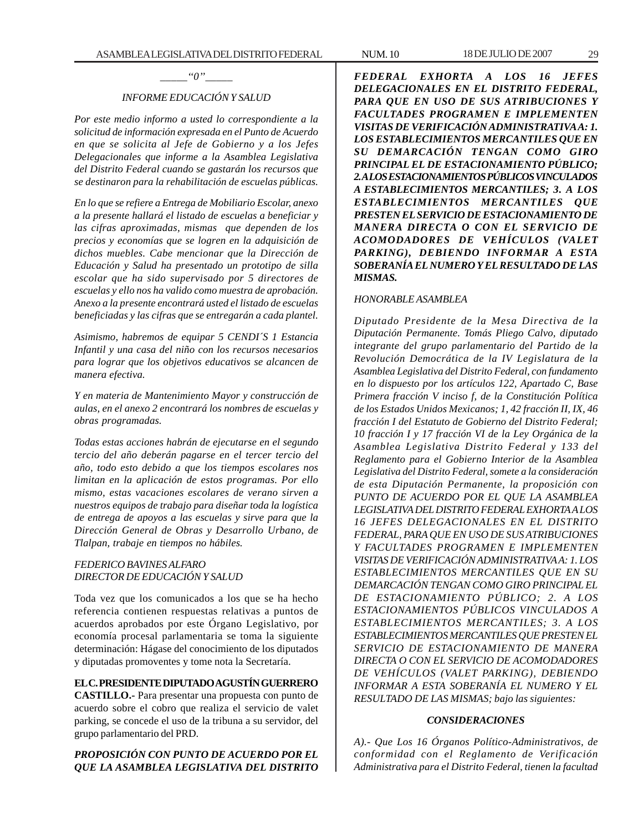## *INFORME EDUCACIÓN Y SALUD*

*Por este medio informo a usted lo correspondiente a la solicitud de información expresada en el Punto de Acuerdo en que se solicita al Jefe de Gobierno y a los Jefes Delegacionales que informe a la Asamblea Legislativa del Distrito Federal cuando se gastarán los recursos que se destinaron para la rehabilitación de escuelas públicas.*

*En lo que se refiere a Entrega de Mobiliario Escolar, anexo a la presente hallará el listado de escuelas a beneficiar y las cifras aproximadas, mismas que dependen de los precios y economías que se logren en la adquisición de dichos muebles. Cabe mencionar que la Dirección de Educación y Salud ha presentado un prototipo de silla escolar que ha sido supervisado por 5 directores de escuelas y ello nos ha valido como muestra de aprobación. Anexo a la presente encontrará usted el listado de escuelas beneficiadas y las cifras que se entregarán a cada plantel.*

*Asimismo, habremos de equipar 5 CENDI´S 1 Estancia Infantil y una casa del niño con los recursos necesarios para lograr que los objetivos educativos se alcancen de manera efectiva.*

*Y en materia de Mantenimiento Mayor y construcción de aulas, en el anexo 2 encontrará los nombres de escuelas y obras programadas.*

*Todas estas acciones habrán de ejecutarse en el segundo tercio del año deberán pagarse en el tercer tercio del año, todo esto debido a que los tiempos escolares nos limitan en la aplicación de estos programas. Por ello mismo, estas vacaciones escolares de verano sirven a nuestros equipos de trabajo para diseñar toda la logística de entrega de apoyos a las escuelas y sirve para que la Dirección General de Obras y Desarrollo Urbano, de Tlalpan, trabaje en tiempos no hábiles.*

#### *FEDERICO BAVINES ALFARO DIRECTOR DE EDUCACIÓN Y SALUD*

Toda vez que los comunicados a los que se ha hecho referencia contienen respuestas relativas a puntos de acuerdos aprobados por este Órgano Legislativo, por economía procesal parlamentaria se toma la siguiente determinación: Hágase del conocimiento de los diputados y diputadas promoventes y tome nota la Secretaría.

#### **EL C. PRESIDENTE DIPUTADO AGUSTÍN GUERRERO**

**CASTILLO.-** Para presentar una propuesta con punto de acuerdo sobre el cobro que realiza el servicio de valet parking, se concede el uso de la tribuna a su servidor, del grupo parlamentario del PRD.

#### *PROPOSICIÓN CON PUNTO DE ACUERDO POR EL QUE LA ASAMBLEA LEGISLATIVA DEL DISTRITO*

*FEDERAL EXHORTA A LOS 16 JEFES DELEGACIONALES EN EL DISTRITO FEDERAL, PARA QUE EN USO DE SUS ATRIBUCIONES Y FACULTADES PROGRAMEN E IMPLEMENTEN VISITAS DE VERIFICACIÓN ADMINISTRATIVA A: 1. LOS ESTABLECIMIENTOS MERCANTILES QUE EN SU DEMARCACIÓN TENGAN COMO GIRO PRINCIPAL EL DE ESTACIONAMIENTO PÚBLICO; 2. A LOS ESTACIONAMIENTOS PÚBLICOS VINCULADOS A ESTABLECIMIENTOS MERCANTILES; 3. A LOS ESTABLECIMIENTOS MERCANTILES QUE PRESTEN EL SERVICIO DE ESTACIONAMIENTO DE MANERA DIRECTA O CON EL SERVICIO DE ACOMODADORES DE VEHÍCULOS (VALET PARKING), DEBIENDO INFORMAR A ESTA SOBERANÍA EL NUMERO Y EL RESULTADO DE LAS MISMAS.*

#### *HONORABLE ASAMBLEA*

*Diputado Presidente de la Mesa Directiva de la Diputación Permanente. Tomás Pliego Calvo, diputado integrante del grupo parlamentario del Partido de la Revolución Democrática de la IV Legislatura de la Asamblea Legislativa del Distrito Federal, con fundamento en lo dispuesto por los artículos 122, Apartado C, Base Primera fracción V inciso f, de la Constitución Política de los Estados Unidos Mexicanos; 1, 42 fracción II, IX, 46 fracción I del Estatuto de Gobierno del Distrito Federal; 10 fracción I y 17 fracción VI de la Ley Orgánica de la Asamblea Legislativa Distrito Federal y 133 del Reglamento para el Gobierno Interior de la Asamblea Legislativa del Distrito Federal, somete a la consideración de esta Diputación Permanente, la proposición con PUNTO DE ACUERDO POR EL QUE LA ASAMBLEA LEGISLATIVA DEL DISTRITO FEDERAL EXHORTA A LOS 16 JEFES DELEGACIONALES EN EL DISTRITO FEDERAL, PARA QUE EN USO DE SUS ATRIBUCIONES Y FACULTADES PROGRAMEN E IMPLEMENTEN VISITAS DE VERIFICACIÓN ADMINISTRATIVA A: 1. LOS ESTABLECIMIENTOS MERCANTILES QUE EN SU DEMARCACIÓN TENGAN COMO GIRO PRINCIPAL EL DE ESTACIONAMIENTO PÚBLICO; 2. A LOS ESTACIONAMIENTOS PÚBLICOS VINCULADOS A ESTABLECIMIENTOS MERCANTILES; 3. A LOS ESTABLECIMIENTOS MERCANTILES QUE PRESTEN EL SERVICIO DE ESTACIONAMIENTO DE MANERA DIRECTA O CON EL SERVICIO DE ACOMODADORES DE VEHÍCULOS (VALET PARKING), DEBIENDO INFORMAR A ESTA SOBERANÍA EL NUMERO Y EL RESULTADO DE LAS MISMAS; bajo las siguientes:*

#### *CONSIDERACIONES*

*A).- Que Los 16 Órganos Político-Administrativos, de conformidad con el Reglamento de Verificación Administrativa para el Distrito Federal, tienen la facultad*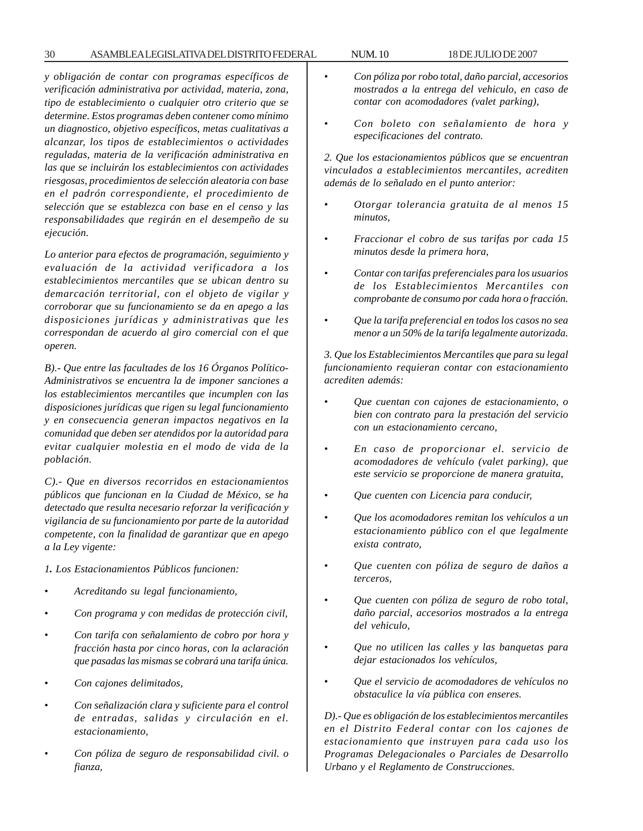*y obligación de contar con programas específicos de verificación administrativa por actividad, materia, zona, tipo de establecimiento o cualquier otro criterio que se determine. Estos programas deben contener como mínimo un diagnostico, objetivo específicos, metas cualitativas a alcanzar, los tipos de establecimientos o actividades reguladas, materia de la verificación administrativa en las que se incluirán los establecimientos con actividades riesgosas, procedimientos de selección aleatoria con base en el padrón correspondiente, el procedimiento de selección que se establezca con base en el censo y las responsabilidades que regirán en el desempeño de su ejecución.*

*Lo anterior para efectos de programación, seguimiento y evaluación de la actividad verificadora a los establecimientos mercantiles que se ubican dentro su demarcación territorial, con el objeto de vigilar y corroborar que su funcionamiento se da en apego a las disposiciones jurídicas y administrativas que les correspondan de acuerdo al giro comercial con el que operen.*

*B).- Que entre las facultades de los 16 Órganos Político-Administrativos se encuentra la de imponer sanciones a los establecimientos mercantiles que incumplen con las disposiciones jurídicas que rigen su legal funcionamiento y en consecuencia generan impactos negativos en la comunidad que deben ser atendidos por la autoridad para evitar cualquier molestia en el modo de vida de la población.*

*C).- Que en diversos recorridos en estacionamientos públicos que funcionan en la Ciudad de México, se ha detectado que resulta necesario reforzar la verificación y vigilancia de su funcionamiento por parte de la autoridad competente, con la finalidad de garantizar que en apego a la Ley vigente:*

*1. Los Estacionamientos Públicos funcionen:*

- *Acreditando su legal funcionamiento,*
- *Con programa y con medidas de protección civil,*
- *Con tarifa con señalamiento de cobro por hora y fracción hasta por cinco horas, con la aclaración que pasadas las mismas se cobrará una tarifa única.*
- *Con cajones delimitados,*
- *Con señalización clara y suficiente para el control de entradas, salidas y circulación en el. estacionamiento,*
- *Con póliza de seguro de responsabilidad civil. o fianza,*
- *Con póliza por robo total, daño parcial, accesorios mostrados a la entrega del vehiculo, en caso de contar con acomodadores (valet parking),*
- *Con boleto con señalamiento de hora y especificaciones del contrato.*

*2. Que los estacionamientos públicos que se encuentran vinculados a establecimientos mercantiles, acrediten además de lo señalado en el punto anterior:*

- *Otorgar tolerancia gratuita de al menos 15 minutos,*
- *Fraccionar el cobro de sus tarifas por cada 15 minutos desde la primera hora,*
- *Contar con tarifas preferenciales para los usuarios de los Establecimientos Mercantiles con comprobante de consumo por cada hora o fracción.*
- *Que la tarifa preferencial en todos los casos no sea menor a un 50% de la tarifa legalmente autorizada.*

*3. Que los Establecimientos Mercantiles que para su legal funcionamiento requieran contar con estacionamiento acrediten además:*

- *Que cuentan con cajones de estacionamiento, o bien con contrato para la prestación del servicio con un estacionamiento cercano,*
- *En caso de proporcionar el. servicio de acomodadores de vehículo (valet parking), que este servicio se proporcione de manera gratuita,*
- *Que cuenten con Licencia para conducir,*
- *Que los acomodadores remitan los vehículos a un estacionamiento público con el que legalmente exista contrato,*
- *Que cuenten con póliza de seguro de daños a terceros,*
- *Que cuenten con póliza de seguro de robo total, daño parcial, accesorios mostrados a la entrega del vehiculo,*
- *Que no utilicen las calles y las banquetas para dejar estacionados los vehículos,*
- *Que el servicio de acomodadores de vehículos no obstaculice la vía pública con enseres.*

*D).- Que es obligación de los establecimientos mercantiles en el Distrito Federal contar con los cajones de estacionamiento que instruyen para cada uso los Programas Delegacionales o Parciales de Desarrollo Urbano y el Reglamento de Construcciones.*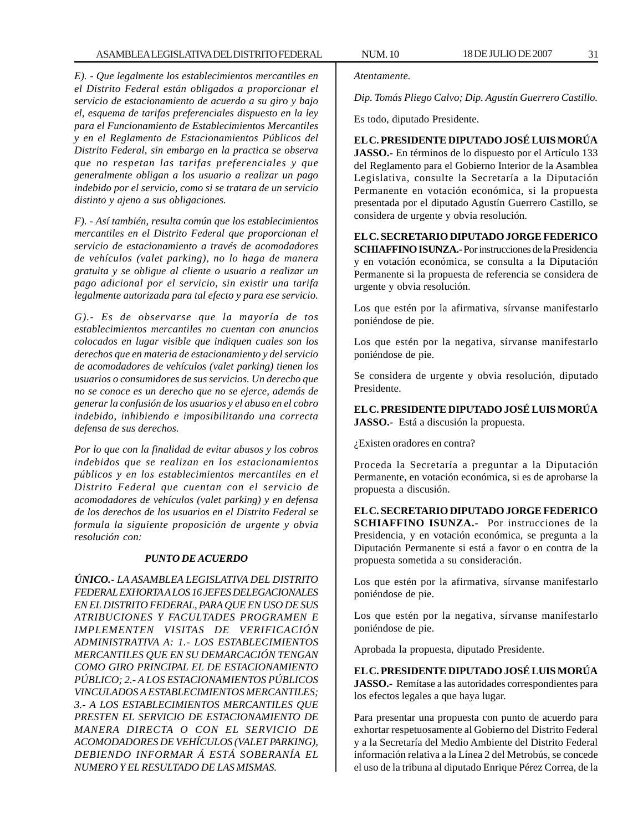*E). - Que legalmente los establecimientos mercantiles en el Distrito Federal están obligados a proporcionar el servicio de estacionamiento de acuerdo a su giro y bajo el, esquema de tarifas preferenciales dispuesto en la ley para el Funcionamiento de Establecimientos Mercantiles y en el Reglamento de Estacionamientos Públicos del Distrito Federal, sin embargo en la practica se observa que no respetan las tarifas preferenciales y que generalmente obligan a los usuario a realizar un pago indebido por el servicio, como si se tratara de un servicio distinto y ajeno a sus obligaciones.*

*F). - Así también, resulta común que los establecimientos mercantiles en el Distrito Federal que proporcionan el servicio de estacionamiento a través de acomodadores de vehículos (valet parking), no lo haga de manera gratuita y se obligue al cliente o usuario a realizar un pago adicional por el servicio, sin existir una tarifa legalmente autorizada para tal efecto y para ese servicio.*

*G).- Es de observarse que la mayoría de tos establecimientos mercantiles no cuentan con anuncios colocados en lugar visible que indiquen cuales son los derechos que en materia de estacionamiento y del servicio de acomodadores de vehículos (valet parking) tienen los usuarios o consumidores de sus servicios. Un derecho que no se conoce es un derecho que no se ejerce, además de generar la confusión de los usuarios y el abuso en el cobro indebido, inhibiendo e imposibilitando una correcta defensa de sus derechos.*

*Por lo que con la finalidad de evitar abusos y los cobros indebidos que se realizan en los estacionamientos públicos y en los establecimientos mercantiles en el Distrito Federal que cuentan con el servicio de acomodadores de vehículos (valet parking) y en defensa de los derechos de los usuarios en el Distrito Federal se formula la siguiente proposición de urgente y obvia resolución con:*

#### *PUNTO DE ACUERDO*

*ÚNICO.- LA ASAMBLEA LEGISLATIVA DEL DISTRITO FEDERAL EXHORTA A LOS 16 JEFES DELEGACIONALES EN EL DISTRITO FEDERAL, PARA QUE EN USO DE SUS ATRIBUCIONES Y FACULTADES PROGRAMEN E IMPLEMENTEN VISITAS DE VERIFICACIÓN ADMINISTRATIVA A: 1.- LOS ESTABLECIMIENTOS MERCANTILES QUE EN SU DEMARCACIÓN TENGAN COMO GIRO PRINCIPAL EL DE ESTACIONAMIENTO PÚBLICO; 2.- A LOS ESTACIONAMIENTOS PÚBLICOS VINCULADOS A ESTABLECIMIENTOS MERCANTILES; 3.- A LOS ESTABLECIMIENTOS MERCANTILES QUE PRESTEN EL SERVICIO DE ESTACIONAMIENTO DE MANERA DIRECTA O CON EL SERVICIO DE ACOMODADORES DE VEHÍCULOS (VALET PARKING), DEBIENDO INFORMAR Á ESTÁ SOBERANÍA EL NUMERO Y EL RESULTADO DE LAS MISMAS.*

*Dip. Tomás Pliego Calvo; Dip. Agustín Guerrero Castillo.*

Es todo, diputado Presidente.

#### **EL C. PRESIDENTE DIPUTADO JOSÉ LUIS MORÚA**

**JASSO.-** En términos de lo dispuesto por el Artículo 133 del Reglamento para el Gobierno Interior de la Asamblea Legislativa, consulte la Secretaría a la Diputación Permanente en votación económica, si la propuesta presentada por el diputado Agustín Guerrero Castillo, se considera de urgente y obvia resolución.

# **EL C. SECRETARIO DIPUTADO JORGE FEDERICO**

**SCHIAFFINO ISUNZA.-** Por instrucciones de la Presidencia y en votación económica, se consulta a la Diputación Permanente si la propuesta de referencia se considera de urgente y obvia resolución.

Los que estén por la afirmativa, sírvanse manifestarlo poniéndose de pie.

Los que estén por la negativa, sírvanse manifestarlo poniéndose de pie.

Se considera de urgente y obvia resolución, diputado Presidente.

**EL C. PRESIDENTE DIPUTADO JOSÉ LUIS MORÚA JASSO.-** Está a discusión la propuesta.

¿Existen oradores en contra?

Proceda la Secretaría a preguntar a la Diputación Permanente, en votación económica, si es de aprobarse la propuesta a discusión.

**EL C. SECRETARIO DIPUTADO JORGE FEDERICO SCHIAFFINO ISUNZA.-** Por instrucciones de la Presidencia, y en votación económica, se pregunta a la Diputación Permanente si está a favor o en contra de la propuesta sometida a su consideración.

Los que estén por la afirmativa, sírvanse manifestarlo poniéndose de pie.

Los que estén por la negativa, sírvanse manifestarlo poniéndose de pie.

Aprobada la propuesta, diputado Presidente.

**EL C. PRESIDENTE DIPUTADO JOSÉ LUIS MORÚA JASSO.-** Remítase a las autoridades correspondientes para los efectos legales a que haya lugar.

Para presentar una propuesta con punto de acuerdo para exhortar respetuosamente al Gobierno del Distrito Federal y a la Secretaría del Medio Ambiente del Distrito Federal información relativa a la Línea 2 del Metrobús, se concede el uso de la tribuna al diputado Enrique Pérez Correa, de la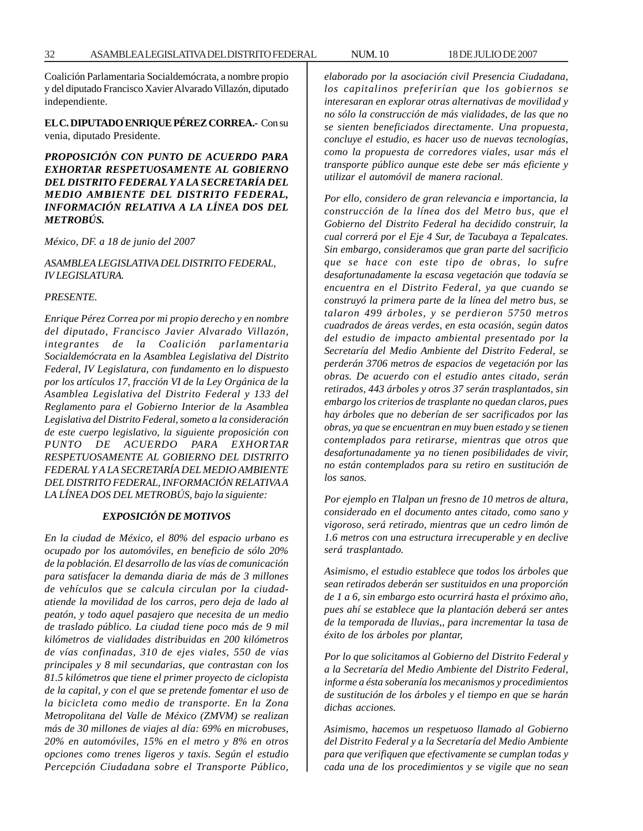Coalición Parlamentaria Socialdemócrata, a nombre propio y del diputado Francisco Xavier Alvarado Villazón, diputado independiente.

**EL C. DIPUTADO ENRIQUE PÉREZ CORREA.-** Con su venia, diputado Presidente.

*PROPOSICIÓN CON PUNTO DE ACUERDO PARA EXHORTAR RESPETUOSAMENTE AL GOBIERNO DEL DISTRITO FEDERAL Y A LA SECRETARÍA DEL MEDIO AMBIENTE DEL DISTRITO FEDERAL, INFORMACIÓN RELATIVA A LA LÍNEA DOS DEL METROBÚS.*

*México, DF. a 18 de junio del 2007*

#### *ASAMBLEA LEGISLATIVA DEL DISTRITO FEDERAL, IV LEGISLATURA.*

#### *PRESENTE.*

*Enrique Pérez Correa por mi propio derecho y en nombre del diputado, Francisco Javier Alvarado Villazón, integrantes de la Coalición parlamentaria Socialdemócrata en la Asamblea Legislativa del Distrito Federal, IV Legislatura, con fundamento en lo dispuesto por los artículos 17, fracción VI de la Ley Orgánica de la Asamblea Legislativa del Distrito Federal y 133 del Reglamento para el Gobierno Interior de la Asamblea Legislativa del Distrito Federal, someto a la consideración de este cuerpo legislativo, la siguiente proposición con PUNTO DE ACUERDO PARA EXHORTAR RESPETUOSAMENTE AL GOBIERNO DEL DISTRITO FEDERAL Y A LA SECRETARÍA DEL MEDIO AMBIENTE DEL DISTRITO FEDERAL, INFORMACIÓN RELATIVA A LA LÍNEA DOS DEL METROBÚS, bajo la siguiente:*

#### *EXPOSICIÓN DE MOTIVOS*

*En la ciudad de México, el 80% del espacio urbano es ocupado por los automóviles, en beneficio de sólo 20% de la población. El desarrollo de las vías de comunicación para satisfacer la demanda diaria de más de 3 millones de vehículos que se calcula circulan por la ciudadatiende la movilidad de los carros, pero deja de lado al peatón, y todo aquel pasajero que necesita de un medio de traslado público. La ciudad tiene poco más de 9 mil kilómetros de vialidades distribuidas en 200 kilómetros de vías confinadas, 310 de ejes viales, 550 de vías principales y 8 mil secundarias, que contrastan con los 81.5 kilómetros que tiene el primer proyecto de ciclopista de la capital, y con el que se pretende fomentar el uso de la bicicleta como medio de transporte. En la Zona Metropolitana del Valle de México (ZMVM) se realizan más de 30 millones de viajes al día: 69% en microbuses, 20% en automóviles, 15% en el metro y 8% en otros opciones como trenes ligeros y taxis. Según el estudio Percepción Ciudadana sobre el Transporte Público,*

*elaborado por la asociación civil Presencia Ciudadana, los capitalinos preferirían que los gobiernos se interesaran en explorar otras alternativas de movilidad y no sólo la construcción de más vialidades, de las que no se sienten beneficiados directamente. Una propuesta, concluye el estudio, es hacer uso de nuevas tecnologías, como la propuesta de corredores viales, usar más el transporte público aunque este debe ser más eficiente y utilizar el automóvil de manera racional.*

*Por ello, considero de gran relevancia e importancia, la construcción de la línea dos del Metro bus, que el Gobierno del Distrito Federal ha decidido construir, la cual correrá por el Eje 4 Sur, de Tacubaya a Tepalcates. Sin embargo, consideramos que gran parte del sacrificio que se hace con este tipo de obras, lo sufre desafortunadamente la escasa vegetación que todavía se encuentra en el Distrito Federal, ya que cuando se construyó la primera parte de la línea del metro bus, se talaron 499 árboles, y se perdieron 5750 metros cuadrados de áreas verdes, en esta ocasión, según datos del estudio de impacto ambiental presentado por la Secretaría del Medio Ambiente del Distrito Federal, se perderán 3706 metros de espacios de vegetación por las obras. De acuerdo con el estudio antes citado, serán retirados, 443 árboles y otros 37 serán trasplantados, sin embargo los criterios de trasplante no quedan claros, pues hay árboles que no deberían de ser sacrificados por las obras, ya que se encuentran en muy buen estado y se tienen contemplados para retirarse, mientras que otros que desafortunadamente ya no tienen posibilidades de vivir, no están contemplados para su retiro en sustitución de los sanos.*

*Por ejemplo en Tlalpan un fresno de 10 metros de altura, considerado en el documento antes citado, como sano y vigoroso, será retirado, mientras que un cedro limón de 1.6 metros con una estructura irrecuperable y en declive será trasplantado.*

*Asimismo, el estudio establece que todos los árboles que sean retirados deberán ser sustituidos en una proporción de 1 a 6, sin embargo esto ocurrirá hasta el próximo año, pues ahí se establece que la plantación deberá ser antes de la temporada de lluvias,, para incrementar la tasa de éxito de los árboles por plantar,*

*Por lo que solicitamos al Gobierno del Distrito Federal y a la Secretaría del Medio Ambiente del Distrito Federal, informe a ésta soberanía los mecanismos y procedimientos de sustitución de los árboles y el tiempo en que se harán dichas acciones.*

*Asimismo, hacemos un respetuoso llamado al Gobierno del Distrito Federal y a la Secretaría del Medio Ambiente para que verifiquen que efectivamente se cumplan todas y cada una de los procedimientos y se vigile que no sean*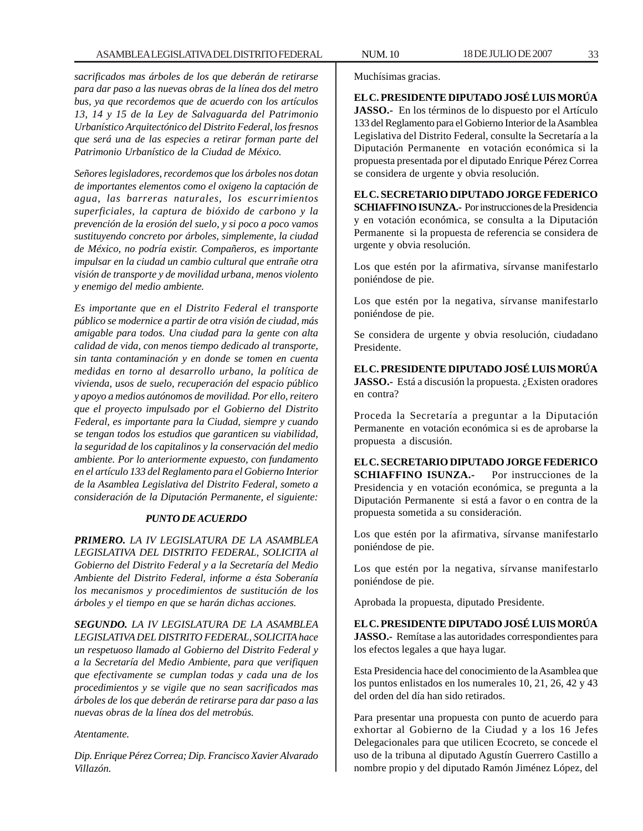*sacrificados mas árboles de los que deberán de retirarse para dar paso a las nuevas obras de la línea dos del metro bus, ya que recordemos que de acuerdo con los artículos 13, 14 y 15 de la Ley de Salvaguarda del Patrimonio Urbanístico Arquitectónico del Distrito Federal, los fresnos que será una de las especies a retirar forman parte del Patrimonio Urbanístico de la Ciudad de México.*

*Señores legisladores, recordemos que los árboles nos dotan de importantes elementos como el oxigeno la captación de agua, las barreras naturales, los escurrimientos superficiales, la captura de bióxido de carbono y la prevención de la erosión del suelo, y si poco a poco vamos sustituyendo concreto por árboles, simplemente, la ciudad de México, no podría existir. Compañeros, es importante impulsar en la ciudad un cambio cultural que entrañe otra visión de transporte y de movilidad urbana, menos violento y enemigo del medio ambiente.*

*Es importante que en el Distrito Federal el transporte público se modernice a partir de otra visión de ciudad, más amigable para todos. Una ciudad para la gente con alta calidad de vida, con menos tiempo dedicado al transporte, sin tanta contaminación y en donde se tomen en cuenta medidas en torno al desarrollo urbano, la política de vivienda, usos de suelo, recuperación del espacio público y apoyo a medios autónomos de movilidad. Por ello, reitero que el proyecto impulsado por el Gobierno del Distrito Federal, es importante para la Ciudad, siempre y cuando se tengan todos los estudios que garanticen su viabilidad, la seguridad de los capitalinos y la conservación del medio ambiente. Por lo anteriormente expuesto, con fundamento en el artículo 133 del Reglamento para el Gobierno Interior de la Asamblea Legislativa del Distrito Federal, someto a consideración de la Diputación Permanente, el siguiente:*

#### *PUNTO DE ACUERDO*

*PRIMERO. LA IV LEGISLATURA DE LA ASAMBLEA LEGISLATIVA DEL DISTRITO FEDERAL, SOLICITA al Gobierno del Distrito Federal y a la Secretaría del Medio Ambiente del Distrito Federal, informe a ésta Soberanía los mecanismos y procedimientos de sustitución de los árboles y el tiempo en que se harán dichas acciones.*

*SEGUNDO. LA IV LEGISLATURA DE LA ASAMBLEA LEGISLATIVA DEL DISTRITO FEDERAL, SOLICITA hace un respetuoso llamado al Gobierno del Distrito Federal y a la Secretaría del Medio Ambiente, para que verifiquen que efectivamente se cumplan todas y cada una de los procedimientos y se vigile que no sean sacrificados mas árboles de los que deberán de retirarse para dar paso a las nuevas obras de la línea dos del metrobús.*

#### *Atentamente.*

*Dip. Enrique Pérez Correa; Dip. Francisco Xavier Alvarado Villazón.*

**EL C. PRESIDENTE DIPUTADO JOSÉ LUIS MORÚA JASSO.-** En los términos de lo dispuesto por el Artículo 133 del Reglamento para el Gobierno Interior de la Asamblea Legislativa del Distrito Federal, consulte la Secretaría a la Diputación Permanente en votación económica si la propuesta presentada por el diputado Enrique Pérez Correa se considera de urgente y obvia resolución.

**EL C. SECRETARIO DIPUTADO JORGE FEDERICO SCHIAFFINO ISUNZA.-** Por instrucciones de la Presidencia y en votación económica, se consulta a la Diputación Permanente si la propuesta de referencia se considera de urgente y obvia resolución.

Los que estén por la afirmativa, sírvanse manifestarlo poniéndose de pie.

Los que estén por la negativa, sírvanse manifestarlo poniéndose de pie.

Se considera de urgente y obvia resolución, ciudadano Presidente.

**EL C. PRESIDENTE DIPUTADO JOSÉ LUIS MORÚA JASSO.-** Está a discusión la propuesta. ¿Existen oradores en contra?

Proceda la Secretaría a preguntar a la Diputación Permanente en votación económica si es de aprobarse la propuesta a discusión.

**EL C. SECRETARIO DIPUTADO JORGE FEDERICO SCHIAFFINO ISUNZA.-** Por instrucciones de la Presidencia y en votación económica, se pregunta a la Diputación Permanente si está a favor o en contra de la propuesta sometida a su consideración.

Los que estén por la afirmativa, sírvanse manifestarlo poniéndose de pie.

Los que estén por la negativa, sírvanse manifestarlo poniéndose de pie.

Aprobada la propuesta, diputado Presidente.

**EL C. PRESIDENTE DIPUTADO JOSÉ LUIS MORÚA JASSO.-** Remítase a las autoridades correspondientes para los efectos legales a que haya lugar.

Esta Presidencia hace del conocimiento de la Asamblea que los puntos enlistados en los numerales 10, 21, 26, 42 y 43 del orden del día han sido retirados.

Para presentar una propuesta con punto de acuerdo para exhortar al Gobierno de la Ciudad y a los 16 Jefes Delegacionales para que utilicen Ecocreto, se concede el uso de la tribuna al diputado Agustín Guerrero Castillo a nombre propio y del diputado Ramón Jiménez López, del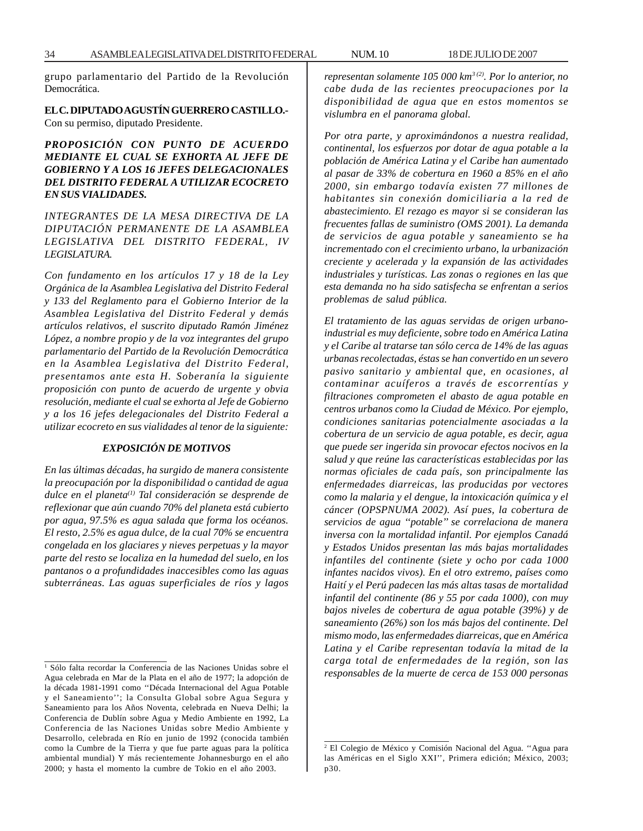grupo parlamentario del Partido de la Revolución Democrática.

#### **EL C. DIPUTADO AGUSTÍN GUERRERO CASTILLO.-** Con su permiso, diputado Presidente.

#### *PROPOSICIÓN CON PUNTO DE ACUERDO MEDIANTE EL CUAL SE EXHORTA AL JEFE DE GOBIERNO Y A LOS 16 JEFES DELEGACIONALES DEL DISTRITO FEDERAL A UTILIZAR ECOCRETO EN SUS VIALIDADES.*

#### *INTEGRANTES DE LA MESA DIRECTIVA DE LA DIPUTACIÓN PERMANENTE DE LA ASAMBLEA LEGISLATIVA DEL DISTRITO FEDERAL, IV LEGISLATURA.*

*Con fundamento en los artículos 17 y 18 de la Ley Orgánica de la Asamblea Legislativa del Distrito Federal y 133 del Reglamento para el Gobierno Interior de la Asamblea Legislativa del Distrito Federal y demás artículos relativos, el suscrito diputado Ramón Jiménez López, a nombre propio y de la voz integrantes del grupo parlamentario del Partido de la Revolución Democrática en la Asamblea Legislativa del Distrito Federal, presentamos ante esta H. Soberanía la siguiente proposición con punto de acuerdo de urgente y obvia resolución, mediante el cual se exhorta al Jefe de Gobierno y a los 16 jefes delegacionales del Distrito Federal a utilizar ecocreto en sus vialidades al tenor de la siguiente:*

#### *EXPOSICIÓN DE MOTIVOS*

*En las últimas décadas, ha surgido de manera consistente la preocupación por la disponibilidad o cantidad de agua dulce en el planeta(1) Tal consideración se desprende de reflexionar que aún cuando 70% del planeta está cubierto por agua, 97.5% es agua salada que forma los océanos. El resto, 2.5% es agua dulce, de la cual 70% se encuentra congelada en los glaciares y nieves perpetuas y la mayor parte del resto se localiza en la humedad del suelo, en los pantanos o a profundidades inaccesibles como las aguas subterráneas. Las aguas superficiales de ríos y lagos* *representan solamente 105 000 km3 (2). Por lo anterior, no cabe duda de las recientes preocupaciones por la disponibilidad de agua que en estos momentos se vislumbra en el panorama global.*

*Por otra parte, y aproximándonos a nuestra realidad, continental, los esfuerzos por dotar de agua potable a la población de América Latina y el Caribe han aumentado al pasar de 33% de cobertura en 1960 a 85% en el año 2000, sin embargo todavía existen 77 millones de habitantes sin conexión domiciliaria a la red de abastecimiento. El rezago es mayor si se consideran las frecuentes fallas de suministro (OMS 2001). La demanda de servicios de agua potable y saneamiento se ha incrementado con el crecimiento urbano, la urbanización creciente y acelerada y la expansión de las actividades industriales y turísticas. Las zonas o regiones en las que esta demanda no ha sido satisfecha se enfrentan a serios problemas de salud pública.*

*El tratamiento de las aguas servidas de origen urbanoindustrial es muy deficiente, sobre todo en América Latina y el Caribe al tratarse tan sólo cerca de 14% de las aguas urbanas recolectadas, éstas se han convertido en un severo pasivo sanitario y ambiental que, en ocasiones, al contaminar acuíferos a través de escorrentías y filtraciones comprometen el abasto de agua potable en centros urbanos como la Ciudad de México. Por ejemplo, condiciones sanitarias potencialmente asociadas a la cobertura de un servicio de agua potable, es decir, agua que puede ser ingerida sin provocar efectos nocivos en la salud y que reúne las características establecidas por las normas oficiales de cada país, son principalmente las enfermedades diarreicas, las producidas por vectores como la malaria y el dengue, la intoxicación química y el cáncer (OPSPNUMA 2002). Así pues, la cobertura de servicios de agua ''potable'' se correlaciona de manera inversa con la mortalidad infantil. Por ejemplos Canadá y Estados Unidos presentan las más bajas mortalidades infantiles del continente (siete y ocho por cada 1000 infantes nacidos vivos). En el otro extremo, países como Haití y el Perú padecen las más altas tasas de mortalidad infantil del continente (86 y 55 por cada 1000), con muy bajos niveles de cobertura de agua potable (39%) y de saneamiento (26%) son los más bajos del continente. Del mismo modo, las enfermedades diarreicas, que en América Latina y el Caribe representan todavía la mitad de la carga total de enfermedades de la región, son las responsables de la muerte de cerca de 153 000 personas* <sup>1</sup>

<sup>&</sup>lt;sup>1</sup> Sólo falta recordar la Conferencia de las Naciones Unidas sobre el Agua celebrada en Mar de la Plata en el año de 1977; la adopción de la década 1981-1991 como ''Década Internacional del Agua Potable y el Saneamiento''; la Consulta Global sobre Agua Segura y Saneamiento para los Años Noventa, celebrada en Nueva Delhi; la Conferencia de Dublín sobre Agua y Medio Ambiente en 1992, La Conferencia de las Naciones Unidas sobre Medio Ambiente y Desarrollo, celebrada en Río en junio de 1992 (conocida también como la Cumbre de la Tierra y que fue parte aguas para la política ambiental mundial) Y más recientemente Johannesburgo en el año 2000; y hasta el momento la cumbre de Tokio en el año 2003.

<sup>2</sup> El Colegio de México y Comisión Nacional del Agua. ''Agua para las Américas en el Siglo XXI'', Primera edición; México, 2003; p30.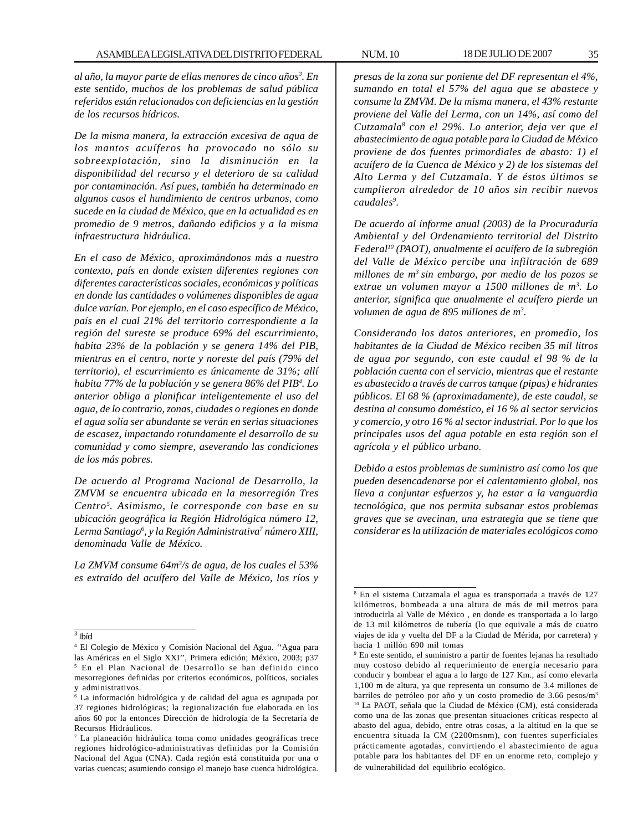*al año, la mayor parte de ellas menores de cinco años3 . En este sentido, muchos de los problemas de salud pública referidos están relacionados con deficiencias en la gestión de los recursos hídricos.*

*De la misma manera, la extracción excesiva de agua de los mantos acuíferos ha provocado no sólo su sobreexplotación, sino la disminución en la disponibilidad del recurso y el deterioro de su calidad por contaminación. Así pues, también ha determinado en algunos casos el hundimiento de centros urbanos, como sucede en la ciudad de México, que en la actualidad es en promedio de 9 metros, dañando edificios y a la misma infraestructura hidráulica.*

*En el caso de México, aproximándonos más a nuestro contexto, país en donde existen diferentes regiones con diferentes características sociales, económicas y políticas en donde las cantidades o volúmenes disponibles de agua dulce varían. Por ejemplo, en el caso específico de México, país en el cual 21% del territorio correspondiente a la región del sureste se produce 69% del escurrimiento, habita 23% de la población y se genera 14% del PIB, mientras en el centro, norte y noreste del país (79% del territorio), el escurrimiento es únicamente de 31%; allí habita 77% de la población y se genera 86% del PIB4 . Lo anterior obliga a planificar inteligentemente el uso del agua, de lo contrario, zonas, ciudades o regiones en donde el agua solía ser abundante se verán en serias situaciones de escasez, impactando rotundamente el desarrollo de su comunidad y como siempre, aseverando las condiciones de los más pobres.*

*De acuerdo al Programa Nacional de Desarrollo, la ZMVM se encuentra ubicada en la mesorregión Tres Centro5 . Asimismo, le corresponde con base en su ubicación geográfica la Región Hidrológica número 12, Lerma Santiago6 , y la Región Administrativa7 número XIII, denominada Valle de México.*

*La ZMVM consume 64m3 /s de agua, de los cuales el 53% es extraído del acuífero del Valle de México, los ríos y* *presas de la zona sur poniente del DF representan el 4%, sumando en total el 57% del agua que se abastece y consume la ZMVM. De la misma manera, el 43% restante proviene del Valle del Lerma, con un 14%, así como del Cutzamala8 con el 29%. Lo anterior, deja ver que el abastecimiento de agua potable para la Ciudad de México proviene de dos fuentes primordiales de abasto: 1) el acuífero de la Cuenca de México y 2) de los sistemas del Alto Lerma y del Cutzamala. Y de éstos últimos se cumplieron alrededor de 10 años sin recibir nuevos caudales9 .*

*De acuerdo al informe anual (2003) de la Procuraduría Ambiental y del Ordenamiento territorial del Distrito Federal10 (PAOT), anualmente el acuífero de la subregión del Valle de México percibe una infiltración de 689 millones de m3 sin embargo, por medio de los pozos se extrae un volumen mayor a 1500 millones de m3 . Lo anterior, significa que anualmente el acuífero pierde un volumen de agua de 895 millones de m3 .*

*Considerando los datos anteriores, en promedio, los habitantes de la Ciudad de México reciben 35 mil litros de agua por segundo, con este caudal el 98 % de la población cuenta con el servicio, mientras que el restante es abastecido a través de carros tanque (pipas) e hidrantes públicos. El 68 % (aproximadamente), de este caudal, se destina al consumo doméstico, el 16 % al sector servicios y comercio, y otro 16 % al sector industrial. Por lo que los principales usos del agua potable en esta región son el agrícola y el público urbano.*

*Debido a estos problemas de suministro así como los que pueden desencadenarse por el calentamiento global, nos lleva a conjuntar esfuerzos y, ha estar a la vanguardia tecnológica, que nos permita subsanar estos problemas graves que se avecinan, una estrategia que se tiene que considerar es la utilización de materiales ecológicos como*

 $3$  Ibíd

<sup>4</sup> El Colegio de México y Comisión Nacional del Agua. ''Agua para las Américas en el Siglo XXI'', Primera edición; México, 2003; p37 5 En el Plan Nacional de Desarrollo se han definido cinco mesorregiones definidas por criterios económicos, políticos, sociales y administrativos.

<sup>6</sup> La información hidrológica y de calidad del agua es agrupada por 37 regiones hidrológicas; la regionalización fue elaborada en los años 60 por la entonces Dirección de hidrología de la Secretaría de Recursos Hidráulicos.

<sup>7</sup> La planeación hidráulica toma como unidades geográficas trece regiones hidrológico-administrativas definidas por la Comisión Nacional del Agua (CNA). Cada región está constituida por una o varias cuencas; asumiendo consigo el manejo base cuenca hidrológica.

<sup>8</sup> En el sistema Cutzamala el agua es transportada a través de 127 kilómetros, bombeada a una altura de más de mil metros para introducirla al Valle de México , en donde es transportada a lo largo de 13 mil kilómetros de tubería (lo que equivale a más de cuatro viajes de ida y vuelta del DF a la Ciudad de Mérida, por carretera) y hacia 1 millón 690 mil tomas

<sup>9</sup> En este sentido, el suministro a partir de fuentes lejanas ha resultado muy costoso debido al requerimiento de energía necesario para conducir y bombear el agua a lo largo de 127 Km., así como elevarla 1,100 m de altura, ya que representa un consumo de 3.4 millones de barriles de petróleo por año y un costo promedio de 3.66 pesos/m3 10 La PAOT, señala que la Ciudad de México (CM), está considerada como una de las zonas que presentan situaciones críticas respecto al abasto del agua, debido, entre otras cosas, a la altitud en la que se encuentra situada la CM (2200msnm), con fuentes superficiales prácticamente agotadas, convirtiendo el abastecimiento de agua potable para los habitantes del DF en un enorme reto, complejo y de vulnerabilidad del equilibrio ecológico.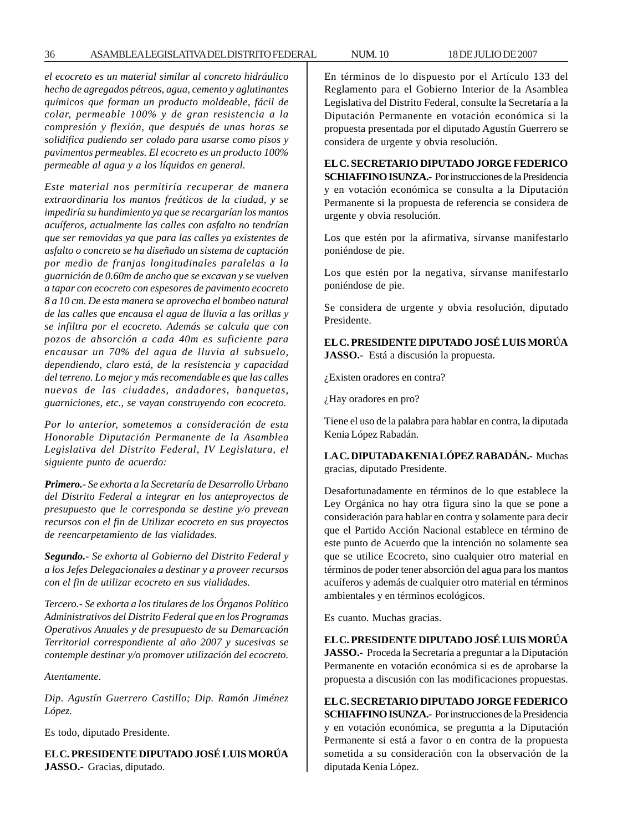*el ecocreto es un material similar al concreto hidráulico hecho de agregados pétreos, agua, cemento y aglutinantes químicos que forman un producto moldeable, fácil de colar, permeable 100% y de gran resistencia a la compresión y flexión, que después de unas horas se solidifica pudiendo ser colado para usarse como pisos y pavimentos permeables. El ecocreto es un producto 100% permeable al agua y a los líquidos en general.*

*Este material nos permitiría recuperar de manera extraordinaria los mantos freáticos de la ciudad, y se impediría su hundimiento ya que se recargarían los mantos acuíferos, actualmente las calles con asfalto no tendrían que ser removidas ya que para las calles ya existentes de asfalto o concreto se ha diseñado un sistema de captación por medio de franjas longitudinales paralelas a la guarnición de 0.60m de ancho que se excavan y se vuelven a tapar con ecocreto con espesores de pavimento ecocreto 8 a 10 cm. De esta manera se aprovecha el bombeo natural de las calles que encausa el agua de lluvia a las orillas y se infiltra por el ecocreto. Además se calcula que con pozos de absorción a cada 40m es suficiente para encausar un 70% del agua de lluvia al subsuelo, dependiendo, claro está, de la resistencia y capacidad del terreno. Lo mejor y más recomendable es que las calles nuevas de las ciudades, andadores, banquetas, guarniciones, etc., se vayan construyendo con ecocreto.*

*Por lo anterior, sometemos a consideración de esta Honorable Diputación Permanente de la Asamblea Legislativa del Distrito Federal, IV Legislatura, el siguiente punto de acuerdo:*

*Primero.- Se exhorta a la Secretaría de Desarrollo Urbano del Distrito Federal a integrar en los anteproyectos de presupuesto que le corresponda se destine y/o prevean recursos con el fin de Utilizar ecocreto en sus proyectos de reencarpetamiento de las vialidades.*

*Segundo.- Se exhorta al Gobierno del Distrito Federal y a los Jefes Delegacionales a destinar y a proveer recursos con el fin de utilizar ecocreto en sus vialidades.*

*Tercero.- Se exhorta a los titulares de los Órganos Político Administrativos del Distrito Federal que en los Programas Operativos Anuales y de presupuesto de su Demarcación Territorial correspondiente al año 2007 y sucesivas se contemple destinar y/o promover utilización del ecocreto.*

*Atentamente.*

*Dip. Agustín Guerrero Castillo; Dip. Ramón Jiménez López.*

Es todo, diputado Presidente.

**EL C. PRESIDENTE DIPUTADO JOSÉ LUIS MORÚA JASSO.-** Gracias, diputado.

En términos de lo dispuesto por el Artículo 133 del Reglamento para el Gobierno Interior de la Asamblea Legislativa del Distrito Federal, consulte la Secretaría a la Diputación Permanente en votación económica si la propuesta presentada por el diputado Agustín Guerrero se considera de urgente y obvia resolución.

**EL C. SECRETARIO DIPUTADO JORGE FEDERICO SCHIAFFINO ISUNZA.-** Por instrucciones de la Presidencia y en votación económica se consulta a la Diputación Permanente si la propuesta de referencia se considera de urgente y obvia resolución.

Los que estén por la afirmativa, sírvanse manifestarlo poniéndose de pie.

Los que estén por la negativa, sírvanse manifestarlo poniéndose de pie.

Se considera de urgente y obvia resolución, diputado Presidente.

**EL C. PRESIDENTE DIPUTADO JOSÉ LUIS MORÚA JASSO.-** Está a discusión la propuesta.

¿Existen oradores en contra?

¿Hay oradores en pro?

Tiene el uso de la palabra para hablar en contra, la diputada Kenia López Rabadán.

**LA C. DIPUTADA KENIA LÓPEZ RABADÁN.-** Muchas gracias, diputado Presidente.

Desafortunadamente en términos de lo que establece la Ley Orgánica no hay otra figura sino la que se pone a consideración para hablar en contra y solamente para decir que el Partido Acción Nacional establece en término de este punto de Acuerdo que la intención no solamente sea que se utilice Ecocreto, sino cualquier otro material en términos de poder tener absorción del agua para los mantos acuíferos y además de cualquier otro material en términos ambientales y en términos ecológicos.

Es cuanto. Muchas gracias.

**EL C. PRESIDENTE DIPUTADO JOSÉ LUIS MORÚA JASSO.-** Proceda la Secretaría a preguntar a la Diputación Permanente en votación económica si es de aprobarse la propuesta a discusión con las modificaciones propuestas.

**EL C. SECRETARIO DIPUTADO JORGE FEDERICO SCHIAFFINO ISUNZA.-** Por instrucciones de la Presidencia y en votación económica, se pregunta a la Diputación Permanente si está a favor o en contra de la propuesta sometida a su consideración con la observación de la diputada Kenia López.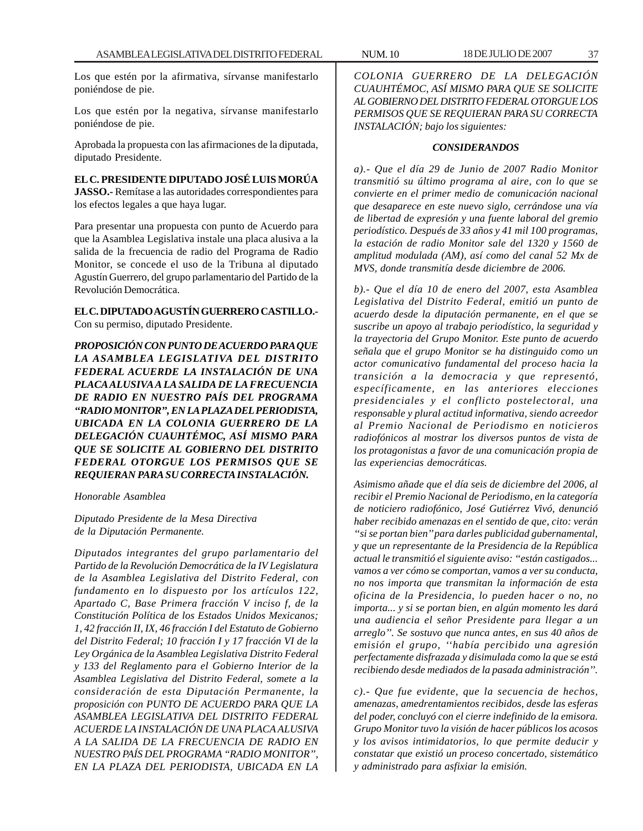Los que estén por la afirmativa, sírvanse manifestarlo poniéndose de pie.

Los que estén por la negativa, sírvanse manifestarlo poniéndose de pie.

Aprobada la propuesta con las afirmaciones de la diputada, diputado Presidente.

# **EL C. PRESIDENTE DIPUTADO JOSÉ LUIS MORÚA**

**JASSO.-** Remítase a las autoridades correspondientes para los efectos legales a que haya lugar.

Para presentar una propuesta con punto de Acuerdo para que la Asamblea Legislativa instale una placa alusiva a la salida de la frecuencia de radio del Programa de Radio Monitor, se concede el uso de la Tribuna al diputado Agustín Guerrero, del grupo parlamentario del Partido de la Revolución Democrática.

# **EL C. DIPUTADO AGUSTÍN GUERRERO CASTILLO.-** Con su permiso, diputado Presidente.

*PROPOSICIÓN CON PUNTO DE ACUERDO PARA QUE LA ASAMBLEA LEGISLATIVA DEL DISTRITO FEDERAL ACUERDE LA INSTALACIÓN DE UNA PLACA ALUSIVA A LA SALIDA DE LA FRECUENCIA DE RADIO EN NUESTRO PAÍS DEL PROGRAMA ''RADIO MONITOR'', EN LA PLAZA DEL PERIODISTA, UBICADA EN LA COLONIA GUERRERO DE LA DELEGACIÓN CUAUHTÉMOC, ASÍ MISMO PARA QUE SE SOLICITE AL GOBIERNO DEL DISTRITO FEDERAL OTORGUE LOS PERMISOS QUE SE REQUIERAN PARA SU CORRECTA INSTALACIÓN.*

*Honorable Asamblea*

*Diputado Presidente de la Mesa Directiva de la Diputación Permanente.*

*Diputados integrantes del grupo parlamentario del Partido de la Revolución Democrática de la IV Legislatura de la Asamblea Legislativa del Distrito Federal, con fundamento en lo dispuesto por los artículos 122, Apartado C, Base Primera fracción V inciso f, de la Constitución Política de los Estados Unidos Mexicanos; 1, 42 fracción II, IX, 46 fracción I del Estatuto de Gobierno del Distrito Federal; 10 fracción I y 17 fracción VI de la Ley Orgánica de la Asamblea Legislativa Distrito Federal y 133 del Reglamento para el Gobierno Interior de la Asamblea Legislativa del Distrito Federal, somete a la consideración de esta Diputación Permanente, la proposición con PUNTO DE ACUERDO PARA QUE LA ASAMBLEA LEGISLATIVA DEL DISTRITO FEDERAL ACUERDE LA INSTALACIÓN DE UNA PLACA ALUSIVA A LA SALIDA DE LA FRECUENCIA DE RADIO EN NUESTRO PAÍS DEL PROGRAMA ''RADIO MONITOR'', EN LA PLAZA DEL PERIODISTA, UBICADA EN LA*

*COLONIA GUERRERO DE LA DELEGACIÓN CUAUHTÉMOC, ASÍ MISMO PARA QUE SE SOLICITE AL GOBIERNO DEL DISTRITO FEDERAL OTORGUE LOS PERMISOS QUE SE REQUIERAN PARA SU CORRECTA INSTALACIÓN; bajo los siguientes:*

### *CONSIDERANDOS*

*a).- Que el día 29 de Junio de 2007 Radio Monitor transmitió su último programa al aire, con lo que se convierte en el primer medio de comunicación nacional que desaparece en este nuevo siglo, cerrándose una vía de libertad de expresión y una fuente laboral del gremio periodístico. Después de 33 años y 41 mil 100 programas, la estación de radio Monitor sale del 1320 y 1560 de amplitud modulada (AM), así como del canal 52 Mx de MVS, donde transmitía desde diciembre de 2006.*

*b).- Que el día 10 de enero del 2007, esta Asamblea Legislativa del Distrito Federal, emitió un punto de acuerdo desde la diputación permanente, en el que se suscribe un apoyo al trabajo periodístico, la seguridad y la trayectoria del Grupo Monitor. Este punto de acuerdo señala que el grupo Monitor se ha distinguido como un actor comunicativo fundamental del proceso hacia la transición a la democracia y que representó, específicamente, en las anteriores elecciones presidenciales y el conflicto postelectoral, una responsable y plural actitud informativa, siendo acreedor al Premio Nacional de Periodismo en noticieros radiofónicos al mostrar los diversos puntos de vista de los protagonistas a favor de una comunicación propia de las experiencias democráticas.*

*Asimismo añade que el día seis de diciembre del 2006, al recibir el Premio Nacional de Periodismo, en la categoría de noticiero radiofónico, José Gutiérrez Vivó, denunció haber recibido amenazas en el sentido de que, cito: verán ''si se portan bien'' para darles publicidad gubernamental, y que un representante de la Presidencia de la República actual le transmitió el siguiente aviso: ''están castigados... vamos a ver cómo se comportan, vamos a ver su conducta, no nos importa que transmitan la información de esta oficina de la Presidencia, lo pueden hacer o no, no importa... y si se portan bien, en algún momento les dará una audiencia el señor Presidente para llegar a un arreglo''. Se sostuvo que nunca antes, en sus 40 años de emisión el grupo, ''había percibido una agresión perfectamente disfrazada y disimulada como la que se está recibiendo desde mediados de la pasada administración''.*

*c).- Que fue evidente, que la secuencia de hechos, amenazas, amedrentamientos recibidos, desde las esferas del poder, concluyó con el cierre indefinido de la emisora. Grupo Monitor tuvo la visión de hacer públicos los acosos y los avisos intimidatorios, lo que permite deducir y constatar que existió un proceso concertado, sistemático y administrado para asfixiar la emisión.*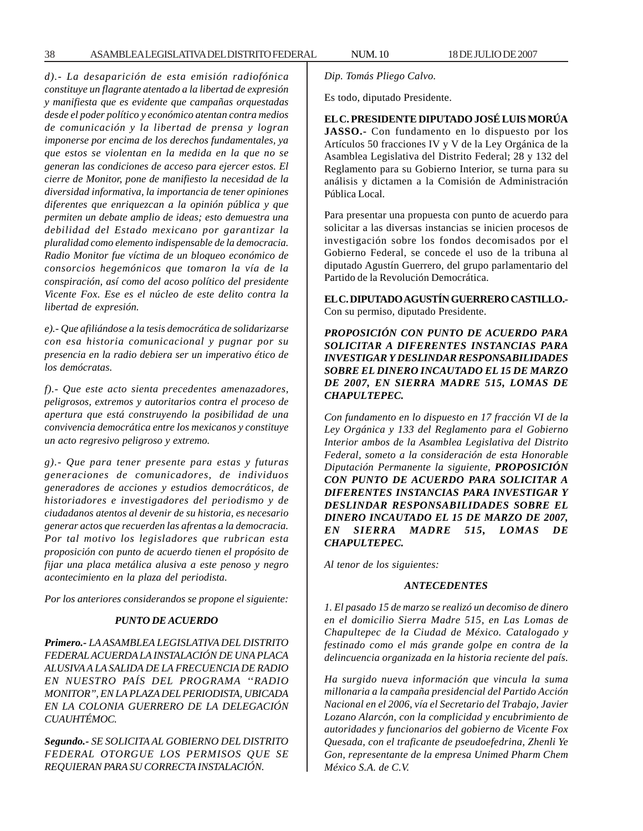*d).- La desaparición de esta emisión radiofónica constituye un flagrante atentado a la libertad de expresión y manifiesta que es evidente que campañas orquestadas desde el poder político y económico atentan contra medios de comunicación y la libertad de prensa y logran imponerse por encima de los derechos fundamentales, ya que estos se violentan en la medida en la que no se generan las condiciones de acceso para ejercer estos. El cierre de Monitor, pone de manifiesto la necesidad de la diversidad informativa, la importancia de tener opiniones diferentes que enriquezcan a la opinión pública y que permiten un debate amplio de ideas; esto demuestra una debilidad del Estado mexicano por garantizar la pluralidad como elemento indispensable de la democracia. Radio Monitor fue víctima de un bloqueo económico de consorcios hegemónicos que tomaron la vía de la conspiración, así como del acoso político del presidente Vicente Fox. Ese es el núcleo de este delito contra la libertad de expresión.*

*e).- Que afiliándose a la tesis democrática de solidarizarse con esa historia comunicacional y pugnar por su presencia en la radio debiera ser un imperativo ético de los demócratas.*

*f).- Que este acto sienta precedentes amenazadores, peligrosos, extremos y autoritarios contra el proceso de apertura que está construyendo la posibilidad de una convivencia democrática entre los mexicanos y constituye un acto regresivo peligroso y extremo.*

*g).- Que para tener presente para estas y futuras generaciones de comunicadores, de individuos generadores de acciones y estudios democráticos, de historiadores e investigadores del periodismo y de ciudadanos atentos al devenir de su historia, es necesario generar actos que recuerden las afrentas a la democracia. Por tal motivo los legisladores que rubrican esta proposición con punto de acuerdo tienen el propósito de fijar una placa metálica alusiva a este penoso y negro acontecimiento en la plaza del periodista.*

*Por los anteriores considerandos se propone el siguiente:*

#### *PUNTO DE ACUERDO*

*Primero.- LA ASAMBLEA LEGISLATIVA DEL DISTRITO FEDERAL ACUERDA LA INSTALACIÓN DE UNA PLACA ALUSIVA A LA SALIDA DE LA FRECUENCIA DE RADIO EN NUESTRO PAÍS DEL PROGRAMA ''RADIO MONITOR'', EN LA PLAZA DEL PERIODISTA, UBICADA EN LA COLONIA GUERRERO DE LA DELEGACIÓN CUAUHTÉMOC.*

*Segundo.- SE SOLICITA AL GOBIERNO DEL DISTRITO FEDERAL OTORGUE LOS PERMISOS QUE SE REQUIERAN PARA SU CORRECTA INSTALACIÓN.*

*Dip. Tomás Pliego Calvo.*

Es todo, diputado Presidente.

**EL C. PRESIDENTE DIPUTADO JOSÉ LUIS MORÚA JASSO.-** Con fundamento en lo dispuesto por los Artículos 50 fracciones IV y V de la Ley Orgánica de la Asamblea Legislativa del Distrito Federal; 28 y 132 del Reglamento para su Gobierno Interior, se turna para su análisis y dictamen a la Comisión de Administración Pública Local.

Para presentar una propuesta con punto de acuerdo para solicitar a las diversas instancias se inicien procesos de investigación sobre los fondos decomisados por el Gobierno Federal, se concede el uso de la tribuna al diputado Agustín Guerrero, del grupo parlamentario del Partido de la Revolución Democrática.

**EL C. DIPUTADO AGUSTÍN GUERRERO CASTILLO.-** Con su permiso, diputado Presidente.

*PROPOSICIÓN CON PUNTO DE ACUERDO PARA SOLICITAR A DIFERENTES INSTANCIAS PARA INVESTIGAR Y DESLINDAR RESPONSABILIDADES SOBRE EL DINERO INCAUTADO EL 15 DE MARZO DE 2007, EN SIERRA MADRE 515, LOMAS DE CHAPULTEPEC.*

*Con fundamento en lo dispuesto en 17 fracción VI de la Ley Orgánica y 133 del Reglamento para el Gobierno Interior ambos de la Asamblea Legislativa del Distrito Federal, someto a la consideración de esta Honorable Diputación Permanente la siguiente, PROPOSICIÓN CON PUNTO DE ACUERDO PARA SOLICITAR A DIFERENTES INSTANCIAS PARA INVESTIGAR Y DESLINDAR RESPONSABILIDADES SOBRE EL DINERO INCAUTADO EL 15 DE MARZO DE 2007, EN SIERRA MADRE 515, LOMAS DE CHAPULTEPEC.*

*Al tenor de los siguientes:*

#### *ANTECEDENTES*

*1. El pasado 15 de marzo se realizó un decomiso de dinero en el domicilio Sierra Madre 515, en Las Lomas de Chapultepec de la Ciudad de México. Catalogado y festinado como el más grande golpe en contra de la delincuencia organizada en la historia reciente del país.*

*Ha surgido nueva información que vincula la suma millonaria a la campaña presidencial del Partido Acción Nacional en el 2006, vía el Secretario del Trabajo, Javier Lozano Alarcón, con la complicidad y encubrimiento de autoridades y funcionarios del gobierno de Vicente Fox Quesada, con el traficante de pseudoefedrina, Zhenli Ye Gon, representante de la empresa Unimed Pharm Chem México S.A. de C.V.*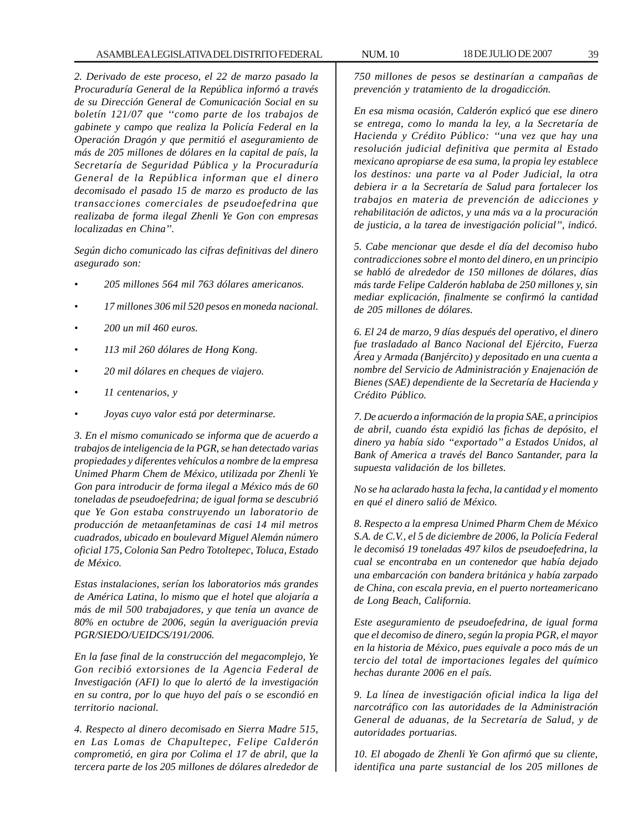*2. Derivado de este proceso, el 22 de marzo pasado la Procuraduría General de la República informó a través de su Dirección General de Comunicación Social en su boletín 121/07 que ''como parte de los trabajos de gabinete y campo que realiza la Policía Federal en la Operación Dragón y que permitió el aseguramiento de más de 205 millones de dólares en la capital de país, la Secretaría de Seguridad Pública y la Procuraduría General de la República informan que el dinero decomisado el pasado 15 de marzo es producto de las transacciones comerciales de pseudoefedrina que realizaba de forma ilegal Zhenli Ye Gon con empresas localizadas en China''.*

*Según dicho comunicado las cifras definitivas del dinero asegurado son:*

- *205 millones 564 mil 763 dólares americanos.*
- *17 millones 306 mil 520 pesos en moneda nacional.*
- *200 un mil 460 euros.*
- *113 mil 260 dólares de Hong Kong.*
- *20 mil dólares en cheques de viajero.*
- *11 centenarios, y*
- *Joyas cuyo valor está por determinarse.*

*3. En el mismo comunicado se informa que de acuerdo a trabajos de inteligencia de la PGR, se han detectado varias propiedades y diferentes vehículos a nombre de la empresa Unimed Pharm Chem de México, utilizada por Zhenli Ye Gon para introducir de forma ilegal a México más de 60 toneladas de pseudoefedrina; de igual forma se descubrió que Ye Gon estaba construyendo un laboratorio de producción de metaanfetaminas de casi 14 mil metros cuadrados, ubicado en boulevard Miguel Alemán número oficial 175, Colonia San Pedro Totoltepec, Toluca, Estado de México.*

*Estas instalaciones, serían los laboratorios más grandes de América Latina, lo mismo que el hotel que alojaría a más de mil 500 trabajadores, y que tenía un avance de 80% en octubre de 2006, según la averiguación previa PGR/SIEDO/UEIDCS/191/2006.*

*En la fase final de la construcción del megacomplejo, Ye Gon recibió extorsiones de la Agencia Federal de Investigación (AFI) lo que lo alertó de la investigación en su contra, por lo que huyo del país o se escondió en territorio nacional.*

*4. Respecto al dinero decomisado en Sierra Madre 515, en Las Lomas de Chapultepec, Felipe Calderón comprometió, en gira por Colima el 17 de abril, que la tercera parte de los 205 millones de dólares alrededor de*

*750 millones de pesos se destinarían a campañas de prevención y tratamiento de la drogadicción.*

*En esa misma ocasión, Calderón explicó que ese dinero se entrega, como lo manda la ley, a la Secretaría de Hacienda y Crédito Público: ''una vez que hay una resolución judicial definitiva que permita al Estado mexicano apropiarse de esa suma, la propia ley establece los destinos: una parte va al Poder Judicial, la otra debiera ir a la Secretaría de Salud para fortalecer los trabajos en materia de prevención de adicciones y rehabilitación de adictos, y una más va a la procuración de justicia, a la tarea de investigación policial'', indicó.*

*5. Cabe mencionar que desde el día del decomiso hubo contradicciones sobre el monto del dinero, en un principio se habló de alrededor de 150 millones de dólares, días más tarde Felipe Calderón hablaba de 250 millones y, sin mediar explicación, finalmente se confirmó la cantidad de 205 millones de dólares.*

*6. El 24 de marzo, 9 días después del operativo, el dinero fue trasladado al Banco Nacional del Ejército, Fuerza Área y Armada (Banjército) y depositado en una cuenta a nombre del Servicio de Administración y Enajenación de Bienes (SAE) dependiente de la Secretaría de Hacienda y Crédito Público.*

*7. De acuerdo a información de la propia SAE, a principios de abril, cuando ésta expidió las fichas de depósito, el dinero ya había sido ''exportado'' a Estados Unidos, al Bank of America a través del Banco Santander, para la supuesta validación de los billetes.*

*No se ha aclarado hasta la fecha, la cantidad y el momento en qué el dinero salió de México.*

*8. Respecto a la empresa Unimed Pharm Chem de México S.A. de C.V., el 5 de diciembre de 2006, la Policía Federal le decomisó 19 toneladas 497 kilos de pseudoefedrina, la cual se encontraba en un contenedor que había dejado una embarcación con bandera británica y había zarpado de China, con escala previa, en el puerto norteamericano de Long Beach, California.*

*Este aseguramiento de pseudoefedrina, de igual forma que el decomiso de dinero, según la propia PGR, el mayor en la historia de México, pues equivale a poco más de un tercio del total de importaciones legales del químico hechas durante 2006 en el país.*

*9. La línea de investigación oficial indica la liga del narcotráfico con las autoridades de la Administración General de aduanas, de la Secretaría de Salud, y de autoridades portuarias.*

*10. El abogado de Zhenli Ye Gon afirmó que su cliente, identifica una parte sustancial de los 205 millones de*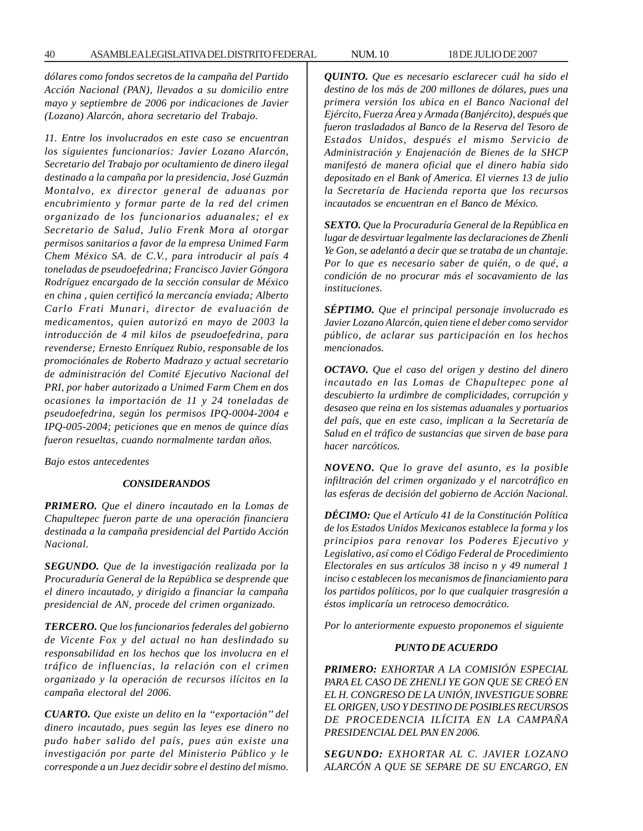*dólares como fondos secretos de la campaña del Partido Acción Nacional (PAN), llevados a su domicilio entre mayo y septiembre de 2006 por indicaciones de Javier (Lozano) Alarcón, ahora secretario del Trabajo.*

*11. Entre los involucrados en este caso se encuentran los siguientes funcionarios: Javier Lozano Alarcón, Secretario del Trabajo por ocultamiento de dinero ilegal destinado a la campaña por la presidencia, José Guzmán Montalvo, ex director general de aduanas por encubrimiento y formar parte de la red del crimen organizado de los funcionarios aduanales; el ex Secretario de Salud, Julio Frenk Mora al otorgar permisos sanitarios a favor de la empresa Unimed Farm Chem México SA. de C.V., para introducir al país 4 toneladas de pseudoefedrina; Francisco Javier Góngora Rodríguez encargado de la sección consular de México en china , quien certificó la mercancía enviada; Alberto Carlo Frati Munari, director de evaluación de medicamentos, quien autorizó en mayo de 2003 la introducción de 4 mil kilos de pseudoefedrina, para revenderse; Ernesto Enríquez Rubio, responsable de los promociónales de Roberto Madrazo y actual secretario de administración del Comité Ejecutivo Nacional del PRI, por haber autorizado a Unimed Farm Chem en dos ocasiones la importación de 11 y 24 toneladas de pseudoefedrina, según los permisos IPQ-0004-2004 e IPQ-005-2004; peticiones que en menos de quince días fueron resueltas, cuando normalmente tardan años.*

*Bajo estos antecedentes*

#### *CONSIDERANDOS*

*PRIMERO. Que el dinero incautado en la Lomas de Chapultepec fueron parte de una operación financiera destinada a la campaña presidencial del Partido Acción Nacional.*

*SEGUNDO. Que de la investigación realizada por la Procuraduría General de la República se desprende que el dinero incautado, y dirigido a financiar la campaña presidencial de AN, procede del crimen organizado.*

*TERCERO. Que los funcionarios federales del gobierno de Vicente Fox y del actual no han deslindado su responsabilidad en los hechos que los involucra en el tráfico de influencias, la relación con el crimen organizado y la operación de recursos ilícitos en la campaña electoral del 2006.*

*CUARTO. Que existe un delito en la ''exportación'' del dinero incautado, pues según las leyes ese dinero no pudo haber salido del país, pues aún existe una investigación por parte del Ministerio Público y le corresponde a un Juez decidir sobre el destino del mismo.*

*QUINTO. Que es necesario esclarecer cuál ha sido el destino de los más de 200 millones de dólares, pues una primera versión los ubica en el Banco Nacional del Ejército, Fuerza Área y Armada (Banjército), después que fueron trasladados al Banco de la Reserva del Tesoro de Estados Unidos, después el mismo Servicio de Administración y Enajenación de Bienes de la SHCP manifestó de manera oficial que el dinero había sido depositado en el Bank of America. El viernes 13 de julio la Secretaría de Hacienda reporta que los recursos incautados se encuentran en el Banco de México.*

*SEXTO. Que la Procuraduría General de la República en lugar de desvirtuar legalmente las declaraciones de Zhenli Ye Gon, se adelantó a decir que se trataba de un chantaje. Por lo que es necesario saber de quién, o de qué, a condición de no procurar más el socavamiento de las instituciones.*

*SÉPTIMO. Que el principal personaje involucrado es Javier Lozano Alarcón, quien tiene el deber como servidor público, de aclarar sus participación en los hechos mencionados.*

*OCTAVO. Que el caso del origen y destino del dinero incautado en las Lomas de Chapultepec pone al descubierto la urdimbre de complicidades, corrupción y desaseo que reina en los sistemas aduanales y portuarios del país, que en este caso, implican a la Secretaría de Salud en el tráfico de sustancias que sirven de base para hacer narcóticos.*

*NOVENO. Que lo grave del asunto, es la posible infiltración del crimen organizado y el narcotráfico en las esferas de decisión del gobierno de Acción Nacional.*

*DÉCIMO: Que el Artículo 41 de la Constitución Política de los Estados Unidos Mexicanos establece la forma y los principios para renovar los Poderes Ejecutivo y Legislativo, así como el Código Federal de Procedimiento Electorales en sus artículos 38 inciso n y 49 numeral 1 inciso c establecen los mecanismos de financiamiento para los partidos políticos, por lo que cualquier trasgresión a éstos implicaría un retroceso democrático.*

*Por lo anteriormente expuesto proponemos el siguiente*

#### *PUNTO DE ACUERDO*

*PRIMERO: EXHORTAR A LA COMISIÓN ESPECIAL PARA EL CASO DE ZHENLI YE GON QUE SE CREÓ EN EL H. CONGRESO DE LA UNIÓN, INVESTIGUE SOBRE EL ORIGEN, USO Y DESTINO DE POSIBLES RECURSOS DE PROCEDENCIA ILÍCITA EN LA CAMPAÑA PRESIDENCIAL DEL PAN EN 2006.*

*SEGUNDO: EXHORTAR AL C. JAVIER LOZANO ALARCÓN A QUE SE SEPARE DE SU ENCARGO, EN*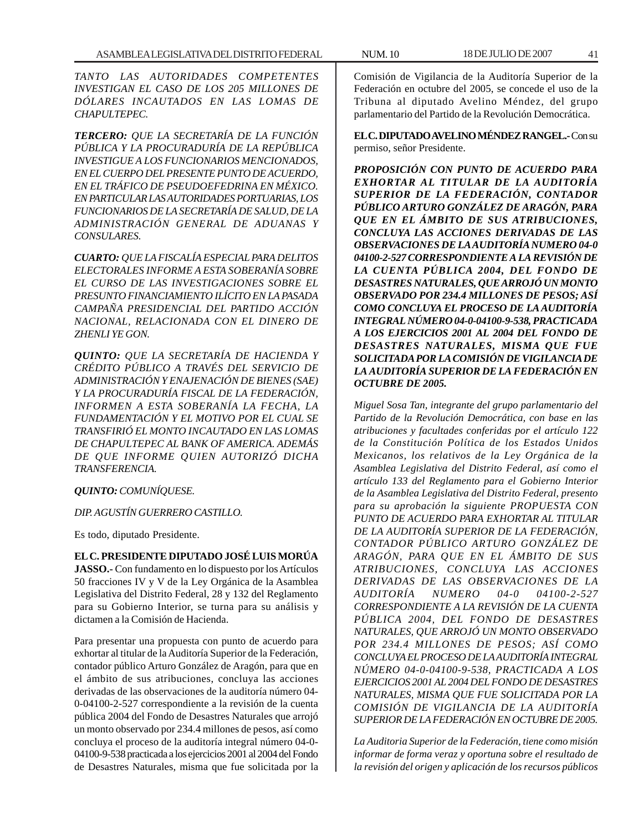*TANTO LAS AUTORIDADES COMPETENTES INVESTIGAN EL CASO DE LOS 205 MILLONES DE DÓLARES INCAUTADOS EN LAS LOMAS DE CHAPULTEPEC.*

*TERCERO: QUE LA SECRETARÍA DE LA FUNCIÓN PÚBLICA Y LA PROCURADURÍA DE LA REPÚBLICA INVESTIGUE A LOS FUNCIONARIOS MENCIONADOS, EN EL CUERPO DEL PRESENTE PUNTO DE ACUERDO, EN EL TRÁFICO DE PSEUDOEFEDRINA EN MÉXICO. EN PARTICULAR LAS AUTORIDADES PORTUARIAS, LOS FUNCIONARIOS DE LA SECRETARÍA DE SALUD, DE LA ADMINISTRACIÓN GENERAL DE ADUANAS Y CONSULARES.*

*CUARTO: QUE LA FISCALÍA ESPECIAL PARA DELITOS ELECTORALES INFORME A ESTA SOBERANÍA SOBRE EL CURSO DE LAS INVESTIGACIONES SOBRE EL PRESUNTO FINANCIAMIENTO ILÍCITO EN LA PASADA CAMPAÑA PRESIDENCIAL DEL PARTIDO ACCIÓN NACIONAL, RELACIONADA CON EL DINERO DE ZHENLI YE GON.*

*QUINTO: QUE LA SECRETARÍA DE HACIENDA Y CRÉDITO PÚBLICO A TRAVÉS DEL SERVICIO DE ADMINISTRACIÓN Y ENAJENACIÓN DE BIENES (SAE) Y LA PROCURADURÍA FISCAL DE LA FEDERACIÓN, INFORMEN A ESTA SOBERANÍA LA FECHA, LA FUNDAMENTACIÓN Y EL MOTIVO POR EL CUAL SE TRANSFIRIÓ EL MONTO INCAUTADO EN LAS LOMAS DE CHAPULTEPEC AL BANK OF AMERICA. ADEMÁS DE QUE INFORME QUIEN AUTORIZÓ DICHA TRANSFERENCIA.*

# *QUINTO: COMUNÍQUESE.*

#### *DIP. AGUSTÍN GUERRERO CASTILLO.*

Es todo, diputado Presidente.

### **EL C. PRESIDENTE DIPUTADO JOSÉ LUIS MORÚA**

**JASSO.-** Con fundamento en lo dispuesto por los Artículos 50 fracciones IV y V de la Ley Orgánica de la Asamblea Legislativa del Distrito Federal, 28 y 132 del Reglamento para su Gobierno Interior, se turna para su análisis y dictamen a la Comisión de Hacienda.

Para presentar una propuesta con punto de acuerdo para exhortar al titular de la Auditoría Superior de la Federación, contador público Arturo González de Aragón, para que en el ámbito de sus atribuciones, concluya las acciones derivadas de las observaciones de la auditoría número 04- 0-04100-2-527 correspondiente a la revisión de la cuenta pública 2004 del Fondo de Desastres Naturales que arrojó un monto observado por 234.4 millones de pesos, así como concluya el proceso de la auditoría integral número 04-0- 04100-9-538 practicada a los ejercicios 2001 al 2004 del Fondo de Desastres Naturales, misma que fue solicitada por la

Comisión de Vigilancia de la Auditoría Superior de la Federación en octubre del 2005, se concede el uso de la Tribuna al diputado Avelino Méndez, del grupo parlamentario del Partido de la Revolución Democrática.

**EL C. DIPUTADO AVELINO MÉNDEZ RANGEL.-** Con su permiso, señor Presidente.

*PROPOSICIÓN CON PUNTO DE ACUERDO PARA EXHORTAR AL TITULAR DE LA AUDITORÍA SUPERIOR DE LA FEDERACIÓN, CONTADOR PÚBLICO ARTURO GONZÁLEZ DE ARAGÓN, PARA QUE EN EL ÁMBITO DE SUS ATRIBUCIONES, CONCLUYA LAS ACCIONES DERIVADAS DE LAS OBSERVACIONES DE LA AUDITORÍA NUMERO 04-0 04100-2-527 CORRESPONDIENTE A LA REVISIÓN DE LA CUENTA PÚBLICA 2004, DEL FONDO DE DESASTRES NATURALES, QUE ARROJÓ UN MONTO OBSERVADO POR 234.4 MILLONES DE PESOS; ASÍ COMO CONCLUYA EL PROCESO DE LA AUDITORÍA INTEGRAL NÚMERO 04-0-04100-9-538, PRACTICADA A LOS EJERCICIOS 2001 AL 2004 DEL FONDO DE DESASTRES NATURALES, MISMA QUE FUE SOLICITADA POR LA COMISIÓN DE VIGILANCIA DE LA AUDITORÍA SUPERIOR DE LA FEDERACIÓN EN OCTUBRE DE 2005.*

*Miguel Sosa Tan, integrante del grupo parlamentario del Partido de la Revolución Democrática, con base en las atribuciones y facultades conferidas por el artículo 122 de la Constitución Política de los Estados Unidos Mexicanos, los relativos de la Ley Orgánica de la Asamblea Legislativa del Distrito Federal, así como el artículo 133 del Reglamento para el Gobierno Interior de la Asamblea Legislativa del Distrito Federal, presento para su aprobación la siguiente PROPUESTA CON PUNTO DE ACUERDO PARA EXHORTAR AL TITULAR DE LA AUDITORÍA SUPERIOR DE LA FEDERACIÓN, CONTADOR PÚBLICO ARTURO GONZÁLEZ DE ARAGÓN, PARA QUE EN EL ÁMBITO DE SUS ATRIBUCIONES, CONCLUYA LAS ACCIONES DERIVADAS DE LAS OBSERVACIONES DE LA AUDITORÍA NUMERO 04-0 04100-2-527 CORRESPONDIENTE A LA REVISIÓN DE LA CUENTA PÚBLICA 2004, DEL FONDO DE DESASTRES NATURALES, QUE ARROJÓ UN MONTO OBSERVADO POR 234.4 MILLONES DE PESOS; ASÍ COMO CONCLUYA EL PROCESO DE LA AUDITORÍA INTEGRAL NÚMERO 04-0-04100-9-538, PRACTICADA A LOS EJERCICIOS 2001 AL 2004 DEL FONDO DE DESASTRES NATURALES, MISMA QUE FUE SOLICITADA POR LA COMISIÓN DE VIGILANCIA DE LA AUDITORÍA SUPERIOR DE LA FEDERACIÓN EN OCTUBRE DE 2005.*

*La Auditoria Superior de la Federación, tiene como misión informar de forma veraz y oportuna sobre el resultado de la revisión del origen y aplicación de los recursos públicos*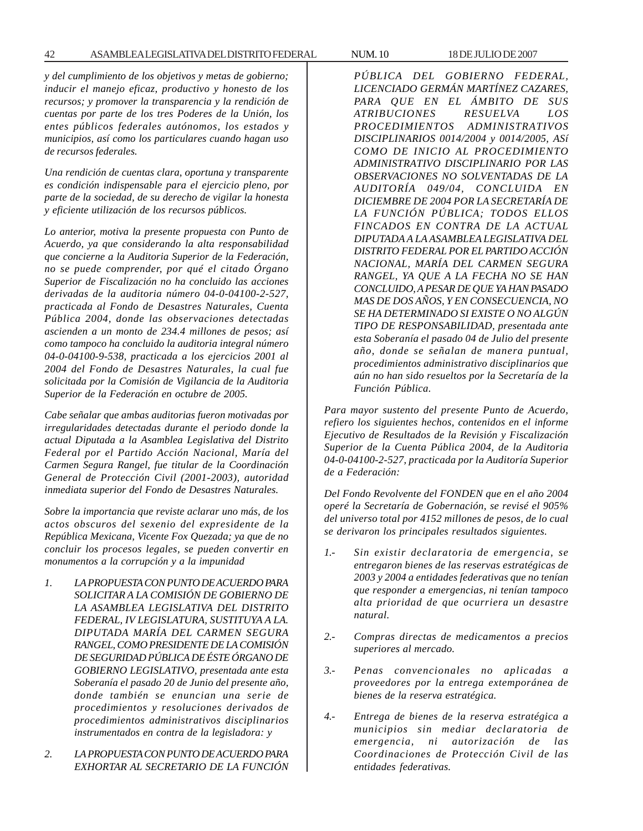*y del cumplimiento de los objetivos y metas de gobierno; inducir el manejo eficaz, productivo y honesto de los recursos; y promover la transparencia y la rendición de cuentas por parte de los tres Poderes de la Unión, los entes públicos federales autónomos, los estados y municipios, así como los particulares cuando hagan uso de recursos federales.*

*Una rendición de cuentas clara, oportuna y transparente es condición indispensable para el ejercicio pleno, por parte de la sociedad, de su derecho de vigilar la honesta y eficiente utilización de los recursos públicos.*

*Lo anterior, motiva la presente propuesta con Punto de Acuerdo, ya que considerando la alta responsabilidad que concierne a la Auditoria Superior de la Federación, no se puede comprender, por qué el citado Órgano Superior de Fiscalización no ha concluido las acciones derivadas de la auditoria número 04-0-04100-2-527, practicada al Fondo de Desastres Naturales, Cuenta Pública 2004, donde las observaciones detectadas ascienden a un monto de 234.4 millones de pesos; así como tampoco ha concluido la auditoria integral número 04-0-04100-9-538, practicada a los ejercicios 2001 al 2004 del Fondo de Desastres Naturales, la cual fue solicitada por la Comisión de Vigilancia de la Auditoria Superior de la Federación en octubre de 2005.*

*Cabe señalar que ambas auditorias fueron motivadas por irregularidades detectadas durante el periodo donde la actual Diputada a la Asamblea Legislativa del Distrito Federal por el Partido Acción Nacional, María del Carmen Segura Rangel, fue titular de la Coordinación General de Protección Civil (2001-2003), autoridad inmediata superior del Fondo de Desastres Naturales.*

*Sobre la importancia que reviste aclarar uno más, de los actos obscuros del sexenio del expresidente de la República Mexicana, Vicente Fox Quezada; ya que de no concluir los procesos legales, se pueden convertir en monumentos a la corrupción y a la impunidad*

- *1. LA PROPUESTA CON PUNTO DE ACUERDO PARA SOLICITAR A LA COMISIÓN DE GOBIERNO DE LA ASAMBLEA LEGISLATIVA DEL DISTRITO FEDERAL, IV LEGISLATURA, SUSTITUYA A LA. DIPUTADA MARÍA DEL CARMEN SEGURA RANGEL, COMO PRESIDENTE DE LA COMISIÓN DE SEGURIDAD PÚBLICA DE ÉSTE ÓRGANO DE GOBIERNO LEGISLATIVO, presentada ante esta Soberanía el pasado 20 de Junio del presente año, donde también se enuncian una serie de procedimientos y resoluciones derivados de procedimientos administrativos disciplinarios instrumentados en contra de la legisladora: y*
- *2. LA PROPUESTA CON PUNTO DE ACUERDO PARA EXHORTAR AL SECRETARIO DE LA FUNCIÓN*

*PÚBLICA DEL GOBIERNO FEDERAL, LICENCIADO GERMÁN MARTÍNEZ CAZARES, PARA QUE EN EL ÁMBITO DE SUS ATRIBUCIONES RESUELVA LOS PROCEDIMIENTOS ADMINISTRATIVOS DISCIPLINARIOS 0014/2004 y 0014/2005, ASí COMO DE INICIO AL PROCEDIMIENTO ADMINISTRATIVO DISCIPLINARIO POR LAS OBSERVACIONES NO SOLVENTADAS DE LA AUDITORÍA 049/04, CONCLUIDA EN DICIEMBRE DE 2004 POR LA SECRETARÍA DE LA FUNCIÓN PÚBLICA; TODOS ELLOS FINCADOS EN CONTRA DE LA ACTUAL DIPUTADA A LA ASAMBLEA LEGISLATIVA DEL DISTRITO FEDERAL POR EL PARTIDO ACCIÓN NACIONAL, MARÍA DEL CARMEN SEGURA RANGEL, YA QUE A LA FECHA NO SE HAN CONCLUIDO, A PESAR DE QUE YA HAN PASADO MAS DE DOS AÑOS, Y EN CONSECUENCIA, NO SE HA DETERMINADO SI EXISTE O NO ALGÚN TIPO DE RESPONSABILIDAD, presentada ante esta Soberanía el pasado 04 de Julio del presente año, donde se señalan de manera puntual, procedimientos administrativo disciplinarios que aún no han sido resueltos por la Secretaría de la Función Pública.*

*Para mayor sustento del presente Punto de Acuerdo, refiero los siguientes hechos, contenidos en el informe Ejecutivo de Resultados de la Revisión y Fiscalización Superior de la Cuenta Pública 2004, de la Auditoria 04-0-04100-2-527, practicada por la Auditoría Superior de a Federación:*

*Del Fondo Revolvente del FONDEN que en el año 2004 operé la Secretaría de Gobernación, se revisé el 905% del universo total por 4152 millones de pesos, de lo cual se derivaron los principales resultados siguientes.*

- *1.- Sin existir declaratoria de emergencia, se entregaron bienes de las reservas estratégicas de 2003 y 2004 a entidades federativas que no tenían que responder a emergencias, ni tenían tampoco alta prioridad de que ocurriera un desastre natural.*
- *2.- Compras directas de medicamentos a precios superiores al mercado.*
- *3.- Penas convencionales no aplicadas a proveedores por la entrega extemporánea de bienes de la reserva estratégica.*
- *4.- Entrega de bienes de la reserva estratégica a municipios sin mediar declaratoria de emergencia, ni autorización de las Coordinaciones de Protección Civil de las entidades federativas.*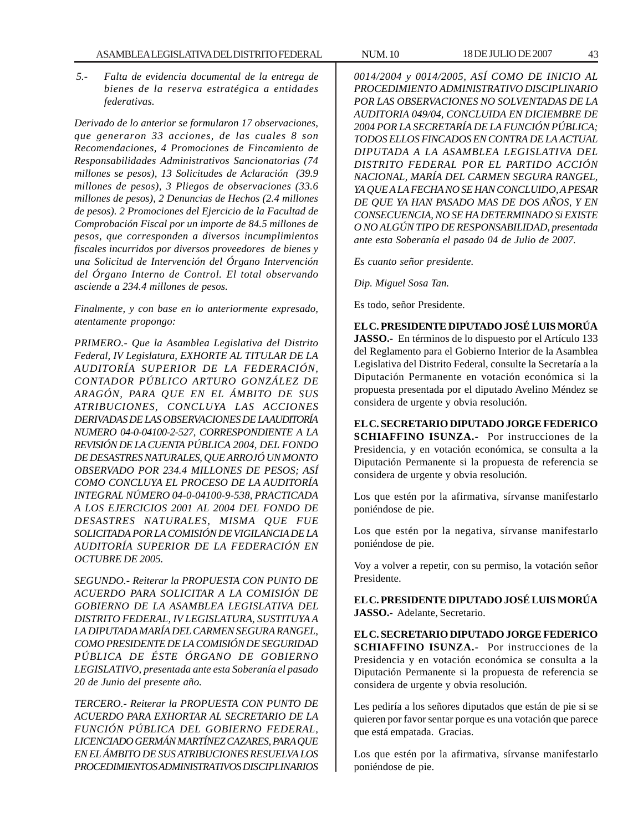*5.- Falta de evidencia documental de la entrega de bienes de la reserva estratégica a entidades federativas.*

*Derivado de lo anterior se formularon 17 observaciones, que generaron 33 acciones, de las cuales 8 son Recomendaciones, 4 Promociones de Fincamiento de Responsabilidades Administrativos Sancionatorias (74 millones se pesos), 13 Solicitudes de Aclaración (39.9 millones de pesos), 3 Pliegos de observaciones (33.6 millones de pesos), 2 Denuncias de Hechos (2.4 millones de pesos). 2 Promociones del Ejercicio de la Facultad de Comprobación Fiscal por un importe de 84.5 millones de pesos, que corresponden a diversos incumplimientos fiscales incurridos por diversos proveedores de bienes y una Solicitud de Intervención del Órgano Intervención del Órgano Interno de Control. El total observando asciende a 234.4 millones de pesos.*

*Finalmente, y con base en lo anteriormente expresado, atentamente propongo:*

*PRIMERO.- Que la Asamblea Legislativa del Distrito Federal, IV Legislatura, EXHORTE AL TITULAR DE LA AUDITORÍA SUPERIOR DE LA FEDERACIÓN, CONTADOR PÚBLICO ARTURO GONZÁLEZ DE ARAGÓN, PARA QUE EN EL ÁMBITO DE SUS ATRIBUCIONES, CONCLUYA LAS ACCIONES DERIVADAS DE LAS OBSERVACIONES DE LA AUDITORÍA NUMERO 04-0-04100-2-527, CORRESPONDIENTE A LA REVISIÓN DE LA CUENTA PÚBLICA 2004, DEL FONDO DE DESASTRES NATURALES, QUE ARROJÓ UN MONTO OBSERVADO POR 234.4 MILLONES DE PESOS; ASÍ COMO CONCLUYA EL PROCESO DE LA AUDITORÍA INTEGRAL NÚMERO 04-0-04100-9-538, PRACTICADA A LOS EJERCICIOS 2001 AL 2004 DEL FONDO DE DESASTRES NATURALES, MISMA QUE FUE SOLICITADA POR LA COMISIÓN DE VIGILANCIA DE LA AUDITORÍA SUPERIOR DE LA FEDERACIÓN EN OCTUBRE DE 2005.*

*SEGUNDO.- Reiterar la PROPUESTA CON PUNTO DE ACUERDO PARA SOLICITAR A LA COMISIÓN DE GOBIERNO DE LA ASAMBLEA LEGISLATIVA DEL DISTRITO FEDERAL, IV LEGISLATURA, SUSTITUYA A LA DIPUTADA MARÍA DEL CARMEN SEGURA RANGEL, COMO PRESIDENTE DE LA COMISIÓN DE SEGURIDAD PÚBLICA DE ÉSTE ÓRGANO DE GOBIERNO LEGISLATIVO, presentada ante esta Soberanía el pasado 20 de Junio del presente año.*

*TERCERO.- Reiterar la PROPUESTA CON PUNTO DE ACUERDO PARA EXHORTAR AL SECRETARIO DE LA FUNCIÓN PÚBLICA DEL GOBIERNO FEDERAL, LICENCIADO GERMÁN MARTÍNEZ CAZARES, PARA QUE EN EL ÁMBITO DE SUS ATRIBUCIONES RESUELVA LOS PROCEDIMIENTOS ADMINISTRATIVOS DISCIPLINARIOS*

*0014/2004 y 0014/2005, ASÍ COMO DE INICIO AL PROCEDIMIENTO ADMINISTRATIVO DISCIPLINARIO POR LAS OBSERVACIONES NO SOLVENTADAS DE LA AUDITORIA 049/04, CONCLUIDA EN DICIEMBRE DE 2004 POR LA SECRETARÍA DE LA FUNCIÓN PÚBLICA; TODOS ELLOS FINCADOS EN CONTRA DE LA ACTUAL DIPUTADA A LA ASAMBLEA LEGISLATIVA DEL DISTRITO FEDERAL POR EL PARTIDO ACCIÓN NACIONAL, MARÍA DEL CARMEN SEGURA RANGEL, YA QUE A LA FECHA NO SE HAN CONCLUIDO, A PESAR DE QUE YA HAN PASADO MAS DE DOS AÑOS, Y EN CONSECUENCIA, NO SE HA DETERMINADO Si EXISTE O NO ALGÚN TIPO DE RESPONSABILIDAD, presentada ante esta Soberanía el pasado 04 de Julio de 2007.*

*Es cuanto señor presidente.*

*Dip. Miguel Sosa Tan.*

Es todo, señor Presidente.

**EL C. PRESIDENTE DIPUTADO JOSÉ LUIS MORÚA JASSO.-** En términos de lo dispuesto por el Artículo 133 del Reglamento para el Gobierno Interior de la Asamblea Legislativa del Distrito Federal, consulte la Secretaría a la Diputación Permanente en votación económica si la propuesta presentada por el diputado Avelino Méndez se considera de urgente y obvia resolución.

**EL C. SECRETARIO DIPUTADO JORGE FEDERICO SCHIAFFINO ISUNZA.-** Por instrucciones de la Presidencia, y en votación económica, se consulta a la Diputación Permanente si la propuesta de referencia se considera de urgente y obvia resolución.

Los que estén por la afirmativa, sírvanse manifestarlo poniéndose de pie.

Los que estén por la negativa, sírvanse manifestarlo poniéndose de pie.

Voy a volver a repetir, con su permiso, la votación señor Presidente.

**EL C. PRESIDENTE DIPUTADO JOSÉ LUIS MORÚA JASSO.-** Adelante, Secretario.

**EL C. SECRETARIO DIPUTADO JORGE FEDERICO SCHIAFFINO ISUNZA.-** Por instrucciones de la Presidencia y en votación económica se consulta a la Diputación Permanente si la propuesta de referencia se considera de urgente y obvia resolución.

Les pediría a los señores diputados que están de pie si se quieren por favor sentar porque es una votación que parece que está empatada. Gracias.

Los que estén por la afirmativa, sírvanse manifestarlo poniéndose de pie.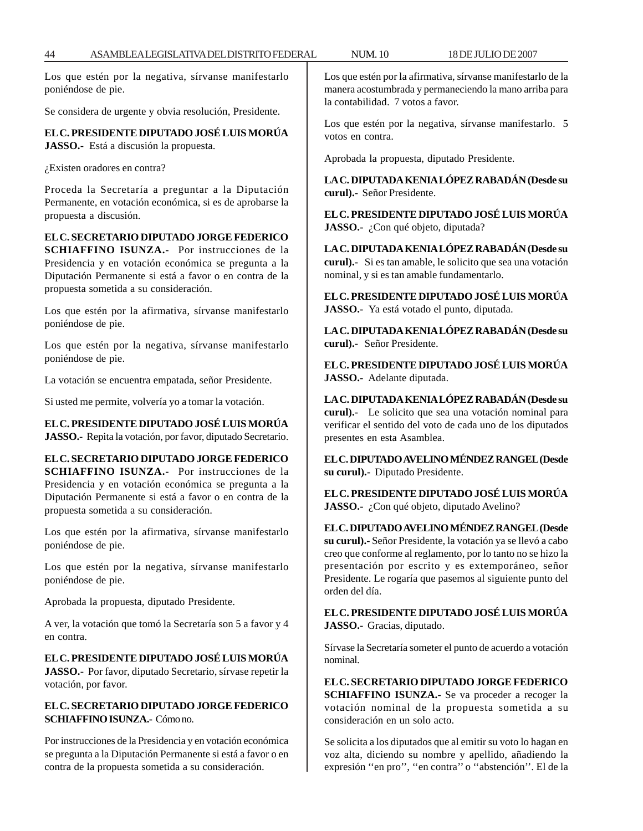Los que estén por la negativa, sírvanse manifestarlo poniéndose de pie.

Se considera de urgente y obvia resolución, Presidente.

**EL C. PRESIDENTE DIPUTADO JOSÉ LUIS MORÚA JASSO.-** Está a discusión la propuesta.

¿Existen oradores en contra?

Proceda la Secretaría a preguntar a la Diputación Permanente, en votación económica, si es de aprobarse la propuesta a discusión.

# **EL C. SECRETARIO DIPUTADO JORGE FEDERICO**

**SCHIAFFINO ISUNZA.-** Por instrucciones de la Presidencia y en votación económica se pregunta a la Diputación Permanente si está a favor o en contra de la propuesta sometida a su consideración.

Los que estén por la afirmativa, sírvanse manifestarlo poniéndose de pie.

Los que estén por la negativa, sírvanse manifestarlo poniéndose de pie.

La votación se encuentra empatada, señor Presidente.

Si usted me permite, volvería yo a tomar la votación.

**EL C. PRESIDENTE DIPUTADO JOSÉ LUIS MORÚA JASSO.-** Repita la votación, por favor, diputado Secretario.

## **EL C. SECRETARIO DIPUTADO JORGE FEDERICO**

**SCHIAFFINO ISUNZA.-** Por instrucciones de la Presidencia y en votación económica se pregunta a la Diputación Permanente si está a favor o en contra de la propuesta sometida a su consideración.

Los que estén por la afirmativa, sírvanse manifestarlo poniéndose de pie.

Los que estén por la negativa, sírvanse manifestarlo poniéndose de pie.

Aprobada la propuesta, diputado Presidente.

A ver, la votación que tomó la Secretaría son 5 a favor y 4 en contra.

## **EL C. PRESIDENTE DIPUTADO JOSÉ LUIS MORÚA**

**JASSO.-** Por favor, diputado Secretario, sírvase repetir la votación, por favor.

## **EL C. SECRETARIO DIPUTADO JORGE FEDERICO SCHIAFFINO ISUNZA.-** Cómo no.

Por instrucciones de la Presidencia y en votación económica se pregunta a la Diputación Permanente si está a favor o en contra de la propuesta sometida a su consideración.

Los que estén por la afirmativa, sírvanse manifestarlo de la manera acostumbrada y permaneciendo la mano arriba para la contabilidad. 7 votos a favor.

Los que estén por la negativa, sírvanse manifestarlo. 5 votos en contra.

Aprobada la propuesta, diputado Presidente.

**LA C. DIPUTADA KENIA LÓPEZ RABADÁN (Desde su curul).-** Señor Presidente.

**EL C. PRESIDENTE DIPUTADO JOSÉ LUIS MORÚA JASSO.-** ¿Con qué objeto, diputada?

**LA C. DIPUTADA KENIA LÓPEZ RABADÁN (Desde su curul).-** Si es tan amable, le solicito que sea una votación nominal, y si es tan amable fundamentarlo.

**EL C. PRESIDENTE DIPUTADO JOSÉ LUIS MORÚA JASSO.-** Ya está votado el punto, diputada.

**LA C. DIPUTADA KENIA LÓPEZ RABADÁN (Desde su curul).-** Señor Presidente.

**EL C. PRESIDENTE DIPUTADO JOSÉ LUIS MORÚA JASSO.-** Adelante diputada.

**LA C. DIPUTADA KENIA LÓPEZ RABADÁN (Desde su curul).-** Le solicito que sea una votación nominal para verificar el sentido del voto de cada uno de los diputados presentes en esta Asamblea.

**EL C. DIPUTADO AVELINO MÉNDEZ RANGEL (Desde su curul).-** Diputado Presidente.

**EL C. PRESIDENTE DIPUTADO JOSÉ LUIS MORÚA** JASSO.- ¿Con qué objeto, diputado Avelino?

**EL C. DIPUTADO AVELINO MÉNDEZ RANGEL (Desde su curul).-** Señor Presidente, la votación ya se llevó a cabo creo que conforme al reglamento, por lo tanto no se hizo la presentación por escrito y es extemporáneo, señor Presidente. Le rogaría que pasemos al siguiente punto del orden del día.

**EL C. PRESIDENTE DIPUTADO JOSÉ LUIS MORÚA JASSO.-** Gracias, diputado.

Sírvase la Secretaría someter el punto de acuerdo a votación nominal.

**EL C. SECRETARIO DIPUTADO JORGE FEDERICO SCHIAFFINO ISUNZA.-** Se va proceder a recoger la votación nominal de la propuesta sometida a su consideración en un solo acto.

Se solicita a los diputados que al emitir su voto lo hagan en voz alta, diciendo su nombre y apellido, añadiendo la expresión ''en pro'', ''en contra'' o ''abstención''. El de la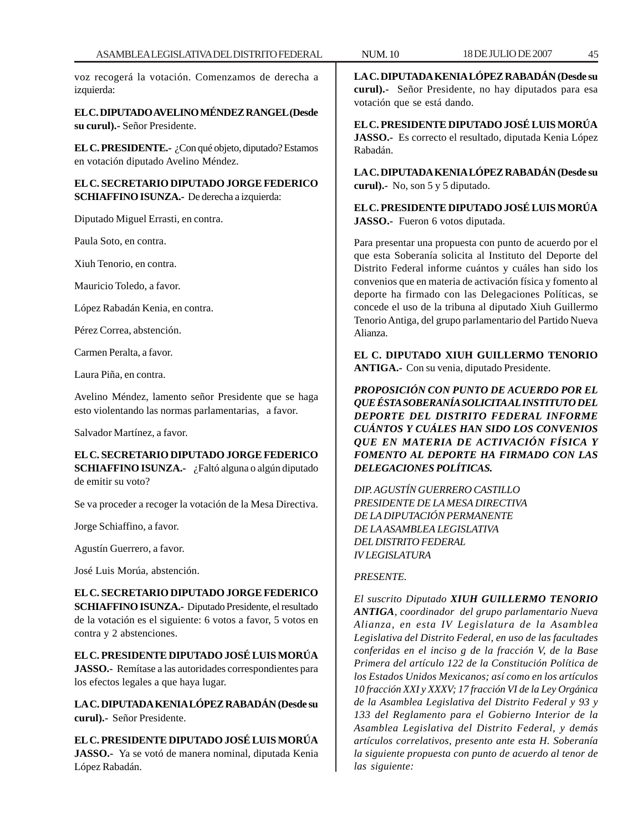voz recogerá la votación. Comenzamos de derecha a izquierda:

**EL C. DIPUTADO AVELINO MÉNDEZ RANGEL (Desde su curul).-** Señor Presidente.

**EL C. PRESIDENTE.-** ¿Con qué objeto, diputado? Estamos en votación diputado Avelino Méndez.

**EL C. SECRETARIO DIPUTADO JORGE FEDERICO SCHIAFFINO ISUNZA.-** De derecha a izquierda:

Diputado Miguel Errasti, en contra.

Paula Soto, en contra.

Xiuh Tenorio, en contra.

Mauricio Toledo, a favor.

López Rabadán Kenia, en contra.

Pérez Correa, abstención.

Carmen Peralta, a favor.

Laura Piña, en contra.

Avelino Méndez, lamento señor Presidente que se haga esto violentando las normas parlamentarias, a favor.

Salvador Martínez, a favor.

**EL C. SECRETARIO DIPUTADO JORGE FEDERICO SCHIAFFINO ISUNZA.-** ¿Faltó alguna o algún diputado de emitir su voto?

Se va proceder a recoger la votación de la Mesa Directiva.

Jorge Schiaffino, a favor.

Agustín Guerrero, a favor.

José Luis Morúa, abstención.

**EL C. SECRETARIO DIPUTADO JORGE FEDERICO SCHIAFFINO ISUNZA.-** Diputado Presidente, el resultado de la votación es el siguiente: 6 votos a favor, 5 votos en contra y 2 abstenciones.

**EL C. PRESIDENTE DIPUTADO JOSÉ LUIS MORÚA JASSO.-** Remítase a las autoridades correspondientes para los efectos legales a que haya lugar.

**LA C. DIPUTADA KENIA LÓPEZ RABADÁN (Desde su curul).-** Señor Presidente.

**EL C. PRESIDENTE DIPUTADO JOSÉ LUIS MORÚA JASSO.-** Ya se votó de manera nominal, diputada Kenia López Rabadán.

**LA C. DIPUTADA KENIA LÓPEZ RABADÁN (Desde su curul).-** Señor Presidente, no hay diputados para esa votación que se está dando.

**EL C. PRESIDENTE DIPUTADO JOSÉ LUIS MORÚA JASSO.-** Es correcto el resultado, diputada Kenia López Rabadán.

**LA C. DIPUTADA KENIA LÓPEZ RABADÁN (Desde su curul).-** No, son 5 y 5 diputado.

**EL C. PRESIDENTE DIPUTADO JOSÉ LUIS MORÚA JASSO.-** Fueron 6 votos diputada.

Para presentar una propuesta con punto de acuerdo por el que esta Soberanía solicita al Instituto del Deporte del Distrito Federal informe cuántos y cuáles han sido los convenios que en materia de activación física y fomento al deporte ha firmado con las Delegaciones Políticas, se concede el uso de la tribuna al diputado Xiuh Guillermo Tenorio Antiga, del grupo parlamentario del Partido Nueva Alianza.

**EL C. DIPUTADO XIUH GUILLERMO TENORIO ANTIGA.-** Con su venia, diputado Presidente.

*PROPOSICIÓN CON PUNTO DE ACUERDO POR EL QUE ÉSTA SOBERANÍA SOLICITA AL INSTITUTO DEL DEPORTE DEL DISTRITO FEDERAL INFORME CUÁNTOS Y CUÁLES HAN SIDO LOS CONVENIOS QUE EN MATERIA DE ACTIVACIÓN FÍSICA Y FOMENTO AL DEPORTE HA FIRMADO CON LAS DELEGACIONES POLÍTICAS.*

*DIP. AGUSTÍN GUERRERO CASTILLO PRESIDENTE DE LA MESA DIRECTIVA DE LA DIPUTACIÓN PERMANENTE DE LA ASAMBLEA LEGISLATIVA DEL DISTRITO FEDERAL IV LEGISLATURA*

# *PRESENTE.*

*El suscrito Diputado XIUH GUILLERMO TENORIO ANTIGA, coordinador del grupo parlamentario Nueva Alianza, en esta IV Legislatura de la Asamblea Legislativa del Distrito Federal, en uso de las facultades conferidas en el inciso g de la fracción V, de la Base Primera del artículo 122 de la Constitución Política de los Estados Unidos Mexicanos; así como en los artículos 10 fracción XXI y XXXV; 17 fracción VI de la Ley Orgánica de la Asamblea Legislativa del Distrito Federal y 93 y 133 del Reglamento para el Gobierno Interior de la Asamblea Legislativa del Distrito Federal, y demás artículos correlativos, presento ante esta H. Soberanía la siguiente propuesta con punto de acuerdo al tenor de las siguiente:*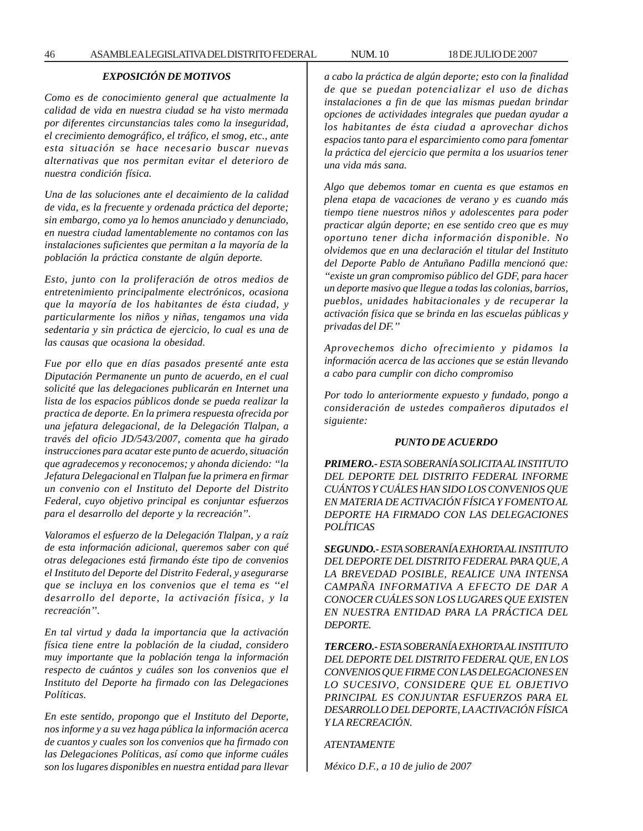## *EXPOSICIÓN DE MOTIVOS*

*Como es de conocimiento general que actualmente la calidad de vida en nuestra ciudad se ha visto mermada por diferentes circunstancias tales como la inseguridad, el crecimiento demográfico, el tráfico, el smog, etc., ante esta situación se hace necesario buscar nuevas alternativas que nos permitan evitar el deterioro de nuestra condición física.*

*Una de las soluciones ante el decaimiento de la calidad de vida, es la frecuente y ordenada práctica del deporte; sin embargo, como ya lo hemos anunciado y denunciado, en nuestra ciudad lamentablemente no contamos con las instalaciones suficientes que permitan a la mayoría de la población la práctica constante de algún deporte.*

*Esto, junto con la proliferación de otros medios de entretenimiento principalmente electrónicos, ocasiona que la mayoría de los habitantes de ésta ciudad, y particularmente los niños y niñas, tengamos una vida sedentaria y sin práctica de ejercicio, lo cual es una de las causas que ocasiona la obesidad.*

*Fue por ello que en días pasados presenté ante esta Diputación Permanente un punto de acuerdo, en el cual solicité que las delegaciones publicarán en Internet una lista de los espacios públicos donde se pueda realizar la practica de deporte. En la primera respuesta ofrecida por una jefatura delegacional, de la Delegación Tlalpan, a través del oficio JD/543/2007, comenta que ha girado instrucciones para acatar este punto de acuerdo, situación que agradecemos y reconocemos; y ahonda diciendo: ''la Jefatura Delegacional en Tlalpan fue la primera en firmar un convenio con el Instituto del Deporte del Distrito Federal, cuyo objetivo principal es conjuntar esfuerzos para el desarrollo del deporte y la recreación''.*

*Valoramos el esfuerzo de la Delegación Tlalpan, y a raíz de esta información adicional, queremos saber con qué otras delegaciones está firmando éste tipo de convenios el Instituto del Deporte del Distrito Federal, y asegurarse que se incluya en los convenios que el tema es ''el desarrollo del deporte, la activación física, y la recreación''.*

*En tal virtud y dada la importancia que la activación física tiene entre la población de la ciudad, considero muy importante que la población tenga la información respecto de cuántos y cuáles son los convenios que el Instituto del Deporte ha firmado con las Delegaciones Políticas.*

*En este sentido, propongo que el Instituto del Deporte, nos informe y a su vez haga pública la información acerca de cuantos y cuales son los convenios que ha firmado con las Delegaciones Políticas, así como que informe cuáles son los lugares disponibles en nuestra entidad para llevar* *a cabo la práctica de algún deporte; esto con la finalidad de que se puedan potencializar el uso de dichas instalaciones a fin de que las mismas puedan brindar opciones de actividades integrales que puedan ayudar a los habitantes de ésta ciudad a aprovechar dichos espacios tanto para el esparcimiento como para fomentar la práctica del ejercicio que permita a los usuarios tener una vida más sana.*

*Algo que debemos tomar en cuenta es que estamos en plena etapa de vacaciones de verano y es cuando más tiempo tiene nuestros niños y adolescentes para poder practicar algún deporte; en ese sentido creo que es muy oportuno tener dicha información disponible. No olvidemos que en una declaración el titular del Instituto del Deporte Pablo de Antuñano Padilla mencionó que: ''existe un gran compromiso público del GDF, para hacer un deporte masivo que llegue a todas las colonias, barrios, pueblos, unidades habitacionales y de recuperar la activación física que se brinda en las escuelas públicas y privadas del DF.''*

*Aprovechemos dicho ofrecimiento y pidamos la información acerca de las acciones que se están llevando a cabo para cumplir con dicho compromiso*

*Por todo lo anteriormente expuesto y fundado, pongo a consideración de ustedes compañeros diputados el siguiente:*

#### *PUNTO DE ACUERDO*

*PRIMERO.- ESTA SOBERANÍA SOLICITA AL INSTITUTO DEL DEPORTE DEL DISTRITO FEDERAL INFORME CUÁNTOS Y CUÁLES HAN SIDO LOS CONVENIOS QUE EN MATERIA DE ACTIVACIÓN FÍSICA Y FOMENTO AL DEPORTE HA FIRMADO CON LAS DELEGACIONES POLÍTICAS*

*SEGUNDO.- ESTA SOBERANÍA EXHORTA AL INSTITUTO DEL DEPORTE DEL DISTRITO FEDERAL PARA QUE, A LA BREVEDAD POSIBLE, REALICE UNA INTENSA CAMPAÑA INFORMATIVA A EFECTO DE DAR A CONOCER CUÁLES SON LOS LUGARES QUE EXISTEN EN NUESTRA ENTIDAD PARA LA PRÁCTICA DEL DEPORTE.*

*TERCERO.- ESTA SOBERANÍA EXHORTA AL INSTITUTO DEL DEPORTE DEL DISTRITO FEDERAL QUE, EN LOS CONVENIOS QUE FIRME CON LAS DELEGACIONES EN LO SUCESIVO, CONSIDERE QUE EL OBJETIVO PRINCIPAL ES CONJUNTAR ESFUERZOS PARA EL DESARROLLO DEL DEPORTE, LA ACTIVACIÓN FÍSICA Y LA RECREACIÓN.*

*ATENTAMENTE*

*México D.F., a 10 de julio de 2007*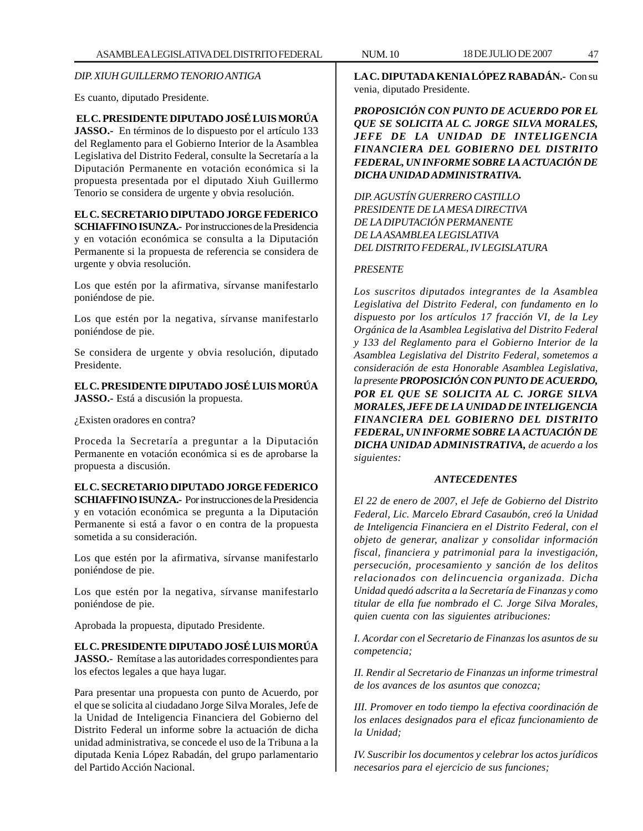*DIP. XIUH GUILLERMO TENORIO ANTIGA*

Es cuanto, diputado Presidente.

**EL C. PRESIDENTE DIPUTADO JOSÉ LUIS MORÚA JASSO.-** En términos de lo dispuesto por el artículo 133 del Reglamento para el Gobierno Interior de la Asamblea Legislativa del Distrito Federal, consulte la Secretaría a la Diputación Permanente en votación económica si la propuesta presentada por el diputado Xiuh Guillermo Tenorio se considera de urgente y obvia resolución.

# **EL C. SECRETARIO DIPUTADO JORGE FEDERICO**

**SCHIAFFINO ISUNZA.-** Por instrucciones de la Presidencia y en votación económica se consulta a la Diputación Permanente si la propuesta de referencia se considera de urgente y obvia resolución.

Los que estén por la afirmativa, sírvanse manifestarlo poniéndose de pie.

Los que estén por la negativa, sírvanse manifestarlo poniéndose de pie.

Se considera de urgente y obvia resolución, diputado Presidente.

**EL C. PRESIDENTE DIPUTADO JOSÉ LUIS MORÚA JASSO.-** Está a discusión la propuesta.

¿Existen oradores en contra?

Proceda la Secretaría a preguntar a la Diputación Permanente en votación económica si es de aprobarse la propuesta a discusión.

# **EL C. SECRETARIO DIPUTADO JORGE FEDERICO**

**SCHIAFFINO ISUNZA.-** Por instrucciones de la Presidencia y en votación económica se pregunta a la Diputación Permanente si está a favor o en contra de la propuesta sometida a su consideración.

Los que estén por la afirmativa, sírvanse manifestarlo poniéndose de pie.

Los que estén por la negativa, sírvanse manifestarlo poniéndose de pie.

Aprobada la propuesta, diputado Presidente.

**EL C. PRESIDENTE DIPUTADO JOSÉ LUIS MORÚA JASSO.-** Remítase a las autoridades correspondientes para los efectos legales a que haya lugar.

Para presentar una propuesta con punto de Acuerdo, por el que se solicita al ciudadano Jorge Silva Morales, Jefe de la Unidad de Inteligencia Financiera del Gobierno del Distrito Federal un informe sobre la actuación de dicha unidad administrativa, se concede el uso de la Tribuna a la diputada Kenia López Rabadán, del grupo parlamentario del Partido Acción Nacional.

**LA C. DIPUTADA KENIA LÓPEZ RABADÁN.-** Con su venia, diputado Presidente.

*PROPOSICIÓN CON PUNTO DE ACUERDO POR EL QUE SE SOLICITA AL C. JORGE SILVA MORALES, JEFE DE LA UNIDAD DE INTELIGENCIA FINANCIERA DEL GOBIERNO DEL DISTRITO FEDERAL, UN INFORME SOBRE LA ACTUACIÓN DE DICHA UNIDAD ADMINISTRATIVA.*

*DIP. AGUSTÍN GUERRERO CASTILLO PRESIDENTE DE LA MESA DIRECTIVA DE LA DIPUTACIÓN PERMANENTE DE LA ASAMBLEA LEGISLATIVA DEL DISTRITO FEDERAL, IV LEGISLATURA*

## *PRESENTE*

*Los suscritos diputados integrantes de la Asamblea Legislativa del Distrito Federal, con fundamento en lo dispuesto por los artículos 17 fracción VI, de la Ley Orgánica de la Asamblea Legislativa del Distrito Federal y 133 del Reglamento para el Gobierno Interior de la Asamblea Legislativa del Distrito Federal, sometemos a consideración de esta Honorable Asamblea Legislativa, la presente PROPOSICIÓN CON PUNTO DE ACUERDO, POR EL QUE SE SOLICITA AL C. JORGE SILVA MORALES, JEFE DE LA UNIDAD DE INTELIGENCIA FINANCIERA DEL GOBIERNO DEL DISTRITO FEDERAL, UN INFORME SOBRE LA ACTUACIÓN DE DICHA UNIDAD ADMINISTRATIVA, de acuerdo a los siguientes:*

# *ANTECEDENTES*

*El 22 de enero de 2007, el Jefe de Gobierno del Distrito Federal, Lic. Marcelo Ebrard Casaubón, creó la Unidad de Inteligencia Financiera en el Distrito Federal, con el objeto de generar, analizar y consolidar información fiscal, financiera y patrimonial para la investigación, persecución, procesamiento y sanción de los delitos relacionados con delincuencia organizada. Dicha Unidad quedó adscrita a la Secretaría de Finanzas y como titular de ella fue nombrado el C. Jorge Silva Morales, quien cuenta con las siguientes atribuciones:*

*I. Acordar con el Secretario de Finanzas los asuntos de su competencia;*

*II. Rendir al Secretario de Finanzas un informe trimestral de los avances de los asuntos que conozca;*

*III. Promover en todo tiempo la efectiva coordinación de los enlaces designados para el eficaz funcionamiento de la Unidad;*

*IV. Suscribir los documentos y celebrar los actos jurídicos necesarios para el ejercicio de sus funciones;*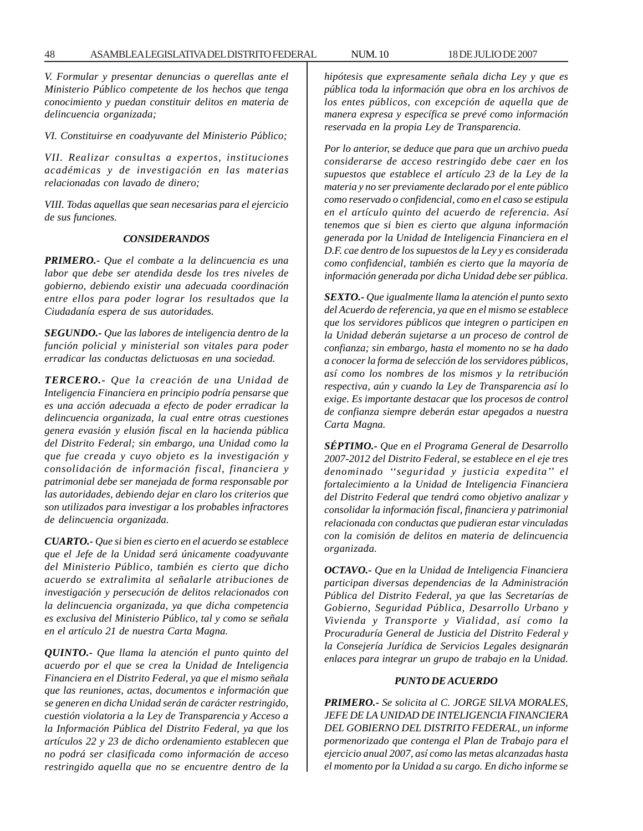*V. Formular y presentar denuncias o querellas ante el Ministerio Público competente de los hechos que tenga conocimiento y puedan constituir delitos en materia de delincuencia organizada;*

*VI. Constituirse en coadyuvante del Ministerio Público;*

*VII. Realizar consultas a expertos, instituciones académicas y de investigación en las materias relacionadas con lavado de dinero;*

*VIII. Todas aquellas que sean necesarias para el ejercicio de sus funciones.*

#### *CONSIDERANDOS*

*PRIMERO.- Que el combate a la delincuencia es una labor que debe ser atendida desde los tres niveles de gobierno, debiendo existir una adecuada coordinación entre ellos para poder lograr los resultados que la Ciudadanía espera de sus autoridades.*

*SEGUNDO.- Que las labores de inteligencia dentro de la función policial y ministerial son vitales para poder erradicar las conductas delictuosas en una sociedad.*

*TERCERO.- Que la creación de una Unidad de Inteligencia Financiera en principio podría pensarse que es una acción adecuada a efecto de poder erradicar la delincuencia organizada, la cual entre otras cuestiones genera evasión y elusión fiscal en la hacienda pública del Distrito Federal; sin embargo, una Unidad como la que fue creada y cuyo objeto es la investigación y consolidación de información fiscal, financiera y patrimonial debe ser manejada de forma responsable por las autoridades, debiendo dejar en claro los criterios que son utilizados para investigar a los probables infractores de delincuencia organizada.*

*CUARTO.- Que si bien es cierto en el acuerdo se establece que el Jefe de la Unidad será únicamente coadyuvante del Ministerio Público, también es cierto que dicho acuerdo se extralimita al señalarle atribuciones de investigación y persecución de delitos relacionados con la delincuencia organizada, ya que dicha competencia es exclusiva del Ministerio Público, tal y como se señala en el artículo 21 de nuestra Carta Magna.*

*QUINTO.- Que llama la atención el punto quinto del acuerdo por el que se crea la Unidad de Inteligencia Financiera en el Distrito Federal, ya que el mismo señala que las reuniones, actas, documentos e información que se generen en dicha Unidad serán de carácter restringido, cuestión violatoria a la Ley de Transparencia y Acceso a la Información Pública del Distrito Federal, ya que los artículos 22 y 23 de dicho ordenamiento establecen que no podrá ser clasificada como información de acceso restringido aquella que no se encuentre dentro de la* *hipótesis que expresamente señala dicha Ley y que es pública toda la información que obra en los archivos de los entes públicos, con excepción de aquella que de manera expresa y específica se prevé como información reservada en la propia Ley de Transparencia.*

*Por lo anterior, se deduce que para que un archivo pueda considerarse de acceso restringido debe caer en los supuestos que establece el artículo 23 de la Ley de la materia y no ser previamente declarado por el ente público como reservado o confidencial, como en el caso se estipula en el artículo quinto del acuerdo de referencia. Así tenemos que si bien es cierto que alguna información generada por la Unidad de Inteligencia Financiera en el D.F. cae dentro de los supuestos de la Ley y es considerada como confidencial, también es cierto que la mayoría de información generada por dicha Unidad debe ser pública.*

*SEXTO.- Que igualmente llama la atención el punto sexto del Acuerdo de referencia, ya que en el mismo se establece que los servidores públicos que integren o participen en la Unidad deberán sujetarse a un proceso de control de confianza; sin embargo, hasta el momento no se ha dado a conocer la forma de selección de los servidores públicos, así como los nombres de los mismos y la retribución respectiva, aún y cuando la Ley de Transparencia así lo exige. Es importante destacar que los procesos de control de confianza siempre deberán estar apegados a nuestra Carta Magna.*

*SÉPTIMO.- Que en el Programa General de Desarrollo 2007-2012 del Distrito Federal, se establece en el eje tres denominado ''seguridad y justicia expedita'' el fortalecimiento a la Unidad de Inteligencia Financiera del Distrito Federal que tendrá como objetivo analizar y consolidar la información fiscal, financiera y patrimonial relacionada con conductas que pudieran estar vinculadas con la comisión de delitos en materia de delincuencia organizada.*

*OCTAVO.- Que en la Unidad de Inteligencia Financiera participan diversas dependencias de la Administración Pública del Distrito Federal, ya que las Secretarías de Gobierno, Seguridad Pública, Desarrollo Urbano y Vivienda y Transporte y Vialidad, así como la Procuraduría General de Justicia del Distrito Federal y la Consejería Jurídica de Servicios Legales designarán enlaces para integrar un grupo de trabajo en la Unidad.*

### *PUNTO DE ACUERDO*

*PRIMERO.- Se solicita al C. JORGE SILVA MORALES, JEFE DE LA UNIDAD DE INTELIGENCIA FINANCIERA DEL GOBIERNO DEL DISTRITO FEDERAL, un informe pormenorizado que contenga el Plan de Trabajo para el ejercicio anual 2007, así como las metas alcanzadas hasta el momento por la Unidad a su cargo. En dicho informe se*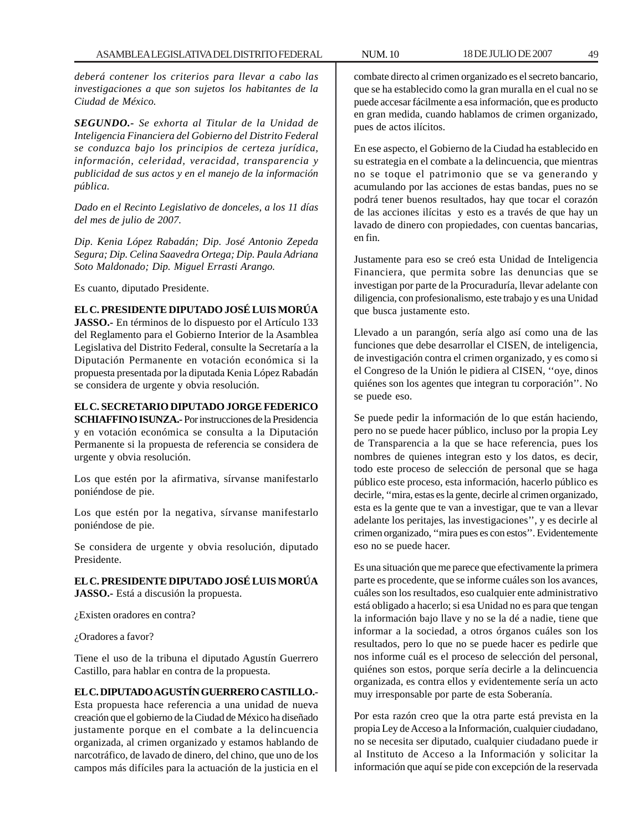*deberá contener los criterios para llevar a cabo las investigaciones a que son sujetos los habitantes de la Ciudad de México.*

*SEGUNDO.- Se exhorta al Titular de la Unidad de Inteligencia Financiera del Gobierno del Distrito Federal se conduzca bajo los principios de certeza jurídica, información, celeridad, veracidad, transparencia y publicidad de sus actos y en el manejo de la información pública.*

*Dado en el Recinto Legislativo de donceles, a los 11 días del mes de julio de 2007.*

*Dip. Kenia López Rabadán; Dip. José Antonio Zepeda Segura; Dip. Celina Saavedra Ortega; Dip. Paula Adriana Soto Maldonado; Dip. Miguel Errasti Arango.*

Es cuanto, diputado Presidente.

**EL C. PRESIDENTE DIPUTADO JOSÉ LUIS MORÚA**

**JASSO.-** En términos de lo dispuesto por el Artículo 133 del Reglamento para el Gobierno Interior de la Asamblea Legislativa del Distrito Federal, consulte la Secretaría a la Diputación Permanente en votación económica si la propuesta presentada por la diputada Kenia López Rabadán se considera de urgente y obvia resolución.

## **EL C. SECRETARIO DIPUTADO JORGE FEDERICO**

**SCHIAFFINO ISUNZA.-** Por instrucciones de la Presidencia y en votación económica se consulta a la Diputación Permanente si la propuesta de referencia se considera de urgente y obvia resolución.

Los que estén por la afirmativa, sírvanse manifestarlo poniéndose de pie.

Los que estén por la negativa, sírvanse manifestarlo poniéndose de pie.

Se considera de urgente y obvia resolución, diputado Presidente.

**EL C. PRESIDENTE DIPUTADO JOSÉ LUIS MORÚA JASSO.-** Está a discusión la propuesta.

¿Existen oradores en contra?

¿Oradores a favor?

Tiene el uso de la tribuna el diputado Agustín Guerrero Castillo, para hablar en contra de la propuesta.

# **EL C. DIPUTADO AGUSTÍN GUERRERO CASTILLO.-**

Esta propuesta hace referencia a una unidad de nueva creación que el gobierno de la Ciudad de México ha diseñado justamente porque en el combate a la delincuencia organizada, al crimen organizado y estamos hablando de narcotráfico, de lavado de dinero, del chino, que uno de los campos más difíciles para la actuación de la justicia en el

combate directo al crimen organizado es el secreto bancario, que se ha establecido como la gran muralla en el cual no se puede accesar fácilmente a esa información, que es producto en gran medida, cuando hablamos de crimen organizado, pues de actos ilícitos.

En ese aspecto, el Gobierno de la Ciudad ha establecido en su estrategia en el combate a la delincuencia, que mientras no se toque el patrimonio que se va generando y acumulando por las acciones de estas bandas, pues no se podrá tener buenos resultados, hay que tocar el corazón de las acciones ilícitas y esto es a través de que hay un lavado de dinero con propiedades, con cuentas bancarias, en fin.

Justamente para eso se creó esta Unidad de Inteligencia Financiera, que permita sobre las denuncias que se investigan por parte de la Procuraduría, llevar adelante con diligencia, con profesionalismo, este trabajo y es una Unidad que busca justamente esto.

Llevado a un parangón, sería algo así como una de las funciones que debe desarrollar el CISEN, de inteligencia, de investigación contra el crimen organizado, y es como si el Congreso de la Unión le pidiera al CISEN, ''oye, dinos quiénes son los agentes que integran tu corporación''. No se puede eso.

Se puede pedir la información de lo que están haciendo, pero no se puede hacer público, incluso por la propia Ley de Transparencia a la que se hace referencia, pues los nombres de quienes integran esto y los datos, es decir, todo este proceso de selección de personal que se haga público este proceso, esta información, hacerlo público es decirle, ''mira, estas es la gente, decirle al crimen organizado, esta es la gente que te van a investigar, que te van a llevar adelante los peritajes, las investigaciones'', y es decirle al crimen organizado, ''mira pues es con estos''. Evidentemente eso no se puede hacer.

Es una situación que me parece que efectivamente la primera parte es procedente, que se informe cuáles son los avances, cuáles son los resultados, eso cualquier ente administrativo está obligado a hacerlo; si esa Unidad no es para que tengan la información bajo llave y no se la dé a nadie, tiene que informar a la sociedad, a otros órganos cuáles son los resultados, pero lo que no se puede hacer es pedirle que nos informe cuál es el proceso de selección del personal, quiénes son estos, porque sería decirle a la delincuencia organizada, es contra ellos y evidentemente sería un acto muy irresponsable por parte de esta Soberanía.

Por esta razón creo que la otra parte está prevista en la propia Ley de Acceso a la Información, cualquier ciudadano, no se necesita ser diputado, cualquier ciudadano puede ir al Instituto de Acceso a la Información y solicitar la información que aquí se pide con excepción de la reservada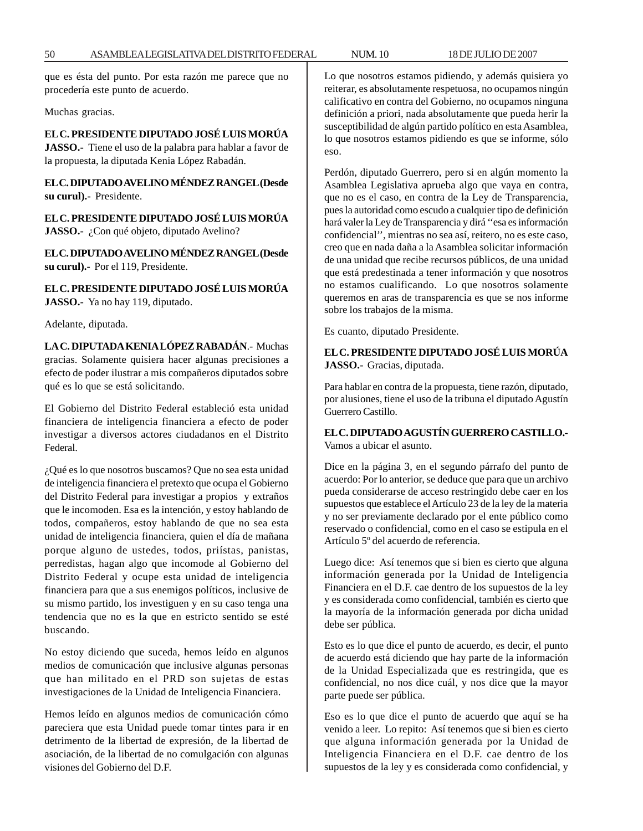que es ésta del punto. Por esta razón me parece que no procedería este punto de acuerdo.

Muchas gracias.

# **EL C. PRESIDENTE DIPUTADO JOSÉ LUIS MORÚA**

**JASSO.-** Tiene el uso de la palabra para hablar a favor de la propuesta, la diputada Kenia López Rabadán.

**EL C. DIPUTADO AVELINO MÉNDEZ RANGEL (Desde su curul).-** Presidente.

**EL C. PRESIDENTE DIPUTADO JOSÉ LUIS MORÚA JASSO.-** ¿Con qué objeto, diputado Avelino?

**EL C. DIPUTADO AVELINO MÉNDEZ RANGEL (Desde su curul).-** Por el 119, Presidente.

**EL C. PRESIDENTE DIPUTADO JOSÉ LUIS MORÚA JASSO.-** Ya no hay 119, diputado.

Adelante, diputada.

**LA C. DIPUTADA KENIA LÓPEZ RABADÁN**.- Muchas gracias. Solamente quisiera hacer algunas precisiones a efecto de poder ilustrar a mis compañeros diputados sobre qué es lo que se está solicitando.

El Gobierno del Distrito Federal estableció esta unidad financiera de inteligencia financiera a efecto de poder investigar a diversos actores ciudadanos en el Distrito Federal.

¿Qué es lo que nosotros buscamos? Que no sea esta unidad de inteligencia financiera el pretexto que ocupa el Gobierno del Distrito Federal para investigar a propios y extraños que le incomoden. Esa es la intención, y estoy hablando de todos, compañeros, estoy hablando de que no sea esta unidad de inteligencia financiera, quien el día de mañana porque alguno de ustedes, todos, priístas, panistas, perredistas, hagan algo que incomode al Gobierno del Distrito Federal y ocupe esta unidad de inteligencia financiera para que a sus enemigos políticos, inclusive de su mismo partido, los investiguen y en su caso tenga una tendencia que no es la que en estricto sentido se esté buscando.

No estoy diciendo que suceda, hemos leído en algunos medios de comunicación que inclusive algunas personas que han militado en el PRD son sujetas de estas investigaciones de la Unidad de Inteligencia Financiera.

Hemos leído en algunos medios de comunicación cómo pareciera que esta Unidad puede tomar tintes para ir en detrimento de la libertad de expresión, de la libertad de asociación, de la libertad de no comulgación con algunas visiones del Gobierno del D.F.

Lo que nosotros estamos pidiendo, y además quisiera yo reiterar, es absolutamente respetuosa, no ocupamos ningún calificativo en contra del Gobierno, no ocupamos ninguna definición a priori, nada absolutamente que pueda herir la susceptibilidad de algún partido político en esta Asamblea, lo que nosotros estamos pidiendo es que se informe, sólo eso.

Perdón, diputado Guerrero, pero si en algún momento la Asamblea Legislativa aprueba algo que vaya en contra, que no es el caso, en contra de la Ley de Transparencia, pues la autoridad como escudo a cualquier tipo de definición hará valer la Ley de Transparencia y dirá ''esa es información confidencial'', mientras no sea así, reitero, no es este caso, creo que en nada daña a la Asamblea solicitar información de una unidad que recibe recursos públicos, de una unidad que está predestinada a tener información y que nosotros no estamos cualificando. Lo que nosotros solamente queremos en aras de transparencia es que se nos informe sobre los trabajos de la misma.

Es cuanto, diputado Presidente.

**EL C. PRESIDENTE DIPUTADO JOSÉ LUIS MORÚA JASSO.-** Gracias, diputada.

Para hablar en contra de la propuesta, tiene razón, diputado, por alusiones, tiene el uso de la tribuna el diputado Agustín Guerrero Castillo.

## **EL C. DIPUTADO AGUSTÍN GUERRERO CASTILLO.-** Vamos a ubicar el asunto.

Dice en la página 3, en el segundo párrafo del punto de acuerdo: Por lo anterior, se deduce que para que un archivo pueda considerarse de acceso restringido debe caer en los supuestos que establece el Artículo 23 de la ley de la materia y no ser previamente declarado por el ente público como reservado o confidencial, como en el caso se estipula en el Artículo 5º del acuerdo de referencia.

Luego dice: Así tenemos que si bien es cierto que alguna información generada por la Unidad de Inteligencia Financiera en el D.F. cae dentro de los supuestos de la ley y es considerada como confidencial, también es cierto que la mayoría de la información generada por dicha unidad debe ser pública.

Esto es lo que dice el punto de acuerdo, es decir, el punto de acuerdo está diciendo que hay parte de la información de la Unidad Especializada que es restringida, que es confidencial, no nos dice cuál, y nos dice que la mayor parte puede ser pública.

Eso es lo que dice el punto de acuerdo que aquí se ha venido a leer. Lo repito: Así tenemos que si bien es cierto que alguna información generada por la Unidad de Inteligencia Financiera en el D.F. cae dentro de los supuestos de la ley y es considerada como confidencial, y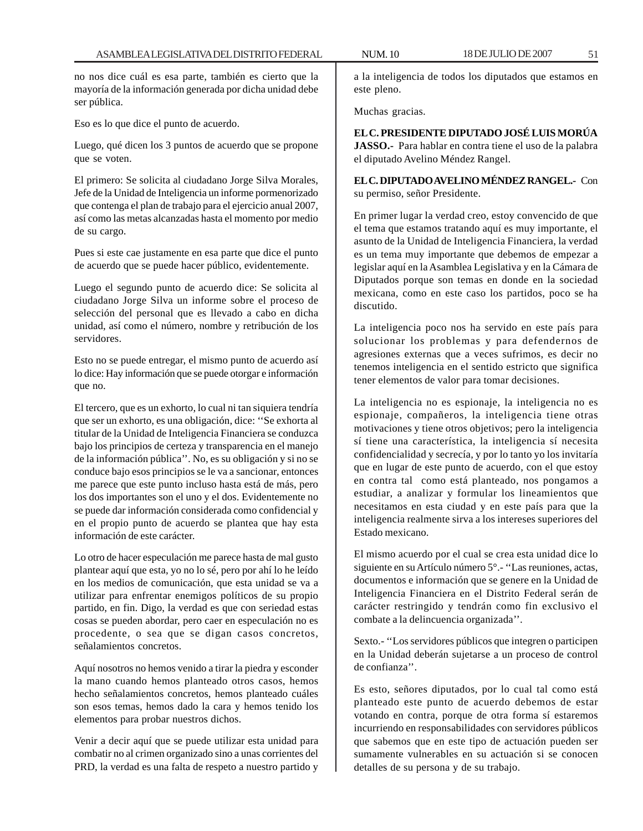no nos dice cuál es esa parte, también es cierto que la mayoría de la información generada por dicha unidad debe ser pública.

Eso es lo que dice el punto de acuerdo.

Luego, qué dicen los 3 puntos de acuerdo que se propone que se voten.

El primero: Se solicita al ciudadano Jorge Silva Morales, Jefe de la Unidad de Inteligencia un informe pormenorizado que contenga el plan de trabajo para el ejercicio anual 2007, así como las metas alcanzadas hasta el momento por medio de su cargo.

Pues si este cae justamente en esa parte que dice el punto de acuerdo que se puede hacer público, evidentemente.

Luego el segundo punto de acuerdo dice: Se solicita al ciudadano Jorge Silva un informe sobre el proceso de selección del personal que es llevado a cabo en dicha unidad, así como el número, nombre y retribución de los servidores.

Esto no se puede entregar, el mismo punto de acuerdo así lo dice: Hay información que se puede otorgar e información que no.

El tercero, que es un exhorto, lo cual ni tan siquiera tendría que ser un exhorto, es una obligación, dice: ''Se exhorta al titular de la Unidad de Inteligencia Financiera se conduzca bajo los principios de certeza y transparencia en el manejo de la información pública''. No, es su obligación y si no se conduce bajo esos principios se le va a sancionar, entonces me parece que este punto incluso hasta está de más, pero los dos importantes son el uno y el dos. Evidentemente no se puede dar información considerada como confidencial y en el propio punto de acuerdo se plantea que hay esta información de este carácter.

Lo otro de hacer especulación me parece hasta de mal gusto plantear aquí que esta, yo no lo sé, pero por ahí lo he leído en los medios de comunicación, que esta unidad se va a utilizar para enfrentar enemigos políticos de su propio partido, en fin. Digo, la verdad es que con seriedad estas cosas se pueden abordar, pero caer en especulación no es procedente, o sea que se digan casos concretos, señalamientos concretos.

Aquí nosotros no hemos venido a tirar la piedra y esconder la mano cuando hemos planteado otros casos, hemos hecho señalamientos concretos, hemos planteado cuáles son esos temas, hemos dado la cara y hemos tenido los elementos para probar nuestros dichos.

Venir a decir aquí que se puede utilizar esta unidad para combatir no al crimen organizado sino a unas corrientes del PRD, la verdad es una falta de respeto a nuestro partido y

a la inteligencia de todos los diputados que estamos en este pleno.

Muchas gracias.

**EL C. PRESIDENTE DIPUTADO JOSÉ LUIS MORÚA JASSO.-** Para hablar en contra tiene el uso de la palabra el diputado Avelino Méndez Rangel.

**EL C. DIPUTADO AVELINO MÉNDEZ RANGEL.-** Con su permiso, señor Presidente.

En primer lugar la verdad creo, estoy convencido de que el tema que estamos tratando aquí es muy importante, el asunto de la Unidad de Inteligencia Financiera, la verdad es un tema muy importante que debemos de empezar a legislar aquí en la Asamblea Legislativa y en la Cámara de Diputados porque son temas en donde en la sociedad mexicana, como en este caso los partidos, poco se ha discutido.

La inteligencia poco nos ha servido en este país para solucionar los problemas y para defendernos de agresiones externas que a veces sufrimos, es decir no tenemos inteligencia en el sentido estricto que significa tener elementos de valor para tomar decisiones.

La inteligencia no es espionaje, la inteligencia no es espionaje, compañeros, la inteligencia tiene otras motivaciones y tiene otros objetivos; pero la inteligencia sí tiene una característica, la inteligencia sí necesita confidencialidad y secrecía, y por lo tanto yo los invitaría que en lugar de este punto de acuerdo, con el que estoy en contra tal como está planteado, nos pongamos a estudiar, a analizar y formular los lineamientos que necesitamos en esta ciudad y en este país para que la inteligencia realmente sirva a los intereses superiores del Estado mexicano.

El mismo acuerdo por el cual se crea esta unidad dice lo siguiente en su Artículo número 5°.- ''Las reuniones, actas, documentos e información que se genere en la Unidad de Inteligencia Financiera en el Distrito Federal serán de carácter restringido y tendrán como fin exclusivo el combate a la delincuencia organizada''.

Sexto.- ''Los servidores públicos que integren o participen en la Unidad deberán sujetarse a un proceso de control de confianza''.

Es esto, señores diputados, por lo cual tal como está planteado este punto de acuerdo debemos de estar votando en contra, porque de otra forma sí estaremos incurriendo en responsabilidades con servidores públicos que sabemos que en este tipo de actuación pueden ser sumamente vulnerables en su actuación si se conocen detalles de su persona y de su trabajo.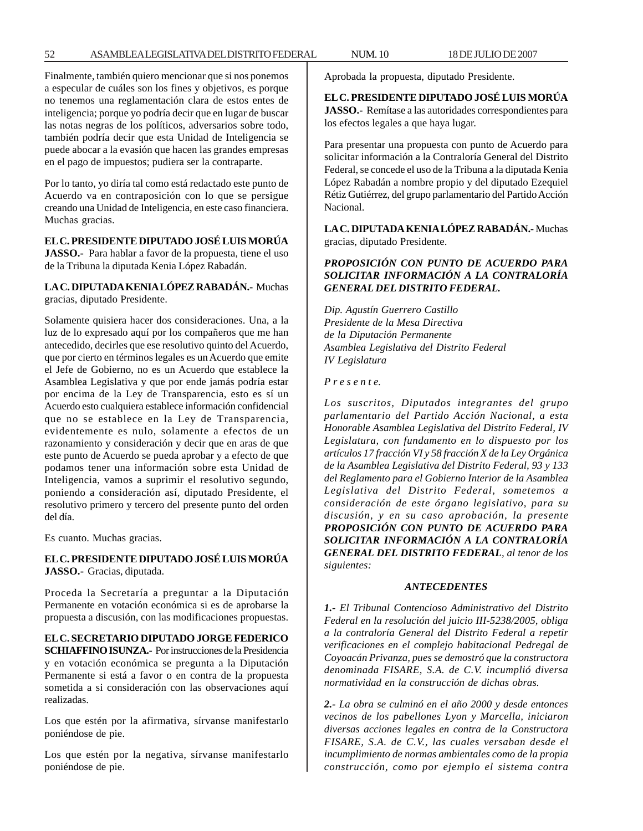Finalmente, también quiero mencionar que si nos ponemos a especular de cuáles son los fines y objetivos, es porque no tenemos una reglamentación clara de estos entes de inteligencia; porque yo podría decir que en lugar de buscar las notas negras de los políticos, adversarios sobre todo, también podría decir que esta Unidad de Inteligencia se puede abocar a la evasión que hacen las grandes empresas en el pago de impuestos; pudiera ser la contraparte.

Por lo tanto, yo diría tal como está redactado este punto de Acuerdo va en contraposición con lo que se persigue creando una Unidad de Inteligencia, en este caso financiera. Muchas gracias.

#### **EL C. PRESIDENTE DIPUTADO JOSÉ LUIS MORÚA**

**JASSO.-** Para hablar a favor de la propuesta, tiene el uso de la Tribuna la diputada Kenia López Rabadán.

**LA C. DIPUTADA KENIA LÓPEZ RABADÁN.-** Muchas gracias, diputado Presidente.

Solamente quisiera hacer dos consideraciones. Una, a la luz de lo expresado aquí por los compañeros que me han antecedido, decirles que ese resolutivo quinto del Acuerdo, que por cierto en términos legales es un Acuerdo que emite el Jefe de Gobierno, no es un Acuerdo que establece la Asamblea Legislativa y que por ende jamás podría estar por encima de la Ley de Transparencia, esto es sí un Acuerdo esto cualquiera establece información confidencial que no se establece en la Ley de Transparencia, evidentemente es nulo, solamente a efectos de un razonamiento y consideración y decir que en aras de que este punto de Acuerdo se pueda aprobar y a efecto de que podamos tener una información sobre esta Unidad de Inteligencia, vamos a suprimir el resolutivo segundo, poniendo a consideración así, diputado Presidente, el resolutivo primero y tercero del presente punto del orden del día.

Es cuanto. Muchas gracias.

# **EL C. PRESIDENTE DIPUTADO JOSÉ LUIS MORÚA JASSO.-** Gracias, diputada.

Proceda la Secretaría a preguntar a la Diputación Permanente en votación económica si es de aprobarse la propuesta a discusión, con las modificaciones propuestas.

**EL C. SECRETARIO DIPUTADO JORGE FEDERICO SCHIAFFINO ISUNZA.-** Por instrucciones de la Presidencia y en votación económica se pregunta a la Diputación Permanente si está a favor o en contra de la propuesta sometida a si consideración con las observaciones aquí realizadas.

Los que estén por la afirmativa, sírvanse manifestarlo poniéndose de pie.

Los que estén por la negativa, sírvanse manifestarlo poniéndose de pie.

Aprobada la propuesta, diputado Presidente.

# **EL C. PRESIDENTE DIPUTADO JOSÉ LUIS MORÚA JASSO.-** Remítase a las autoridades correspondientes para los efectos legales a que haya lugar.

Para presentar una propuesta con punto de Acuerdo para solicitar información a la Contraloría General del Distrito Federal, se concede el uso de la Tribuna a la diputada Kenia López Rabadán a nombre propio y del diputado Ezequiel Rétiz Gutiérrez, del grupo parlamentario del Partido Acción Nacional.

**LA C. DIPUTADA KENIA LÓPEZ RABADÁN.-** Muchas gracias, diputado Presidente.

# *PROPOSICIÓN CON PUNTO DE ACUERDO PARA SOLICITAR INFORMACIÓN A LA CONTRALORÍA GENERAL DEL DISTRITO FEDERAL.*

*Dip. Agustín Guerrero Castillo Presidente de la Mesa Directiva de la Diputación Permanente Asamblea Legislativa del Distrito Federal IV Legislatura*

#### *P r e s e n t e.*

*Los suscritos, Diputados integrantes del grupo parlamentario del Partido Acción Nacional, a esta Honorable Asamblea Legislativa del Distrito Federal, IV Legislatura, con fundamento en lo dispuesto por los artículos 17 fracción VI y 58 fracción X de la Ley Orgánica de la Asamblea Legislativa del Distrito Federal, 93 y 133 del Reglamento para el Gobierno Interior de la Asamblea Legislativa del Distrito Federal, sometemos a consideración de este órgano legislativo, para su discusión, y en su caso aprobación, la presente PROPOSICIÓN CON PUNTO DE ACUERDO PARA SOLICITAR INFORMACIÓN A LA CONTRALORÍA GENERAL DEL DISTRITO FEDERAL, al tenor de los siguientes:*

#### *ANTECEDENTES*

*1.- El Tribunal Contencioso Administrativo del Distrito Federal en la resolución del juicio III-5238/2005, obliga a la contraloría General del Distrito Federal a repetir verificaciones en el complejo habitacional Pedregal de Coyoacán Privanza, pues se demostró que la constructora denominada FISARE, S.A. de C.V. incumplió diversa normatividad en la construcción de dichas obras.*

*2.- La obra se culminó en el año 2000 y desde entonces vecinos de los pabellones Lyon y Marcella, iniciaron diversas acciones legales en contra de la Constructora FISARE, S.A. de C.V., las cuales versaban desde el incumplimiento de normas ambientales como de la propia construcción, como por ejemplo el sistema contra*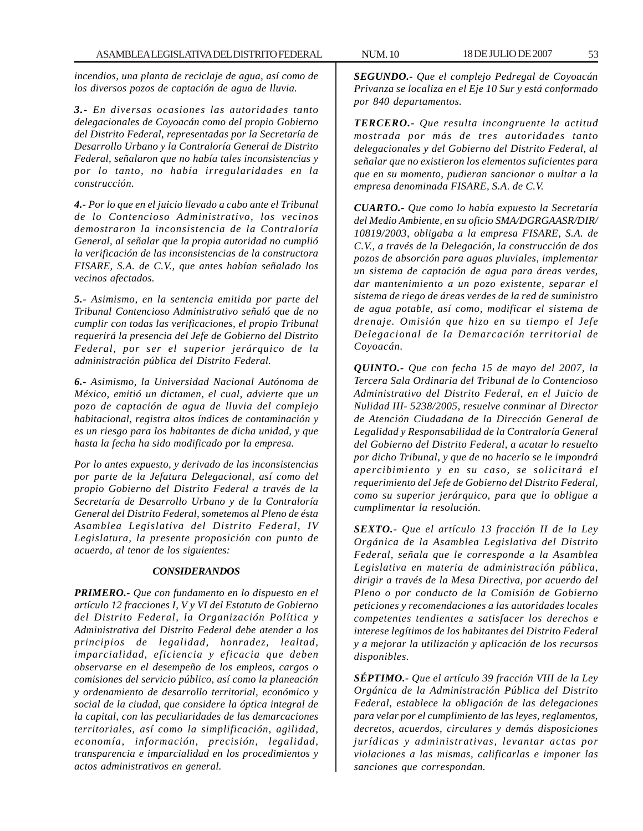*incendios, una planta de reciclaje de agua, así como de los diversos pozos de captación de agua de lluvia.*

*3.- En diversas ocasiones las autoridades tanto delegacionales de Coyoacán como del propio Gobierno del Distrito Federal, representadas por la Secretaría de Desarrollo Urbano y la Contraloría General de Distrito Federal, señalaron que no había tales inconsistencias y por lo tanto, no había irregularidades en la construcción.*

*4.- Por lo que en el juicio llevado a cabo ante el Tribunal de lo Contencioso Administrativo, los vecinos demostraron la inconsistencia de la Contraloría General, al señalar que la propia autoridad no cumplió la verificación de las inconsistencias de la constructora FISARE, S.A. de C.V., que antes habían señalado los vecinos afectados.*

*5.- Asimismo, en la sentencia emitida por parte del Tribunal Contencioso Administrativo señaló que de no cumplir con todas las verificaciones, el propio Tribunal requerirá la presencia del Jefe de Gobierno del Distrito Federal, por ser el superior jerárquico de la administración pública del Distrito Federal.*

*6.- Asimismo, la Universidad Nacional Autónoma de México, emitió un dictamen, el cual, advierte que un pozo de captación de agua de lluvia del complejo habitacional, registra altos índices de contaminación y es un riesgo para los habitantes de dicha unidad, y que hasta la fecha ha sido modificado por la empresa.*

*Por lo antes expuesto, y derivado de las inconsistencias por parte de la Jefatura Delegacional, así como del propio Gobierno del Distrito Federal a través de la Secretaría de Desarrollo Urbano y de la Contraloría General del Distrito Federal, sometemos al Pleno de ésta Asamblea Legislativa del Distrito Federal, IV Legislatura, la presente proposición con punto de acuerdo, al tenor de los siguientes:*

### *CONSIDERANDOS*

*PRIMERO.- Que con fundamento en lo dispuesto en el artículo 12 fracciones I, V y VI del Estatuto de Gobierno del Distrito Federal, la Organización Política y Administrativa del Distrito Federal debe atender a los principios de legalidad, honradez, lealtad, imparcialidad, eficiencia y eficacia que deben observarse en el desempeño de los empleos, cargos o comisiones del servicio público, así como la planeación y ordenamiento de desarrollo territorial, económico y social de la ciudad, que considere la óptica integral de la capital, con las peculiaridades de las demarcaciones territoriales, así como la simplificación, agilidad, economía, información, precisión, legalidad, transparencia e imparcialidad en los procedimientos y actos administrativos en general.*

*SEGUNDO.- Que el complejo Pedregal de Coyoacán Privanza se localiza en el Eje 10 Sur y está conformado por 840 departamentos.*

*TERCERO.- Que resulta incongruente la actitud mostrada por más de tres autoridades tanto delegacionales y del Gobierno del Distrito Federal, al señalar que no existieron los elementos suficientes para que en su momento, pudieran sancionar o multar a la empresa denominada FISARE, S.A. de C.V.*

*CUARTO.- Que como lo había expuesto la Secretaría del Medio Ambiente, en su oficio SMA/DGRGAASR/DIR/ 10819/2003, obligaba a la empresa FISARE, S.A. de C.V., a través de la Delegación, la construcción de dos pozos de absorción para aguas pluviales, implementar un sistema de captación de agua para áreas verdes, dar mantenimiento a un pozo existente, separar el sistema de riego de áreas verdes de la red de suministro de agua potable, así como, modificar el sistema de drenaje. Omisión que hizo en su tiempo el Jefe Delegacional de la Demarcación territorial de Coyoacán.*

*QUINTO.- Que con fecha 15 de mayo del 2007, la Tercera Sala Ordinaria del Tribunal de lo Contencioso Administrativo del Distrito Federal, en el Juicio de Nulidad III- 5238/2005, resuelve conminar al Director de Atención Ciudadana de la Dirección General de Legalidad y Responsabilidad de la Contraloría General del Gobierno del Distrito Federal, a acatar lo resuelto por dicho Tribunal, y que de no hacerlo se le impondrá apercibimiento y en su caso, se solicitará el requerimiento del Jefe de Gobierno del Distrito Federal, como su superior jerárquico, para que lo obligue a cumplimentar la resolución.*

*SEXTO.- Que el artículo 13 fracción II de la Ley Orgánica de la Asamblea Legislativa del Distrito Federal, señala que le corresponde a la Asamblea Legislativa en materia de administración pública, dirigir a través de la Mesa Directiva, por acuerdo del Pleno o por conducto de la Comisión de Gobierno peticiones y recomendaciones a las autoridades locales competentes tendientes a satisfacer los derechos e interese legítimos de los habitantes del Distrito Federal y a mejorar la utilización y aplicación de los recursos disponibles.*

*SÉPTIMO.- Que el artículo 39 fracción VIII de la Ley Orgánica de la Administración Pública del Distrito Federal, establece la obligación de las delegaciones para velar por el cumplimiento de las leyes, reglamentos, decretos, acuerdos, circulares y demás disposiciones jurídicas y administrativas, levantar actas por violaciones a las mismas, calificarlas e imponer las sanciones que correspondan.*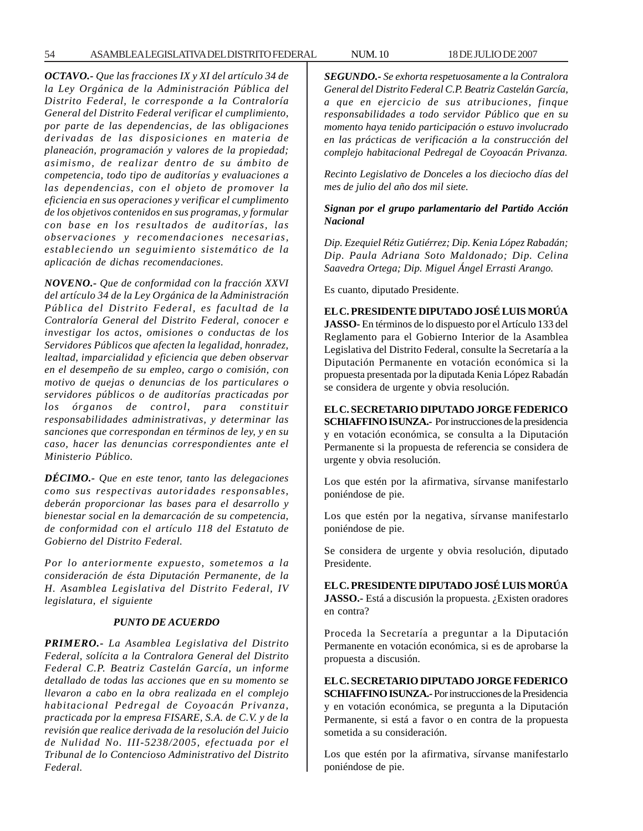54 ASAMBLEA LEGISLATIVA DEL DISTRITO FEDERAL NUM. 10 18 DE JULIO DE 2007

*OCTAVO.- Que las fracciones IX y XI del artículo 34 de la Ley Orgánica de la Administración Pública del Distrito Federal, le corresponde a la Contraloría General del Distrito Federal verificar el cumplimiento, por parte de las dependencias, de las obligaciones derivadas de las disposiciones en materia de planeación, programación y valores de la propiedad; asimismo, de realizar dentro de su ámbito de competencia, todo tipo de auditorías y evaluaciones a las dependencias, con el objeto de promover la eficiencia en sus operaciones y verificar el cumplimento de los objetivos contenidos en sus programas, y formular con base en los resultados de auditorías, las observaciones y recomendaciones necesarias, estableciendo un seguimiento sistemático de la aplicación de dichas recomendaciones.*

*NOVENO.- Que de conformidad con la fracción XXVI del artículo 34 de la Ley Orgánica de la Administración Pública del Distrito Federal, es facultad de la Contraloría General del Distrito Federal, conocer e investigar los actos, omisiones o conductas de los Servidores Públicos que afecten la legalidad, honradez, lealtad, imparcialidad y eficiencia que deben observar en el desempeño de su empleo, cargo o comisión, con motivo de quejas o denuncias de los particulares o servidores públicos o de auditorías practicadas por los órganos de control, para constituir responsabilidades administrativas, y determinar las sanciones que correspondan en términos de ley, y en su caso, hacer las denuncias correspondientes ante el Ministerio Público.*

*DÉCIMO.- Que en este tenor, tanto las delegaciones como sus respectivas autoridades responsables, deberán proporcionar las bases para el desarrollo y bienestar social en la demarcación de su competencia, de conformidad con el artículo 118 del Estatuto de Gobierno del Distrito Federal.*

*Por lo anteriormente expuesto, sometemos a la consideración de ésta Diputación Permanente, de la H. Asamblea Legislativa del Distrito Federal, IV legislatura, el siguiente*

## *PUNTO DE ACUERDO*

*PRIMERO.- La Asamblea Legislativa del Distrito Federal, solícita a la Contralora General del Distrito Federal C.P. Beatriz Castelán García, un informe detallado de todas las acciones que en su momento se llevaron a cabo en la obra realizada en el complejo habitacional Pedregal de Coyoacán Privanza, practicada por la empresa FISARE, S.A. de C.V. y de la revisión que realice derivada de la resolución del Juicio de Nulidad No. III-5238/2005, efectuada por el Tribunal de lo Contencioso Administrativo del Distrito Federal.*

*SEGUNDO.- Se exhorta respetuosamente a la Contralora General del Distrito Federal C.P. Beatriz Castelán García, a que en ejercicio de sus atribuciones, finque responsabilidades a todo servidor Público que en su momento haya tenido participación o estuvo involucrado en las prácticas de verificación a la construcción del complejo habitacional Pedregal de Coyoacán Privanza.*

*Recinto Legislativo de Donceles a los dieciocho días del mes de julio del año dos mil siete.*

## *Signan por el grupo parlamentario del Partido Acción Nacional*

*Dip. Ezequiel Rétiz Gutiérrez; Dip. Kenia López Rabadán; Dip. Paula Adriana Soto Maldonado; Dip. Celina Saavedra Ortega; Dip. Miguel Ángel Errasti Arango.*

Es cuanto, diputado Presidente.

**EL C. PRESIDENTE DIPUTADO JOSÉ LUIS MORÚA JASSO-** En términos de lo dispuesto por el Artículo 133 del Reglamento para el Gobierno Interior de la Asamblea Legislativa del Distrito Federal, consulte la Secretaría a la Diputación Permanente en votación económica si la propuesta presentada por la diputada Kenia López Rabadán se considera de urgente y obvia resolución.

**EL C. SECRETARIO DIPUTADO JORGE FEDERICO SCHIAFFINO ISUNZA.-** Por instrucciones de la presidencia y en votación económica, se consulta a la Diputación Permanente si la propuesta de referencia se considera de urgente y obvia resolución.

Los que estén por la afirmativa, sírvanse manifestarlo poniéndose de pie.

Los que estén por la negativa, sírvanse manifestarlo poniéndose de pie.

Se considera de urgente y obvia resolución, diputado Presidente.

## **EL C. PRESIDENTE DIPUTADO JOSÉ LUIS MORÚA**

**JASSO.-** Está a discusión la propuesta. ¿Existen oradores en contra?

Proceda la Secretaría a preguntar a la Diputación Permanente en votación económica, si es de aprobarse la propuesta a discusión.

**EL C. SECRETARIO DIPUTADO JORGE FEDERICO SCHIAFFINO ISUNZA.-** Por instrucciones de la Presidencia y en votación económica, se pregunta a la Diputación Permanente, si está a favor o en contra de la propuesta sometida a su consideración.

Los que estén por la afirmativa, sírvanse manifestarlo poniéndose de pie.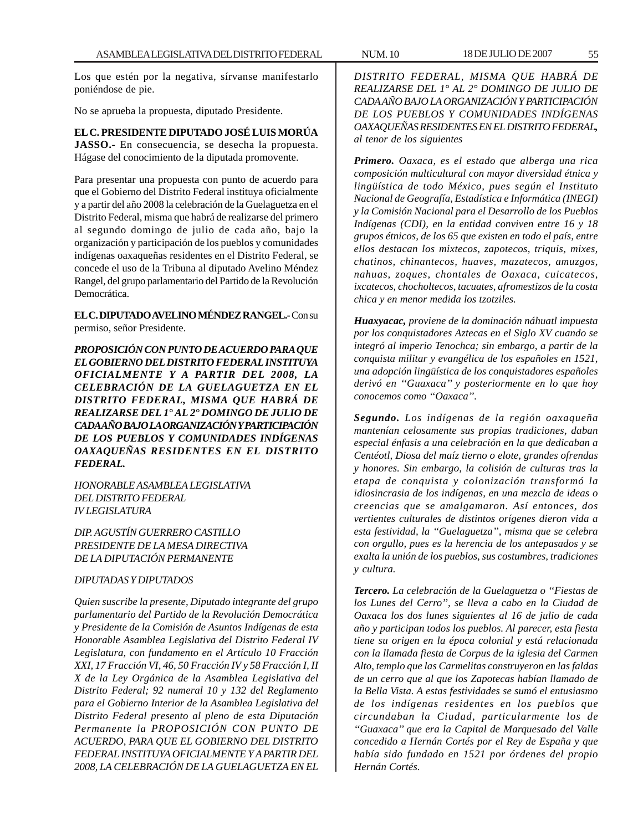Los que estén por la negativa, sírvanse manifestarlo poniéndose de pie.

No se aprueba la propuesta, diputado Presidente.

## **EL C. PRESIDENTE DIPUTADO JOSÉ LUIS MORÚA**

**JASSO.-** En consecuencia, se desecha la propuesta. Hágase del conocimiento de la diputada promovente.

Para presentar una propuesta con punto de acuerdo para que el Gobierno del Distrito Federal instituya oficialmente y a partir del año 2008 la celebración de la Guelaguetza en el Distrito Federal, misma que habrá de realizarse del primero al segundo domingo de julio de cada año, bajo la organización y participación de los pueblos y comunidades indígenas oaxaqueñas residentes en el Distrito Federal, se concede el uso de la Tribuna al diputado Avelino Méndez Rangel, del grupo parlamentario del Partido de la Revolución Democrática.

**EL C. DIPUTADO AVELINO MÉNDEZ RANGEL.-** Con su permiso, señor Presidente.

*PROPOSICIÓN CON PUNTO DE ACUERDO PARA QUE EL GOBIERNO DEL DISTRITO FEDERAL INSTITUYA OFICIALMENTE Y A PARTIR DEL 2008, LA CELEBRACIÓN DE LA GUELAGUETZA EN EL DISTRITO FEDERAL, MISMA QUE HABRÁ DE REALIZARSE DEL 1° AL 2° DOMINGO DE JULIO DE CADA AÑO BAJO LA ORGANIZACIÓN Y PARTICIPACIÓN DE LOS PUEBLOS Y COMUNIDADES INDÍGENAS OAXAQUEÑAS RESIDENTES EN EL DISTRITO FEDERAL.*

*HONORABLE ASAMBLEA LEGISLATIVA DEL DISTRITO FEDERAL IV LEGISLATURA*

*DIP. AGUSTÍN GUERRERO CASTILLO PRESIDENTE DE LA MESA DIRECTIVA DE LA DIPUTACIÓN PERMANENTE*

### *DIPUTADAS Y DIPUTADOS*

*Quien suscribe la presente, Diputado integrante del grupo parlamentario del Partido de la Revolución Democrática y Presidente de la Comisión de Asuntos Indígenas de esta Honorable Asamblea Legislativa del Distrito Federal IV Legislatura, con fundamento en el Artículo 10 Fracción XXI, 17 Fracción VI, 46, 50 Fracción IV y 58 Fracción I, II X de la Ley Orgánica de la Asamblea Legislativa del Distrito Federal; 92 numeral 10 y 132 del Reglamento para el Gobierno Interior de la Asamblea Legislativa del Distrito Federal presento al pleno de esta Diputación Permanente la PROPOSICIÓN CON PUNTO DE ACUERDO, PARA QUE EL GOBIERNO DEL DISTRITO FEDERAL INSTITUYA OFICIALMENTE Y A PARTIR DEL 2008, LA CELEBRACIÓN DE LA GUELAGUETZA EN EL*

*DISTRITO FEDERAL, MISMA QUE HABRÁ DE REALIZARSE DEL 1° AL 2° DOMINGO DE JULIO DE CADA AÑO BAJO LA ORGANIZACIÓN Y PARTICIPACIÓN DE LOS PUEBLOS Y COMUNIDADES INDÍGENAS OAXAQUEÑAS RESIDENTES EN EL DISTRITO FEDERAL, al tenor de los siguientes*

*Primero. Oaxaca, es el estado que alberga una rica composición multicultural con mayor diversidad étnica y lingüística de todo México, pues según el Instituto Nacional de Geografía, Estadística e Informática (INEGI) y la Comisión Nacional para el Desarrollo de los Pueblos Indígenas (CDI), en la entidad conviven entre 16 y 18 grupos étnicos, de los 65 que existen en todo el país, entre ellos destacan los mixtecos, zapotecos, triquis, mixes, chatinos, chinantecos, huaves, mazatecos, amuzgos, nahuas, zoques, chontales de Oaxaca, cuicatecos, ixcatecos, chocholtecos, tacuates, afromestizos de la costa chica y en menor medida los tzotziles.*

*Huaxyacac, proviene de la dominación náhuatl impuesta por los conquistadores Aztecas en el Siglo XV cuando se integró al imperio Tenochca; sin embargo, a partir de la conquista militar y evangélica de los españoles en 1521, una adopción lingüística de los conquistadores españoles derivó en ''Guaxaca'' y posteriormente en lo que hoy conocemos como ''Oaxaca''.*

*Segundo. Los indígenas de la región oaxaqueña mantenían celosamente sus propias tradiciones, daban especial énfasis a una celebración en la que dedicaban a Centéotl, Diosa del maíz tierno o elote, grandes ofrendas y honores. Sin embargo, la colisión de culturas tras la etapa de conquista y colonización transformó la idiosincrasia de los indígenas, en una mezcla de ideas o creencias que se amalgamaron. Así entonces, dos vertientes culturales de distintos orígenes dieron vida a esta festividad, la ''Guelaguetza'', misma que se celebra con orgullo, pues es la herencia de los antepasados y se exalta la unión de los pueblos, sus costumbres, tradiciones y cultura.*

*Tercero. La celebración de la Guelaguetza o ''Fiestas de los Lunes del Cerro'', se lleva a cabo en la Ciudad de Oaxaca los dos lunes siguientes al 16 de julio de cada año y participan todos los pueblos. Al parecer, esta fiesta tiene su origen en la época colonial y está relacionada con la llamada fiesta de Corpus de la iglesia del Carmen Alto, templo que las Carmelitas construyeron en las faldas de un cerro que al que los Zapotecas habían llamado de la Bella Vista. A estas festividades se sumó el entusiasmo de los indígenas residentes en los pueblos que circundaban la Ciudad, particularmente los de ''Guaxaca'' que era la Capital de Marquesado del Valle concedido a Hernán Cortés por el Rey de España y que había sido fundado en 1521 por órdenes del propio Hernán Cortés.*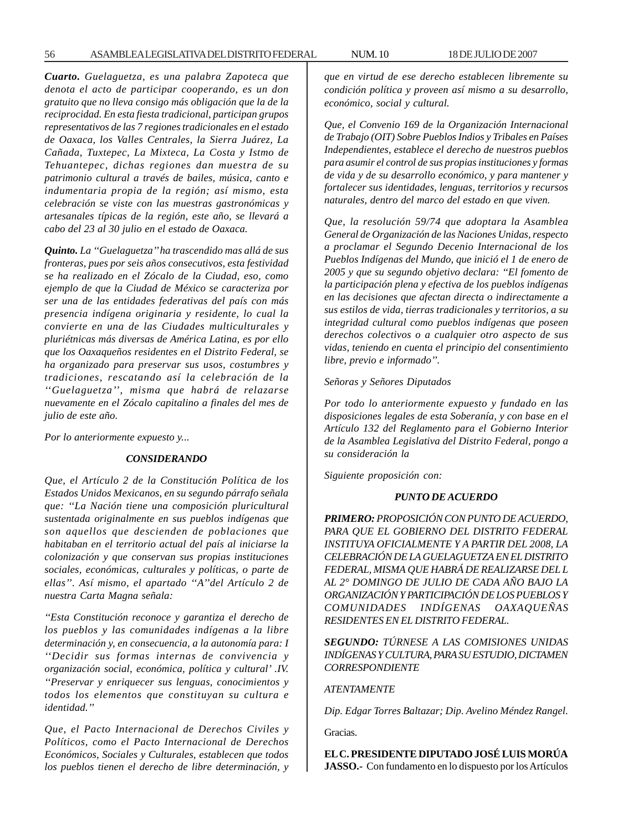*Cuarto. Guelaguetza, es una palabra Zapoteca que denota el acto de participar cooperando, es un don gratuito que no lleva consigo más obligación que la de la reciprocidad. En esta fiesta tradicional, participan grupos representativos de las 7 regiones tradicionales en el estado de Oaxaca, los Valles Centrales, la Sierra Juárez, La Cañada, Tuxtepec, La Mixteca, La Costa y Istmo de Tehuantepec, dichas regiones dan muestra de su patrimonio cultural a través de bailes, música, canto e indumentaria propia de la región; así mismo, esta celebración se viste con las muestras gastronómicas y artesanales típicas de la región, este año, se llevará a cabo del 23 al 30 julio en el estado de Oaxaca.*

*Quinto. La ''Guelaguetza'' ha trascendido mas allá de sus fronteras, pues por seis años consecutivos, esta festividad se ha realizado en el Zócalo de la Ciudad, eso, como ejemplo de que la Ciudad de México se caracteriza por ser una de las entidades federativas del país con más presencia indígena originaria y residente, lo cual la convierte en una de las Ciudades multiculturales y pluriétnicas más diversas de América Latina, es por ello que los Oaxaqueños residentes en el Distrito Federal, se ha organizado para preservar sus usos, costumbres y tradiciones, rescatando así la celebración de la ''Guelaguetza'', misma que habrá de relazarse nuevamente en el Zócalo capitalino a finales del mes de julio de este año.*

*Por lo anteriormente expuesto y...*

#### *CONSIDERANDO*

*Que, el Artículo 2 de la Constitución Política de los Estados Unidos Mexicanos, en su segundo párrafo señala que: ''La Nación tiene una composición pluricultural sustentada originalmente en sus pueblos indígenas que son aquellos que descienden de poblaciones que habitaban en el territorio actual del país al iniciarse la colonización y que conservan sus propias instituciones sociales, económicas, culturales y políticas, o parte de ellas''. Así mismo, el apartado ''A''del Artículo 2 de nuestra Carta Magna señala:*

*''Esta Constitución reconoce y garantiza el derecho de los pueblos y las comunidades indígenas a la libre determinación y, en consecuencia, a la autonomía para: I ''Decidir sus formas internas de convivencia y organización social, económica, política y cultural' .IV. ''Preservar y enriquecer sus lenguas, conocimientos y todos los elementos que constituyan su cultura e identidad.''*

*Que, el Pacto Internacional de Derechos Civiles y Políticos, como el Pacto Internacional de Derechos Económicos, Sociales y Culturales, establecen que todos los pueblos tienen el derecho de libre determinación, y* *que en virtud de ese derecho establecen libremente su condición política y proveen así mismo a su desarrollo, económico, social y cultural.*

*Que, el Convenio 169 de la Organización Internacional de Trabajo (OIT) Sobre Pueblos Indios y Tribales en Países Independientes, establece el derecho de nuestros pueblos para asumir el control de sus propias instituciones y formas de vida y de su desarrollo económico, y para mantener y fortalecer sus identidades, lenguas, territorios y recursos naturales, dentro del marco del estado en que viven.*

*Que, la resolución 59/74 que adoptara la Asamblea General de Organización de las Naciones Unidas, respecto a proclamar el Segundo Decenio Internacional de los Pueblos Indígenas del Mundo, que inició el 1 de enero de 2005 y que su segundo objetivo declara: ''El fomento de la participación plena y efectiva de los pueblos indígenas en las decisiones que afectan directa o indirectamente a sus estilos de vida, tierras tradicionales y territorios, a su integridad cultural como pueblos indígenas que poseen derechos colectivos o a cualquier otro aspecto de sus vidas, teniendo en cuenta el principio del consentimiento libre, previo e informado''.*

#### *Señoras y Señores Diputados*

*Por todo lo anteriormente expuesto y fundado en las disposiciones legales de esta Soberanía, y con base en el Artículo 132 del Reglamento para el Gobierno Interior de la Asamblea Legislativa del Distrito Federal, pongo a su consideración la*

*Siguiente proposición con:*

#### *PUNTO DE ACUERDO*

*PRIMERO: PROPOSICIÓN CON PUNTO DE ACUERDO, PARA QUE EL GOBIERNO DEL DISTRITO FEDERAL INSTITUYA OFICIALMENTE Y A PARTIR DEL 2008, LA CELEBRACIÓN DE LA GUELAGUETZA EN EL DISTRITO FEDERAL, MISMA QUE HABRÁ DE REALIZARSE DEL L AL 2° DOMINGO DE JULIO DE CADA AÑO BAJO LA ORGANIZACIÓN Y PARTICIPACIÓN DE LOS PUEBLOS Y COMUNIDADES INDÍGENAS OAXAQUEÑAS RESIDENTES EN EL DISTRITO FEDERAL.*

*SEGUNDO: TÚRNESE A LAS COMISIONES UNIDAS INDÍGENAS Y CULTURA, PARA SU ESTUDIO, DICTAMEN CORRESPONDIENTE*

#### *ATENTAMENTE*

*Dip. Edgar Torres Baltazar; Dip. Avelino Méndez Rangel.*

Gracias.

**EL C. PRESIDENTE DIPUTADO JOSÉ LUIS MORÚA JASSO.-** Con fundamento en lo dispuesto por los Artículos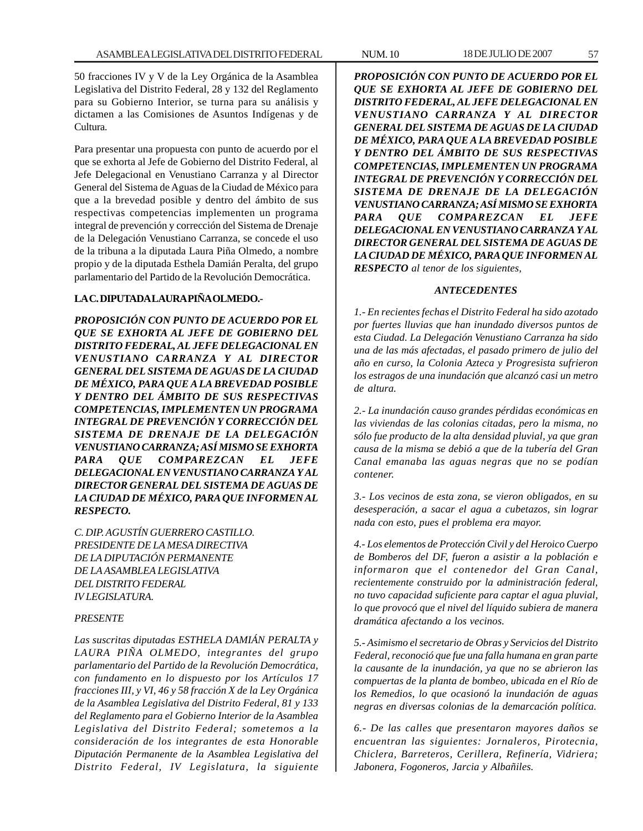50 fracciones IV y V de la Ley Orgánica de la Asamblea Legislativa del Distrito Federal, 28 y 132 del Reglamento para su Gobierno Interior, se turna para su análisis y dictamen a las Comisiones de Asuntos Indígenas y de Cultura.

Para presentar una propuesta con punto de acuerdo por el que se exhorta al Jefe de Gobierno del Distrito Federal, al Jefe Delegacional en Venustiano Carranza y al Director General del Sistema de Aguas de la Ciudad de México para que a la brevedad posible y dentro del ámbito de sus respectivas competencias implementen un programa integral de prevención y corrección del Sistema de Drenaje de la Delegación Venustiano Carranza, se concede el uso de la tribuna a la diputada Laura Piña Olmedo, a nombre propio y de la diputada Esthela Damián Peralta, del grupo parlamentario del Partido de la Revolución Democrática.

## **LA C. DIPUTADA LAURA PIÑA OLMEDO.-**

*PROPOSICIÓN CON PUNTO DE ACUERDO POR EL QUE SE EXHORTA AL JEFE DE GOBIERNO DEL DISTRITO FEDERAL, AL JEFE DELEGACIONAL EN VENUSTIANO CARRANZA Y AL DIRECTOR GENERAL DEL SISTEMA DE AGUAS DE LA CIUDAD DE MÉXICO, PARA QUE A LA BREVEDAD POSIBLE Y DENTRO DEL ÁMBITO DE SUS RESPECTIVAS COMPETENCIAS, IMPLEMENTEN UN PROGRAMA INTEGRAL DE PREVENCIÓN Y CORRECCIÓN DEL SISTEMA DE DRENAJE DE LA DELEGACIÓN VENUSTIANO CARRANZA; ASÍ MISMO SE EXHORTA PARA QUE COMPAREZCAN EL JEFE DELEGACIONAL EN VENUSTIANO CARRANZA Y AL DIRECTOR GENERAL DEL SISTEMA DE AGUAS DE LA CIUDAD DE MÉXICO, PARA QUE INFORMEN AL RESPECTO.*

*C. DIP. AGUSTÍN GUERRERO CASTILLO. PRESIDENTE DE LA MESA DIRECTIVA DE LA DIPUTACIÓN PERMANENTE DE LA ASAMBLEA LEGISLATIVA DEL DISTRITO FEDERAL IV LEGISLATURA.*

## *PRESENTE*

*Las suscritas diputadas ESTHELA DAMIÁN PERALTA y LAURA PIÑA OLMEDO, integrantes del grupo parlamentario del Partido de la Revolución Democrática, con fundamento en lo dispuesto por los Artículos 17 fracciones III, y VI, 46 y 58 fracción X de la Ley Orgánica de la Asamblea Legislativa del Distrito Federal, 81 y 133 del Reglamento para el Gobierno Interior de la Asamblea Legislativa del Distrito Federal; sometemos a la consideración de los integrantes de esta Honorable Diputación Permanente de la Asamblea Legislativa del Distrito Federal, IV Legislatura, la siguiente*

*PROPOSICIÓN CON PUNTO DE ACUERDO POR EL QUE SE EXHORTA AL JEFE DE GOBIERNO DEL DISTRITO FEDERAL, AL JEFE DELEGACIONAL EN VENUSTIANO CARRANZA Y AL DIRECTOR GENERAL DEL SISTEMA DE AGUAS DE LA CIUDAD DE MÉXICO, PARA QUE A LA BREVEDAD POSIBLE Y DENTRO DEL ÁMBITO DE SUS RESPECTIVAS COMPETENCIAS, IMPLEMENTEN UN PROGRAMA INTEGRAL DE PREVENCIÓN Y CORRECCIÓN DEL SISTEMA DE DRENAJE DE LA DELEGACIÓN VENUSTIANO CARRANZA; ASÍ MISMO SE EXHORTA PARA QUE COMPAREZCAN EL JEFE DELEGACIONAL EN VENUSTIANO CARRANZA Y AL DIRECTOR GENERAL DEL SISTEMA DE AGUAS DE LA CIUDAD DE MÉXICO, PARA QUE INFORMEN AL RESPECTO al tenor de los siguientes,*

#### *ANTECEDENTES*

*1.- En recientes fechas el Distrito Federal ha sido azotado por fuertes lluvias que han inundado diversos puntos de esta Ciudad. La Delegación Venustiano Carranza ha sido una de las más afectadas, el pasado primero de julio del año en curso, la Colonia Azteca y Progresista sufrieron los estragos de una inundación que alcanzó casi un metro de altura.*

*2.- La inundación causo grandes pérdidas económicas en las viviendas de las colonias citadas, pero la misma, no sólo fue producto de la alta densidad pluvial, ya que gran causa de la misma se debió a que de la tubería del Gran Canal emanaba las aguas negras que no se podían contener.*

*3.- Los vecinos de esta zona, se vieron obligados, en su desesperación, a sacar el agua a cubetazos, sin lograr nada con esto, pues el problema era mayor.*

*4.- Los elementos de Protección Civil y del Heroico Cuerpo de Bomberos del DF, fueron a asistir a la población e informaron que el contenedor del Gran Canal, recientemente construido por la administración federal, no tuvo capacidad suficiente para captar el agua pluvial, lo que provocó que el nivel del líquido subiera de manera dramática afectando a los vecinos.*

*5.- Asimismo el secretario de Obras y Servicios del Distrito Federal, reconoció que fue una falla humana en gran parte la causante de la inundación, ya que no se abrieron las compuertas de la planta de bombeo, ubicada en el Río de los Remedios, lo que ocasionó la inundación de aguas negras en diversas colonias de la demarcación política.*

*6.- De las calles que presentaron mayores daños se encuentran las siguientes: Jornaleros, Pirotecnia, Chiclera, Barreteros, Cerillera, Refinería, Vidriera; Jabonera, Fogoneros, Jarcia y Albañiles.*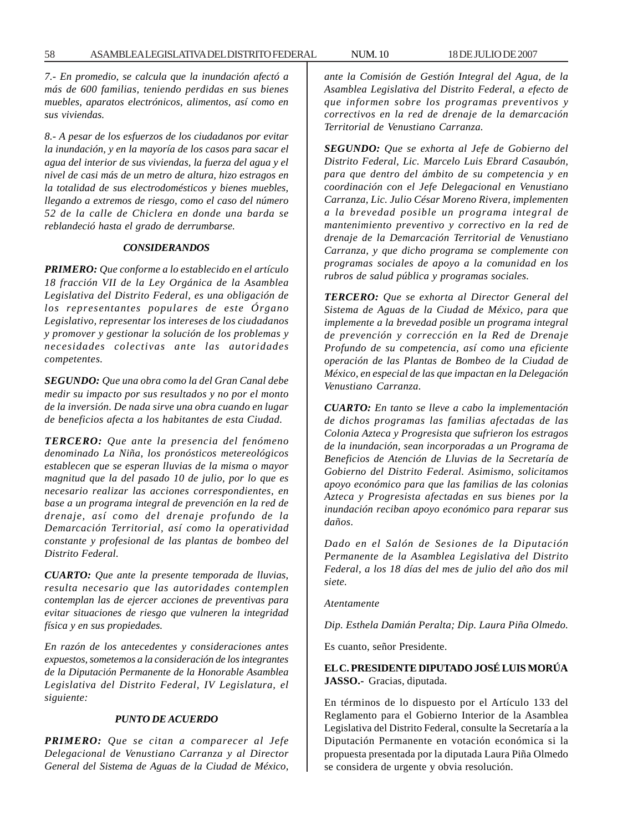*7.- En promedio, se calcula que la inundación afectó a más de 600 familias, teniendo perdidas en sus bienes muebles, aparatos electrónicos, alimentos, así como en sus viviendas.*

*8.- A pesar de los esfuerzos de los ciudadanos por evitar la inundación, y en la mayoría de los casos para sacar el agua del interior de sus viviendas, la fuerza del agua y el nivel de casi más de un metro de altura, hizo estragos en la totalidad de sus electrodomésticos y bienes muebles, llegando a extremos de riesgo, como el caso del número 52 de la calle de Chiclera en donde una barda se reblandeció hasta el grado de derrumbarse.*

#### *CONSIDERANDOS*

*PRIMERO: Que conforme a lo establecido en el artículo 18 fracción VII de la Ley Orgánica de la Asamblea Legislativa del Distrito Federal, es una obligación de los representantes populares de este Órgano Legislativo, representar los intereses de los ciudadanos y promover y gestionar la solución de los problemas y necesidades colectivas ante las autoridades competentes.*

*SEGUNDO: Que una obra como la del Gran Canal debe medir su impacto por sus resultados y no por el monto de la inversión. De nada sirve una obra cuando en lugar de beneficios afecta a los habitantes de esta Ciudad.*

*TERCERO: Que ante la presencia del fenómeno denominado La Niña, los pronósticos metereológicos establecen que se esperan lluvias de la misma o mayor magnitud que la del pasado 10 de julio, por lo que es necesario realizar las acciones correspondientes, en base a un programa integral de prevención en la red de drenaje, así como del drenaje profundo de la Demarcación Territorial, así como la operatividad constante y profesional de las plantas de bombeo del Distrito Federal.*

*CUARTO: Que ante la presente temporada de lluvias, resulta necesario que las autoridades contemplen contemplan las de ejercer acciones de preventivas para evitar situaciones de riesgo que vulneren la integridad física y en sus propiedades.*

*En razón de los antecedentes y consideraciones antes expuestos, sometemos a la consideración de los integrantes de la Diputación Permanente de la Honorable Asamblea Legislativa del Distrito Federal, IV Legislatura, el siguiente:*

#### *PUNTO DE ACUERDO*

*PRIMERO: Que se citan a comparecer al Jefe Delegacional de Venustiano Carranza y al Director General del Sistema de Aguas de la Ciudad de México,*

*ante la Comisión de Gestión Integral del Agua, de la Asamblea Legislativa del Distrito Federal, a efecto de que informen sobre los programas preventivos y correctivos en la red de drenaje de la demarcación Territorial de Venustiano Carranza.*

*SEGUNDO: Que se exhorta al Jefe de Gobierno del Distrito Federal, Lic. Marcelo Luis Ebrard Casaubón, para que dentro del ámbito de su competencia y en coordinación con el Jefe Delegacional en Venustiano Carranza, Lic. Julio César Moreno Rivera, implementen a la brevedad posible un programa integral de mantenimiento preventivo y correctivo en la red de drenaje de la Demarcación Territorial de Venustiano Carranza, y que dicho programa se complemente con programas sociales de apoyo a la comunidad en los rubros de salud pública y programas sociales.*

*TERCERO: Que se exhorta al Director General del Sistema de Aguas de la Ciudad de México, para que implemente a la brevedad posible un programa integral de prevención y corrección en la Red de Drenaje Profundo de su competencia, así como una eficiente operación de las Plantas de Bombeo de la Ciudad de México, en especial de las que impactan en la Delegación Venustiano Carranza.*

*CUARTO: En tanto se lleve a cabo la implementación de dichos programas las familias afectadas de las Colonia Azteca y Progresista que sufrieron los estragos de la inundación, sean incorporadas a un Programa de Beneficios de Atención de Lluvias de la Secretaría de Gobierno del Distrito Federal. Asimismo, solicitamos apoyo económico para que las familias de las colonias Azteca y Progresista afectadas en sus bienes por la inundación reciban apoyo económico para reparar sus daños.*

*Dado en el Salón de Sesiones de la Diputación Permanente de la Asamblea Legislativa del Distrito Federal, a los 18 días del mes de julio del año dos mil siete.*

*Atentamente*

*Dip. Esthela Damián Peralta; Dip. Laura Piña Olmedo.*

Es cuanto, señor Presidente.

**EL C. PRESIDENTE DIPUTADO JOSÉ LUIS MORÚA JASSO.-** Gracias, diputada.

En términos de lo dispuesto por el Artículo 133 del Reglamento para el Gobierno Interior de la Asamblea Legislativa del Distrito Federal, consulte la Secretaría a la Diputación Permanente en votación económica si la propuesta presentada por la diputada Laura Piña Olmedo se considera de urgente y obvia resolución.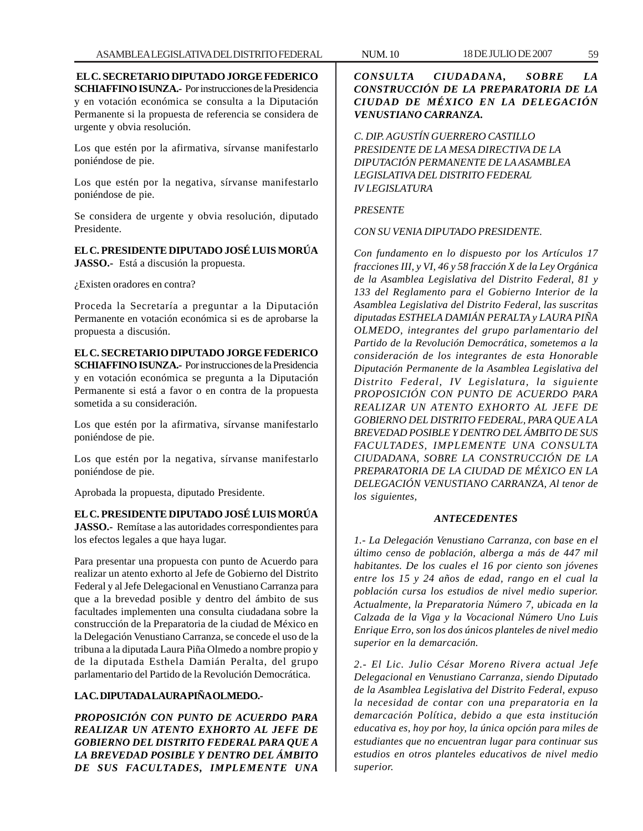**EL C. SECRETARIO DIPUTADO JORGE FEDERICO SCHIAFFINO ISUNZA.-** Por instrucciones de la Presidencia y en votación económica se consulta a la Diputación Permanente si la propuesta de referencia se considera de urgente y obvia resolución.

Los que estén por la afirmativa, sírvanse manifestarlo poniéndose de pie.

Los que estén por la negativa, sírvanse manifestarlo poniéndose de pie.

Se considera de urgente y obvia resolución, diputado Presidente.

**EL C. PRESIDENTE DIPUTADO JOSÉ LUIS MORÚA JASSO.-** Está a discusión la propuesta.

¿Existen oradores en contra?

Proceda la Secretaría a preguntar a la Diputación Permanente en votación económica si es de aprobarse la propuesta a discusión.

# **EL C. SECRETARIO DIPUTADO JORGE FEDERICO SCHIAFFINO ISUNZA.-** Por instrucciones de la Presidencia y en votación económica se pregunta a la Diputación Permanente si está a favor o en contra de la propuesta sometida a su consideración.

Los que estén por la afirmativa, sírvanse manifestarlo poniéndose de pie.

Los que estén por la negativa, sírvanse manifestarlo poniéndose de pie.

Aprobada la propuesta, diputado Presidente.

# **EL C. PRESIDENTE DIPUTADO JOSÉ LUIS MORÚA**

**JASSO.-** Remítase a las autoridades correspondientes para los efectos legales a que haya lugar.

Para presentar una propuesta con punto de Acuerdo para realizar un atento exhorto al Jefe de Gobierno del Distrito Federal y al Jefe Delegacional en Venustiano Carranza para que a la brevedad posible y dentro del ámbito de sus facultades implementen una consulta ciudadana sobre la construcción de la Preparatoria de la ciudad de México en la Delegación Venustiano Carranza, se concede el uso de la tribuna a la diputada Laura Piña Olmedo a nombre propio y de la diputada Esthela Damián Peralta, del grupo parlamentario del Partido de la Revolución Democrática.

# **LA C. DIPUTADA LAURA PIÑA OLMEDO.-**

*PROPOSICIÓN CON PUNTO DE ACUERDO PARA REALIZAR UN ATENTO EXHORTO AL JEFE DE GOBIERNO DEL DISTRITO FEDERAL PARA QUE A LA BREVEDAD POSIBLE Y DENTRO DEL ÁMBITO DE SUS FACULTADES, IMPLEMENTE UNA*

*CONSULTA CIUDADANA, SOBRE LA CONSTRUCCIÓN DE LA PREPARATORIA DE LA CIUDAD DE MÉXICO EN LA DELEGACIÓN VENUSTIANO CARRANZA.*

*C. DIP. AGUSTÍN GUERRERO CASTILLO PRESIDENTE DE LA MESA DIRECTIVA DE LA DIPUTACIÓN PERMANENTE DE LA ASAMBLEA LEGISLATIVA DEL DISTRITO FEDERAL IV LEGISLATURA*

# *PRESENTE*

*CON SU VENIA DIPUTADO PRESIDENTE.*

*Con fundamento en lo dispuesto por los Artículos 17 fracciones III, y VI, 46 y 58 fracción X de la Ley Orgánica de la Asamblea Legislativa del Distrito Federal, 81 y 133 del Reglamento para el Gobierno Interior de la Asamblea Legislativa del Distrito Federal, las suscritas diputadas ESTHELA DAMIÁN PERALTA y LAURA PIÑA OLMEDO, integrantes del grupo parlamentario del Partido de la Revolución Democrática, sometemos a la consideración de los integrantes de esta Honorable Diputación Permanente de la Asamblea Legislativa del Distrito Federal, IV Legislatura, la siguiente PROPOSICIÓN CON PUNTO DE ACUERDO PARA REALIZAR UN ATENTO EXHORTO AL JEFE DE GOBIERNO DEL DISTRITO FEDERAL, PARA QUE A LA BREVEDAD POSIBLE Y DENTRO DEL ÁMBITO DE SUS FACULTADES, IMPLEMENTE UNA CONSULTA CIUDADANA, SOBRE LA CONSTRUCCIÓN DE LA PREPARATORIA DE LA CIUDAD DE MÉXICO EN LA DELEGACIÓN VENUSTIANO CARRANZA, Al tenor de los siguientes,*

## *ANTECEDENTES*

*1.- La Delegación Venustiano Carranza, con base en el último censo de población, alberga a más de 447 mil habitantes. De los cuales el 16 por ciento son jóvenes entre los 15 y 24 años de edad, rango en el cual la población cursa los estudios de nivel medio superior. Actualmente, la Preparatoria Número 7, ubicada en la Calzada de la Viga y la Vocacional Número Uno Luis Enrique Erro, son los dos únicos planteles de nivel medio superior en la demarcación.*

*2.- El Lic. Julio César Moreno Rivera actual Jefe Delegacional en Venustiano Carranza, siendo Diputado de la Asamblea Legislativa del Distrito Federal, expuso la necesidad de contar con una preparatoria en la demarcación Política, debido a que esta institución educativa es, hoy por hoy, la única opción para miles de estudiantes que no encuentran lugar para continuar sus estudios en otros planteles educativos de nivel medio superior.*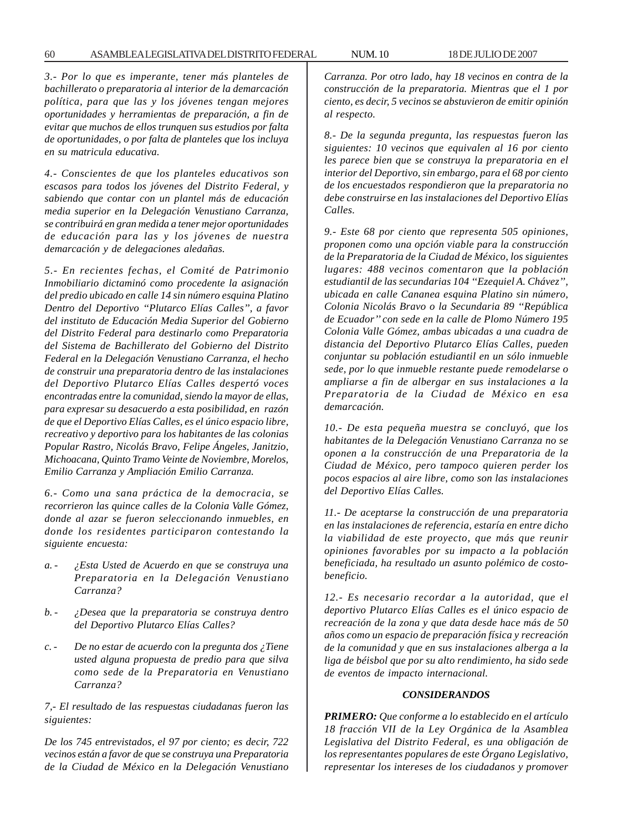*3.- Por lo que es imperante, tener más planteles de bachillerato o preparatoria al interior de la demarcación política, para que las y los jóvenes tengan mejores oportunidades y herramientas de preparación, a fin de evitar que muchos de ellos trunquen sus estudios por falta de oportunidades, o por falta de planteles que los incluya en su matricula educativa.*

*4.- Conscientes de que los planteles educativos son escasos para todos los jóvenes del Distrito Federal, y sabiendo que contar con un plantel más de educación media superior en la Delegación Venustiano Carranza, se contribuirá en gran medida a tener mejor oportunidades de educación para las y los jóvenes de nuestra demarcación y de delegaciones aledañas.*

*5.- En recientes fechas, el Comité de Patrimonio Inmobiliario dictaminó como procedente la asignación del predio ubicado en calle 14 sin número esquina Platino Dentro del Deportivo ''Plutarco Elías Calles'', a favor del instituto de Educación Media Superior del Gobierno del Distrito Federal para destinarlo como Preparatoria del Sistema de Bachillerato del Gobierno del Distrito Federal en la Delegación Venustiano Carranza, el hecho de construir una preparatoria dentro de las instalaciones del Deportivo Plutarco Elías Calles despertó voces encontradas entre la comunidad, siendo la mayor de ellas, para expresar su desacuerdo a esta posibilidad, en razón de que el Deportivo Elías Calles, es el único espacio libre, recreativo y deportivo para los habitantes de las colonias Popular Rastro, Nicolás Bravo, Felipe Ángeles, Janitzio, Michoacana, Quinto Tramo Veinte de Noviembre, Morelos, Emilio Carranza y Ampliación Emilio Carranza.*

*6.- Como una sana práctica de la democracia, se recorrieron las quince calles de la Colonia Valle Gómez, donde al azar se fueron seleccionando inmuebles, en donde los residentes participaron contestando la siguiente encuesta:*

- *a. ¿Esta Usted de Acuerdo en que se construya una Preparatoria en la Delegación Venustiano Carranza?*
- *b. ¿Desea que la preparatoria se construya dentro del Deportivo Plutarco Elías Calles?*
- *c. De no estar de acuerdo con la pregunta dos ¿Tiene usted alguna propuesta de predio para que silva como sede de la Preparatoria en Venustiano Carranza?*

*7,- El resultado de las respuestas ciudadanas fueron las siguientes:*

*De los 745 entrevistados, el 97 por ciento; es decir, 722 vecinos están a favor de que se construya una Preparatoria de la Ciudad de México en la Delegación Venustiano* *Carranza. Por otro lado, hay 18 vecinos en contra de la construcción de la preparatoria. Mientras que el 1 por ciento, es decir, 5 vecinos se abstuvieron de emitir opinión al respecto.*

*8.- De la segunda pregunta, las respuestas fueron las siguientes: 10 vecinos que equivalen al 16 por ciento les parece bien que se construya la preparatoria en el interior del Deportivo, sin embargo, para el 68 por ciento de los encuestados respondieron que la preparatoria no debe construirse en las instalaciones del Deportivo Elías Calles.*

*9.- Este 68 por ciento que representa 505 opiniones, proponen como una opción viable para la construcción de la Preparatoria de la Ciudad de México, los siguientes lugares: 488 vecinos comentaron que la población estudiantil de las secundarias 104 ''Ezequiel A. Chávez'', ubicada en calle Cananea esquina Platino sin número, Colonia Nicolás Bravo o la Secundaria 89 ''República de Ecuador'' con sede en la calle de Plomo Número 195 Colonia Valle Gómez, ambas ubicadas a una cuadra de distancia del Deportivo Plutarco Elías Calles, pueden conjuntar su población estudiantil en un sólo inmueble sede, por lo que inmueble restante puede remodelarse o ampliarse a fin de albergar en sus instalaciones a la Preparatoria de la Ciudad de México en esa demarcación.*

*10.- De esta pequeña muestra se concluyó, que los habitantes de la Delegación Venustiano Carranza no se oponen a la construcción de una Preparatoria de la Ciudad de México, pero tampoco quieren perder los pocos espacios al aire libre, como son las instalaciones del Deportivo Elías Calles.*

*11.- De aceptarse la construcción de una preparatoria en las instalaciones de referencia, estaría en entre dicho la viabilidad de este proyecto, que más que reunir opiniones favorables por su impacto a la población beneficiada, ha resultado un asunto polémico de costobeneficio.*

*12.- Es necesario recordar a la autoridad, que el deportivo Plutarco Elías Calles es el único espacio de recreación de la zona y que data desde hace más de 50 años como un espacio de preparación física y recreación de la comunidad y que en sus instalaciones alberga a la liga de béisbol que por su alto rendimiento, ha sido sede de eventos de impacto internacional.*

#### *CONSIDERANDOS*

*PRIMERO: Que conforme a lo establecido en el artículo 18 fracción VII de la Ley Orgánica de la Asamblea Legislativa del Distrito Federal, es una obligación de los representantes populares de este Órgano Legislativo, representar los intereses de los ciudadanos y promover*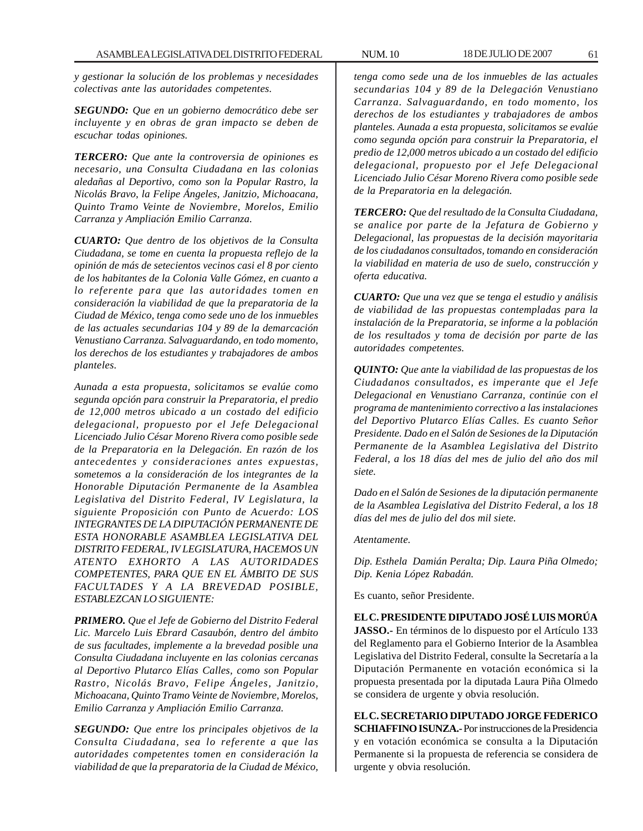*y gestionar la solución de los problemas y necesidades colectivas ante las autoridades competentes.*

*SEGUNDO: Que en un gobierno democrático debe ser incluyente y en obras de gran impacto se deben de escuchar todas opiniones.*

*TERCERO: Que ante la controversia de opiniones es necesario, una Consulta Ciudadana en las colonias aledañas al Deportivo, como son la Popular Rastro, la Nicolás Bravo, la Felipe Ángeles, Janitzio, Michoacana, Quinto Tramo Veinte de Noviembre, Morelos, Emilio Carranza y Ampliación Emilio Carranza.*

*CUARTO: Que dentro de los objetivos de la Consulta Ciudadana, se tome en cuenta la propuesta reflejo de la opinión de más de setecientos vecinos casi el 8 por ciento de los habitantes de la Colonia Valle Gómez, en cuanto a lo referente para que las autoridades tomen en consideración la viabilidad de que la preparatoria de la Ciudad de México, tenga como sede uno de los inmuebles de las actuales secundarias 104 y 89 de la demarcación Venustiano Carranza. Salvaguardando, en todo momento, los derechos de los estudiantes y trabajadores de ambos planteles.*

*Aunada a esta propuesta, solicitamos se evalúe como segunda opción para construir la Preparatoria, el predio de 12,000 metros ubicado a un costado del edificio delegacional, propuesto por el Jefe Delegacional Licenciado Julio César Moreno Rivera como posible sede de la Preparatoria en la Delegación. En razón de los antecedentes y consideraciones antes expuestas, sometemos a la consideración de los integrantes de la Honorable Diputación Permanente de la Asamblea Legislativa del Distrito Federal, IV Legislatura, la siguiente Proposición con Punto de Acuerdo: LOS INTEGRANTES DE LA DIPUTACIÓN PERMANENTE DE ESTA HONORABLE ASAMBLEA LEGISLATIVA DEL DISTRITO FEDERAL, IV LEGISLATURA, HACEMOS UN ATENTO EXHORTO A LAS AUTORIDADES COMPETENTES, PARA QUE EN EL ÁMBITO DE SUS FACULTADES Y A LA BREVEDAD POSIBLE, ESTABLEZCAN LO SIGUIENTE:*

*PRIMERO. Que el Jefe de Gobierno del Distrito Federal Lic. Marcelo Luis Ebrard Casaubón, dentro del ámbito de sus facultades, implemente a la brevedad posible una Consulta Ciudadana incluyente en las colonias cercanas al Deportivo Plutarco Elías Calles, como son Popular Rastro, Nicolás Bravo, Felipe Ángeles, Janitzio, Michoacana, Quinto Tramo Veinte de Noviembre, Morelos, Emilio Carranza y Ampliación Emilio Carranza.*

*SEGUNDO: Que entre los principales objetivos de la Consulta Ciudadana, sea lo referente a que las autoridades competentes tomen en consideración la viabilidad de que la preparatoria de la Ciudad de México,*

*tenga como sede una de los inmuebles de las actuales secundarias 104 y 89 de la Delegación Venustiano Carranza. Salvaguardando, en todo momento, los derechos de los estudiantes y trabajadores de ambos planteles. Aunada a esta propuesta, solicitamos se evalúe como segunda opción para construir la Preparatoria, el predio de 12,000 metros ubicado a un costado del edificio delegacional, propuesto por el Jefe Delegacional Licenciado Julio César Moreno Rivera como posible sede de la Preparatoria en la delegación.*

*TERCERO: Que del resultado de la Consulta Ciudadana, se analice por parte de la Jefatura de Gobierno y Delegacional, las propuestas de la decisión mayoritaria de los ciudadanos consultados, tomando en consideración la viabilidad en materia de uso de suelo, construcción y oferta educativa.*

*CUARTO: Que una vez que se tenga el estudio y análisis de viabilidad de las propuestas contempladas para la instalación de la Preparatoria, se informe a la población de los resultados y toma de decisión por parte de las autoridades competentes.*

*QUINTO: Que ante la viabilidad de las propuestas de los Ciudadanos consultados, es imperante que el Jefe Delegacional en Venustiano Carranza, continúe con el programa de mantenimiento correctivo a las instalaciones del Deportivo Plutarco Elías Calles. Es cuanto Señor Presidente. Dado en el Salón de Sesiones de la Diputación Permanente de la Asamblea Legislativa del Distrito Federal, a los 18 días del mes de julio del año dos mil siete.*

*Dado en el Salón de Sesiones de la diputación permanente de la Asamblea Legislativa del Distrito Federal, a los 18 días del mes de julio del dos mil siete.*

*Atentamente.*

*Dip. Esthela Damián Peralta; Dip. Laura Piña Olmedo; Dip. Kenia López Rabadán.*

Es cuanto, señor Presidente.

**EL C. PRESIDENTE DIPUTADO JOSÉ LUIS MORÚA JASSO.-** En términos de lo dispuesto por el Artículo 133 del Reglamento para el Gobierno Interior de la Asamblea Legislativa del Distrito Federal, consulte la Secretaría a la Diputación Permanente en votación económica si la propuesta presentada por la diputada Laura Piña Olmedo se considera de urgente y obvia resolución.

**EL C. SECRETARIO DIPUTADO JORGE FEDERICO SCHIAFFINO ISUNZA.-** Por instrucciones de la Presidencia y en votación económica se consulta a la Diputación Permanente si la propuesta de referencia se considera de urgente y obvia resolución.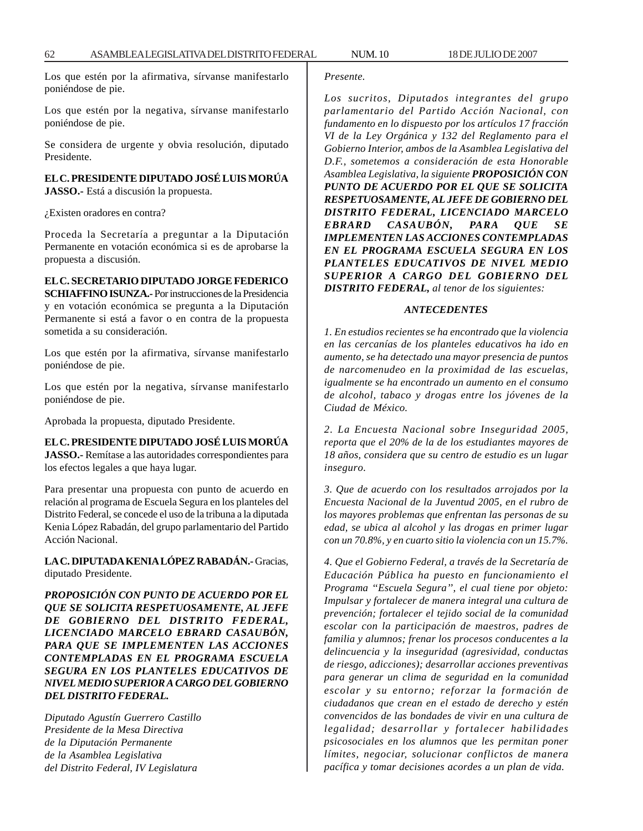Los que estén por la afirmativa, sírvanse manifestarlo poniéndose de pie.

Los que estén por la negativa, sírvanse manifestarlo poniéndose de pie.

Se considera de urgente y obvia resolución, diputado Presidente.

**EL C. PRESIDENTE DIPUTADO JOSÉ LUIS MORÚA JASSO.-** Está a discusión la propuesta.

¿Existen oradores en contra?

Proceda la Secretaría a preguntar a la Diputación Permanente en votación económica si es de aprobarse la propuesta a discusión.

## **EL C. SECRETARIO DIPUTADO JORGE FEDERICO**

**SCHIAFFINO ISUNZA.-** Por instrucciones de la Presidencia y en votación económica se pregunta a la Diputación Permanente si está a favor o en contra de la propuesta sometida a su consideración.

Los que estén por la afirmativa, sírvanse manifestarlo poniéndose de pie.

Los que estén por la negativa, sírvanse manifestarlo poniéndose de pie.

Aprobada la propuesta, diputado Presidente.

**EL C. PRESIDENTE DIPUTADO JOSÉ LUIS MORÚA JASSO.-** Remítase a las autoridades correspondientes para los efectos legales a que haya lugar.

Para presentar una propuesta con punto de acuerdo en relación al programa de Escuela Segura en los planteles del Distrito Federal, se concede el uso de la tribuna a la diputada Kenia López Rabadán, del grupo parlamentario del Partido Acción Nacional.

**LA C. DIPUTADA KENIA LÓPEZ RABADÁN.-** Gracias, diputado Presidente.

*PROPOSICIÓN CON PUNTO DE ACUERDO POR EL QUE SE SOLICITA RESPETUOSAMENTE, AL JEFE DE GOBIERNO DEL DISTRITO FEDERAL, LICENCIADO MARCELO EBRARD CASAUBÓN, PARA QUE SE IMPLEMENTEN LAS ACCIONES CONTEMPLADAS EN EL PROGRAMA ESCUELA SEGURA EN LOS PLANTELES EDUCATIVOS DE NIVEL MEDIO SUPERIOR A CARGO DEL GOBIERNO DEL DISTRITO FEDERAL.*

*Diputado Agustín Guerrero Castillo Presidente de la Mesa Directiva de la Diputación Permanente de la Asamblea Legislativa del Distrito Federal, IV Legislatura*

#### *Presente.*

*Los sucritos, Diputados integrantes del grupo parlamentario del Partido Acción Nacional, con fundamento en lo dispuesto por los artículos 17 fracción VI de la Ley Orgánica y 132 del Reglamento para el Gobierno Interior, ambos de la Asamblea Legislativa del D.F., sometemos a consideración de esta Honorable Asamblea Legislativa, la siguiente PROPOSICIÓN CON PUNTO DE ACUERDO POR EL QUE SE SOLICITA RESPETUOSAMENTE, AL JEFE DE GOBIERNO DEL DISTRITO FEDERAL, LICENCIADO MARCELO EBRARD CASAUBÓN, PARA QUE SE IMPLEMENTEN LAS ACCIONES CONTEMPLADAS EN EL PROGRAMA ESCUELA SEGURA EN LOS PLANTELES EDUCATIVOS DE NIVEL MEDIO SUPERIOR A CARGO DEL GOBIERNO DEL DISTRITO FEDERAL, al tenor de los siguientes:*

#### *ANTECEDENTES*

*1. En estudios recientes se ha encontrado que la violencia en las cercanías de los planteles educativos ha ido en aumento, se ha detectado una mayor presencia de puntos de narcomenudeo en la proximidad de las escuelas, igualmente se ha encontrado un aumento en el consumo de alcohol, tabaco y drogas entre los jóvenes de la Ciudad de México.*

*2. La Encuesta Nacional sobre Inseguridad 2005, reporta que el 20% de la de los estudiantes mayores de 18 años, considera que su centro de estudio es un lugar inseguro.*

*3. Que de acuerdo con los resultados arrojados por la Encuesta Nacional de la Juventud 2005, en el rubro de los mayores problemas que enfrentan las personas de su edad, se ubica al alcohol y las drogas en primer lugar con un 70.8%, y en cuarto sitio la violencia con un 15.7%.*

*4. Que el Gobierno Federal, a través de la Secretaría de Educación Pública ha puesto en funcionamiento el Programa ''Escuela Segura'', el cual tiene por objeto: Impulsar y fortalecer de manera integral una cultura de prevención; fortalecer el tejido social de la comunidad escolar con la participación de maestros, padres de familia y alumnos; frenar los procesos conducentes a la delincuencia y la inseguridad (agresividad, conductas de riesgo, adicciones); desarrollar acciones preventivas para generar un clima de seguridad en la comunidad escolar y su entorno; reforzar la formación de ciudadanos que crean en el estado de derecho y estén convencidos de las bondades de vivir en una cultura de legalidad; desarrollar y fortalecer habilidades psicosociales en los alumnos que les permitan poner límites, negociar, solucionar conflictos de manera pacífica y tomar decisiones acordes a un plan de vida.*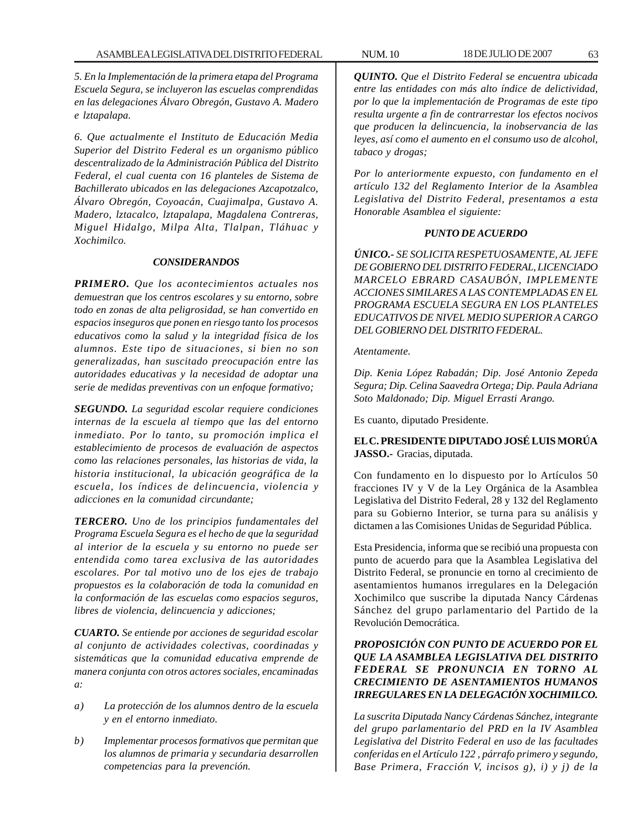*5. En la Implementación de la primera etapa del Programa Escuela Segura, se incluyeron las escuelas comprendidas en las delegaciones Álvaro Obregón, Gustavo A. Madero e lztapalapa.*

*6. Que actualmente el Instituto de Educación Media Superior del Distrito Federal es un organismo público descentralizado de la Administración Pública del Distrito Federal, el cual cuenta con 16 planteles de Sistema de Bachillerato ubicados en las delegaciones Azcapotzalco, Álvaro Obregón, Coyoacán, Cuajimalpa, Gustavo A. Madero, lztacalco, lztapalapa, Magdalena Contreras, Miguel Hidalgo, Milpa Alta, Tlalpan, Tláhuac y Xochimilco.*

#### *CONSIDERANDOS*

*PRIMERO. Que los acontecimientos actuales nos demuestran que los centros escolares y su entorno, sobre todo en zonas de alta peligrosidad, se han convertido en espacios inseguros que ponen en riesgo tanto los procesos educativos como la salud y la integridad física de los alumnos. Este tipo de situaciones, si bien no son generalizadas, han suscitado preocupación entre las autoridades educativas y la necesidad de adoptar una serie de medidas preventivas con un enfoque formativo;*

*SEGUNDO. La seguridad escolar requiere condiciones internas de la escuela al tiempo que las del entorno inmediato. Por lo tanto, su promoción implica el establecimiento de procesos de evaluación de aspectos como las relaciones personales, las historias de vida, la historia institucional, la ubicación geográfica de la escuela, los índices de delincuencia, violencia y adicciones en la comunidad circundante;*

*TERCERO. Uno de los principios fundamentales del Programa Escuela Segura es el hecho de que la seguridad al interior de la escuela y su entorno no puede ser entendida como tarea exclusiva de las autoridades escolares. Por tal motivo uno de los ejes de trabajo propuestos es la colaboración de toda la comunidad en la conformación de las escuelas como espacios seguros, libres de violencia, delincuencia y adicciones;*

*CUARTO. Se entiende por acciones de seguridad escolar al conjunto de actividades colectivas, coordinadas y sistemáticas que la comunidad educativa emprende de manera conjunta con otros actores sociales, encaminadas a:*

- *a) La protección de los alumnos dentro de la escuela y en el entorno inmediato.*
- *b) Implementar procesos formativos que permitan que los alumnos de primaria y secundaria desarrollen competencias para la prevención.*

*QUINTO. Que el Distrito Federal se encuentra ubicada entre las entidades con más alto índice de delictividad, por lo que la implementación de Programas de este tipo resulta urgente a fin de contrarrestar los efectos nocivos que producen la delincuencia, la inobservancia de las leyes, así como el aumento en el consumo uso de alcohol, tabaco y drogas;*

*Por lo anteriormente expuesto, con fundamento en el artículo 132 del Reglamento Interior de la Asamblea Legislativa del Distrito Federal, presentamos a esta Honorable Asamblea el siguiente:*

## *PUNTO DE ACUERDO*

*ÚNICO.- SE SOLICITA RESPETUOSAMENTE, AL JEFE DE GOBIERNO DEL DISTRITO FEDERAL, LICENCIADO MARCELO EBRARD CASAUBÓN, IMPLEMENTE ACCIONES SIMILARES A LAS CONTEMPLADAS EN EL PROGRAMA ESCUELA SEGURA EN LOS PLANTELES EDUCATIVOS DE NIVEL MEDIO SUPERIOR A CARGO DEL GOBIERNO DEL DISTRITO FEDERAL.*

#### *Atentamente.*

*Dip. Kenia López Rabadán; Dip. José Antonio Zepeda Segura; Dip. Celina Saavedra Ortega; Dip. Paula Adriana Soto Maldonado; Dip. Miguel Errasti Arango.*

Es cuanto, diputado Presidente.

# **EL C. PRESIDENTE DIPUTADO JOSÉ LUIS MORÚA JASSO.-** Gracias, diputada.

Con fundamento en lo dispuesto por lo Artículos 50 fracciones IV y V de la Ley Orgánica de la Asamblea Legislativa del Distrito Federal, 28 y 132 del Reglamento para su Gobierno Interior, se turna para su análisis y dictamen a las Comisiones Unidas de Seguridad Pública.

Esta Presidencia, informa que se recibió una propuesta con punto de acuerdo para que la Asamblea Legislativa del Distrito Federal, se pronuncie en torno al crecimiento de asentamientos humanos irregulares en la Delegación Xochimilco que suscribe la diputada Nancy Cárdenas Sánchez del grupo parlamentario del Partido de la Revolución Democrática.

# *PROPOSICIÓN CON PUNTO DE ACUERDO POR EL QUE LA ASAMBLEA LEGISLATIVA DEL DISTRITO FEDERAL SE PRONUNCIA EN TORNO AL CRECIMIENTO DE ASENTAMIENTOS HUMANOS IRREGULARES EN LA DELEGACIÓN XOCHIMILCO.*

*La suscrita Diputada Nancy Cárdenas Sánchez, integrante del grupo parlamentario del PRD en la IV Asamblea Legislativa del Distrito Federal en uso de las facultades conferidas en el Artículo 122 , párrafo primero y segundo, Base Primera, Fracción V, incisos g), i) y j) de la*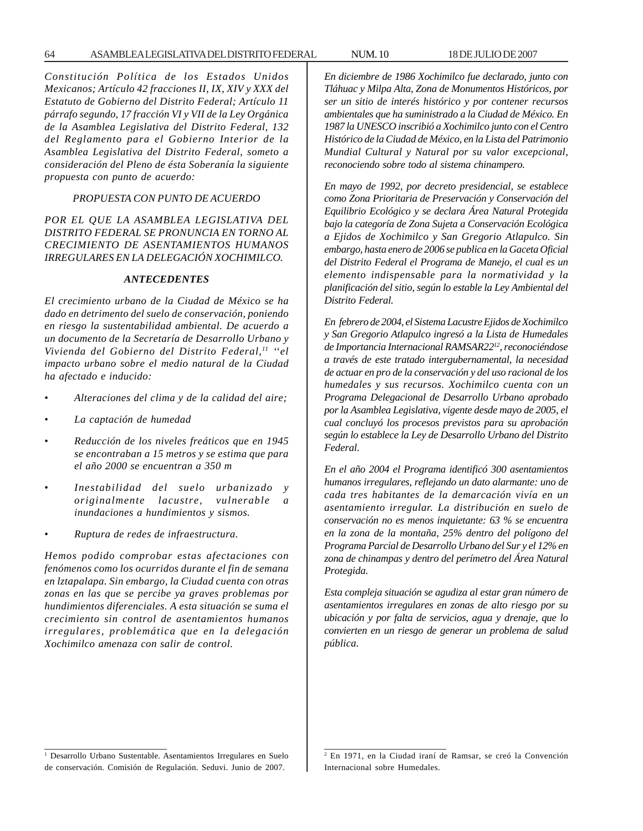64 ASAMBLEA LEGISLATIVA DEL DISTRITO FEDERAL NUM. 10 18 DE JULIO DE 2007

*Constitución Política de los Estados Unidos Mexicanos; Artículo 42 fracciones II, IX, XIV y XXX del Estatuto de Gobierno del Distrito Federal; Artículo 11 párrafo segundo, 17 fracción VI y VII de la Ley Orgánica de la Asamblea Legislativa del Distrito Federal, 132 del Reglamento para el Gobierno Interior de la Asamblea Legislativa del Distrito Federal, someto a consideración del Pleno de ésta Soberanía la siguiente propuesta con punto de acuerdo:*

## *PROPUESTA CON PUNTO DE ACUERDO*

# *POR EL QUE LA ASAMBLEA LEGISLATIVA DEL DISTRITO FEDERAL SE PRONUNCIA EN TORNO AL CRECIMIENTO DE ASENTAMIENTOS HUMANOS IRREGULARES EN LA DELEGACIÓN XOCHIMILCO.*

## *ANTECEDENTES*

*El crecimiento urbano de la Ciudad de México se ha dado en detrimento del suelo de conservación, poniendo en riesgo la sustentabilidad ambiental. De acuerdo a un documento de la Secretaría de Desarrollo Urbano y Vivienda del Gobierno del Distrito Federal,11 ''el impacto urbano sobre el medio natural de la Ciudad ha afectado e inducido:*

- *Alteraciones del clima y de la calidad del aire;*
- *La captación de humedad*
- *Reducción de los niveles freáticos que en 1945 se encontraban a 15 metros y se estima que para el año 2000 se encuentran a 350 m*
- *Inestabilidad del suelo urbanizado y originalmente lacustre, vulnerable a inundaciones a hundimientos y sismos.*
- *Ruptura de redes de infraestructura.*

*Hemos podido comprobar estas afectaciones con fenómenos como los ocurridos durante el fin de semana en lztapalapa. Sin embargo, la Ciudad cuenta con otras zonas en las que se percibe ya graves problemas por hundimientos diferenciales. A esta situación se suma el crecimiento sin control de asentamientos humanos irregulares, problemática que en la delegación Xochimilco amenaza con salir de control.*

*En diciembre de 1986 Xochimilco fue declarado, junto con Tláhuac y Milpa Alta, Zona de Monumentos Históricos, por ser un sitio de interés histórico y por contener recursos ambientales que ha suministrado a la Ciudad de México. En 1987 la UNESCO inscribió a Xochimilco junto con el Centro Histórico de la Ciudad de México, en la Lista del Patrimonio Mundial Cultural y Natural por su valor excepcional, reconociendo sobre todo al sistema chinampero.*

*En mayo de 1992, por decreto presidencial, se establece como Zona Prioritaria de Preservación y Conservación del Equilibrio Ecológico y se declara Área Natural Protegida bajo la categoría de Zona Sujeta a Conservación Ecológica a Ejidos de Xochimilco y San Gregorio Atlapulco. Sin embargo, hasta enero de 2006 se publica en la Gaceta Oficial del Distrito Federal el Programa de Manejo, el cual es un elemento indispensable para la normatividad y la planificación del sitio, según lo estable la Ley Ambiental del Distrito Federal.*

*En febrero de 2004, el Sistema Lacustre Ejidos de Xochimilco y San Gregorio Atlapulco ingresó a la Lista de Humedales de Importancia Internacional RAMSAR2212, reconociéndose a través de este tratado intergubernamental, la necesidad de actuar en pro de la conservación y del uso racional de los humedales y sus recursos. Xochimilco cuenta con un Programa Delegacional de Desarrollo Urbano aprobado por la Asamblea Legislativa, vigente desde mayo de 2005, el cual concluyó los procesos previstos para su aprobación según lo establece la Ley de Desarrollo Urbano del Distrito Federal.*

*En el año 2004 el Programa identificó 300 asentamientos humanos irregulares, reflejando un dato alarmante: uno de cada tres habitantes de la demarcación vivía en un asentamiento irregular. La distribución en suelo de conservación no es menos inquietante: 63 % se encuentra en la zona de la montaña, 25% dentro del polígono del Programa Parcial de Desarrollo Urbano del Sur y el 12% en zona de chinampas y dentro del perímetro del Área Natural Protegida.*

*Esta compleja situación se agudiza al estar gran número de asentamientos irregulares en zonas de alto riesgo por su ubicación y por falta de servicios, agua y drenaje, que lo convierten en un riesgo de generar un problema de salud pública.*

<sup>&</sup>lt;sup>1</sup> Desarrollo Urbano Sustentable. Asentamientos Irregulares en Suelo de conservación. Comisión de Regulación. Seduvi. Junio de 2007.

<sup>2</sup> En 1971, en la Ciudad iraní de Ramsar, se creó la Convención Internacional sobre Humedales.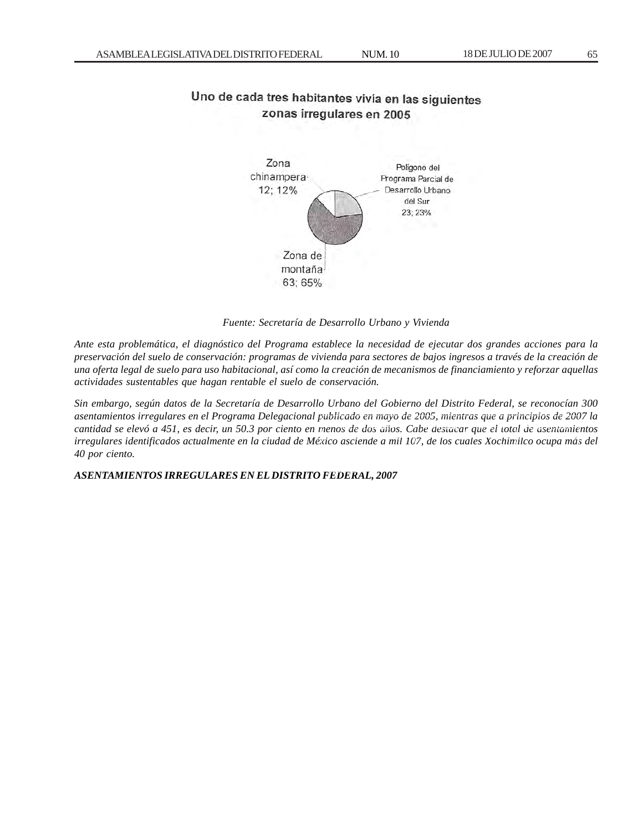# Uno de cada tres habitantes vivía en las siguientes zonas irregulares en 2005



*Fuente: Secretaría de Desarrollo Urbano y Vivienda*

*Ante esta problemática, el diagnóstico del Programa establece la necesidad de ejecutar dos grandes acciones para la preservación del suelo de conservación: programas de vivienda para sectores de bajos ingresos a través de la creación de una oferta legal de suelo para uso habitacional, así como la creación de mecanismos de financiamiento y reforzar aquellas actividades sustentables que hagan rentable el suelo de conservación.*

*Sin embargo, según datos de la Secretaría de Desarrollo Urbano del Gobierno del Distrito Federal, se reconocían 300 asentamientos irregulares en el Programa Delegacional publicado en mayo de 2005, mientras que a principios de 2007 la cantidad se elevó a 451, es decir, un 50.3 por ciento en menos de dos años. Cabe destacar que el total de asentamientos* irregulares identificados actualmente en la ciudad de México asciende a mil 107, de los cuales Xochimilco ocupa más del<br>19 *40 por ciento.*

 $\bm{ASENTAMIENTOS}$  IRREGULARES EN EL DISTRITO FEDERAL, 2007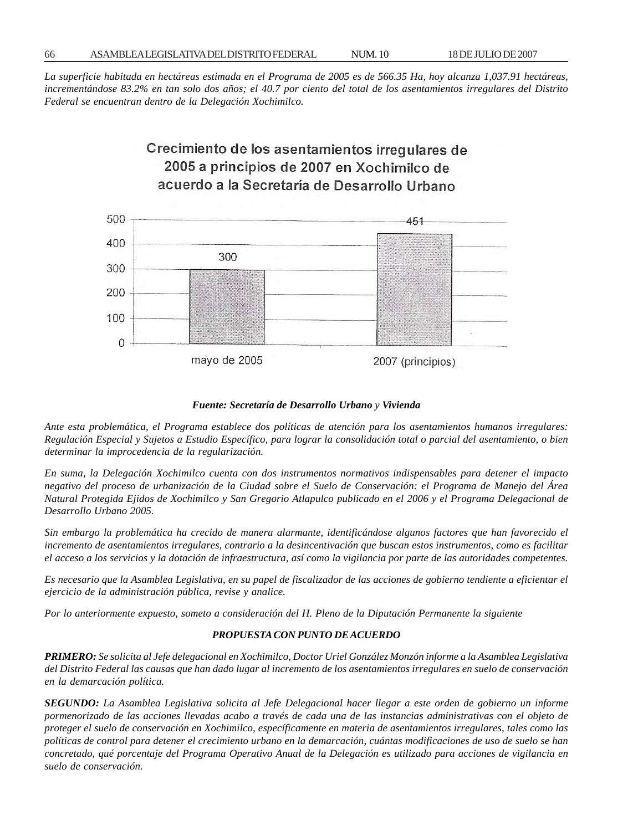*La superficie habitada en hectáreas estimada en el Programa de 2005 es de 566.35 Ha, hoy alcanza 1,037.91 hectáreas, incrementándose 83.2% en tan solo dos años; el 40.7 por ciento del total de los asentamientos irregulares del Distrito Federal se encuentran dentro de la Delegación Xochimilco.*





#### *Fuente: Secretaría de Desarrollo Urbano y Vivienda*

*Ante esta problemática, el Programa establece dos políticas de atención para los asentamientos humanos irregulares: Regulación Especial y Sujetos a Estudio Específico, para lograr la consolidación total o parcial del asentamiento, o bien determinar la improcedencia de la regularización.*

*En suma, la Delegación Xochimilco cuenta con dos instrumentos normativos indispensables para detener el impacto negativo del proceso de urbanización de la Ciudad sobre el Suelo de Conservación: el Programa de Manejo del Área Natural Protegida Ejidos de Xochimilco y San Gregorio Atlapulco publicado en el 2006 y el Programa Delegacional de Desarrollo Urbano 2005.*

*Sin embargo la problemática ha crecido de manera alarmante, identificándose algunos factores que han favorecido el incremento de asentamientos irregulares, contrario a la desincentivación que buscan estos instrumentos, como es facilitar el acceso a los servicios y la dotación de infraestructura, así como la vigilancia por parte de las autoridades competentes.*

*Es necesario que la Asamblea Legislativa, en su papel de fiscalizador de las acciones de gobierno tendiente a eficientar el ejercicio de la administración pública, revise y analice.*

*Por lo anteriormente expuesto, someto a consideración del H. Pleno de la Diputación Permanente la siguiente*

## *PROPUESTA CON PUNTO DE ACUERDO*

*PRIMERO: Se solicita al Jefe delegacional en Xochimilco, Doctor Uriel González Monzón informe a la Asamblea Legislativa del Distrito Federal las causas que han dado lugar al incremento de los asentamientos irregulares en suelo de conservación en la demarcación política.*

*SEGUNDO: La Asamblea Legislativa solicita al Jefe Delegacional hacer llegar a este orden de gobierno un informe pormenorizado de las acciones llevadas acabo a través de cada una de las instancias administrativas con el objeto de proteger el suelo de conservación en Xochimilco, específicamente en materia de asentamientos irregulares, tales como las políticas de control para detener el crecimiento urbano en la demarcación, cuántas modificaciones de uso de suelo se han concretado, qué porcentaje del Programa Operativo Anual de la Delegación es utilizado para acciones de vigilancia en suelo de conservación.*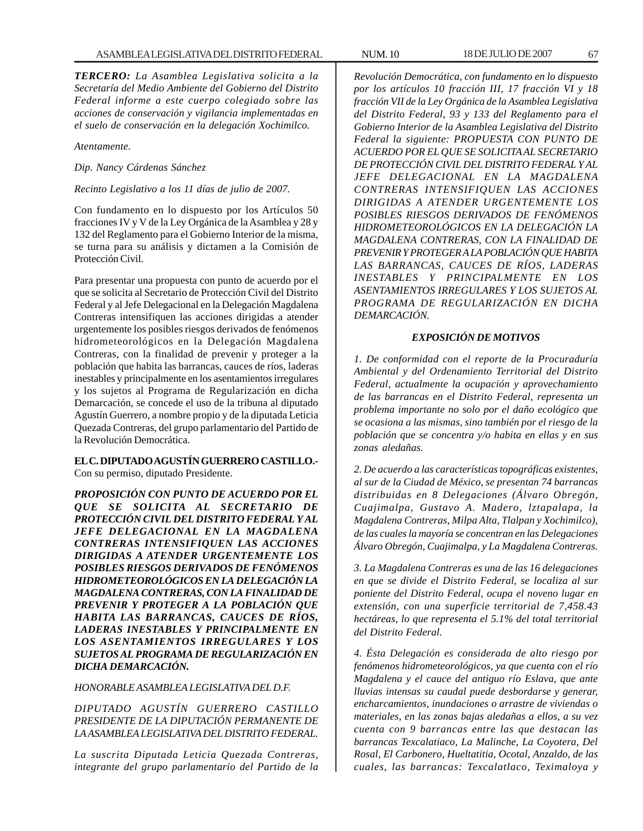*TERCERO: La Asamblea Legislativa solicita a la Secretaría del Medio Ambiente del Gobierno del Distrito Federal informe a este cuerpo colegiado sobre las acciones de conservación y vigilancia implementadas en el suelo de conservación en la delegación Xochimilco.*

*Atentamente.*

*Dip. Nancy Cárdenas Sánchez*

*Recinto Legislativo a los 11 días de julio de 2007.*

Con fundamento en lo dispuesto por los Artículos 50 fracciones IV y V de la Ley Orgánica de la Asamblea y 28 y 132 del Reglamento para el Gobierno Interior de la misma, se turna para su análisis y dictamen a la Comisión de Protección Civil.

Para presentar una propuesta con punto de acuerdo por el que se solicita al Secretario de Protección Civil del Distrito Federal y al Jefe Delegacional en la Delegación Magdalena Contreras intensifiquen las acciones dirigidas a atender urgentemente los posibles riesgos derivados de fenómenos hidrometeorológicos en la Delegación Magdalena Contreras, con la finalidad de prevenir y proteger a la población que habita las barrancas, cauces de ríos, laderas inestables y principalmente en los asentamientos irregulares y los sujetos al Programa de Regularización en dicha Demarcación, se concede el uso de la tribuna al diputado Agustín Guerrero, a nombre propio y de la diputada Leticia Quezada Contreras, del grupo parlamentario del Partido de la Revolución Democrática.

## **EL C. DIPUTADO AGUSTÍN GUERRERO CASTILLO.-** Con su permiso, diputado Presidente.

*PROPOSICIÓN CON PUNTO DE ACUERDO POR EL QUE SE SOLICITA AL SECRETARIO DE PROTECCIÓN CIVIL DEL DISTRITO FEDERAL Y AL JEFE DELEGACIONAL EN LA MAGDALENA CONTRERAS INTENSIFIQUEN LAS ACCIONES DIRIGIDAS A ATENDER URGENTEMENTE LOS POSIBLES RIESGOS DERIVADOS DE FENÓMENOS HIDROMETEOROLÓGICOS EN LA DELEGACIÓN LA MAGDALENA CONTRERAS, CON LA FINALIDAD DE PREVENIR Y PROTEGER A LA POBLACIÓN QUE HABITA LAS BARRANCAS, CAUCES DE RÍOS, LADERAS INESTABLES Y PRINCIPALMENTE EN LOS ASENTAMIENTOS IRREGULARES Y LOS SUJETOS AL PROGRAMA DE REGULARIZACIÓN EN DICHA DEMARCACIÓN.*

## *HONORABLE ASAMBLEA LEGISLATIVA DEL D.F.*

*DIPUTADO AGUSTÍN GUERRERO CASTILLO PRESIDENTE DE LA DIPUTACIÓN PERMANENTE DE LA ASAMBLEA LEGISLATIVA DEL DISTRITO FEDERAL.*

*La suscrita Diputada Leticia Quezada Contreras, integrante del grupo parlamentario del Partido de la*

*Revolución Democrática, con fundamento en lo dispuesto por los artículos 10 fracción III, 17 fracción VI y 18 fracción VII de la Ley Orgánica de la Asamblea Legislativa del Distrito Federal, 93 y 133 del Reglamento para el Gobierno Interior de la Asamblea Legislativa del Distrito Federal la siguiente: PROPUESTA CON PUNTO DE ACUERDO POR EL QUE SE SOLICITA AL SECRETARIO DE PROTECCIÓN CIVIL DEL DISTRITO FEDERAL Y AL JEFE DELEGACIONAL EN LA MAGDALENA CONTRERAS INTENSIFIQUEN LAS ACCIONES DIRIGIDAS A ATENDER URGENTEMENTE LOS POSIBLES RIESGOS DERIVADOS DE FENÓMENOS HIDROMETEOROLÓGICOS EN LA DELEGACIÓN LA MAGDALENA CONTRERAS, CON LA FINALIDAD DE PREVENIR Y PROTEGER A LA POBLACIÓN QUE HABITA LAS BARRANCAS, CAUCES DE RÍOS, LADERAS INESTABLES Y PRINCIPALMENTE EN LOS ASENTAMIENTOS IRREGULARES Y LOS SUJETOS AL PROGRAMA DE REGULARIZACIÓN EN DICHA DEMARCACIÓN.*

# *EXPOSICIÓN DE MOTIVOS*

*1. De conformidad con el reporte de la Procuraduría Ambiental y del Ordenamiento Territorial del Distrito Federal, actualmente la ocupación y aprovechamiento de las barrancas en el Distrito Federal, representa un problema importante no solo por el daño ecológico que se ocasiona a las mismas, sino también por el riesgo de la población que se concentra y/o habita en ellas y en sus zonas aledañas.*

*2. De acuerdo a las características topográficas existentes, al sur de la Ciudad de México, se presentan 74 barrancas distribuidas en 8 Delegaciones (Álvaro Obregón, Cuajimalpa, Gustavo A. Madero, lztapalapa, la Magdalena Contreras, Milpa Alta, Tlalpan y Xochimilco), de las cuales la mayoría se concentran en las Delegaciones Álvaro Obregón, Cuajimalpa, y La Magdalena Contreras.*

*3. La Magdalena Contreras es una de las 16 delegaciones en que se divide el Distrito Federal, se localiza al sur poniente del Distrito Federal, ocupa el noveno lugar en extensión, con una superficie territorial de 7,458.43 hectáreas, lo que representa el 5.1% del total territorial del Distrito Federal.*

*4. Ésta Delegación es considerada de alto riesgo por fenómenos hidrometeorológicos, ya que cuenta con el río Magdalena y el cauce del antiguo río Eslava, que ante lluvias intensas su caudal puede desbordarse y generar, encharcamientos, inundaciones o arrastre de viviendas o materiales, en las zonas bajas aledañas a ellos, a su vez cuenta con 9 barrancas entre las que destacan las barrancas Texcalatiaco, La Malinche, La Coyotera, Del Rosal, El Carbonero, Hueltatitia, Ocotal, Anzaldo, de las cuales, las barrancas: Texcalatlaco, Teximaloya y*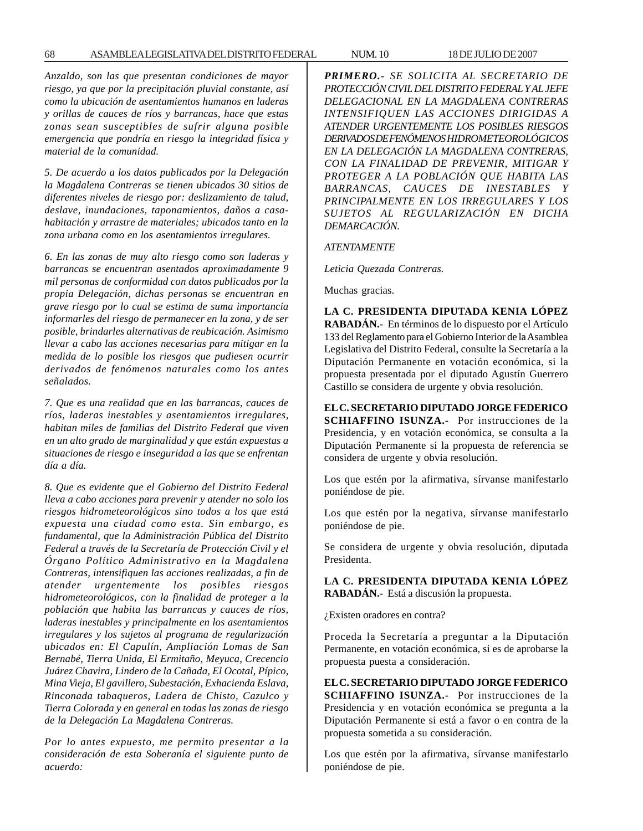*Anzaldo, son las que presentan condiciones de mayor riesgo, ya que por la precipitación pluvial constante, así como la ubicación de asentamientos humanos en laderas y orillas de cauces de ríos y barrancas, hace que estas zonas sean susceptibles de sufrir alguna posible emergencia que pondría en riesgo la integridad física y material de la comunidad.*

*5. De acuerdo a los datos publicados por la Delegación la Magdalena Contreras se tienen ubicados 30 sitios de diferentes niveles de riesgo por: deslizamiento de talud, deslave, inundaciones, taponamientos, daños a casahabitación y arrastre de materiales; ubicados tanto en la zona urbana como en los asentamientos irregulares.*

*6. En las zonas de muy alto riesgo como son laderas y barrancas se encuentran asentados aproximadamente 9 mil personas de conformidad con datos publicados por la propia Delegación, dichas personas se encuentran en grave riesgo por lo cual se estima de suma importancia informarles del riesgo de permanecer en la zona, y de ser posible, brindarles alternativas de reubicación. Asimismo llevar a cabo las acciones necesarias para mitigar en la medida de lo posible los riesgos que pudiesen ocurrir derivados de fenómenos naturales como los antes señalados.*

*7. Que es una realidad que en las barrancas, cauces de ríos, laderas inestables y asentamientos irregulares, habitan miles de familias del Distrito Federal que viven en un alto grado de marginalidad y que están expuestas a situaciones de riesgo e inseguridad a las que se enfrentan día a día.*

*8. Que es evidente que el Gobierno del Distrito Federal lleva a cabo acciones para prevenir y atender no solo los riesgos hidrometeorológicos sino todos a los que está expuesta una ciudad como esta. Sin embargo, es fundamental, que la Administración Pública del Distrito Federal a través de la Secretaría de Protección Civil y el Órgano Político Administrativo en la Magdalena Contreras, intensifiquen las acciones realizadas, a fin de atender urgentemente los posibles riesgos hidrometeorológicos, con la finalidad de proteger a la población que habita las barrancas y cauces de ríos, laderas inestables y principalmente en los asentamientos irregulares y los sujetos al programa de regularización ubicados en: El Capulín, Ampliación Lomas de San Bernabé, Tierra Unida, El Ermitaño, Meyuca, Crecencio Juárez Chavira, Lindero de la Cañada, El Ocotal, Pípico, Mina Vieja, El gavillero, Subestación, Exhacienda Eslava, Rinconada tabaqueros, Ladera de Chisto, Cazulco y Tierra Colorada y en general en todas las zonas de riesgo de la Delegación La Magdalena Contreras.*

*Por lo antes expuesto, me permito presentar a la consideración de esta Soberanía el siguiente punto de acuerdo:*

*PRIMERO.- SE SOLICITA AL SECRETARIO DE PROTECCIÓN CIVIL DEL DISTRITO FEDERAL Y AL JEFE DELEGACIONAL EN LA MAGDALENA CONTRERAS INTENSIFIQUEN LAS ACCIONES DIRIGIDAS A ATENDER URGENTEMENTE LOS POSIBLES RIESGOS DERIVADOS DE FENÓMENOS HIDROMETEOROLÓGICOS EN LA DELEGACIÓN LA MAGDALENA CONTRERAS, CON LA FINALIDAD DE PREVENIR, MITIGAR Y PROTEGER A LA POBLACIÓN QUE HABITA LAS BARRANCAS, CAUCES DE INESTABLES Y PRINCIPALMENTE EN LOS IRREGULARES Y LOS SUJETOS AL REGULARIZACIÓN EN DICHA DEMARCACIÓN.*

*ATENTAMENTE*

*Leticia Quezada Contreras.*

Muchas gracias.

**LA C. PRESIDENTA DIPUTADA KENIA LÓPEZ RABADÁN.-** En términos de lo dispuesto por el Artículo 133 del Reglamento para el Gobierno Interior de la Asamblea Legislativa del Distrito Federal, consulte la Secretaría a la Diputación Permanente en votación económica, si la propuesta presentada por el diputado Agustín Guerrero Castillo se considera de urgente y obvia resolución.

**EL C. SECRETARIO DIPUTADO JORGE FEDERICO SCHIAFFINO ISUNZA.-** Por instrucciones de la Presidencia, y en votación económica, se consulta a la Diputación Permanente si la propuesta de referencia se considera de urgente y obvia resolución.

Los que estén por la afirmativa, sírvanse manifestarlo poniéndose de pie.

Los que estén por la negativa, sírvanse manifestarlo poniéndose de pie.

Se considera de urgente y obvia resolución, diputada Presidenta.

**LA C. PRESIDENTA DIPUTADA KENIA LÓPEZ RABADÁN.-** Está a discusión la propuesta.

¿Existen oradores en contra?

Proceda la Secretaría a preguntar a la Diputación Permanente, en votación económica, si es de aprobarse la propuesta puesta a consideración.

**EL C. SECRETARIO DIPUTADO JORGE FEDERICO SCHIAFFINO ISUNZA.-** Por instrucciones de la Presidencia y en votación económica se pregunta a la Diputación Permanente si está a favor o en contra de la propuesta sometida a su consideración.

Los que estén por la afirmativa, sírvanse manifestarlo poniéndose de pie.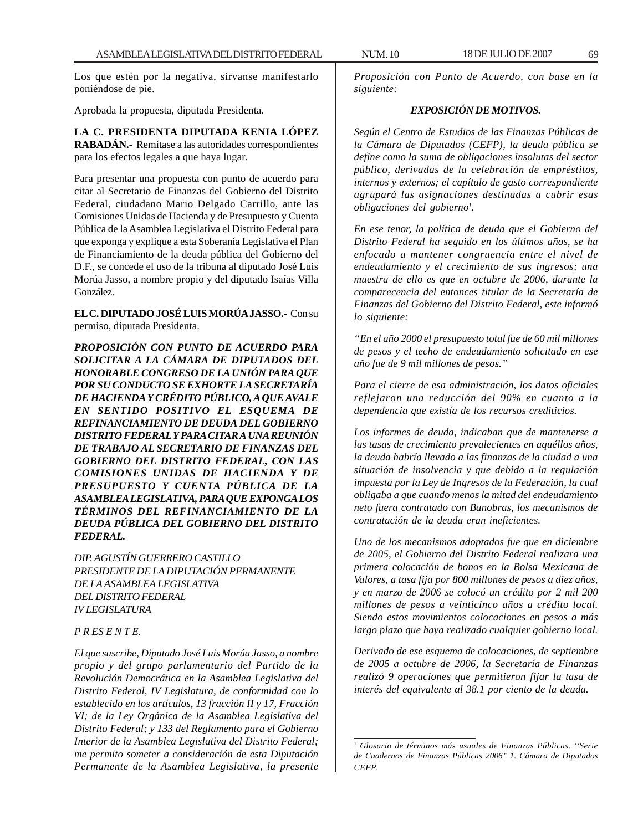Los que estén por la negativa, sírvanse manifestarlo poniéndose de pie.

Aprobada la propuesta, diputada Presidenta.

**LA C. PRESIDENTA DIPUTADA KENIA LÓPEZ RABADÁN.-** Remítase a las autoridades correspondientes para los efectos legales a que haya lugar.

Para presentar una propuesta con punto de acuerdo para citar al Secretario de Finanzas del Gobierno del Distrito Federal, ciudadano Mario Delgado Carrillo, ante las Comisiones Unidas de Hacienda y de Presupuesto y Cuenta Pública de la Asamblea Legislativa el Distrito Federal para que exponga y explique a esta Soberanía Legislativa el Plan de Financiamiento de la deuda pública del Gobierno del D.F., se concede el uso de la tribuna al diputado José Luis Morúa Jasso, a nombre propio y del diputado Isaías Villa González.

**EL C. DIPUTADO JOSÉ LUIS MORÚA JASSO.-** Con su permiso, diputada Presidenta.

*PROPOSICIÓN CON PUNTO DE ACUERDO PARA SOLICITAR A LA CÁMARA DE DIPUTADOS DEL HONORABLE CONGRESO DE LA UNIÓN PARA QUE POR SU CONDUCTO SE EXHORTE LA SECRETARÍA DE HACIENDA Y CRÉDITO PÚBLICO, A QUE AVALE EN SENTIDO POSITIVO EL ESQUEMA DE REFINANCIAMIENTO DE DEUDA DEL GOBIERNO DISTRITO FEDERAL Y PARA CITAR A UNA REUNIÓN DE TRABAJO AL SECRETARIO DE FINANZAS DEL GOBIERNO DEL DISTRITO FEDERAL, CON LAS COMISIONES UNIDAS DE HACIENDA Y DE PRESUPUESTO Y CUENTA PÚBLICA DE LA ASAMBLEA LEGISLATIVA, PARA QUE EXPONGA LOS TÉRMINOS DEL REFINANCIAMIENTO DE LA DEUDA PÚBLICA DEL GOBIERNO DEL DISTRITO FEDERAL.*

*DIP. AGUSTÍN GUERRERO CASTILLO PRESIDENTE DE LA DIPUTACIÓN PERMANENTE DE LA ASAMBLEA LEGISLATIVA DEL DISTRITO FEDERAL IV LEGISLATURA*

### *P R ES E N T E.*

*El que suscribe, Diputado José Luis Morúa Jasso, a nombre propio y del grupo parlamentario del Partido de la Revolución Democrática en la Asamblea Legislativa del Distrito Federal, IV Legislatura, de conformidad con lo establecido en los artículos, 13 fracción II y 17, Fracción VI; de la Ley Orgánica de la Asamblea Legislativa del Distrito Federal; y 133 del Reglamento para el Gobierno Interior de la Asamblea Legislativa del Distrito Federal; me permito someter a consideración de esta Diputación Permanente de la Asamblea Legislativa, la presente*

*Proposición con Punto de Acuerdo, con base en la siguiente:*

## *EXPOSICIÓN DE MOTIVOS.*

*Según el Centro de Estudios de las Finanzas Públicas de la Cámara de Diputados (CEFP), la deuda pública se define como la suma de obligaciones insolutas del sector público, derivadas de la celebración de empréstitos, internos y externos; el capítulo de gasto correspondiente agrupará las asignaciones destinadas a cubrir esas obligaciones del gobierno1 .*

*En ese tenor, la política de deuda que el Gobierno del Distrito Federal ha seguido en los últimos años, se ha enfocado a mantener congruencia entre el nivel de endeudamiento y el crecimiento de sus ingresos; una muestra de ello es que en octubre de 2006, durante la comparecencia del entonces titular de la Secretaría de Finanzas del Gobierno del Distrito Federal, este informó lo siguiente:*

*''En el año 2000 el presupuesto total fue de 60 mil millones de pesos y el techo de endeudamiento solicitado en ese año fue de 9 mil millones de pesos.''*

*Para el cierre de esa administración, los datos oficiales reflejaron una reducción del 90% en cuanto a la dependencia que existía de los recursos crediticios.*

*Los informes de deuda, indicaban que de mantenerse a las tasas de crecimiento prevalecientes en aquéllos años, la deuda habría llevado a las finanzas de la ciudad a una situación de insolvencia y que debido a la regulación impuesta por la Ley de Ingresos de la Federación, la cual obligaba a que cuando menos la mitad del endeudamiento neto fuera contratado con Banobras, los mecanismos de contratación de la deuda eran ineficientes.*

*Uno de los mecanismos adoptados fue que en diciembre de 2005, el Gobierno del Distrito Federal realizara una primera colocación de bonos en la Bolsa Mexicana de Valores, a tasa fija por 800 millones de pesos a diez años, y en marzo de 2006 se colocó un crédito por 2 mil 200 millones de pesos a veinticinco años a crédito local. Siendo estos movimientos colocaciones en pesos a más largo plazo que haya realizado cualquier gobierno local.*

*Derivado de ese esquema de colocaciones, de septiembre de 2005 a octubre de 2006, la Secretaría de Finanzas realizó 9 operaciones que permitieron fijar la tasa de interés del equivalente al 38.1 por ciento de la deuda.*

<sup>1</sup> *Glosario de términos más usuales de Finanzas Públicas. ''Serie de Cuadernos de Finanzas Públicas 2006'' 1. Cámara de Diputados CEFP.*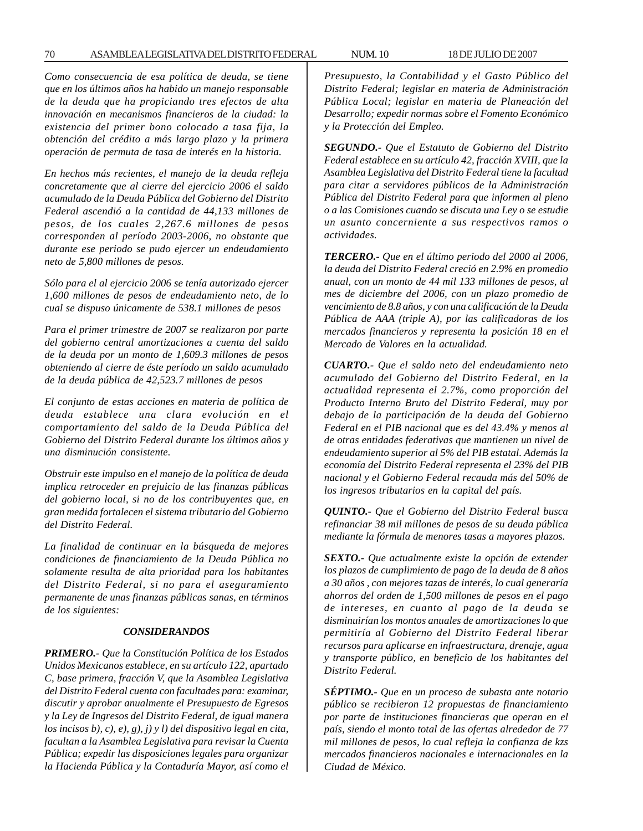*Como consecuencia de esa política de deuda, se tiene que en los últimos años ha habido un manejo responsable de la deuda que ha propiciando tres efectos de alta innovación en mecanismos financieros de la ciudad: la existencia del primer bono colocado a tasa fija, la obtención del crédito a más largo plazo y la primera operación de permuta de tasa de interés en la historia.*

*En hechos más recientes, el manejo de la deuda refleja concretamente que al cierre del ejercicio 2006 el saldo acumulado de la Deuda Pública del Gobierno del Distrito Federal ascendió a la cantidad de 44,133 millones de pesos, de los cuales 2,267.6 millones de pesos corresponden al período 2003-2006, no obstante que durante ese periodo se pudo ejercer un endeudamiento neto de 5,800 millones de pesos.*

*Sólo para el al ejercicio 2006 se tenía autorizado ejercer 1,600 millones de pesos de endeudamiento neto, de lo cual se dispuso únicamente de 538.1 millones de pesos*

*Para el primer trimestre de 2007 se realizaron por parte del gobierno central amortizaciones a cuenta del saldo de la deuda por un monto de 1,609.3 millones de pesos obteniendo al cierre de éste período un saldo acumulado de la deuda pública de 42,523.7 millones de pesos*

*El conjunto de estas acciones en materia de política de deuda establece una clara evolución en el comportamiento del saldo de la Deuda Pública del Gobierno del Distrito Federal durante los últimos años y una disminución consistente.*

*Obstruir este impulso en el manejo de la política de deuda implica retroceder en prejuicio de las finanzas públicas del gobierno local, si no de los contribuyentes que, en gran medida fortalecen el sistema tributario del Gobierno del Distrito Federal.*

*La finalidad de continuar en la búsqueda de mejores condiciones de financiamiento de la Deuda Pública no solamente resulta de alta prioridad para los habitantes del Distrito Federal, si no para el aseguramiento permanente de unas finanzas públicas sanas, en términos de los siguientes:*

#### *CONSIDERANDOS*

*PRIMERO.- Que la Constitución Política de los Estados Unidos Mexicanos establece, en su artículo 122, apartado C, base primera, fracción V, que la Asamblea Legislativa del Distrito Federal cuenta con facultades para: examinar, discutir y aprobar anualmente el Presupuesto de Egresos y la Ley de Ingresos del Distrito Federal, de igual manera los incisos b), c), e), g), j) y l) del dispositivo legal en cita, facultan a la Asamblea Legislativa para revisar la Cuenta Pública; expedir las disposiciones legales para organizar la Hacienda Pública y la Contaduría Mayor, así como el* *Presupuesto, la Contabilidad y el Gasto Público del Distrito Federal; legislar en materia de Administración Pública Local; legislar en materia de Planeación del Desarrollo; expedir normas sobre el Fomento Económico y la Protección del Empleo.*

*SEGUNDO.- Que el Estatuto de Gobierno del Distrito Federal establece en su artículo 42, fracción XVIII, que la Asamblea Legislativa del Distrito Federal tiene la facultad para citar a servidores públicos de la Administración Pública del Distrito Federal para que informen al pleno o a las Comisiones cuando se discuta una Ley o se estudie un asunto concerniente a sus respectivos ramos o actividades.*

*TERCERO.- Que en el último periodo del 2000 al 2006, la deuda del Distrito Federal creció en 2.9% en promedio anual, con un monto de 44 mil 133 millones de pesos, al mes de diciembre del 2006, con un plazo promedio de vencimiento de 8.8 años, y con una calificación de la Deuda Pública de AAA (triple A), por las calificadoras de los mercados financieros y representa la posición 18 en el Mercado de Valores en la actualidad.*

*CUARTO.- Que el saldo neto del endeudamiento neto acumulado del Gobierno del Distrito Federal, en la actualidad representa el 2.7%, como proporción del Producto Interno Bruto del Distrito Federal, muy por debajo de la participación de la deuda del Gobierno Federal en el PIB nacional que es del 43.4% y menos al de otras entidades federativas que mantienen un nivel de endeudamiento superior al 5% del PIB estatal. Además la economía del Distrito Federal representa el 23% del PIB nacional y el Gobierno Federal recauda más del 50% de los ingresos tributarios en la capital del país.*

*QUINTO.- Que el Gobierno del Distrito Federal busca refinanciar 38 mil millones de pesos de su deuda pública mediante la fórmula de menores tasas a mayores plazos.*

*SEXTO.- Que actualmente existe la opción de extender los plazos de cumplimiento de pago de la deuda de 8 años a 30 años , con mejores tazas de interés, lo cual generaría ahorros del orden de 1,500 millones de pesos en el pago de intereses, en cuanto al pago de la deuda se disminuirían los montos anuales de amortizaciones lo que permitiría al Gobierno del Distrito Federal liberar recursos para aplicarse en infraestructura, drenaje, agua y transporte público, en beneficio de los habitantes del Distrito Federal.*

*SÉPTIMO.- Que en un proceso de subasta ante notario público se recibieron 12 propuestas de financiamiento por parte de instituciones financieras que operan en el país, siendo el monto total de las ofertas alrededor de 77 mil millones de pesos, lo cual refleja la confianza de kzs mercados financieros nacionales e internacionales en la Ciudad de México.*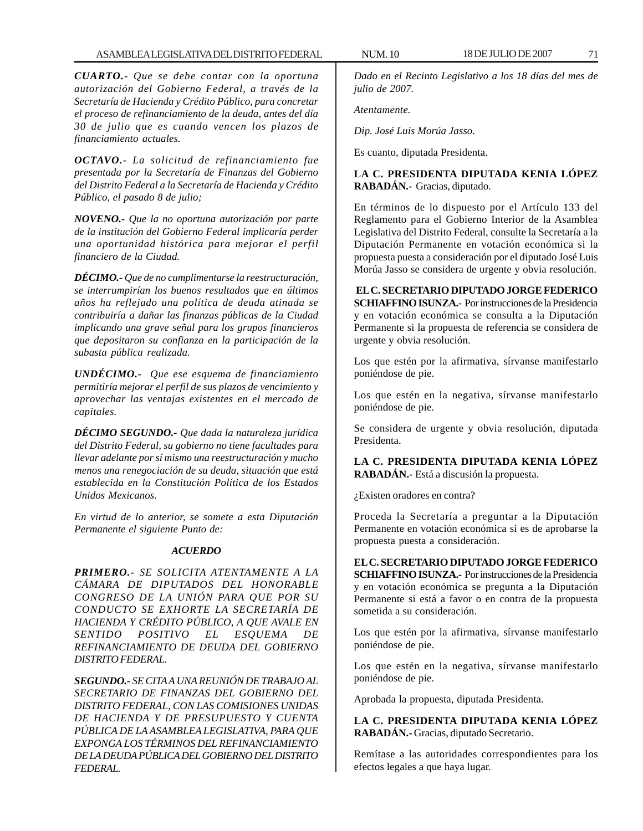*CUARTO.- Que se debe contar con la oportuna autorización del Gobierno Federal, a través de la Secretaría de Hacienda y Crédito Público, para concretar el proceso de refinanciamiento de la deuda, antes del día 30 de julio que es cuando vencen los plazos de financiamiento actuales.*

*OCTAVO.- La solicitud de refinanciamiento fue presentada por la Secretaría de Finanzas del Gobierno del Distrito Federal a la Secretaría de Hacienda y Crédito Público, el pasado 8 de julio;*

*NOVENO.- Que la no oportuna autorización por parte de la institución del Gobierno Federal implicaría perder una oportunidad histórica para mejorar el perfil financiero de la Ciudad.*

*DÉCIMO.- Que de no cumplimentarse la reestructuración, se interrumpirían los buenos resultados que en últimos años ha reflejado una política de deuda atinada se contribuiría a dañar las finanzas públicas de la Ciudad implicando una grave señal para los grupos financieros que depositaron su confianza en la participación de la subasta pública realizada.*

*UNDÉCIMO.- Que ese esquema de financiamiento permitiría mejorar el perfil de sus plazos de vencimiento y aprovechar las ventajas existentes en el mercado de capitales.*

*DÉCIMO SEGUNDO.- Que dada la naturaleza jurídica del Distrito Federal, su gobierno no tiene facultades para llevar adelante por sí mismo una reestructuración y mucho menos una renegociación de su deuda, situación que está establecida en la Constitución Política de los Estados Unidos Mexicanos.*

*En virtud de lo anterior, se somete a esta Diputación Permanente el siguiente Punto de:*

# *ACUERDO*

*PRIMERO.- SE SOLICITA ATENTAMENTE A LA CÁMARA DE DIPUTADOS DEL HONORABLE CONGRESO DE LA UNIÓN PARA QUE POR SU CONDUCTO SE EXHORTE LA SECRETARÍA DE HACIENDA Y CRÉDITO PÚBLICO, A QUE AVALE EN SENTIDO POSITIVO EL ESQUEMA DE REFINANCIAMIENTO DE DEUDA DEL GOBIERNO DISTRITO FEDERAL.*

*SEGUNDO.- SE CITA A UNA REUNIÓN DE TRABAJO AL SECRETARIO DE FINANZAS DEL GOBIERNO DEL DISTRITO FEDERAL, CON LAS COMISIONES UNIDAS DE HACIENDA Y DE PRESUPUESTO Y CUENTA PÚBLICA DE LA ASAMBLEA LEGISLATIVA, PARA QUE EXPONGA LOS TÉRMINOS DEL REFINANCIAMIENTO DE LA DEUDA PÚBLICA DEL GOBIERNO DEL DISTRITO FEDERAL.*

*Dado en el Recinto Legislativo a los 18 días del mes de julio de 2007.*

*Atentamente.*

*Dip. José Luis Morúa Jasso.*

Es cuanto, diputada Presidenta.

# **LA C. PRESIDENTA DIPUTADA KENIA LÓPEZ RABADÁN.-** Gracias, diputado.

En términos de lo dispuesto por el Artículo 133 del Reglamento para el Gobierno Interior de la Asamblea Legislativa del Distrito Federal, consulte la Secretaría a la Diputación Permanente en votación económica si la propuesta puesta a consideración por el diputado José Luis Morúa Jasso se considera de urgente y obvia resolución.

**EL C. SECRETARIO DIPUTADO JORGE FEDERICO SCHIAFFINO ISUNZA.-** Por instrucciones de la Presidencia y en votación económica se consulta a la Diputación Permanente si la propuesta de referencia se considera de urgente y obvia resolución.

Los que estén por la afirmativa, sírvanse manifestarlo poniéndose de pie.

Los que estén en la negativa, sírvanse manifestarlo poniéndose de pie.

Se considera de urgente y obvia resolución, diputada Presidenta.

**LA C. PRESIDENTA DIPUTADA KENIA LÓPEZ RABADÁN.-** Está a discusión la propuesta.

¿Existen oradores en contra?

Proceda la Secretaría a preguntar a la Diputación Permanente en votación económica si es de aprobarse la propuesta puesta a consideración.

**EL C. SECRETARIO DIPUTADO JORGE FEDERICO SCHIAFFINO ISUNZA.-** Por instrucciones de la Presidencia y en votación económica se pregunta a la Diputación Permanente si está a favor o en contra de la propuesta sometida a su consideración.

Los que estén por la afirmativa, sírvanse manifestarlo poniéndose de pie.

Los que estén en la negativa, sírvanse manifestarlo poniéndose de pie.

Aprobada la propuesta, diputada Presidenta.

**LA C. PRESIDENTA DIPUTADA KENIA LÓPEZ RABADÁN.-** Gracias, diputado Secretario.

Remítase a las autoridades correspondientes para los efectos legales a que haya lugar.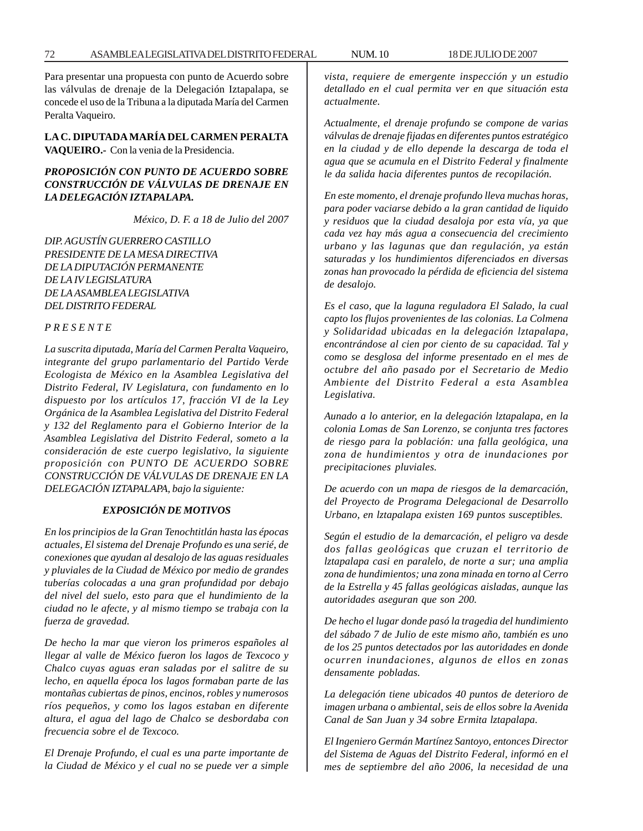Para presentar una propuesta con punto de Acuerdo sobre las válvulas de drenaje de la Delegación Iztapalapa, se concede el uso de la Tribuna a la diputada María del Carmen Peralta Vaqueiro.

**LA C. DIPUTADA MARÍA DEL CARMEN PERALTA VAQUEIRO.-** Con la venia de la Presidencia.

# *PROPOSICIÓN CON PUNTO DE ACUERDO SOBRE CONSTRUCCIÓN DE VÁLVULAS DE DRENAJE EN LA DELEGACIÓN IZTAPALAPA.*

*México, D. F. a 18 de Julio del 2007*

*DIP. AGUSTÍN GUERRERO CASTILLO PRESIDENTE DE LA MESA DIRECTIVA DE LA DIPUTACIÓN PERMANENTE DE LA IV LEGISLATURA DE LA ASAMBLEA LEGISLATIVA DEL DISTRITO FEDERAL*

## *P R E S E N T E*

*La suscrita diputada, María del Carmen Peralta Vaqueiro, integrante del grupo parlamentario del Partido Verde Ecologista de México en la Asamblea Legislativa del Distrito Federal, IV Legislatura, con fundamento en lo dispuesto por los artículos 17, fracción VI de la Ley Orgánica de la Asamblea Legislativa del Distrito Federal y 132 del Reglamento para el Gobierno Interior de la Asamblea Legislativa del Distrito Federal, someto a la consideración de este cuerpo legislativo, la siguiente proposición con PUNTO DE ACUERDO SOBRE CONSTRUCCIÓN DE VÁLVULAS DE DRENAJE EN LA DELEGACIÓN IZTAPALAPA, bajo la siguiente:*

#### *EXPOSICIÓN DE MOTIVOS*

*En los principios de la Gran Tenochtitlán hasta las épocas actuales, El sistema del Drenaje Profundo es una serié, de conexiones que ayudan al desalojo de las aguas residuales y pluviales de la Ciudad de México por medio de grandes tuberías colocadas a una gran profundidad por debajo del nivel del suelo, esto para que el hundimiento de la ciudad no le afecte, y al mismo tiempo se trabaja con la fuerza de gravedad.*

*De hecho la mar que vieron los primeros españoles al llegar al valle de México fueron los lagos de Texcoco y Chalco cuyas aguas eran saladas por el salitre de su lecho, en aquella época los lagos formaban parte de las montañas cubiertas de pinos, encinos, robles y numerosos ríos pequeños, y como los lagos estaban en diferente altura, el agua del lago de Chalco se desbordaba con frecuencia sobre el de Texcoco.*

*El Drenaje Profundo, el cual es una parte importante de la Ciudad de México y el cual no se puede ver a simple* *vista, requiere de emergente inspección y un estudio detallado en el cual permita ver en que situación esta actualmente.*

*Actualmente, el drenaje profundo se compone de varias válvulas de drenaje fijadas en diferentes puntos estratégico en la ciudad y de ello depende la descarga de toda el agua que se acumula en el Distrito Federal y finalmente le da salida hacia diferentes puntos de recopilación.*

*En este momento, el drenaje profundo lleva muchas horas, para poder vaciarse debido a la gran cantidad de liquido y residuos que la ciudad desaloja por esta vía, ya que cada vez hay más agua a consecuencia del crecimiento urbano y las lagunas que dan regulación, ya están saturadas y los hundimientos diferenciados en diversas zonas han provocado la pérdida de eficiencia del sistema de desalojo.*

*Es el caso, que la laguna reguladora El Salado, la cual capto los flujos provenientes de las colonias. La Colmena y Solidaridad ubicadas en la delegación lztapalapa, encontrándose al cien por ciento de su capacidad. Tal y como se desglosa del informe presentado en el mes de octubre del año pasado por el Secretario de Medio Ambiente del Distrito Federal a esta Asamblea Legislativa.*

*Aunado a lo anterior, en la delegación lztapalapa, en la colonia Lomas de San Lorenzo, se conjunta tres factores de riesgo para la población: una falla geológica, una zona de hundimientos y otra de inundaciones por precipitaciones pluviales.*

*De acuerdo con un mapa de riesgos de la demarcación, del Proyecto de Programa Delegacional de Desarrollo Urbano, en lztapalapa existen 169 puntos susceptibles.*

*Según el estudio de la demarcación, el peligro va desde dos fallas geológicas que cruzan el territorio de lztapalapa casi en paralelo, de norte a sur; una amplia zona de hundimientos; una zona minada en torno al Cerro de la Estrella y 45 fallas geológicas aisladas, aunque las autoridades aseguran que son 200.*

*De hecho el lugar donde pasó la tragedia del hundimiento del sábado 7 de Julio de este mismo año, también es uno de los 25 puntos detectados por las autoridades en donde ocurren inundaciones, algunos de ellos en zonas densamente pobladas.*

*La delegación tiene ubicados 40 puntos de deterioro de imagen urbana o ambiental, seis de ellos sobre la Avenida Canal de San Juan y 34 sobre Ermita lztapalapa.*

*El Ingeniero Germán Martínez Santoyo, entonces Director del Sistema de Aguas del Distrito Federal, informó en el mes de septiembre del año 2006, la necesidad de una*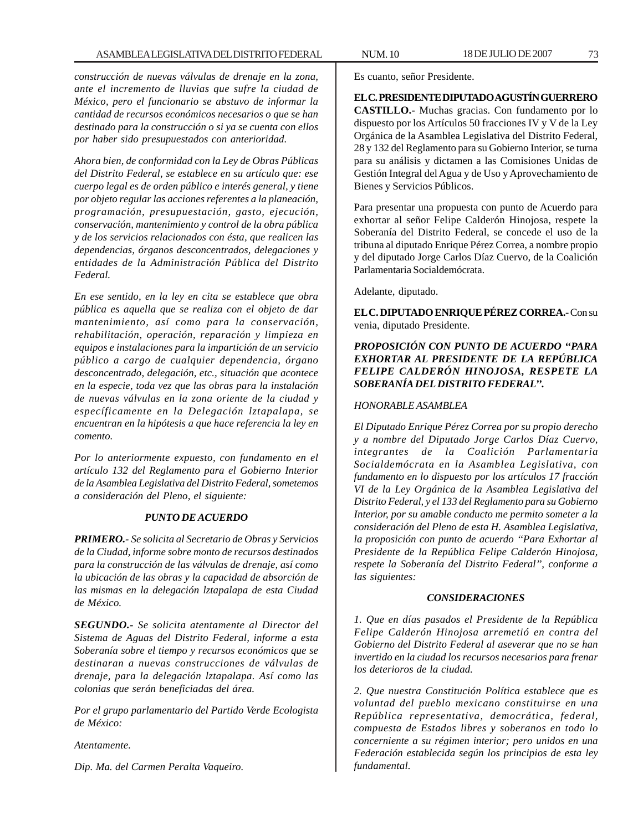*construcción de nuevas válvulas de drenaje en la zona, ante el incremento de lluvias que sufre la ciudad de México, pero el funcionario se abstuvo de informar la cantidad de recursos económicos necesarios o que se han destinado para la construcción o si ya se cuenta con ellos por haber sido presupuestados con anterioridad.*

*Ahora bien, de conformidad con la Ley de Obras Públicas del Distrito Federal, se establece en su artículo que: ese cuerpo legal es de orden público e interés general, y tiene por objeto regular las acciones referentes a la planeación, programación, presupuestación, gasto, ejecución, conservación, mantenimiento y control de la obra pública y de los servicios relacionados con ésta, que realicen las dependencias, órganos desconcentrados, delegaciones y entidades de la Administración Pública del Distrito Federal.*

*En ese sentido, en la ley en cita se establece que obra pública es aquella que se realiza con el objeto de dar mantenimiento, así como para la conservación, rehabilitación, operación, reparación y limpieza en equipos e instalaciones para la impartición de un servicio público a cargo de cualquier dependencia, órgano desconcentrado, delegación, etc., situación que acontece en la especie, toda vez que las obras para la instalación de nuevas válvulas en la zona oriente de la ciudad y específicamente en la Delegación lztapalapa, se encuentran en la hipótesis a que hace referencia la ley en comento.*

*Por lo anteriormente expuesto, con fundamento en el artículo 132 del Reglamento para el Gobierno Interior de la Asamblea Legislativa del Distrito Federal, sometemos a consideración del Pleno, el siguiente:*

### *PUNTO DE ACUERDO*

*PRIMERO.- Se solicita al Secretario de Obras y Servicios de la Ciudad, informe sobre monto de recursos destinados para la construcción de las válvulas de drenaje, así como la ubicación de las obras y la capacidad de absorción de las mismas en la delegación lztapalapa de esta Ciudad de México.*

*SEGUNDO.- Se solicita atentamente al Director del Sistema de Aguas del Distrito Federal, informe a esta Soberanía sobre el tiempo y recursos económicos que se destinaran a nuevas construcciones de válvulas de drenaje, para la delegación lztapalapa. Así como las colonias que serán beneficiadas del área.*

*Por el grupo parlamentario del Partido Verde Ecologista de México:*

*Atentamente.*

*Dip. Ma. del Carmen Peralta Vaqueiro.*

Es cuanto, señor Presidente.

**EL C. PRESIDENTE DIPUTADO AGUSTÍN GUERRERO CASTILLO.-** Muchas gracias. Con fundamento por lo dispuesto por los Artículos 50 fracciones IV y V de la Ley Orgánica de la Asamblea Legislativa del Distrito Federal, 28 y 132 del Reglamento para su Gobierno Interior, se turna para su análisis y dictamen a las Comisiones Unidas de Gestión Integral del Agua y de Uso y Aprovechamiento de Bienes y Servicios Públicos.

Para presentar una propuesta con punto de Acuerdo para exhortar al señor Felipe Calderón Hinojosa, respete la Soberanía del Distrito Federal, se concede el uso de la tribuna al diputado Enrique Pérez Correa, a nombre propio y del diputado Jorge Carlos Díaz Cuervo, de la Coalición Parlamentaria Socialdemócrata.

Adelante, diputado.

**EL C. DIPUTADO ENRIQUE PÉREZ CORREA.-** Con su venia, diputado Presidente.

## *PROPOSICIÓN CON PUNTO DE ACUERDO ''PARA EXHORTAR AL PRESIDENTE DE LA REPÚBLICA FELIPE CALDERÓN HINOJOSA, RESPETE LA SOBERANÍA DEL DISTRITO FEDERAL''.*

## *HONORABLE ASAMBLEA*

*El Diputado Enrique Pérez Correa por su propio derecho y a nombre del Diputado Jorge Carlos Díaz Cuervo, integrantes de la Coalición Parlamentaria Socialdemócrata en la Asamblea Legislativa, con fundamento en lo dispuesto por los artículos 17 fracción VI de la Ley Orgánica de la Asamblea Legislativa del Distrito Federal, y el 133 del Reglamento para su Gobierno Interior, por su amable conducto me permito someter a la consideración del Pleno de esta H. Asamblea Legislativa, la proposición con punto de acuerdo ''Para Exhortar al Presidente de la República Felipe Calderón Hinojosa, respete la Soberanía del Distrito Federal'', conforme a las siguientes:*

### *CONSIDERACIONES*

*1. Que en días pasados el Presidente de la República Felipe Calderón Hinojosa arremetió en contra del Gobierno del Distrito Federal al aseverar que no se han invertido en la ciudad los recursos necesarios para frenar los deterioros de la ciudad.*

*2. Que nuestra Constitución Política establece que es voluntad del pueblo mexicano constituirse en una República representativa, democrática, federal, compuesta de Estados libres y soberanos en todo lo concerniente a su régimen interior; pero unidos en una Federación establecida según los principios de esta ley fundamental.*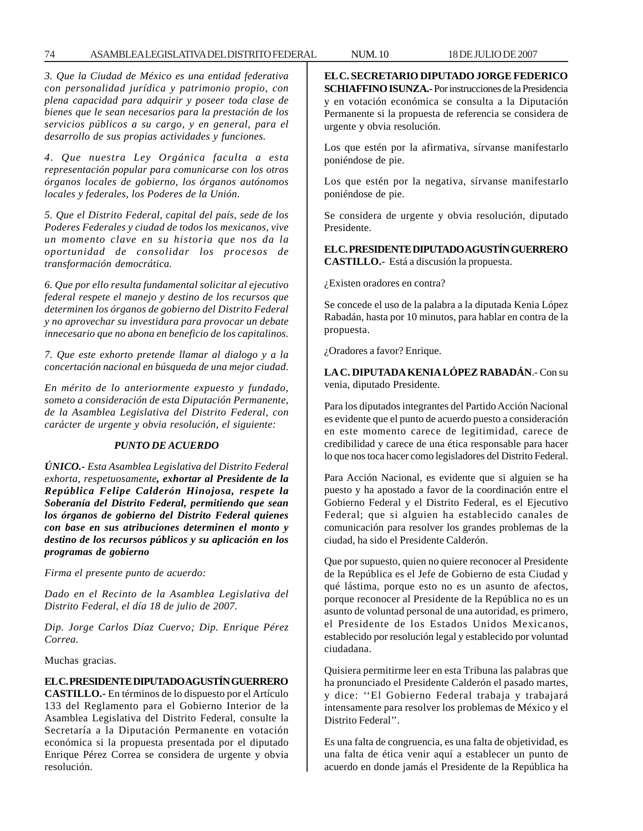#### 74 ASAMBLEA LEGISLATIVA DEL DISTRITO FEDERAL 18 NUM. 10 DE JULIO DE 2007

*3. Que la Ciudad de México es una entidad federativa con personalidad jurídica y patrimonio propio, con plena capacidad para adquirir y poseer toda clase de bienes que le sean necesarios para la prestación de los servicios públicos a su cargo, y en general, para el desarrollo de sus propias actividades y funciones.*

*4. Que nuestra Ley Orgánica faculta a esta representación popular para comunicarse con los otros órganos locales de gobierno, los órganos autónomos locales y federales, los Poderes de la Unión.*

*5. Que el Distrito Federal, capital del país, sede de los Poderes Federales y ciudad de todos los mexicanos, vive un momento clave en su historia que nos da la oportunidad de consolidar los procesos de transformación democrática.*

*6. Que por ello resulta fundamental solicitar al ejecutivo federal respete el manejo y destino de los recursos que determinen los órganos de gobierno del Distrito Federal y no aprovechar su investidura para provocar un debate innecesario que no abona en beneficio de los capitalinos.*

*7. Que este exhorto pretende llamar al dialogo y a la concertación nacional en búsqueda de una mejor ciudad.*

*En mérito de lo anteriormente expuesto y fundado, someto a consideración de esta Diputación Permanente, de la Asamblea Legislativa del Distrito Federal, con carácter de urgente y obvia resolución, el siguiente:*

### *PUNTO DE ACUERDO*

*ÚNICO.- Esta Asamblea Legislativa del Distrito Federal exhorta, respetuosamente, exhortar al Presidente de la República Felipe Calderón Hinojosa, respete la Soberanía del Distrito Federal, permitiendo que sean los órganos de gobierno del Distrito Federal quienes con base en sus atribuciones determinen el monto y destino de los recursos públicos y su aplicación en los programas de gobierno*

*Firma el presente punto de acuerdo:*

*Dado en el Recinto de la Asamblea Legislativa del Distrito Federal, el día 18 de julio de 2007.*

*Dip. Jorge Carlos Díaz Cuervo; Dip. Enrique Pérez Correa.*

Muchas gracias.

### **EL C. PRESIDENTE DIPUTADO AGUSTÍN GUERRERO**

**CASTILLO.-** En términos de lo dispuesto por el Artículo 133 del Reglamento para el Gobierno Interior de la Asamblea Legislativa del Distrito Federal, consulte la Secretaría a la Diputación Permanente en votación económica si la propuesta presentada por el diputado Enrique Pérez Correa se considera de urgente y obvia resolución.

**EL C. SECRETARIO DIPUTADO JORGE FEDERICO SCHIAFFINO ISUNZA.-** Por instrucciones de la Presidencia y en votación económica se consulta a la Diputación Permanente si la propuesta de referencia se considera de urgente y obvia resolución.

Los que estén por la afirmativa, sírvanse manifestarlo poniéndose de pie.

Los que estén por la negativa, sírvanse manifestarlo poniéndose de pie.

Se considera de urgente y obvia resolución, diputado Presidente.

**EL C. PRESIDENTE DIPUTADO AGUSTÍN GUERRERO CASTILLO.-** Está a discusión la propuesta.

¿Existen oradores en contra?

Se concede el uso de la palabra a la diputada Kenia López Rabadán, hasta por 10 minutos, para hablar en contra de la propuesta.

¿Oradores a favor? Enrique.

**LA C. DIPUTADA KENIA LÓPEZ RABADÁN**.- Con su venia, diputado Presidente.

Para los diputados integrantes del Partido Acción Nacional es evidente que el punto de acuerdo puesto a consideración en este momento carece de legitimidad, carece de credibilidad y carece de una ética responsable para hacer lo que nos toca hacer como legisladores del Distrito Federal.

Para Acción Nacional, es evidente que si alguien se ha puesto y ha apostado a favor de la coordinación entre el Gobierno Federal y el Distrito Federal, es el Ejecutivo Federal; que si alguien ha establecido canales de comunicación para resolver los grandes problemas de la ciudad, ha sido el Presidente Calderón.

Que por supuesto, quien no quiere reconocer al Presidente de la República es el Jefe de Gobierno de esta Ciudad y qué lástima, porque esto no es un asunto de afectos, porque reconocer al Presidente de la República no es un asunto de voluntad personal de una autoridad, es primero, el Presidente de los Estados Unidos Mexicanos, establecido por resolución legal y establecido por voluntad ciudadana.

Quisiera permitirme leer en esta Tribuna las palabras que ha pronunciado el Presidente Calderón el pasado martes, y dice: ''El Gobierno Federal trabaja y trabajará intensamente para resolver los problemas de México y el Distrito Federal''.

Es una falta de congruencia, es una falta de objetividad, es una falta de ética venir aquí a establecer un punto de acuerdo en donde jamás el Presidente de la República ha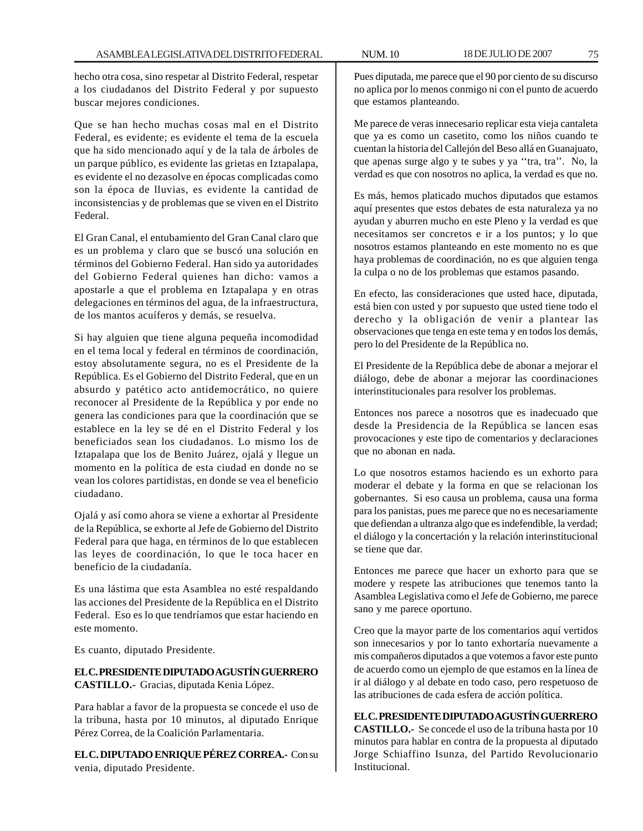hecho otra cosa, sino respetar al Distrito Federal, respetar a los ciudadanos del Distrito Federal y por supuesto buscar mejores condiciones.

Que se han hecho muchas cosas mal en el Distrito Federal, es evidente; es evidente el tema de la escuela que ha sido mencionado aquí y de la tala de árboles de un parque público, es evidente las grietas en Iztapalapa, es evidente el no dezasolve en épocas complicadas como son la época de lluvias, es evidente la cantidad de inconsistencias y de problemas que se viven en el Distrito Federal.

El Gran Canal, el entubamiento del Gran Canal claro que es un problema y claro que se buscó una solución en términos del Gobierno Federal. Han sido ya autoridades del Gobierno Federal quienes han dicho: vamos a apostarle a que el problema en Iztapalapa y en otras delegaciones en términos del agua, de la infraestructura, de los mantos acuíferos y demás, se resuelva.

Si hay alguien que tiene alguna pequeña incomodidad en el tema local y federal en términos de coordinación, estoy absolutamente segura, no es el Presidente de la República. Es el Gobierno del Distrito Federal, que en un absurdo y patético acto antidemocrático, no quiere reconocer al Presidente de la República y por ende no genera las condiciones para que la coordinación que se establece en la ley se dé en el Distrito Federal y los beneficiados sean los ciudadanos. Lo mismo los de Iztapalapa que los de Benito Juárez, ojalá y llegue un momento en la política de esta ciudad en donde no se vean los colores partidistas, en donde se vea el beneficio ciudadano.

Ojalá y así como ahora se viene a exhortar al Presidente de la República, se exhorte al Jefe de Gobierno del Distrito Federal para que haga, en términos de lo que establecen las leyes de coordinación, lo que le toca hacer en beneficio de la ciudadanía.

Es una lástima que esta Asamblea no esté respaldando las acciones del Presidente de la República en el Distrito Federal. Eso es lo que tendríamos que estar haciendo en este momento.

Es cuanto, diputado Presidente.

**EL C. PRESIDENTE DIPUTADO AGUSTÍN GUERRERO CASTILLO.-** Gracias, diputada Kenia López.

Para hablar a favor de la propuesta se concede el uso de la tribuna, hasta por 10 minutos, al diputado Enrique Pérez Correa, de la Coalición Parlamentaria.

**EL C. DIPUTADO ENRIQUE PÉREZ CORREA.-** Con su venia, diputado Presidente.

Pues diputada, me parece que el 90 por ciento de su discurso no aplica por lo menos conmigo ni con el punto de acuerdo que estamos planteando.

Me parece de veras innecesario replicar esta vieja cantaleta que ya es como un casetito, como los niños cuando te cuentan la historia del Callejón del Beso allá en Guanajuato, que apenas surge algo y te subes y ya ''tra, tra''. No, la verdad es que con nosotros no aplica, la verdad es que no.

Es más, hemos platicado muchos diputados que estamos aquí presentes que estos debates de esta naturaleza ya no ayudan y aburren mucho en este Pleno y la verdad es que necesitamos ser concretos e ir a los puntos; y lo que nosotros estamos planteando en este momento no es que haya problemas de coordinación, no es que alguien tenga la culpa o no de los problemas que estamos pasando.

En efecto, las consideraciones que usted hace, diputada, está bien con usted y por supuesto que usted tiene todo el derecho y la obligación de venir a plantear las observaciones que tenga en este tema y en todos los demás, pero lo del Presidente de la República no.

El Presidente de la República debe de abonar a mejorar el diálogo, debe de abonar a mejorar las coordinaciones interinstitucionales para resolver los problemas.

Entonces nos parece a nosotros que es inadecuado que desde la Presidencia de la República se lancen esas provocaciones y este tipo de comentarios y declaraciones que no abonan en nada.

Lo que nosotros estamos haciendo es un exhorto para moderar el debate y la forma en que se relacionan los gobernantes. Si eso causa un problema, causa una forma para los panistas, pues me parece que no es necesariamente que defiendan a ultranza algo que es indefendible, la verdad; el diálogo y la concertación y la relación interinstitucional se tiene que dar.

Entonces me parece que hacer un exhorto para que se modere y respete las atribuciones que tenemos tanto la Asamblea Legislativa como el Jefe de Gobierno, me parece sano y me parece oportuno.

Creo que la mayor parte de los comentarios aquí vertidos son innecesarios y por lo tanto exhortaría nuevamente a mis compañeros diputados a que votemos a favor este punto de acuerdo como un ejemplo de que estamos en la línea de ir al diálogo y al debate en todo caso, pero respetuoso de las atribuciones de cada esfera de acción política.

**EL C. PRESIDENTE DIPUTADO AGUSTÍN GUERRERO CASTILLO.-** Se concede el uso de la tribuna hasta por 10 minutos para hablar en contra de la propuesta al diputado Jorge Schiaffino Isunza, del Partido Revolucionario Institucional.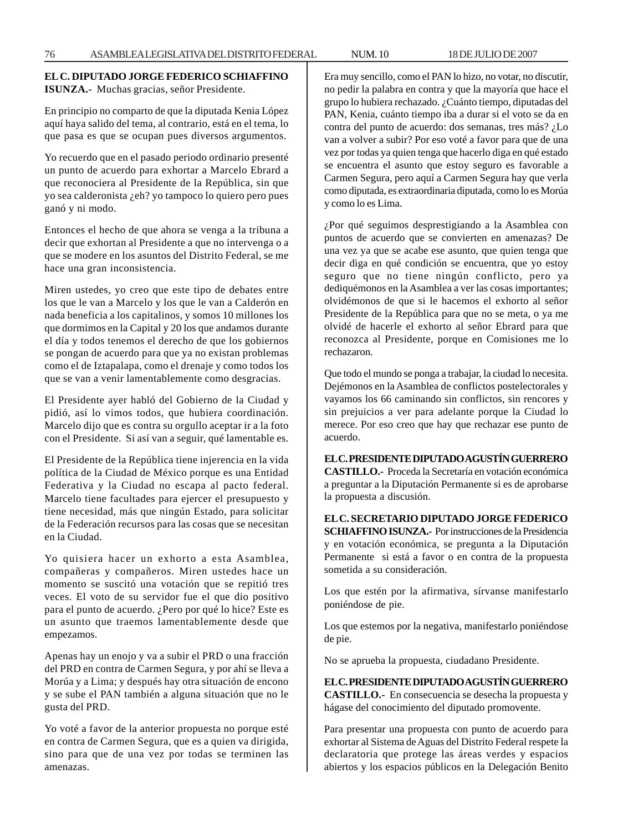## **EL C. DIPUTADO JORGE FEDERICO SCHIAFFINO ISUNZA.-** Muchas gracias, señor Presidente.

En principio no comparto de que la diputada Kenia López aquí haya salido del tema, al contrario, está en el tema, lo que pasa es que se ocupan pues diversos argumentos.

Yo recuerdo que en el pasado periodo ordinario presenté un punto de acuerdo para exhortar a Marcelo Ebrard a que reconociera al Presidente de la República, sin que yo sea calderonista ¿eh? yo tampoco lo quiero pero pues ganó y ni modo.

Entonces el hecho de que ahora se venga a la tribuna a decir que exhortan al Presidente a que no intervenga o a que se modere en los asuntos del Distrito Federal, se me hace una gran inconsistencia.

Miren ustedes, yo creo que este tipo de debates entre los que le van a Marcelo y los que le van a Calderón en nada beneficia a los capitalinos, y somos 10 millones los que dormimos en la Capital y 20 los que andamos durante el día y todos tenemos el derecho de que los gobiernos se pongan de acuerdo para que ya no existan problemas como el de Iztapalapa, como el drenaje y como todos los que se van a venir lamentablemente como desgracias.

El Presidente ayer habló del Gobierno de la Ciudad y pidió, así lo vimos todos, que hubiera coordinación. Marcelo dijo que es contra su orgullo aceptar ir a la foto con el Presidente. Si así van a seguir, qué lamentable es.

El Presidente de la República tiene injerencia en la vida política de la Ciudad de México porque es una Entidad Federativa y la Ciudad no escapa al pacto federal. Marcelo tiene facultades para ejercer el presupuesto y tiene necesidad, más que ningún Estado, para solicitar de la Federación recursos para las cosas que se necesitan en la Ciudad.

Yo quisiera hacer un exhorto a esta Asamblea, compañeras y compañeros. Miren ustedes hace un momento se suscitó una votación que se repitió tres veces. El voto de su servidor fue el que dio positivo para el punto de acuerdo. ¿Pero por qué lo hice? Este es un asunto que traemos lamentablemente desde que empezamos.

Apenas hay un enojo y va a subir el PRD o una fracción del PRD en contra de Carmen Segura, y por ahí se lleva a Morúa y a Lima; y después hay otra situación de encono y se sube el PAN también a alguna situación que no le gusta del PRD.

Yo voté a favor de la anterior propuesta no porque esté en contra de Carmen Segura, que es a quien va dirigida, sino para que de una vez por todas se terminen las amenazas.

Era muy sencillo, como el PAN lo hizo, no votar, no discutir, no pedir la palabra en contra y que la mayoría que hace el grupo lo hubiera rechazado. ¿Cuánto tiempo, diputadas del PAN, Kenia, cuánto tiempo iba a durar si el voto se da en contra del punto de acuerdo: dos semanas, tres más? ¿Lo van a volver a subir? Por eso voté a favor para que de una vez por todas ya quien tenga que hacerlo diga en qué estado se encuentra el asunto que estoy seguro es favorable a Carmen Segura, pero aquí a Carmen Segura hay que verla como diputada, es extraordinaria diputada, como lo es Morúa y como lo es Lima.

¿Por qué seguimos desprestigiando a la Asamblea con puntos de acuerdo que se convierten en amenazas? De una vez ya que se acabe ese asunto, que quien tenga que decir diga en qué condición se encuentra, que yo estoy seguro que no tiene ningún conflicto, pero ya dediquémonos en la Asamblea a ver las cosas importantes; olvidémonos de que si le hacemos el exhorto al señor Presidente de la República para que no se meta, o ya me olvidé de hacerle el exhorto al señor Ebrard para que reconozca al Presidente, porque en Comisiones me lo rechazaron.

Que todo el mundo se ponga a trabajar, la ciudad lo necesita. Dejémonos en la Asamblea de conflictos postelectorales y vayamos los 66 caminando sin conflictos, sin rencores y sin prejuicios a ver para adelante porque la Ciudad lo merece. Por eso creo que hay que rechazar ese punto de acuerdo.

**EL C. PRESIDENTE DIPUTADO AGUSTÍN GUERRERO CASTILLO.-** Proceda la Secretaría en votación económica a preguntar a la Diputación Permanente si es de aprobarse la propuesta a discusión.

**EL C. SECRETARIO DIPUTADO JORGE FEDERICO SCHIAFFINO ISUNZA.-** Por instrucciones de la Presidencia y en votación económica, se pregunta a la Diputación Permanente si está a favor o en contra de la propuesta sometida a su consideración.

Los que estén por la afirmativa, sírvanse manifestarlo poniéndose de pie.

Los que estemos por la negativa, manifestarlo poniéndose de pie.

No se aprueba la propuesta, ciudadano Presidente.

**EL C. PRESIDENTE DIPUTADO AGUSTÍN GUERRERO CASTILLO.-** En consecuencia se desecha la propuesta y hágase del conocimiento del diputado promovente.

Para presentar una propuesta con punto de acuerdo para exhortar al Sistema de Aguas del Distrito Federal respete la declaratoria que protege las áreas verdes y espacios abiertos y los espacios públicos en la Delegación Benito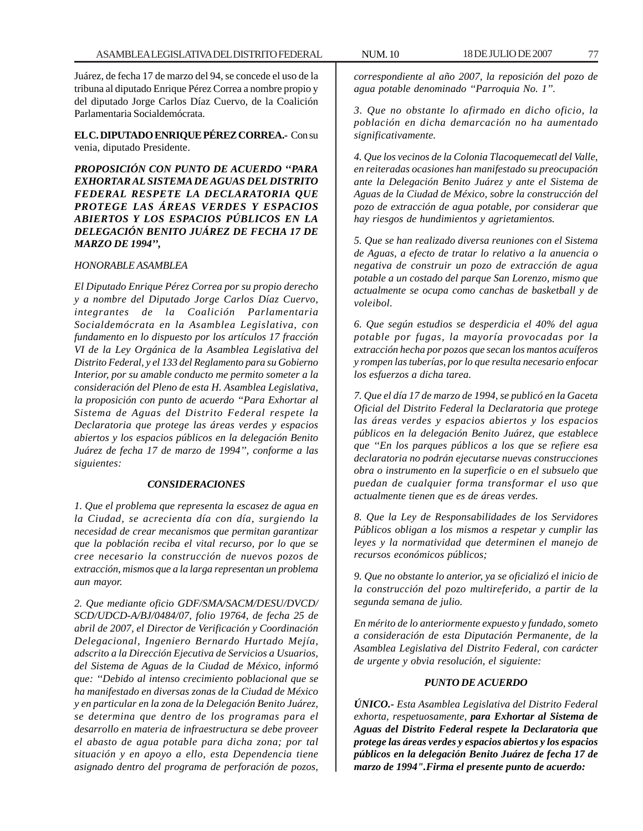Juárez, de fecha 17 de marzo del 94, se concede el uso de la tribuna al diputado Enrique Pérez Correa a nombre propio y del diputado Jorge Carlos Díaz Cuervo, de la Coalición Parlamentaria Socialdemócrata.

**EL C. DIPUTADO ENRIQUE PÉREZ CORREA.-** Con su venia, diputado Presidente.

*PROPOSICIÓN CON PUNTO DE ACUERDO ''PARA EXHORTAR AL SISTEMA DE AGUAS DEL DISTRITO FEDERAL RESPETE LA DECLARATORIA QUE PROTEGE LAS ÁREAS VERDES Y ESPACIOS ABIERTOS Y LOS ESPACIOS PÚBLICOS EN LA DELEGACIÓN BENITO JUÁREZ DE FECHA 17 DE MARZO DE 1994'',*

### *HONORABLE ASAMBLEA*

*El Diputado Enrique Pérez Correa por su propio derecho y a nombre del Diputado Jorge Carlos Díaz Cuervo, integrantes de la Coalición Parlamentaria Socialdemócrata en la Asamblea Legislativa, con fundamento en lo dispuesto por los artículos 17 fracción VI de la Ley Orgánica de la Asamblea Legislativa del Distrito Federal, y el 133 del Reglamento para su Gobierno Interior, por su amable conducto me permito someter a la consideración del Pleno de esta H. Asamblea Legislativa, la proposición con punto de acuerdo ''Para Exhortar al Sistema de Aguas del Distrito Federal respete la Declaratoria que protege las áreas verdes y espacios abiertos y los espacios públicos en la delegación Benito Juárez de fecha 17 de marzo de 1994'', conforme a las siguientes:*

#### *CONSIDERACIONES*

*1. Que el problema que representa la escasez de agua en la Ciudad, se acrecienta día con día, surgiendo la necesidad de crear mecanismos que permitan garantizar que la población reciba el vital recurso, por lo que se cree necesario la construcción de nuevos pozos de extracción, mismos que a la larga representan un problema aun mayor.*

*2. Que mediante oficio GDF/SMA/SACM/DESU/DVCD/ SCD/UDCD-A/BJ/0484/07, folio 19764, de fecha 25 de abril de 2007, el Director de Verificación y Coordinación Delegacional, Ingeniero Bernardo Hurtado Mejía, adscrito a la Dirección Ejecutiva de Servicios a Usuarios, del Sistema de Aguas de la Ciudad de México, informó que: ''Debido al intenso crecimiento poblacional que se ha manifestado en diversas zonas de la Ciudad de México y en particular en la zona de la Delegación Benito Juárez, se determina que dentro de los programas para el desarrollo en materia de infraestructura se debe proveer el abasto de agua potable para dicha zona; por tal situación y en apoyo a ello, esta Dependencia tiene asignado dentro del programa de perforación de pozos,*

*correspondiente al año 2007, la reposición del pozo de agua potable denominado ''Parroquia No. 1''.*

*3. Que no obstante lo afirmado en dicho oficio, la población en dicha demarcación no ha aumentado significativamente.*

*4. Que los vecinos de la Colonia Tlacoquemecatl del Valle, en reiteradas ocasiones han manifestado su preocupación ante la Delegación Benito Juárez y ante el Sistema de Aguas de la Ciudad de México, sobre la construcción del pozo de extracción de agua potable, por considerar que hay riesgos de hundimientos y agrietamientos.*

*5. Que se han realizado diversa reuniones con el Sistema de Aguas, a efecto de tratar lo relativo a la anuencia o negativa de construir un pozo de extracción de agua potable a un costado del parque San Lorenzo, mismo que actualmente se ocupa como canchas de basketball y de voleibol.*

*6. Que según estudios se desperdicia el 40% del agua potable por fugas, la mayoría provocadas por la extracción hecha por pozos que secan los mantos acuíferos y rompen las tuberías, por lo que resulta necesario enfocar los esfuerzos a dicha tarea.*

*7. Que el día 17 de marzo de 1994, se publicó en la Gaceta Oficial del Distrito Federal la Declaratoria que protege las áreas verdes y espacios abiertos y los espacios públicos en la delegación Benito Juárez, que establece que ''En los parques públicos a los que se refiere esa declaratoria no podrán ejecutarse nuevas construcciones obra o instrumento en la superficie o en el subsuelo que puedan de cualquier forma transformar el uso que actualmente tienen que es de áreas verdes.*

*8. Que la Ley de Responsabilidades de los Servidores Públicos obligan a los mismos a respetar y cumplir las leyes y la normatividad que determinen el manejo de recursos económicos públicos;*

*9. Que no obstante lo anterior, ya se oficializó el inicio de la construcción del pozo multireferido, a partir de la segunda semana de julio.*

*En mérito de lo anteriormente expuesto y fundado, someto a consideración de esta Diputación Permanente, de la Asamblea Legislativa del Distrito Federal, con carácter de urgente y obvia resolución, el siguiente:*

#### *PUNTO DE ACUERDO*

*ÚNICO.- Esta Asamblea Legislativa del Distrito Federal exhorta, respetuosamente, para Exhortar al Sistema de Aguas del Distrito Federal respete la Declaratoria que protege las áreas verdes y espacios abiertos y los espacios públicos en la delegación Benito Juárez de fecha 17 de marzo de 1994".Firma el presente punto de acuerdo:*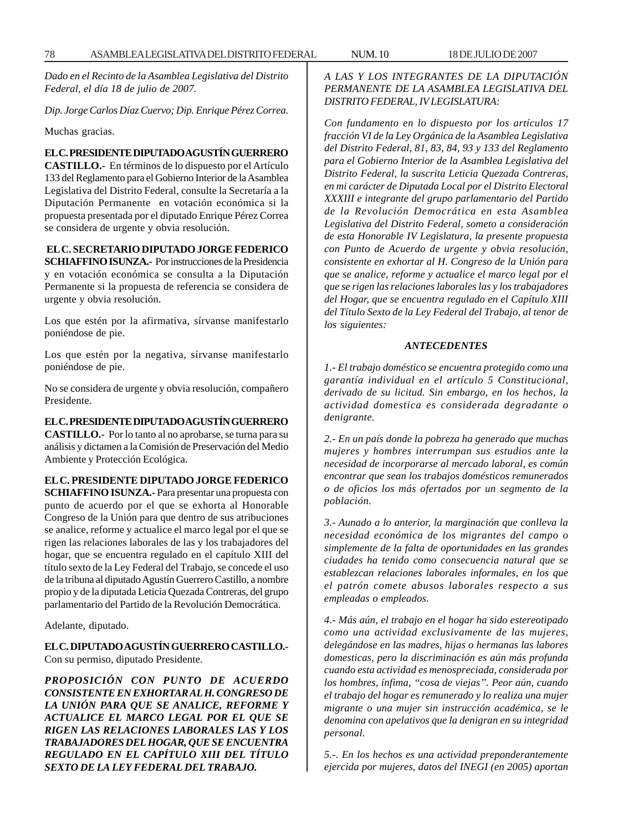*Dado en el Recinto de la Asamblea Legislativa del Distrito Federal, el día 18 de julio de 2007.*

*Dip. Jorge Carlos Díaz Cuervo; Dip. Enrique Pérez Correa.*

Muchas gracias.

**EL C. PRESIDENTE DIPUTADO AGUSTÍN GUERRERO CASTILLO.-** En términos de lo dispuesto por el Artículo 133 del Reglamento para el Gobierno Interior de la Asamblea Legislativa del Distrito Federal, consulte la Secretaría a la Diputación Permanente en votación económica si la propuesta presentada por el diputado Enrique Pérez Correa se considera de urgente y obvia resolución.

### **EL C. SECRETARIO DIPUTADO JORGE FEDERICO**

**SCHIAFFINO ISUNZA.-** Por instrucciones de la Presidencia y en votación económica se consulta a la Diputación Permanente si la propuesta de referencia se considera de urgente y obvia resolución.

Los que estén por la afirmativa, sírvanse manifestarlo poniéndose de pie.

Los que estén por la negativa, sírvanse manifestarlo poniéndose de pie.

No se considera de urgente y obvia resolución, compañero Presidente.

### **EL C. PRESIDENTE DIPUTADO AGUSTÍN GUERRERO**

**CASTILLO.-** Por lo tanto al no aprobarse, se turna para su análisis y dictamen a la Comisión de Preservación del Medio Ambiente y Protección Ecológica.

### **EL C. PRESIDENTE DIPUTADO JORGE FEDERICO**

**SCHIAFFINO ISUNZA.-** Para presentar una propuesta con punto de acuerdo por el que se exhorta al Honorable Congreso de la Unión para que dentro de sus atribuciones se analice, reforme y actualice el marco legal por el que se rigen las relaciones laborales de las y los trabajadores del hogar, que se encuentra regulado en el capítulo XIII del título sexto de la Ley Federal del Trabajo, se concede el uso de la tribuna al diputado Agustín Guerrero Castillo, a nombre propio y de la diputada Leticia Quezada Contreras, del grupo parlamentario del Partido de la Revolución Democrática.

Adelante, diputado.

**EL C. DIPUTADO AGUSTÍN GUERRERO CASTILLO.-** Con su permiso, diputado Presidente.

*PROPOSICIÓN CON PUNTO DE ACUERDO CONSISTENTE EN EXHORTAR AL H. CONGRESO DE LA UNIÓN PARA QUE SE ANALICE, REFORME Y ACTUALICE EL MARCO LEGAL POR EL QUE SE RIGEN LAS RELACIONES LABORALES LAS Y LOS TRABAJADORES DEL HOGAR, QUE SE ENCUENTRA REGULADO EN EL CAPÍTULO XIII DEL TÍTULO SEXTO DE LA LEY FEDERAL DEL TRABAJO.*

*A LAS Y LOS INTEGRANTES DE LA DIPUTACIÓN PERMANENTE DE LA ASAMBLEA LEGISLATIVA DEL DISTRITO FEDERAL, IV LEGISLATURA:*

*Con fundamento en lo dispuesto por los artículos 17 fracción VI de la Ley Orgánica de la Asamblea Legislativa del Distrito Federal, 81, 83, 84, 93 y 133 del Reglamento para el Gobierno Interior de la Asamblea Legislativa del Distrito Federal, la suscrita Leticia Quezada Contreras, en mi carácter de Diputada Local por el Distrito Electoral XXXIII e integrante del grupo parlamentario del Partido de la Revolución Democrática en esta Asamblea Legislativa del Distrito Federal, someto a consideración de esta Honorable IV Legislatura, la presente propuesta con Punto de Acuerdo de urgente y obvia resolución, consistente en exhortar al H. Congreso de la Unión para que se analice, reforme y actualice el marco legal por el que se rigen las relaciones laborales las y los trabajadores del Hogar, que se encuentra regulado en el Capítulo XIII del Título Sexto de la Ley Federal del Trabajo, al tenor de los siguientes:*

### *ANTECEDENTES*

*1.- El trabajo doméstico se encuentra protegido como una garantía individual en el artículo 5 Constitucional, derivado de su licitud. Sin embargo, en los hechos, la actividad domestica es considerada degradante o denigrante.*

*2.- En un país donde la pobreza ha generado que muchas mujeres y hombres interrumpan sus estudios ante la necesidad de incorporarse al mercado laboral, es común encontrar que sean los trabajos domésticos remunerados o de oficios los más ofertados por un segmento de la población.*

*3.- Aunado a lo anterior, la marginación que conlleva la necesidad económica de los migrantes del campo o simplemente de la falta de oportunidades en las grandes ciudades ha tenido como consecuencia natural que se establezcan relaciones laborales informales, en los que el patrón comete abusos laborales respecto a sus empleadas o empleados.*

*4.- Más aún, el trabajo en el hogar ha sido estereotipado como una actividad exclusivamente de las mujeres, delegándose en las madres, hijas o hermanas las labores domesticas, pero la discriminación es aún más profunda cuando esta actividad es menospreciada, considerada por los hombres, ínfima, ''cosa de viejas''. Peor aún, cuando el trabajo del hogar es remunerado y lo realiza una mujer migrante o una mujer sin instrucción académica, se le denomina con apelativos que la denigran en su integridad personal.*

*5.-. En los hechos es una actividad preponderantemente ejercida por mujeres, datos del INEGI (en 2005) aportan*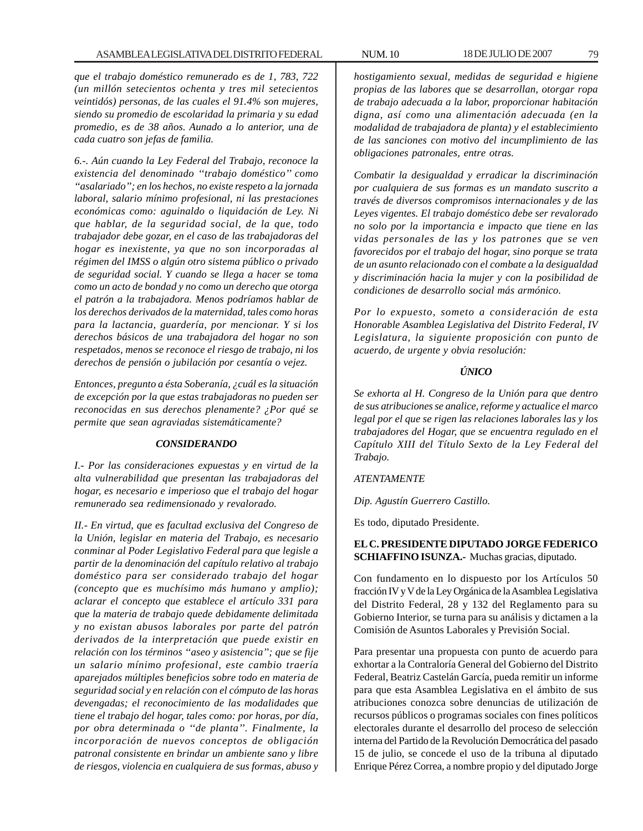*que el trabajo doméstico remunerado es de 1, 783, 722 (un millón setecientos ochenta y tres mil setecientos veintidós) personas, de las cuales el 91.4% son mujeres, siendo su promedio de escolaridad la primaria y su edad promedio, es de 38 años. Aunado a lo anterior, una de cada cuatro son jefas de familia.*

*6.-. Aún cuando la Ley Federal del Trabajo, reconoce la existencia del denominado ''trabajo doméstico'' como ''asalariado''; en los hechos, no existe respeto a la jornada laboral, salario mínimo profesional, ni las prestaciones económicas como: aguinaldo o liquidación de Ley. Ni que hablar, de la seguridad social, de la que, todo trabajador debe gozar, en el caso de las trabajadoras del hogar es inexistente, ya que no son incorporadas al régimen del IMSS o algún otro sistema público o privado de seguridad social. Y cuando se llega a hacer se toma como un acto de bondad y no como un derecho que otorga el patrón a la trabajadora. Menos podríamos hablar de los derechos derivados de la maternidad, tales como horas para la lactancia, guardería, por mencionar. Y si los derechos básicos de una trabajadora del hogar no son respetados, menos se reconoce el riesgo de trabajo, ni los derechos de pensión o jubilación por cesantía o vejez.*

*Entonces, pregunto a ésta Soberanía, ¿cuál es la situación de excepción por la que estas trabajadoras no pueden ser reconocidas en sus derechos plenamente? ¿Por qué se permite que sean agraviadas sistemáticamente?*

### *CONSIDERANDO*

*I.- Por las consideraciones expuestas y en virtud de la alta vulnerabilidad que presentan las trabajadoras del hogar, es necesario e imperioso que el trabajo del hogar remunerado sea redimensionado y revalorado.*

*II.- En virtud, que es facultad exclusiva del Congreso de la Unión, legislar en materia del Trabajo, es necesario conminar al Poder Legislativo Federal para que legisle a partir de la denominación del capítulo relativo al trabajo doméstico para ser considerado trabajo del hogar (concepto que es muchísimo más humano y amplio); aclarar el concepto que establece el artículo 331 para que la materia de trabajo quede debidamente delimitada y no existan abusos laborales por parte del patrón derivados de la interpretación que puede existir en relación con los términos ''aseo y asistencia''; que se fije un salario mínimo profesional, este cambio traería aparejados múltiples beneficios sobre todo en materia de seguridad social y en relación con el cómputo de las horas devengadas; el reconocimiento de las modalidades que tiene el trabajo del hogar, tales como: por horas, por día, por obra determinada o ''de planta''. Finalmente, la incorporación de nuevos conceptos de obligación patronal consistente en brindar un ambiente sano y libre de riesgos, violencia en cualquiera de sus formas, abuso y* *hostigamiento sexual, medidas de seguridad e higiene propias de las labores que se desarrollan, otorgar ropa de trabajo adecuada a la labor, proporcionar habitación digna, así como una alimentación adecuada (en la modalidad de trabajadora de planta) y el establecimiento de las sanciones con motivo del incumplimiento de las obligaciones patronales, entre otras.*

*Combatir la desigualdad y erradicar la discriminación por cualquiera de sus formas es un mandato suscrito a través de diversos compromisos internacionales y de las Leyes vigentes. El trabajo doméstico debe ser revalorado no solo por la importancia e impacto que tiene en las vidas personales de las y los patrones que se ven favorecidos por el trabajo del hogar, sino porque se trata de un asunto relacionado con el combate a la desigualdad y discriminación hacia la mujer y con la posibilidad de condiciones de desarrollo social más armónico.*

*Por lo expuesto, someto a consideración de esta Honorable Asamblea Legislativa del Distrito Federal, IV Legislatura, la siguiente proposición con punto de acuerdo, de urgente y obvia resolución:*

### *ÚNICO*

*Se exhorta al H. Congreso de la Unión para que dentro de sus atribuciones se analice, reforme y actualice el marco legal por el que se rigen las relaciones laborales las y los trabajadores del Hogar, que se encuentra regulado en el Capítulo XIII del Título Sexto de la Ley Federal del Trabajo.*

### *ATENTAMENTE*

*Dip. Agustín Guerrero Castillo.*

Es todo, diputado Presidente.

## **EL C. PRESIDENTE DIPUTADO JORGE FEDERICO SCHIAFFINO ISUNZA.-** Muchas gracias, diputado.

Con fundamento en lo dispuesto por los Artículos 50 fracción IV y V de la Ley Orgánica de la Asamblea Legislativa del Distrito Federal, 28 y 132 del Reglamento para su Gobierno Interior, se turna para su análisis y dictamen a la Comisión de Asuntos Laborales y Previsión Social.

Para presentar una propuesta con punto de acuerdo para exhortar a la Contraloría General del Gobierno del Distrito Federal, Beatriz Castelán García, pueda remitir un informe para que esta Asamblea Legislativa en el ámbito de sus atribuciones conozca sobre denuncias de utilización de recursos públicos o programas sociales con fines políticos electorales durante el desarrollo del proceso de selección interna del Partido de la Revolución Democrática del pasado 15 de julio, se concede el uso de la tribuna al diputado Enrique Pérez Correa, a nombre propio y del diputado Jorge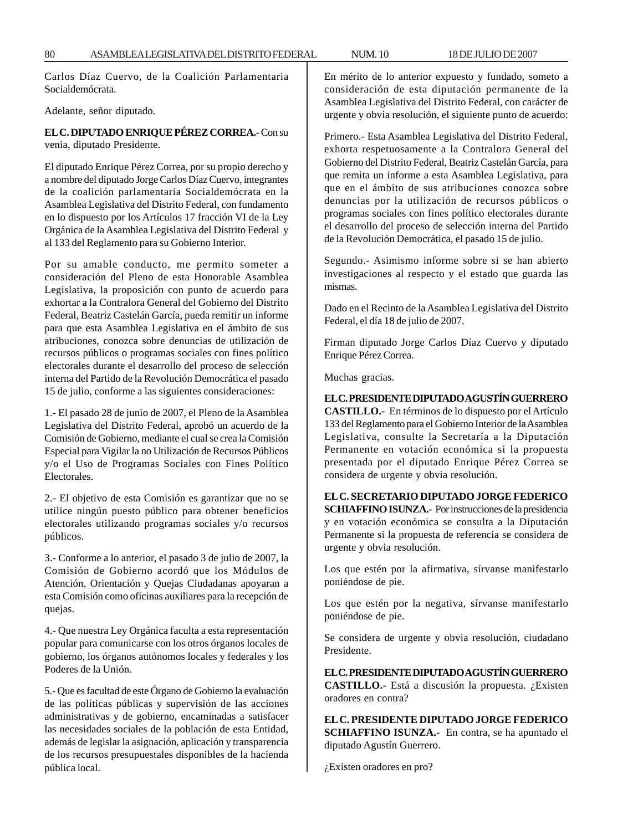Carlos Díaz Cuervo, de la Coalición Parlamentaria Socialdemócrata.

Adelante, señor diputado.

## **EL C. DIPUTADO ENRIQUE PÉREZ CORREA.-** Con su venia, diputado Presidente.

El diputado Enrique Pérez Correa, por su propio derecho y a nombre del diputado Jorge Carlos Díaz Cuervo, integrantes de la coalición parlamentaria Socialdemócrata en la Asamblea Legislativa del Distrito Federal, con fundamento en lo dispuesto por los Artículos 17 fracción VI de la Ley Orgánica de la Asamblea Legislativa del Distrito Federal y al 133 del Reglamento para su Gobierno Interior.

Por su amable conducto, me permito someter a consideración del Pleno de esta Honorable Asamblea Legislativa, la proposición con punto de acuerdo para exhortar a la Contralora General del Gobierno del Distrito Federal, Beatriz Castelán García, pueda remitir un informe para que esta Asamblea Legislativa en el ámbito de sus atribuciones, conozca sobre denuncias de utilización de recursos públicos o programas sociales con fines político electorales durante el desarrollo del proceso de selección interna del Partido de la Revolución Democrática el pasado 15 de julio, conforme a las siguientes consideraciones:

1.- El pasado 28 de junio de 2007, el Pleno de la Asamblea Legislativa del Distrito Federal, aprobó un acuerdo de la Comisión de Gobierno, mediante el cual se crea la Comisión Especial para Vigilar la no Utilización de Recursos Públicos y/o el Uso de Programas Sociales con Fines Político Electorales.

2.- El objetivo de esta Comisión es garantizar que no se utilice ningún puesto público para obtener beneficios electorales utilizando programas sociales y/o recursos públicos.

3.- Conforme a lo anterior, el pasado 3 de julio de 2007, la Comisión de Gobierno acordó que los Módulos de Atención, Orientación y Quejas Ciudadanas apoyaran a esta Comisión como oficinas auxiliares para la recepción de quejas.

4.- Que nuestra Ley Orgánica faculta a esta representación popular para comunicarse con los otros órganos locales de gobierno, los órganos autónomos locales y federales y los Poderes de la Unión.

5.- Que es facultad de este Órgano de Gobierno la evaluación de las políticas públicas y supervisión de las acciones administrativas y de gobierno, encaminadas a satisfacer las necesidades sociales de la población de esta Entidad, además de legislar la asignación, aplicación y transparencia de los recursos presupuestales disponibles de la hacienda pública local.

En mérito de lo anterior expuesto y fundado, someto a consideración de esta diputación permanente de la Asamblea Legislativa del Distrito Federal, con carácter de urgente y obvia resolución, el siguiente punto de acuerdo:

Primero.- Esta Asamblea Legislativa del Distrito Federal, exhorta respetuosamente a la Contralora General del Gobierno del Distrito Federal, Beatriz Castelán García, para que remita un informe a esta Asamblea Legislativa, para que en el ámbito de sus atribuciones conozca sobre denuncias por la utilización de recursos públicos o programas sociales con fines político electorales durante el desarrollo del proceso de selección interna del Partido de la Revolución Democrática, el pasado 15 de julio.

Segundo.- Asimismo informe sobre si se han abierto investigaciones al respecto y el estado que guarda las mismas.

Dado en el Recinto de la Asamblea Legislativa del Distrito Federal, el día 18 de julio de 2007.

Firman diputado Jorge Carlos Díaz Cuervo y diputado Enrique Pérez Correa.

Muchas gracias.

## **EL C. PRESIDENTE DIPUTADO AGUSTÍN GUERRERO**

**CASTILLO.-** En términos de lo dispuesto por el Artículo 133 del Reglamento para el Gobierno Interior de la Asamblea Legislativa, consulte la Secretaría a la Diputación Permanente en votación económica si la propuesta presentada por el diputado Enrique Pérez Correa se considera de urgente y obvia resolución.

**EL C. SECRETARIO DIPUTADO JORGE FEDERICO SCHIAFFINO ISUNZA.-** Por instrucciones de la presidencia y en votación económica se consulta a la Diputación Permanente si la propuesta de referencia se considera de urgente y obvia resolución.

Los que estén por la afirmativa, sírvanse manifestarlo poniéndose de pie.

Los que estén por la negativa, sírvanse manifestarlo poniéndose de pie.

Se considera de urgente y obvia resolución, ciudadano Presidente.

**EL C. PRESIDENTE DIPUTADO AGUSTÍN GUERRERO CASTILLO.-** Está a discusión la propuesta. ¿Existen oradores en contra?

**EL C. PRESIDENTE DIPUTADO JORGE FEDERICO SCHIAFFINO ISUNZA.-** En contra, se ha apuntado el diputado Agustín Guerrero.

¿Existen oradores en pro?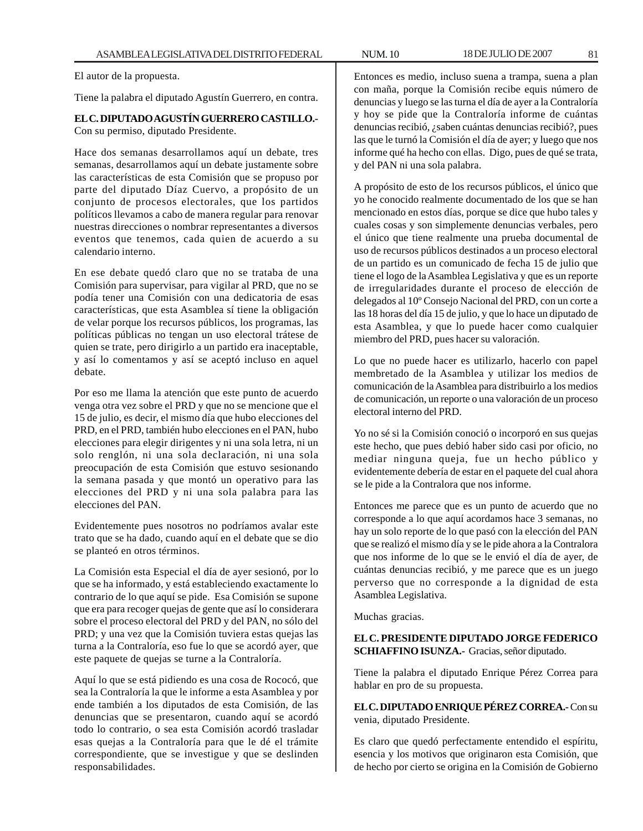El autor de la propuesta.

Tiene la palabra el diputado Agustín Guerrero, en contra.

## **EL C. DIPUTADO AGUSTÍN GUERRERO CASTILLO.-** Con su permiso, diputado Presidente.

Hace dos semanas desarrollamos aquí un debate, tres semanas, desarrollamos aquí un debate justamente sobre las características de esta Comisión que se propuso por parte del diputado Díaz Cuervo, a propósito de un conjunto de procesos electorales, que los partidos políticos llevamos a cabo de manera regular para renovar nuestras direcciones o nombrar representantes a diversos eventos que tenemos, cada quien de acuerdo a su calendario interno.

En ese debate quedó claro que no se trataba de una Comisión para supervisar, para vigilar al PRD, que no se podía tener una Comisión con una dedicatoria de esas características, que esta Asamblea sí tiene la obligación de velar porque los recursos públicos, los programas, las políticas públicas no tengan un uso electoral trátese de quien se trate, pero dirigirlo a un partido era inaceptable, y así lo comentamos y así se aceptó incluso en aquel debate.

Por eso me llama la atención que este punto de acuerdo venga otra vez sobre el PRD y que no se mencione que el 15 de julio, es decir, el mismo día que hubo elecciones del PRD, en el PRD, también hubo elecciones en el PAN, hubo elecciones para elegir dirigentes y ni una sola letra, ni un solo renglón, ni una sola declaración, ni una sola preocupación de esta Comisión que estuvo sesionando la semana pasada y que montó un operativo para las elecciones del PRD y ni una sola palabra para las elecciones del PAN.

Evidentemente pues nosotros no podríamos avalar este trato que se ha dado, cuando aquí en el debate que se dio se planteó en otros términos.

La Comisión esta Especial el día de ayer sesionó, por lo que se ha informado, y está estableciendo exactamente lo contrario de lo que aquí se pide. Esa Comisión se supone que era para recoger quejas de gente que así lo considerara sobre el proceso electoral del PRD y del PAN, no sólo del PRD; y una vez que la Comisión tuviera estas quejas las turna a la Contraloría, eso fue lo que se acordó ayer, que este paquete de quejas se turne a la Contraloría.

Aquí lo que se está pidiendo es una cosa de Rococó, que sea la Contraloría la que le informe a esta Asamblea y por ende también a los diputados de esta Comisión, de las denuncias que se presentaron, cuando aquí se acordó todo lo contrario, o sea esta Comisión acordó trasladar esas quejas a la Contraloría para que le dé el trámite correspondiente, que se investigue y que se deslinden responsabilidades.

Entonces es medio, incluso suena a trampa, suena a plan con maña, porque la Comisión recibe equis número de denuncias y luego se las turna el día de ayer a la Contraloría y hoy se pide que la Contraloría informe de cuántas denuncias recibió, ¿saben cuántas denuncias recibió?, pues las que le turnó la Comisión el día de ayer; y luego que nos informe qué ha hecho con ellas. Digo, pues de qué se trata, y del PAN ni una sola palabra.

A propósito de esto de los recursos públicos, el único que yo he conocido realmente documentado de los que se han mencionado en estos días, porque se dice que hubo tales y cuales cosas y son simplemente denuncias verbales, pero el único que tiene realmente una prueba documental de uso de recursos públicos destinados a un proceso electoral de un partido es un comunicado de fecha 15 de julio que tiene el logo de la Asamblea Legislativa y que es un reporte de irregularidades durante el proceso de elección de delegados al 10º Consejo Nacional del PRD, con un corte a las 18 horas del día 15 de julio, y que lo hace un diputado de esta Asamblea, y que lo puede hacer como cualquier miembro del PRD, pues hacer su valoración.

Lo que no puede hacer es utilizarlo, hacerlo con papel membretado de la Asamblea y utilizar los medios de comunicación de la Asamblea para distribuirlo a los medios de comunicación, un reporte o una valoración de un proceso electoral interno del PRD.

Yo no sé si la Comisión conoció o incorporó en sus quejas este hecho, que pues debió haber sido casi por oficio, no mediar ninguna queja, fue un hecho público y evidentemente debería de estar en el paquete del cual ahora se le pide a la Contralora que nos informe.

Entonces me parece que es un punto de acuerdo que no corresponde a lo que aquí acordamos hace 3 semanas, no hay un solo reporte de lo que pasó con la elección del PAN que se realizó el mismo día y se le pide ahora a la Contralora que nos informe de lo que se le envió el día de ayer, de cuántas denuncias recibió, y me parece que es un juego perverso que no corresponde a la dignidad de esta Asamblea Legislativa.

Muchas gracias.

## **EL C. PRESIDENTE DIPUTADO JORGE FEDERICO SCHIAFFINO ISUNZA.-** Gracias, señor diputado.

Tiene la palabra el diputado Enrique Pérez Correa para hablar en pro de su propuesta.

**EL C. DIPUTADO ENRIQUE PÉREZ CORREA.-** Con su venia, diputado Presidente.

Es claro que quedó perfectamente entendido el espíritu, esencia y los motivos que originaron esta Comisión, que de hecho por cierto se origina en la Comisión de Gobierno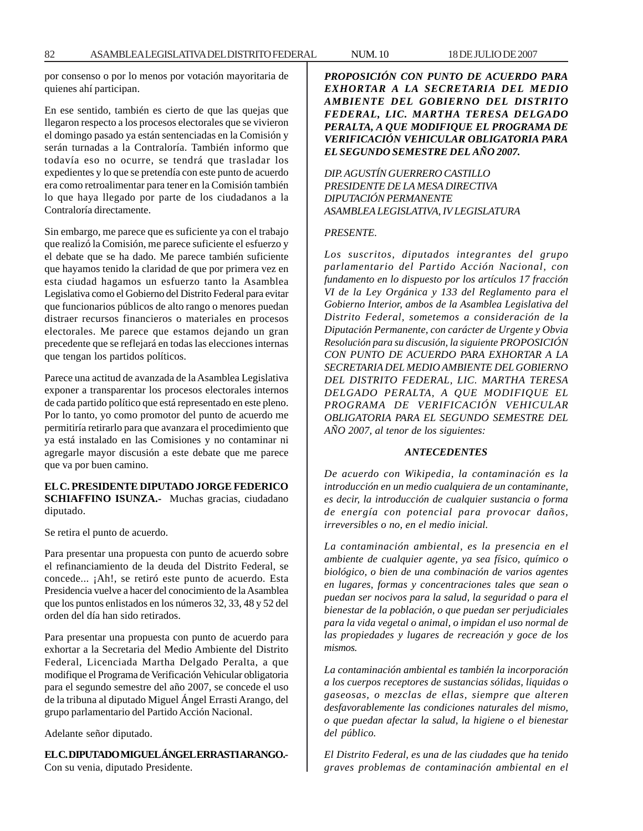por consenso o por lo menos por votación mayoritaria de quienes ahí participan.

En ese sentido, también es cierto de que las quejas que llegaron respecto a los procesos electorales que se vivieron el domingo pasado ya están sentenciadas en la Comisión y serán turnadas a la Contraloría. También informo que todavía eso no ocurre, se tendrá que trasladar los expedientes y lo que se pretendía con este punto de acuerdo era como retroalimentar para tener en la Comisión también lo que haya llegado por parte de los ciudadanos a la Contraloría directamente.

Sin embargo, me parece que es suficiente ya con el trabajo que realizó la Comisión, me parece suficiente el esfuerzo y el debate que se ha dado. Me parece también suficiente que hayamos tenido la claridad de que por primera vez en esta ciudad hagamos un esfuerzo tanto la Asamblea Legislativa como el Gobierno del Distrito Federal para evitar que funcionarios públicos de alto rango o menores puedan distraer recursos financieros o materiales en procesos electorales. Me parece que estamos dejando un gran precedente que se reflejará en todas las elecciones internas que tengan los partidos políticos.

Parece una actitud de avanzada de la Asamblea Legislativa exponer a transparentar los procesos electorales internos de cada partido político que está representado en este pleno. Por lo tanto, yo como promotor del punto de acuerdo me permitiría retirarlo para que avanzara el procedimiento que ya está instalado en las Comisiones y no contaminar ni agregarle mayor discusión a este debate que me parece que va por buen camino.

### **EL C. PRESIDENTE DIPUTADO JORGE FEDERICO SCHIAFFINO ISUNZA.-** Muchas gracias, ciudadano diputado.

Se retira el punto de acuerdo.

Para presentar una propuesta con punto de acuerdo sobre el refinanciamiento de la deuda del Distrito Federal, se concede... ¡Ah!, se retiró este punto de acuerdo. Esta Presidencia vuelve a hacer del conocimiento de la Asamblea que los puntos enlistados en los números 32, 33, 48 y 52 del orden del día han sido retirados.

Para presentar una propuesta con punto de acuerdo para exhortar a la Secretaria del Medio Ambiente del Distrito Federal, Licenciada Martha Delgado Peralta, a que modifique el Programa de Verificación Vehicular obligatoria para el segundo semestre del año 2007, se concede el uso de la tribuna al diputado Miguel Ángel Errasti Arango, del grupo parlamentario del Partido Acción Nacional.

Adelante señor diputado.

**EL C. DIPUTADO MIGUEL ÁNGEL ERRASTI ARANGO.-** Con su venia, diputado Presidente.

*PROPOSICIÓN CON PUNTO DE ACUERDO PARA EXHORTAR A LA SECRETARIA DEL MEDIO AMBIENTE DEL GOBIERNO DEL DISTRITO FEDERAL, LIC. MARTHA TERESA DELGADO PERALTA, A QUE MODIFIQUE EL PROGRAMA DE VERIFICACIÓN VEHICULAR OBLIGATORIA PARA EL SEGUNDO SEMESTRE DEL AÑO 2007.*

## *DIP. AGUSTÍN GUERRERO CASTILLO PRESIDENTE DE LA MESA DIRECTIVA DIPUTACIÓN PERMANENTE ASAMBLEA LEGISLATIVA, IV LEGISLATURA*

#### *PRESENTE.*

*Los suscritos, diputados integrantes del grupo parlamentario del Partido Acción Nacional, con fundamento en lo dispuesto por los artículos 17 fracción VI de la Ley Orgánica y 133 del Reglamento para el Gobierno Interior, ambos de la Asamblea Legislativa del Distrito Federal, sometemos a consideración de la Diputación Permanente, con carácter de Urgente y Obvia Resolución para su discusión, la siguiente PROPOSICIÓN CON PUNTO DE ACUERDO PARA EXHORTAR A LA SECRETARIA DEL MEDIO AMBIENTE DEL GOBIERNO DEL DISTRITO FEDERAL, LIC. MARTHA TERESA DELGADO PERALTA, A QUE MODIFIQUE EL PROGRAMA DE VERIFICACIÓN VEHICULAR OBLIGATORIA PARA EL SEGUNDO SEMESTRE DEL AÑO 2007, al tenor de los siguientes:*

### *ANTECEDENTES*

*De acuerdo con Wikipedia, la contaminación es la introducción en un medio cualquiera de un contaminante, es decir, la introducción de cualquier sustancia o forma de energía con potencial para provocar daños, irreversibles o no, en el medio inicial.*

*La contaminación ambiental, es la presencia en el ambiente de cualquier agente, ya sea físico, químico o biológico, o bien de una combinación de varios agentes en lugares, formas y concentraciones tales que sean o puedan ser nocivos para la salud, la seguridad o para el bienestar de la población, o que puedan ser perjudiciales para la vida vegetal o animal, o impidan el uso normal de las propiedades y lugares de recreación y goce de los mismos.*

*La contaminación ambiental es también la incorporación a los cuerpos receptores de sustancias sólidas, liquidas o gaseosas, o mezclas de ellas, siempre que alteren desfavorablemente las condiciones naturales del mismo, o que puedan afectar la salud, la higiene o el bienestar del público.*

*El Distrito Federal, es una de las ciudades que ha tenido graves problemas de contaminación ambiental en el*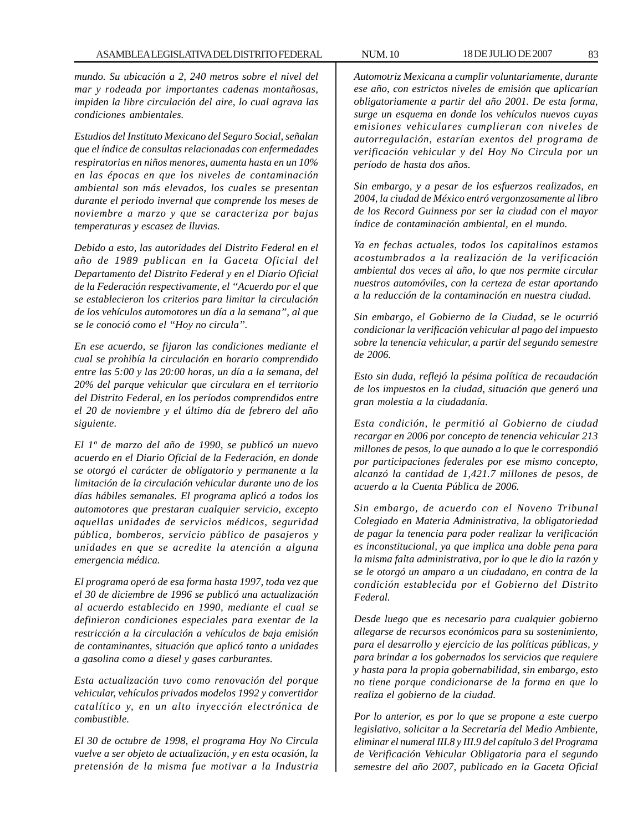*mundo. Su ubicación a 2, 240 metros sobre el nivel del mar y rodeada por importantes cadenas montañosas, impiden la libre circulación del aire, lo cual agrava las condiciones ambientales.*

*Estudios del Instituto Mexicano del Seguro Social, señalan que el índice de consultas relacionadas con enfermedades respiratorias en niños menores, aumenta hasta en un 10% en las épocas en que los niveles de contaminación ambiental son más elevados, los cuales se presentan durante el periodo invernal que comprende los meses de noviembre a marzo y que se caracteriza por bajas temperaturas y escasez de lluvias.*

*Debido a esto, las autoridades del Distrito Federal en el año de 1989 publican en la Gaceta Oficial del Departamento del Distrito Federal y en el Diario Oficial de la Federación respectivamente, el ''Acuerdo por el que se establecieron los criterios para limitar la circulación de los vehículos automotores un día a la semana'', al que se le conoció como el ''Hoy no circula''.*

*En ese acuerdo, se fijaron las condiciones mediante el cual se prohibía la circulación en horario comprendido entre las 5:00 y las 20:00 horas, un día a la semana, del 20% del parque vehicular que circulara en el territorio del Distrito Federal, en los períodos comprendidos entre el 20 de noviembre y el último día de febrero del año siguiente.*

*El 1º de marzo del año de 1990, se publicó un nuevo acuerdo en el Diario Oficial de la Federación, en donde se otorgó el carácter de obligatorio y permanente a la limitación de la circulación vehicular durante uno de los días hábiles semanales. El programa aplicó a todos los automotores que prestaran cualquier servicio, excepto aquellas unidades de servicios médicos, seguridad pública, bomberos, servicio público de pasajeros y unidades en que se acredite la atención a alguna emergencia médica.*

*El programa operó de esa forma hasta 1997, toda vez que el 30 de diciembre de 1996 se publicó una actualización al acuerdo establecido en 1990, mediante el cual se definieron condiciones especiales para exentar de la restricción a la circulación a vehículos de baja emisión de contaminantes, situación que aplicó tanto a unidades a gasolina como a diesel y gases carburantes.*

*Esta actualización tuvo como renovación del porque vehicular, vehículos privados modelos 1992 y convertidor catalítico y, en un alto inyección electrónica de combustible.*

*El 30 de octubre de 1998, el programa Hoy No Circula vuelve a ser objeto de actualización, y en esta ocasión, la pretensión de la misma fue motivar a la Industria*

*Automotriz Mexicana a cumplir voluntariamente, durante ese año, con estrictos niveles de emisión que aplicarían obligatoriamente a partir del año 2001. De esta forma, surge un esquema en donde los vehículos nuevos cuyas emisiones vehiculares cumplieran con niveles de autorregulación, estarían exentos del programa de verificación vehicular y del Hoy No Circula por un período de hasta dos años.*

*Sin embargo, y a pesar de los esfuerzos realizados, en 2004, la ciudad de México entró vergonzosamente al libro de los Record Guinness por ser la ciudad con el mayor índice de contaminación ambiental, en el mundo.*

*Ya en fechas actuales, todos los capitalinos estamos acostumbrados a la realización de la verificación ambiental dos veces al año, lo que nos permite circular nuestros automóviles, con la certeza de estar aportando a la reducción de la contaminación en nuestra ciudad.*

*Sin embargo, el Gobierno de la Ciudad, se le ocurrió condicionar la verificación vehicular al pago del impuesto sobre la tenencia vehicular, a partir del segundo semestre de 2006.*

*Esto sin duda, reflejó la pésima política de recaudación de los impuestos en la ciudad, situación que generó una gran molestia a la ciudadanía.*

*Esta condición, le permitió al Gobierno de ciudad recargar en 2006 por concepto de tenencia vehicular 213 millones de pesos, lo que aunado a lo que le correspondió por participaciones federales por ese mismo concepto, alcanzó la cantidad de 1,421.7 millones de pesos, de acuerdo a la Cuenta Pública de 2006.*

*Sin embargo, de acuerdo con el Noveno Tribunal Colegiado en Materia Administrativa, la obligatoriedad de pagar la tenencia para poder realizar la verificación es inconstitucional, ya que implica una doble pena para la misma falta administrativa, por lo que le dio la razón y se le otorgó un amparo a un ciudadano, en contra de la condición establecida por el Gobierno del Distrito Federal.*

*Desde luego que es necesario para cualquier gobierno allegarse de recursos económicos para su sostenimiento, para el desarrollo y ejercicio de las políticas públicas, y para brindar a los gobernados los servicios que requiere y hasta para la propia gobernabilidad, sin embargo, esto no tiene porque condicionarse de la forma en que lo realiza el gobierno de la ciudad.*

*Por lo anterior, es por lo que se propone a este cuerpo legislativo, solicitar a la Secretaría del Medio Ambiente, eliminar el numeral III.8 y III.9 del capítulo 3 del Programa de Verificación Vehicular Obligatoria para el segundo semestre del año 2007, publicado en la Gaceta Oficial*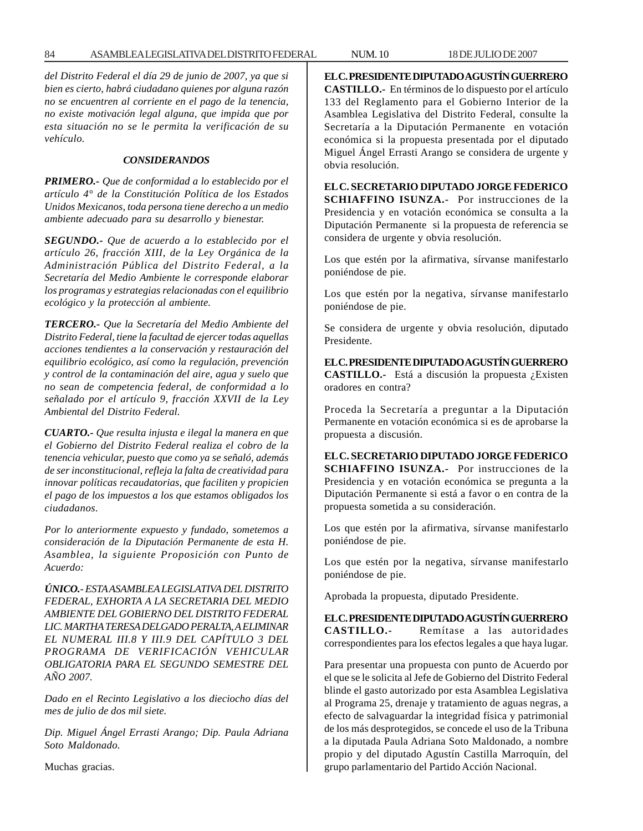*del Distrito Federal el día 29 de junio de 2007, ya que si bien es cierto, habrá ciudadano quienes por alguna razón no se encuentren al corriente en el pago de la tenencia, no existe motivación legal alguna, que impida que por esta situación no se le permita la verificación de su vehículo.*

#### *CONSIDERANDOS*

*PRIMERO.- Que de conformidad a lo establecido por el artículo 4° de la Constitución Política de los Estados Unidos Mexicanos, toda persona tiene derecho a un medio ambiente adecuado para su desarrollo y bienestar.*

*SEGUNDO.- Que de acuerdo a lo establecido por el artículo 26, fracción XIII, de la Ley Orgánica de la Administración Pública del Distrito Federal, a la Secretaría del Medio Ambiente le corresponde elaborar los programas y estrategias relacionadas con el equilibrio ecológico y la protección al ambiente.*

*TERCERO.- Que la Secretaría del Medio Ambiente del Distrito Federal, tiene la facultad de ejercer todas aquellas acciones tendientes a la conservación y restauración del equilibrio ecológico, así como la regulación, prevención y control de la contaminación del aire, agua y suelo que no sean de competencia federal, de conformidad a lo señalado por el artículo 9, fracción XXVII de la Ley Ambiental del Distrito Federal.*

*CUARTO.- Que resulta injusta e ilegal la manera en que el Gobierno del Distrito Federal realiza el cobro de la tenencia vehicular, puesto que como ya se señaló, además de ser inconstitucional, refleja la falta de creatividad para innovar políticas recaudatorias, que faciliten y propicien el pago de los impuestos a los que estamos obligados los ciudadanos.*

*Por lo anteriormente expuesto y fundado, sometemos a consideración de la Diputación Permanente de esta H. Asamblea, la siguiente Proposición con Punto de Acuerdo:*

*ÚNICO.- ESTA ASAMBLEA LEGISLATIVA DEL DISTRITO FEDERAL, EXHORTA A LA SECRETARIA DEL MEDIO AMBIENTE DEL GOBIERNO DEL DISTRITO FEDERAL LIC. MARTHA TERESA DELGADO PERALTA, A ELIMINAR EL NUMERAL III.8 Y III.9 DEL CAPÍTULO 3 DEL PROGRAMA DE VERIFICACIÓN VEHICULAR OBLIGATORIA PARA EL SEGUNDO SEMESTRE DEL AÑO 2007.*

*Dado en el Recinto Legislativo a los dieciocho días del mes de julio de dos mil siete.*

*Dip. Miguel Ángel Errasti Arango; Dip. Paula Adriana Soto Maldonado.*

Muchas gracias.

**EL C. PRESIDENTE DIPUTADO AGUSTÍN GUERRERO CASTILLO.-** En términos de lo dispuesto por el artículo 133 del Reglamento para el Gobierno Interior de la Asamblea Legislativa del Distrito Federal, consulte la Secretaría a la Diputación Permanente en votación económica si la propuesta presentada por el diputado Miguel Ángel Errasti Arango se considera de urgente y obvia resolución.

**EL C. SECRETARIO DIPUTADO JORGE FEDERICO SCHIAFFINO ISUNZA.-** Por instrucciones de la Presidencia y en votación económica se consulta a la Diputación Permanente si la propuesta de referencia se considera de urgente y obvia resolución.

Los que estén por la afirmativa, sírvanse manifestarlo poniéndose de pie.

Los que estén por la negativa, sírvanse manifestarlo poniéndose de pie.

Se considera de urgente y obvia resolución, diputado Presidente.

**EL C. PRESIDENTE DIPUTADO AGUSTÍN GUERRERO CASTILLO.-** Está a discusión la propuesta ¿Existen oradores en contra?

Proceda la Secretaría a preguntar a la Diputación Permanente en votación económica si es de aprobarse la propuesta a discusión.

**EL C. SECRETARIO DIPUTADO JORGE FEDERICO SCHIAFFINO ISUNZA.-** Por instrucciones de la Presidencia y en votación económica se pregunta a la Diputación Permanente si está a favor o en contra de la propuesta sometida a su consideración.

Los que estén por la afirmativa, sírvanse manifestarlo poniéndose de pie.

Los que estén por la negativa, sírvanse manifestarlo poniéndose de pie.

Aprobada la propuesta, diputado Presidente.

**EL C. PRESIDENTE DIPUTADO AGUSTÍN GUERRERO CASTILLO.-** Remítase a las autoridades correspondientes para los efectos legales a que haya lugar.

Para presentar una propuesta con punto de Acuerdo por el que se le solicita al Jefe de Gobierno del Distrito Federal blinde el gasto autorizado por esta Asamblea Legislativa al Programa 25, drenaje y tratamiento de aguas negras, a efecto de salvaguardar la integridad física y patrimonial de los más desprotegidos, se concede el uso de la Tribuna a la diputada Paula Adriana Soto Maldonado, a nombre propio y del diputado Agustín Castilla Marroquín, del grupo parlamentario del Partido Acción Nacional.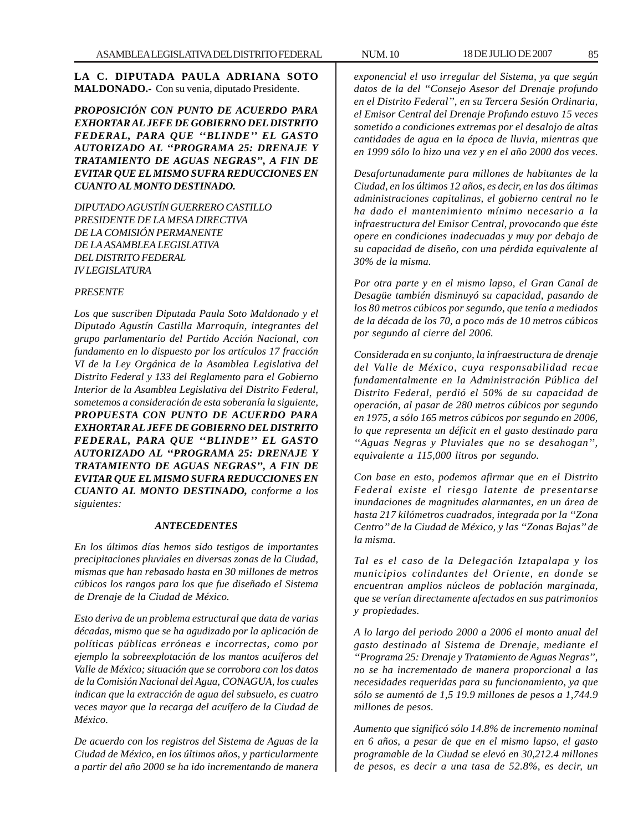**LA C. DIPUTADA PAULA ADRIANA SOTO MALDONADO.-** Con su venia, diputado Presidente.

*PROPOSICIÓN CON PUNTO DE ACUERDO PARA EXHORTAR AL JEFE DE GOBIERNO DEL DISTRITO FEDERAL, PARA QUE ''BLINDE'' EL GASTO AUTORIZADO AL ''PROGRAMA 25: DRENAJE Y TRATAMIENTO DE AGUAS NEGRAS'', A FIN DE EVITAR QUE EL MISMO SUFRA REDUCCIONES EN CUANTO AL MONTO DESTINADO.*

*DIPUTADO AGUSTÍN GUERRERO CASTILLO PRESIDENTE DE LA MESA DIRECTIVA DE LA COMISIÓN PERMANENTE DE LA ASAMBLEA LEGISLATIVA DEL DISTRITO FEDERAL IV LEGISLATURA*

#### *PRESENTE*

*Los que suscriben Diputada Paula Soto Maldonado y el Diputado Agustín Castilla Marroquín, integrantes del grupo parlamentario del Partido Acción Nacional, con fundamento en lo dispuesto por los artículos 17 fracción VI de la Ley Orgánica de la Asamblea Legislativa del Distrito Federal y 133 del Reglamento para el Gobierno Interior de la Asamblea Legislativa del Distrito Federal, sometemos a consideración de esta soberanía la siguiente, PROPUESTA CON PUNTO DE ACUERDO PARA EXHORTAR AL JEFE DE GOBIERNO DEL DISTRITO FEDERAL, PARA QUE ''BLINDE'' EL GASTO AUTORIZADO AL ''PROGRAMA 25: DRENAJE Y TRATAMIENTO DE AGUAS NEGRAS'', A FIN DE EVITAR QUE EL MISMO SUFRA REDUCCIONES EN CUANTO AL MONTO DESTINADO, conforme a los siguientes:*

#### *ANTECEDENTES*

*En los últimos días hemos sido testigos de importantes precipitaciones pluviales en diversas zonas de la Ciudad, mismas que han rebasado hasta en 30 millones de metros cúbicos los rangos para los que fue diseñado el Sistema de Drenaje de la Ciudad de México.*

*Esto deriva de un problema estructural que data de varias décadas, mismo que se ha agudizado por la aplicación de políticas públicas erróneas e incorrectas, como por ejemplo la sobreexplotación de los mantos acuíferos del Valle de México; situación que se corrobora con los datos de la Comisión Nacional del Agua, CONAGUA, los cuales indican que la extracción de agua del subsuelo, es cuatro veces mayor que la recarga del acuífero de la Ciudad de México.*

*De acuerdo con los registros del Sistema de Aguas de la Ciudad de México, en los últimos años, y particularmente a partir del año 2000 se ha ido incrementando de manera*

*exponencial el uso irregular del Sistema, ya que según datos de la del ''Consejo Asesor del Drenaje profundo en el Distrito Federal'', en su Tercera Sesión Ordinaria, el Emisor Central del Drenaje Profundo estuvo 15 veces sometido a condiciones extremas por el desalojo de altas cantidades de agua en la época de lluvia, mientras que en 1999 sólo lo hizo una vez y en el año 2000 dos veces.*

*Desafortunadamente para millones de habitantes de la Ciudad, en los últimos 12 años, es decir, en las dos últimas administraciones capitalinas, el gobierno central no le ha dado el mantenimiento mínimo necesario a la infraestructura del Emisor Central, provocando que éste opere en condiciones inadecuadas y muy por debajo de su capacidad de diseño, con una pérdida equivalente al 30% de la misma.*

*Por otra parte y en el mismo lapso, el Gran Canal de Desagüe también disminuyó su capacidad, pasando de los 80 metros cúbicos por segundo, que tenía a mediados de la década de los 70, a poco más de 10 metros cúbicos por segundo al cierre del 2006.*

*Considerada en su conjunto, la infraestructura de drenaje del Valle de México, cuya responsabilidad recae fundamentalmente en la Administración Pública del Distrito Federal, perdió el 50% de su capacidad de operación, al pasar de 280 metros cúbicos por segundo en 1975, a sólo 165 metros cúbicos por segundo en 2006, lo que representa un déficit en el gasto destinado para ''Aguas Negras y Pluviales que no se desahogan'', equivalente a 115,000 litros por segundo.*

*Con base en esto, podemos afirmar que en el Distrito Federal existe el riesgo latente de presentarse inundaciones de magnitudes alarmantes, en un área de hasta 217 kilómetros cuadrados, integrada por la ''Zona Centro'' de la Ciudad de México, y las ''Zonas Bajas'' de la misma.*

*Tal es el caso de la Delegación Iztapalapa y los municipios colindantes del Oriente, en donde se encuentran amplios núcleos de población marginada, que se verían directamente afectados en sus patrimonios y propiedades.*

*A lo largo del periodo 2000 a 2006 el monto anual del gasto destinado al Sistema de Drenaje, mediante el ''Programa 25: Drenaje y Tratamiento de Aguas Negras'', no se ha incrementado de manera proporcional a las necesidades requeridas para su funcionamiento, ya que sólo se aumentó de 1,5 19.9 millones de pesos a 1,744.9 millones de pesos.*

*Aumento que significó sólo 14.8% de incremento nominal en 6 años, a pesar de que en el mismo lapso, el gasto programable de la Ciudad se elevó en 30,212.4 millones de pesos, es decir a una tasa de 52.8%, es decir, un*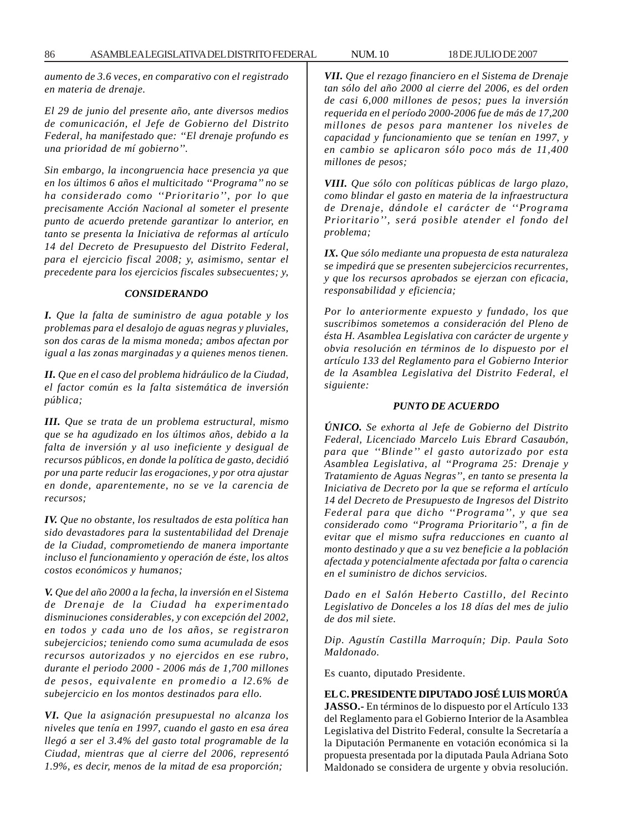*aumento de 3.6 veces, en comparativo con el registrado en materia de drenaje.*

*El 29 de junio del presente año, ante diversos medios de comunicación, el Jefe de Gobierno del Distrito Federal, ha manifestado que: ''El drenaje profundo es una prioridad de mí gobierno''.*

*Sin embargo, la incongruencia hace presencia ya que en los últimos 6 años el multicitado ''Programa'' no se ha considerado como ''Prioritario'', por lo que precisamente Acción Nacional al someter el presente punto de acuerdo pretende garantizar lo anterior, en tanto se presenta la Iniciativa de reformas al artículo 14 del Decreto de Presupuesto del Distrito Federal, para el ejercicio fiscal 2008; y, asimismo, sentar el precedente para los ejercicios fiscales subsecuentes; y,*

#### *CONSIDERANDO*

*I. Que la falta de suministro de agua potable y los problemas para el desalojo de aguas negras y pluviales, son dos caras de la misma moneda; ambos afectan por igual a las zonas marginadas y a quienes menos tienen.*

*II. Que en el caso del problema hidráulico de la Ciudad, el factor común es la falta sistemática de inversión pública;*

*III. Que se trata de un problema estructural, mismo que se ha agudizado en los últimos años, debido a la falta de inversión y al uso ineficiente y desigual de recursos públicos, en donde la política de gasto, decidió por una parte reducir las erogaciones, y por otra ajustar en donde, aparentemente, no se ve la carencia de recursos;*

*IV. Que no obstante, los resultados de esta política han sido devastadores para la sustentabilidad del Drenaje de la Ciudad, comprometiendo de manera importante incluso el funcionamiento y operación de éste, los altos costos económicos y humanos;*

*V. Que del año 2000 a la fecha, la inversión en el Sistema de Drenaje de la Ciudad ha experimentado disminuciones considerables, y con excepción del 2002, en todos y cada uno de los años, se registraron subejercicios; teniendo como suma acumulada de esos recursos autorizados y no ejercidos en ese rubro, durante el periodo 2000 - 2006 más de 1,700 millones de pesos, equivalente en promedio a l2.6% de subejercicio en los montos destinados para ello.*

*VI. Que la asignación presupuestal no alcanza los niveles que tenía en 1997, cuando el gasto en esa área llegó a ser el 3.4% del gasto total programable de la Ciudad, mientras que al cierre del 2006, representó 1.9%, es decir, menos de la mitad de esa proporción;*

*VII. Que el rezago financiero en el Sistema de Drenaje tan sólo del año 2000 al cierre del 2006, es del orden de casi 6,000 millones de pesos; pues la inversión requerida en el período 2000-2006 fue de más de 17,200 millones de pesos para mantener los niveles de capacidad y funcionamiento que se tenían en 1997, y en cambio se aplicaron sólo poco más de 11,400 millones de pesos;*

*VIII. Que sólo con políticas públicas de largo plazo, como blindar el gasto en materia de la infraestructura de Drenaje, dándole el carácter de ''Programa Prioritario'', será posible atender el fondo del problema;*

*IX. Que sólo mediante una propuesta de esta naturaleza se impedirá que se presenten subejercicios recurrentes, y que los recursos aprobados se ejerzan con eficacia, responsabilidad y eficiencia;*

*Por lo anteriormente expuesto y fundado, los que suscribimos sometemos a consideración del Pleno de ésta H. Asamblea Legislativa con carácter de urgente y obvia resolución en términos de lo dispuesto por el artículo 133 del Reglamento para el Gobierno Interior de la Asamblea Legislativa del Distrito Federal, el siguiente:*

#### *PUNTO DE ACUERDO*

*ÚNICO. Se exhorta al Jefe de Gobierno del Distrito Federal, Licenciado Marcelo Luis Ebrard Casaubón, para que ''Blinde'' el gasto autorizado por esta Asamblea Legislativa, al ''Programa 25: Drenaje y Tratamiento de Aguas Negras'', en tanto se presenta la Iniciativa de Decreto por la que se reforma el artículo 14 del Decreto de Presupuesto de Ingresos del Distrito Federal para que dicho ''Programa'', y que sea considerado como ''Programa Prioritario'', a fin de evitar que el mismo sufra reducciones en cuanto al monto destinado y que a su vez beneficie a la población afectada y potencialmente afectada por falta o carencia en el suministro de dichos servicios.*

*Dado en el Salón Heberto Castillo, del Recinto Legislativo de Donceles a los 18 días del mes de julio de dos mil siete.*

*Dip. Agustín Castilla Marroquín; Dip. Paula Soto Maldonado.*

Es cuanto, diputado Presidente.

**EL C. PRESIDENTE DIPUTADO JOSÉ LUIS MORÚA JASSO.-** En términos de lo dispuesto por el Artículo 133 del Reglamento para el Gobierno Interior de la Asamblea Legislativa del Distrito Federal, consulte la Secretaría a la Diputación Permanente en votación económica si la propuesta presentada por la diputada Paula Adriana Soto Maldonado se considera de urgente y obvia resolución.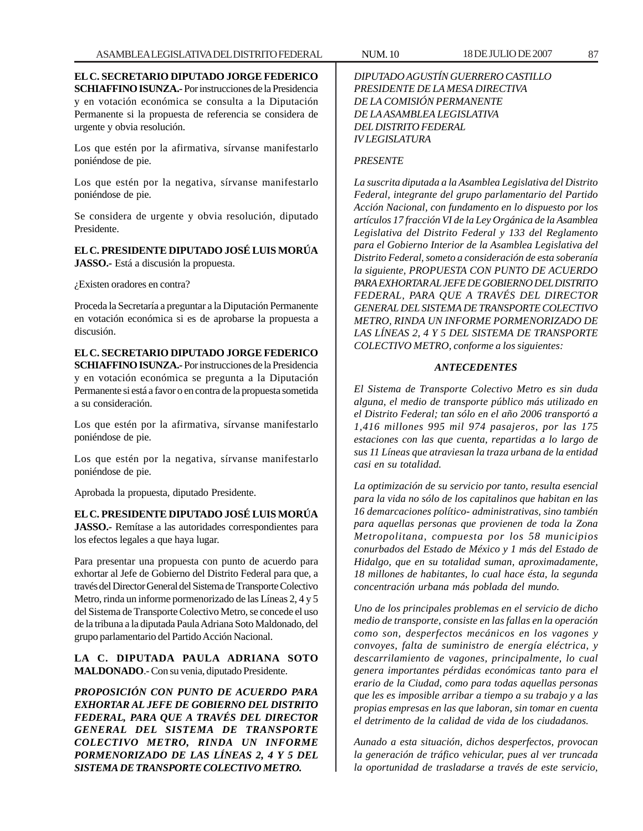**EL C. SECRETARIO DIPUTADO JORGE FEDERICO SCHIAFFINO ISUNZA.-** Por instrucciones de la Presidencia y en votación económica se consulta a la Diputación Permanente si la propuesta de referencia se considera de urgente y obvia resolución.

Los que estén por la afirmativa, sírvanse manifestarlo poniéndose de pie.

Los que estén por la negativa, sírvanse manifestarlo poniéndose de pie.

Se considera de urgente y obvia resolución, diputado Presidente.

**EL C. PRESIDENTE DIPUTADO JOSÉ LUIS MORÚA JASSO.-** Está a discusión la propuesta.

¿Existen oradores en contra?

Proceda la Secretaría a preguntar a la Diputación Permanente en votación económica si es de aprobarse la propuesta a discusión.

**EL C. SECRETARIO DIPUTADO JORGE FEDERICO SCHIAFFINO ISUNZA.-** Por instrucciones de la Presidencia y en votación económica se pregunta a la Diputación Permanente si está a favor o en contra de la propuesta sometida a su consideración.

Los que estén por la afirmativa, sírvanse manifestarlo poniéndose de pie.

Los que estén por la negativa, sírvanse manifestarlo poniéndose de pie.

Aprobada la propuesta, diputado Presidente.

**EL C. PRESIDENTE DIPUTADO JOSÉ LUIS MORÚA JASSO.-** Remítase a las autoridades correspondientes para los efectos legales a que haya lugar.

Para presentar una propuesta con punto de acuerdo para exhortar al Jefe de Gobierno del Distrito Federal para que, a través del Director General del Sistema de Transporte Colectivo Metro, rinda un informe pormenorizado de las Líneas 2, 4 y 5 del Sistema de Transporte Colectivo Metro, se concede el uso de la tribuna a la diputada Paula Adriana Soto Maldonado, del grupo parlamentario del Partido Acción Nacional.

**LA C. DIPUTADA PAULA ADRIANA SOTO MALDONADO**.- Con su venia, diputado Presidente.

*PROPOSICIÓN CON PUNTO DE ACUERDO PARA EXHORTAR AL JEFE DE GOBIERNO DEL DISTRITO FEDERAL, PARA QUE A TRAVÉS DEL DIRECTOR GENERAL DEL SISTEMA DE TRANSPORTE COLECTIVO METRO, RINDA UN INFORME PORMENORIZADO DE LAS LÍNEAS 2, 4 Y 5 DEL SISTEMA DE TRANSPORTE COLECTIVO METRO.*

### *PRESENTE*

*IV LEGISLATURA*

*DEL DISTRITO FEDERAL*

*La suscrita diputada a la Asamblea Legislativa del Distrito Federal, integrante del grupo parlamentario del Partido Acción Nacional, con fundamento en lo dispuesto por los artículos 17 fracción VI de la Ley Orgánica de la Asamblea Legislativa del Distrito Federal y 133 del Reglamento para el Gobierno Interior de la Asamblea Legislativa del Distrito Federal, someto a consideración de esta soberanía la siguiente, PROPUESTA CON PUNTO DE ACUERDO PARA EXHORTAR AL JEFE DE GOBIERNO DEL DISTRITO FEDERAL, PARA QUE A TRAVÉS DEL DIRECTOR GENERAL DEL SISTEMA DE TRANSPORTE COLECTIVO METRO, RINDA UN INFORME PORMENORIZADO DE LAS LÍNEAS 2, 4 Y 5 DEL SISTEMA DE TRANSPORTE COLECTIVO METRO, conforme a los siguientes:*

### *ANTECEDENTES*

*El Sistema de Transporte Colectivo Metro es sin duda alguna, el medio de transporte público más utilizado en el Distrito Federal; tan sólo en el año 2006 transportó a 1,416 millones 995 mil 974 pasajeros, por las 175 estaciones con las que cuenta, repartidas a lo largo de sus 11 Líneas que atraviesan la traza urbana de la entidad casi en su totalidad.*

*La optimización de su servicio por tanto, resulta esencial para la vida no sólo de los capitalinos que habitan en las 16 demarcaciones político- administrativas, sino también para aquellas personas que provienen de toda la Zona Metropolitana, compuesta por los 58 municipios conurbados del Estado de México y 1 más del Estado de Hidalgo, que en su totalidad suman, aproximadamente, 18 millones de habitantes, lo cual hace ésta, la segunda concentración urbana más poblada del mundo.*

*Uno de los principales problemas en el servicio de dicho medio de transporte, consiste en las fallas en la operación como son, desperfectos mecánicos en los vagones y convoyes, falta de suministro de energía eléctrica, y descarrilamiento de vagones, principalmente, lo cual genera importantes pérdidas económicas tanto para el erario de la Ciudad, como para todas aquellas personas que les es imposible arribar a tiempo a su trabajo y a las propias empresas en las que laboran, sin tomar en cuenta el detrimento de la calidad de vida de los ciudadanos.*

*Aunado a esta situación, dichos desperfectos, provocan la generación de tráfico vehicular, pues al ver truncada la oportunidad de trasladarse a través de este servicio,*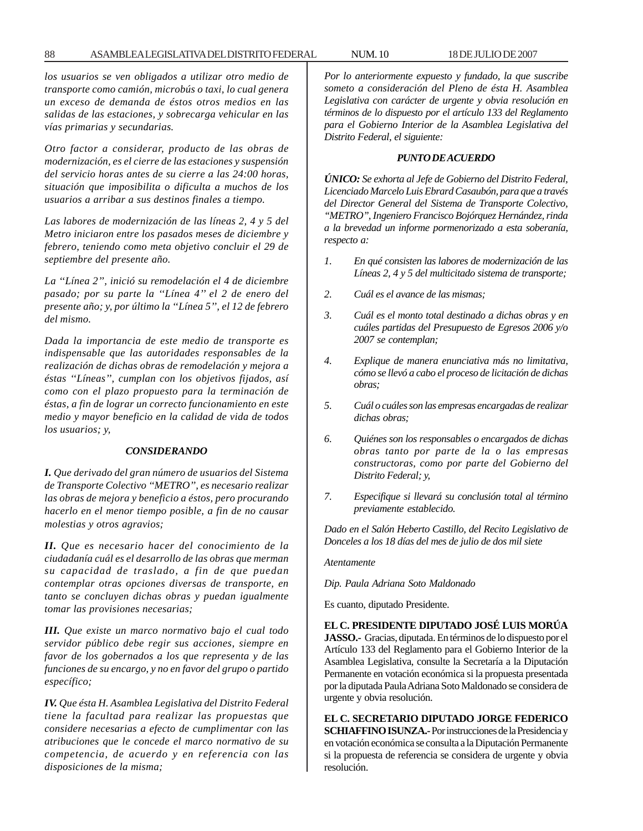#### 88 ASAMBLEA LEGISLATIVA DEL DISTRITO FEDERAL NUM. 10 18 DE JULIO DE 2007

*los usuarios se ven obligados a utilizar otro medio de transporte como camión, microbús o taxi, lo cual genera un exceso de demanda de éstos otros medios en las salidas de las estaciones, y sobrecarga vehicular en las vías primarias y secundarias.*

*Otro factor a considerar, producto de las obras de modernización, es el cierre de las estaciones y suspensión del servicio horas antes de su cierre a las 24:00 horas, situación que imposibilita o dificulta a muchos de los usuarios a arribar a sus destinos finales a tiempo.*

*Las labores de modernización de las líneas 2, 4 y 5 del Metro iniciaron entre los pasados meses de diciembre y febrero, teniendo como meta objetivo concluir el 29 de septiembre del presente año.*

*La ''Línea 2'', inició su remodelación el 4 de diciembre pasado; por su parte la ''Línea 4'' el 2 de enero del presente año; y, por último la ''Línea 5'', el 12 de febrero del mismo.*

*Dada la importancia de este medio de transporte es indispensable que las autoridades responsables de la realización de dichas obras de remodelación y mejora a éstas ''Líneas'', cumplan con los objetivos fijados, así como con el plazo propuesto para la terminación de éstas, a fin de lograr un correcto funcionamiento en este medio y mayor beneficio en la calidad de vida de todos los usuarios; y,*

#### *CONSIDERANDO*

*I. Que derivado del gran número de usuarios del Sistema de Transporte Colectivo ''METRO'', es necesario realizar las obras de mejora y beneficio a éstos, pero procurando hacerlo en el menor tiempo posible, a fin de no causar molestias y otros agravios;*

*II. Que es necesario hacer del conocimiento de la ciudadanía cuál es el desarrollo de las obras que merman su capacidad de traslado, a fin de que puedan contemplar otras opciones diversas de transporte, en tanto se concluyen dichas obras y puedan igualmente tomar las provisiones necesarias;*

*III. Que existe un marco normativo bajo el cual todo servidor público debe regir sus acciones, siempre en favor de los gobernados a los que representa y de las funciones de su encargo, y no en favor del grupo o partido específico;*

*IV. Que ésta H. Asamblea Legislativa del Distrito Federal tiene la facultad para realizar las propuestas que considere necesarias a efecto de cumplimentar con las atribuciones que le concede el marco normativo de su competencia, de acuerdo y en referencia con las disposiciones de la misma;*

*Por lo anteriormente expuesto y fundado, la que suscribe someto a consideración del Pleno de ésta H. Asamblea Legislativa con carácter de urgente y obvia resolución en términos de lo dispuesto por el artículo 133 del Reglamento para el Gobierno Interior de la Asamblea Legislativa del Distrito Federal, el siguiente:*

### *PUNTO DE ACUERDO*

*ÚNICO: Se exhorta al Jefe de Gobierno del Distrito Federal, Licenciado Marcelo Luis Ebrard Casaubón, para que a través del Director General del Sistema de Transporte Colectivo, ''METRO'', Ingeniero Francisco Bojórquez Hernández, rinda a la brevedad un informe pormenorizado a esta soberanía, respecto a:*

- *1. En qué consisten las labores de modernización de las Líneas 2, 4 y 5 del multicitado sistema de transporte;*
- *2. Cuál es el avance de las mismas;*
- *3. Cuál es el monto total destinado a dichas obras y en cuáles partidas del Presupuesto de Egresos 2006 y/o 2007 se contemplan;*
- *4. Explique de manera enunciativa más no limitativa, cómo se llevó a cabo el proceso de licitación de dichas obras;*
- *5. Cuál o cuáles son las empresas encargadas de realizar dichas obras;*
- *6. Quiénes son los responsables o encargados de dichas obras tanto por parte de la o las empresas constructoras, como por parte del Gobierno del Distrito Federal; y,*
- *7. Especifique si llevará su conclusión total al término previamente establecido.*

*Dado en el Salón Heberto Castillo, del Recito Legislativo de Donceles a los 18 días del mes de julio de dos mil siete*

#### *Atentamente*

*Dip. Paula Adriana Soto Maldonado*

Es cuanto, diputado Presidente.

**EL C. PRESIDENTE DIPUTADO JOSÉ LUIS MORÚA JASSO.-** Gracias, diputada. En términos de lo dispuesto por el Artículo 133 del Reglamento para el Gobierno Interior de la Asamblea Legislativa, consulte la Secretaría a la Diputación Permanente en votación económica si la propuesta presentada por la diputada Paula Adriana Soto Maldonado se considera de urgente y obvia resolución.

**EL C. SECRETARIO DIPUTADO JORGE FEDERICO SCHIAFFINO ISUNZA.-** Por instrucciones de la Presidencia y en votación económica se consulta a la Diputación Permanente si la propuesta de referencia se considera de urgente y obvia resolución.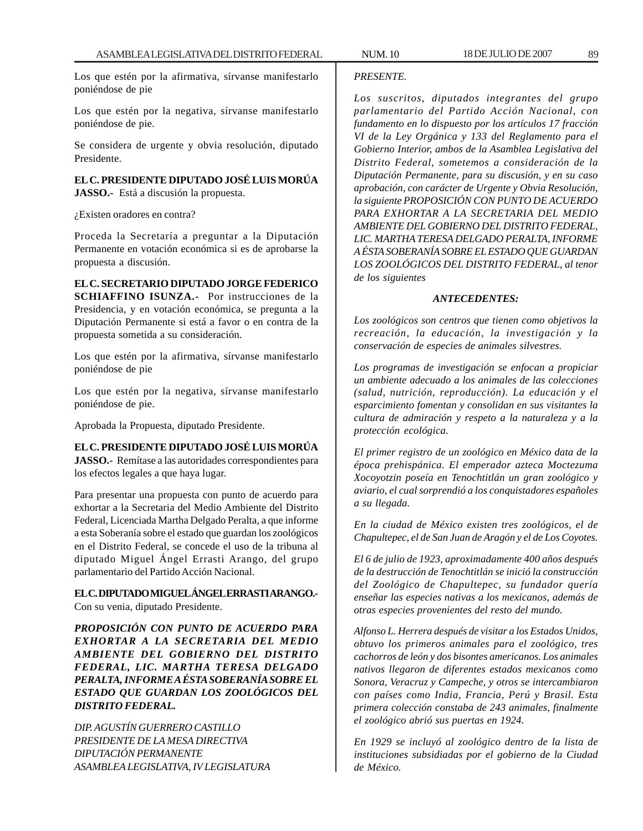Los que estén por la afirmativa, sírvanse manifestarlo poniéndose de pie

Los que estén por la negativa, sírvanse manifestarlo poniéndose de pie.

Se considera de urgente y obvia resolución, diputado Presidente.

**EL C. PRESIDENTE DIPUTADO JOSÉ LUIS MORÚA JASSO.-** Está a discusión la propuesta.

¿Existen oradores en contra?

Proceda la Secretaría a preguntar a la Diputación Permanente en votación económica si es de aprobarse la propuesta a discusión.

**EL C. SECRETARIO DIPUTADO JORGE FEDERICO SCHIAFFINO ISUNZA.-** Por instrucciones de la Presidencia, y en votación económica, se pregunta a la Diputación Permanente si está a favor o en contra de la propuesta sometida a su consideración.

Los que estén por la afirmativa, sírvanse manifestarlo poniéndose de pie

Los que estén por la negativa, sírvanse manifestarlo poniéndose de pie.

Aprobada la Propuesta, diputado Presidente.

### **EL C. PRESIDENTE DIPUTADO JOSÉ LUIS MORÚA**

**JASSO.-** Remítase a las autoridades correspondientes para los efectos legales a que haya lugar.

Para presentar una propuesta con punto de acuerdo para exhortar a la Secretaria del Medio Ambiente del Distrito Federal, Licenciada Martha Delgado Peralta, a que informe a esta Soberanía sobre el estado que guardan los zoológicos en el Distrito Federal, se concede el uso de la tribuna al diputado Miguel Ángel Errasti Arango, del grupo parlamentario del Partido Acción Nacional.

**EL C. DIPUTADO MIGUEL ÁNGEL ERRASTI ARANGO.-** Con su venia, diputado Presidente.

*PROPOSICIÓN CON PUNTO DE ACUERDO PARA EXHORTAR A LA SECRETARIA DEL MEDIO AMBIENTE DEL GOBIERNO DEL DISTRITO FEDERAL, LIC. MARTHA TERESA DELGADO PERALTA, INFORME A ÉSTA SOBERANÍA SOBRE EL ESTADO QUE GUARDAN LOS ZOOLÓGICOS DEL DISTRITO FEDERAL.*

*DIP. AGUSTÍN GUERRERO CASTILLO PRESIDENTE DE LA MESA DIRECTIVA DIPUTACIÓN PERMANENTE ASAMBLEA LEGISLATIVA, IV LEGISLATURA*

### *PRESENTE.*

*Los suscritos, diputados integrantes del grupo parlamentario del Partido Acción Nacional, con fundamento en lo dispuesto por los artículos 17 fracción VI de la Ley Orgánica y 133 del Reglamento para el Gobierno Interior, ambos de la Asamblea Legislativa del Distrito Federal, sometemos a consideración de la Diputación Permanente, para su discusión, y en su caso aprobación, con carácter de Urgente y Obvia Resolución, la siguiente PROPOSICIÓN CON PUNTO DE ACUERDO PARA EXHORTAR A LA SECRETARIA DEL MEDIO AMBIENTE DEL GOBIERNO DEL DISTRITO FEDERAL, LIC. MARTHA TERESA DELGADO PERALTA, INFORME A ÉSTA SOBERANÍA SOBRE EL ESTADO QUE GUARDAN LOS ZOOLÓGICOS DEL DISTRITO FEDERAL, al tenor de los siguientes*

#### *ANTECEDENTES:*

*Los zoológicos son centros que tienen como objetivos la recreación, la educación, la investigación y la conservación de especies de animales silvestres.*

*Los programas de investigación se enfocan a propiciar un ambiente adecuado a los animales de las colecciones (salud, nutrición, reproducción). La educación y el esparcimiento fomentan y consolidan en sus visitantes la cultura de admiración y respeto a la naturaleza y a la protección ecológica.*

*El primer registro de un zoológico en México data de la época prehispánica. El emperador azteca Moctezuma Xocoyotzin poseía en Tenochtitlán un gran zoológico y aviario, el cual sorprendió a los conquistadores españoles a su llegada.*

*En la ciudad de México existen tres zoológicos, el de Chapultepec, el de San Juan de Aragón y el de Los Coyotes.*

*El 6 de julio de 1923, aproximadamente 400 años después de la destrucción de Tenochtitlán se inició la construcción del Zoológico de Chapultepec, su fundador quería enseñar las especies nativas a los mexicanos, además de otras especies provenientes del resto del mundo.*

*Alfonso L. Herrera después de visitar a los Estados Unidos, obtuvo los primeros animales para el zoológico, tres cachorros de león y dos bisontes americanos. Los animales nativos llegaron de diferentes estados mexicanos como Sonora, Veracruz y Campeche, y otros se intercambiaron con países como India, Francia, Perú y Brasil. Esta primera colección constaba de 243 animales, finalmente el zoológico abrió sus puertas en 1924.*

*En 1929 se incluyó al zoológico dentro de la lista de instituciones subsidiadas por el gobierno de la Ciudad de México.*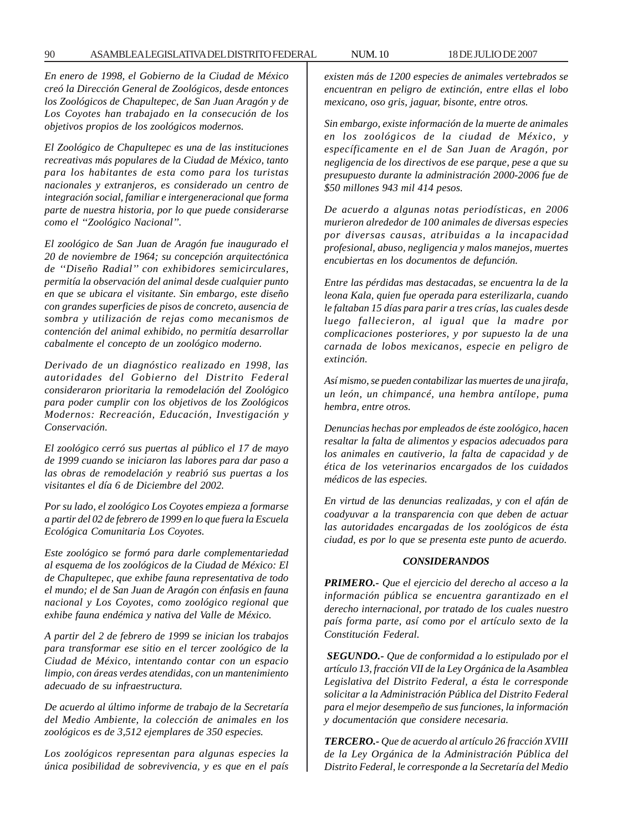*En enero de 1998, el Gobierno de la Ciudad de México creó la Dirección General de Zoológicos, desde entonces los Zoológicos de Chapultepec, de San Juan Aragón y de Los Coyotes han trabajado en la consecución de los objetivos propios de los zoológicos modernos.*

*El Zoológico de Chapultepec es una de las instituciones recreativas más populares de la Ciudad de México, tanto para los habitantes de esta como para los turistas nacionales y extranjeros, es considerado un centro de integración social, familiar e intergeneracional que forma parte de nuestra historia, por lo que puede considerarse como el ''Zoológico Nacional''.*

*El zoológico de San Juan de Aragón fue inaugurado el 20 de noviembre de 1964; su concepción arquitectónica de ''Diseño Radial'' con exhibidores semicirculares, permitía la observación del animal desde cualquier punto en que se ubicara el visitante. Sin embargo, este diseño con grandes superficies de pisos de concreto, ausencia de sombra y utilización de rejas como mecanismos de contención del animal exhibido, no permitía desarrollar cabalmente el concepto de un zoológico moderno.*

*Derivado de un diagnóstico realizado en 1998, las autoridades del Gobierno del Distrito Federal consideraron prioritaria la remodelación del Zoológico para poder cumplir con los objetivos de los Zoológicos Modernos: Recreación, Educación, Investigación y Conservación.*

*El zoológico cerró sus puertas al público el 17 de mayo de 1999 cuando se iniciaron las labores para dar paso a las obras de remodelación y reabrió sus puertas a los visitantes el día 6 de Diciembre del 2002.*

*Por su lado, el zoológico Los Coyotes empieza a formarse a partir del 02 de febrero de 1999 en lo que fuera la Escuela Ecológica Comunitaria Los Coyotes.*

*Este zoológico se formó para darle complementariedad al esquema de los zoológicos de la Ciudad de México: El de Chapultepec, que exhibe fauna representativa de todo el mundo; el de San Juan de Aragón con énfasis en fauna nacional y Los Coyotes, como zoológico regional que exhibe fauna endémica y nativa del Valle de México.*

*A partir del 2 de febrero de 1999 se inician los trabajos para transformar ese sitio en el tercer zoológico de la Ciudad de México, intentando contar con un espacio limpio, con áreas verdes atendidas, con un mantenimiento adecuado de su infraestructura.*

*De acuerdo al último informe de trabajo de la Secretaría del Medio Ambiente, la colección de animales en los zoológicos es de 3,512 ejemplares de 350 especies.*

*Los zoológicos representan para algunas especies la única posibilidad de sobrevivencia, y es que en el país* *existen más de 1200 especies de animales vertebrados se encuentran en peligro de extinción, entre ellas el lobo mexicano, oso gris, jaguar, bisonte, entre otros.*

*Sin embargo, existe información de la muerte de animales en los zoológicos de la ciudad de México, y específicamente en el de San Juan de Aragón, por negligencia de los directivos de ese parque, pese a que su presupuesto durante la administración 2000-2006 fue de \$50 millones 943 mil 414 pesos.*

*De acuerdo a algunas notas periodísticas, en 2006 murieron alrededor de 100 animales de diversas especies por diversas causas, atribuidas a la incapacidad profesional, abuso, negligencia y malos manejos, muertes encubiertas en los documentos de defunción.*

*Entre las pérdidas mas destacadas, se encuentra la de la leona Kala, quien fue operada para esterilizarla, cuando le faltaban 15 días para parir a tres crías, las cuales desde luego fallecieron, al igual que la madre por complicaciones posteriores, y por supuesto la de una carnada de lobos mexicanos, especie en peligro de extinción.*

*Así mismo, se pueden contabilizar las muertes de una jirafa, un león, un chimpancé, una hembra antílope, puma hembra, entre otros.*

*Denuncias hechas por empleados de éste zoológico, hacen resaltar la falta de alimentos y espacios adecuados para los animales en cautiverio, la falta de capacidad y de ética de los veterinarios encargados de los cuidados médicos de las especies.*

*En virtud de las denuncias realizadas, y con el afán de coadyuvar a la transparencia con que deben de actuar las autoridades encargadas de los zoológicos de ésta ciudad, es por lo que se presenta este punto de acuerdo.*

#### *CONSIDERANDOS*

*PRIMERO.- Que el ejercicio del derecho al acceso a la información pública se encuentra garantizado en el derecho internacional, por tratado de los cuales nuestro país forma parte, así como por el artículo sexto de la Constitución Federal.*

*SEGUNDO.- Que de conformidad a lo estipulado por el artículo 13, fracción VII de la Ley Orgánica de la Asamblea Legislativa del Distrito Federal, a ésta le corresponde solicitar a la Administración Pública del Distrito Federal para el mejor desempeño de sus funciones, la información y documentación que considere necesaria.*

*TERCERO.- Que de acuerdo al artículo 26 fracción XVIII de la Ley Orgánica de la Administración Pública del Distrito Federal, le corresponde a la Secretaría del Medio*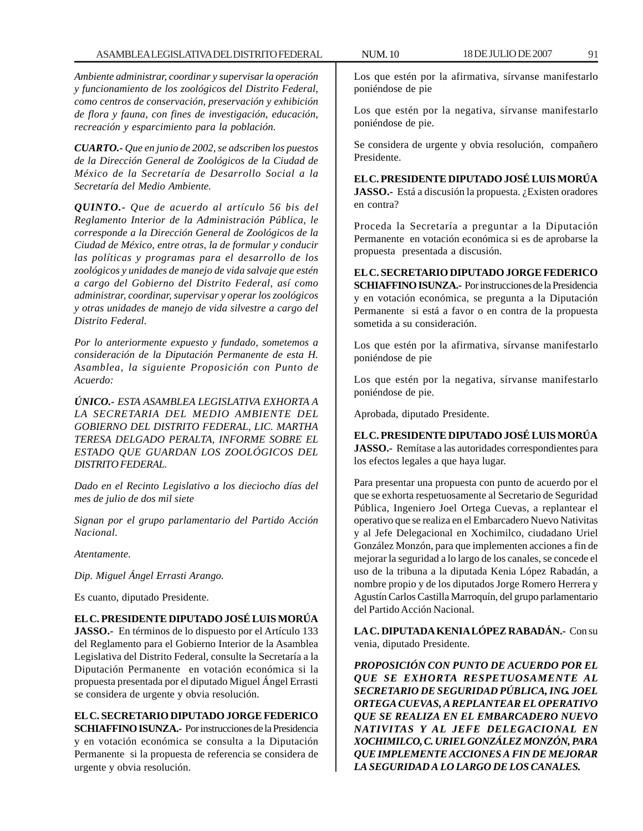*Ambiente administrar, coordinar y supervisar la operación y funcionamiento de los zoológicos del Distrito Federal, como centros de conservación, preservación y exhibición de flora y fauna, con fines de investigación, educación, recreación y esparcimiento para la población.*

*CUARTO.- Que en junio de 2002, se adscriben los puestos de la Dirección General de Zoológicos de la Ciudad de México de la Secretaría de Desarrollo Social a la Secretaría del Medio Ambiente.*

*QUINTO.- Que de acuerdo al artículo 56 bis del Reglamento Interior de la Administración Pública, le corresponde a la Dirección General de Zoológicos de la Ciudad de México, entre otras, la de formular y conducir las políticas y programas para el desarrollo de los zoológicos y unidades de manejo de vida salvaje que estén a cargo del Gobierno del Distrito Federal, así como administrar, coordinar, supervisar y operar los zoológicos y otras unidades de manejo de vida silvestre a cargo del Distrito Federal.*

*Por lo anteriormente expuesto y fundado, sometemos a consideración de la Diputación Permanente de esta H. Asamblea, la siguiente Proposición con Punto de Acuerdo:*

*ÚNICO.- ESTA ASAMBLEA LEGISLATIVA EXHORTA A LA SECRETARIA DEL MEDIO AMBIENTE DEL GOBIERNO DEL DISTRITO FEDERAL, LIC. MARTHA TERESA DELGADO PERALTA, INFORME SOBRE EL ESTADO QUE GUARDAN LOS ZOOLÓGICOS DEL DISTRITO FEDERAL.*

*Dado en el Recinto Legislativo a los dieciocho días del mes de julio de dos mil siete*

*Signan por el grupo parlamentario del Partido Acción Nacional.*

*Atentamente.*

*Dip. Miguel Ángel Errasti Arango.*

Es cuanto, diputado Presidente.

**EL C. PRESIDENTE DIPUTADO JOSÉ LUIS MORÚA**

**JASSO.-** En términos de lo dispuesto por el Artículo 133 del Reglamento para el Gobierno Interior de la Asamblea Legislativa del Distrito Federal, consulte la Secretaría a la Diputación Permanente en votación económica si la propuesta presentada por el diputado Miguel Ángel Errasti se considera de urgente y obvia resolución.

**EL C. SECRETARIO DIPUTADO JORGE FEDERICO SCHIAFFINO ISUNZA.-** Por instrucciones de la Presidencia y en votación económica se consulta a la Diputación Permanente si la propuesta de referencia se considera de urgente y obvia resolución.

Los que estén por la afirmativa, sírvanse manifestarlo poniéndose de pie

Los que estén por la negativa, sírvanse manifestarlo poniéndose de pie.

Se considera de urgente y obvia resolución, compañero Presidente.

# **EL C. PRESIDENTE DIPUTADO JOSÉ LUIS MORÚA**

**JASSO.**- Está a discusión la propuesta. ¿Existen oradores en contra?

Proceda la Secretaría a preguntar a la Diputación Permanente en votación económica si es de aprobarse la propuesta presentada a discusión.

**EL C. SECRETARIO DIPUTADO JORGE FEDERICO SCHIAFFINO ISUNZA.-** Por instrucciones de la Presidencia y en votación económica, se pregunta a la Diputación Permanente si está a favor o en contra de la propuesta sometida a su consideración.

Los que estén por la afirmativa, sírvanse manifestarlo poniéndose de pie

Los que estén por la negativa, sírvanse manifestarlo poniéndose de pie.

Aprobada, diputado Presidente.

### **EL C. PRESIDENTE DIPUTADO JOSÉ LUIS MORÚA**

**JASSO.-** Remítase a las autoridades correspondientes para los efectos legales a que haya lugar.

Para presentar una propuesta con punto de acuerdo por el que se exhorta respetuosamente al Secretario de Seguridad Pública, Ingeniero Joel Ortega Cuevas, a replantear el operativo que se realiza en el Embarcadero Nuevo Nativitas y al Jefe Delegacional en Xochimilco, ciudadano Uriel González Monzón, para que implementen acciones a fin de mejorar la seguridad a lo largo de los canales, se concede el uso de la tribuna a la diputada Kenia López Rabadán, a nombre propio y de los diputados Jorge Romero Herrera y Agustín Carlos Castilla Marroquín, del grupo parlamentario del Partido Acción Nacional.

**LA C. DIPUTADA KENIA LÓPEZ RABADÁN.-** Con su venia, diputado Presidente.

*PROPOSICIÓN CON PUNTO DE ACUERDO POR EL QUE SE EXHORTA RESPETUOSAMENTE AL SECRETARIO DE SEGURIDAD PÚBLICA, ING. JOEL ORTEGA CUEVAS, A REPLANTEAR EL OPERATIVO QUE SE REALIZA EN EL EMBARCADERO NUEVO NATIVITAS Y AL JEFE DELEGACIONAL EN XOCHIMILCO, C. URIEL GONZÁLEZ MONZÓN, PARA QUE IMPLEMENTE ACCIONES A FIN DE MEJORAR LA SEGURIDAD A LO LARGO DE LOS CANALES.*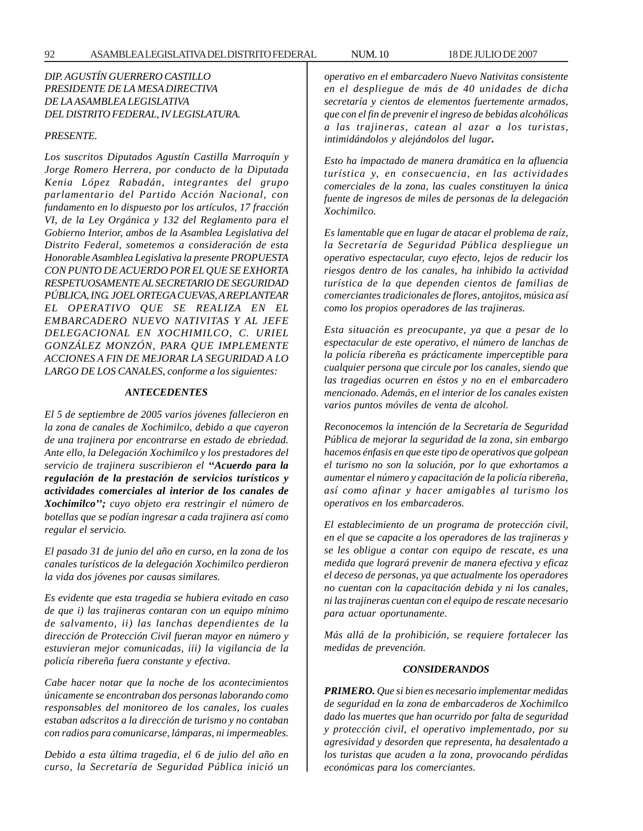## *DIP. AGUSTÍN GUERRERO CASTILLO PRESIDENTE DE LA MESA DIRECTIVA DE LA ASAMBLEA LEGISLATIVA DEL DISTRITO FEDERAL, IV LEGISLATURA.*

### *PRESENTE.*

*Los suscritos Diputados Agustín Castilla Marroquín y Jorge Romero Herrera, por conducto de la Diputada Kenia López Rabadán, integrantes del grupo parlamentario del Partido Acción Nacional, con fundamento en lo dispuesto por los artículos, 17 fracción VI, de la Ley Orgánica y 132 del Reglamento para el Gobierno Interior, ambos de la Asamblea Legislativa del Distrito Federal, sometemos a consideración de esta Honorable Asamblea Legislativa la presente PROPUESTA CON PUNTO DE ACUERDO POR EL QUE SE EXHORTA RESPETUOSAMENTE AL SECRETARIO DE SEGURIDAD PÚBLICA, ING. JOEL ORTEGA CUEVAS, A REPLANTEAR EL OPERATIVO QUE SE REALIZA EN EL EMBARCADERO NUEVO NATIVITAS Y AL JEFE DELEGACIONAL EN XOCHIMILCO, C. URIEL GONZÁLEZ MONZÓN, PARA QUE IMPLEMENTE ACCIONES A FIN DE MEJORAR LA SEGURIDAD A LO LARGO DE LOS CANALES, conforme a los siguientes:*

### *ANTECEDENTES*

*El 5 de septiembre de 2005 varios jóvenes fallecieron en la zona de canales de Xochimilco, debido a que cayeron de una trajinera por encontrarse en estado de ebriedad. Ante ello, la Delegación Xochimilco y los prestadores del servicio de trajinera suscribieron el ''Acuerdo para la regulación de la prestación de servicios turísticos y actividades comerciales al interior de los canales de Xochimilco''; cuyo objeto era restringir el número de botellas que se podían ingresar a cada trajinera así como regular el servicio.*

*El pasado 31 de junio del año en curso, en la zona de los canales turísticos de la delegación Xochimilco perdieron la vida dos jóvenes por causas similares.*

*Es evidente que esta tragedia se hubiera evitado en caso de que i) las trajineras contaran con un equipo mínimo de salvamento, ii) las lanchas dependientes de la dirección de Protección Civil fueran mayor en número y estuvieran mejor comunicadas, iii) la vigilancia de la policía ribereña fuera constante y efectiva.*

*Cabe hacer notar que la noche de los acontecimientos únicamente se encontraban dos personas laborando como responsables del monitoreo de los canales, los cuales estaban adscritos a la dirección de turismo y no contaban con radios para comunicarse, lámparas, ni impermeables.*

*Debido a esta última tragedia, el 6 de julio del año en curso, la Secretaría de Seguridad Pública inició un* *operativo en el embarcadero Nuevo Nativitas consistente en el despliegue de más de 40 unidades de dicha secretaría y cientos de elementos fuertemente armados, que con el fin de prevenir el ingreso de bebidas alcohólicas a las trajineras, catean al azar a los turistas, intimidándolos y alejándolos del lugar.*

*Esto ha impactado de manera dramática en la afluencia turística y, en consecuencia, en las actividades comerciales de la zona, las cuales constituyen la única fuente de ingresos de miles de personas de la delegación Xochimilco.*

*Es lamentable que en lugar de atacar el problema de raíz, la Secretaría de Seguridad Pública despliegue un operativo espectacular, cuyo efecto, lejos de reducir los riesgos dentro de los canales, ha inhibido la actividad turística de la que dependen cientos de familias de comerciantes tradicionales de flores, antojitos, música así como los propios operadores de las trajineras.*

*Esta situación es preocupante, ya que a pesar de lo espectacular de este operativo, el número de lanchas de la policía ribereña es prácticamente imperceptible para cualquier persona que circule por los canales, siendo que las tragedias ocurren en éstos y no en el embarcadero mencionado. Además, en el interior de los canales existen varios puntos móviles de venta de alcohol.*

*Reconocemos la intención de la Secretaría de Seguridad Pública de mejorar la seguridad de la zona, sin embargo hacemos énfasis en que este tipo de operativos que golpean el turismo no son la solución, por lo que exhortamos a aumentar el número y capacitación de la policía ribereña, así como afinar y hacer amigables al turismo los operativos en los embarcaderos.*

*El establecimiento de un programa de protección civil, en el que se capacite a los operadores de las trajineras y se les obligue a contar con equipo de rescate, es una medida que logrará prevenir de manera efectiva y eficaz el deceso de personas, ya que actualmente los operadores no cuentan con la capacitación debida y ni los canales, ni las trajineras cuentan con el equipo de rescate necesario para actuar oportunamente.*

*Más allá de la prohibición, se requiere fortalecer las medidas de prevención.*

#### *CONSIDERANDOS*

*PRIMERO. Que si bien es necesario implementar medidas de seguridad en la zona de embarcaderos de Xochimilco dado las muertes que han ocurrido por falta de seguridad y protección civil, el operativo implementado, por su agresividad y desorden que representa, ha desalentado a los turistas que acuden a la zona, provocando pérdidas económicas para los comerciantes.*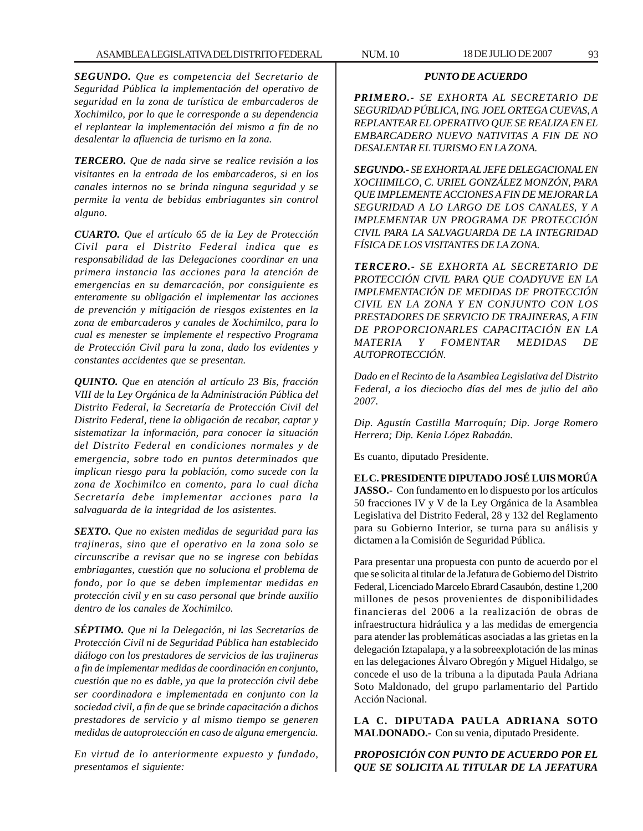*SEGUNDO. Que es competencia del Secretario de Seguridad Pública la implementación del operativo de seguridad en la zona de turística de embarcaderos de Xochimilco, por lo que le corresponde a su dependencia el replantear la implementación del mismo a fin de no desalentar la afluencia de turismo en la zona.*

*TERCERO. Que de nada sirve se realice revisión a los visitantes en la entrada de los embarcaderos, si en los canales internos no se brinda ninguna seguridad y se permite la venta de bebidas embriagantes sin control alguno.*

*CUARTO. Que el artículo 65 de la Ley de Protección Civil para el Distrito Federal indica que es responsabilidad de las Delegaciones coordinar en una primera instancia las acciones para la atención de emergencias en su demarcación, por consiguiente es enteramente su obligación el implementar las acciones de prevención y mitigación de riesgos existentes en la zona de embarcaderos y canales de Xochimilco, para lo cual es menester se implemente el respectivo Programa de Protección Civil para la zona, dado los evidentes y constantes accidentes que se presentan.*

*QUINTO. Que en atención al artículo 23 Bis, fracción VIII de la Ley Orgánica de la Administración Pública del Distrito Federal, la Secretaría de Protección Civil del Distrito Federal, tiene la obligación de recabar, captar y sistematizar la información, para conocer la situación del Distrito Federal en condiciones normales y de emergencia, sobre todo en puntos determinados que implican riesgo para la población, como sucede con la zona de Xochimilco en comento, para lo cual dicha Secretaría debe implementar acciones para la salvaguarda de la integridad de los asistentes.*

*SEXTO. Que no existen medidas de seguridad para las trajineras, sino que el operativo en la zona solo se circunscribe a revisar que no se ingrese con bebidas embriagantes, cuestión que no soluciona el problema de fondo, por lo que se deben implementar medidas en protección civil y en su caso personal que brinde auxilio dentro de los canales de Xochimilco.*

*SÉPTIMO. Que ni la Delegación, ni las Secretarías de Protección Civil ni de Seguridad Pública han establecido diálogo con los prestadores de servicios de las trajineras a fin de implementar medidas de coordinación en conjunto, cuestión que no es dable, ya que la protección civil debe ser coordinadora e implementada en conjunto con la sociedad civil, a fin de que se brinde capacitación a dichos prestadores de servicio y al mismo tiempo se generen medidas de autoprotección en caso de alguna emergencia.*

*En virtud de lo anteriormente expuesto y fundado, presentamos el siguiente:*

### *PUNTO DE ACUERDO*

*PRIMERO.- SE EXHORTA AL SECRETARIO DE SEGURIDAD PÚBLICA, ING. JOEL ORTEGA CUEVAS, A REPLANTEAR EL OPERATIVO QUE SE REALIZA EN EL EMBARCADERO NUEVO NATIVITAS A FIN DE NO DESALENTAR EL TURISMO EN LA ZONA.*

*SEGUNDO.- SE EXHORTA AL JEFE DELEGACIONAL EN XOCHIMILCO, C. URIEL GONZÁLEZ MONZÓN, PARA QUE IMPLEMENTE ACCIONES A FIN DE MEJORAR LA SEGURIDAD A LO LARGO DE LOS CANALES, Y A IMPLEMENTAR UN PROGRAMA DE PROTECCIÓN CIVIL PARA LA SALVAGUARDA DE LA INTEGRIDAD FÍSICA DE LOS VISITANTES DE LA ZONA.*

*TERCERO.- SE EXHORTA AL SECRETARIO DE PROTECCIÓN CIVIL PARA QUE COADYUVE EN LA IMPLEMENTACIÓN DE MEDIDAS DE PROTECCIÓN CIVIL EN LA ZONA Y EN CONJUNTO CON LOS PRESTADORES DE SERVICIO DE TRAJINERAS, A FIN DE PROPORCIONARLES CAPACITACIÓN EN LA MATERIA Y FOMENTAR MEDIDAS DE AUTOPROTECCIÓN.*

*Dado en el Recinto de la Asamblea Legislativa del Distrito Federal, a los dieciocho días del mes de julio del año 2007.*

*Dip. Agustín Castilla Marroquín; Dip. Jorge Romero Herrera; Dip. Kenia López Rabadán.*

Es cuanto, diputado Presidente.

**EL C. PRESIDENTE DIPUTADO JOSÉ LUIS MORÚA JASSO.-** Con fundamento en lo dispuesto por los artículos 50 fracciones IV y V de la Ley Orgánica de la Asamblea Legislativa del Distrito Federal, 28 y 132 del Reglamento para su Gobierno Interior, se turna para su análisis y dictamen a la Comisión de Seguridad Pública.

Para presentar una propuesta con punto de acuerdo por el que se solicita al titular de la Jefatura de Gobierno del Distrito Federal, Licenciado Marcelo Ebrard Casaubón, destine 1,200 millones de pesos provenientes de disponibilidades financieras del 2006 a la realización de obras de infraestructura hidráulica y a las medidas de emergencia para atender las problemáticas asociadas a las grietas en la delegación Iztapalapa, y a la sobreexplotación de las minas en las delegaciones Álvaro Obregón y Miguel Hidalgo, se concede el uso de la tribuna a la diputada Paula Adriana Soto Maldonado, del grupo parlamentario del Partido Acción Nacional.

**LA C. DIPUTADA PAULA ADRIANA SOTO MALDONADO.-** Con su venia, diputado Presidente.

*PROPOSICIÓN CON PUNTO DE ACUERDO POR EL QUE SE SOLICITA AL TITULAR DE LA JEFATURA*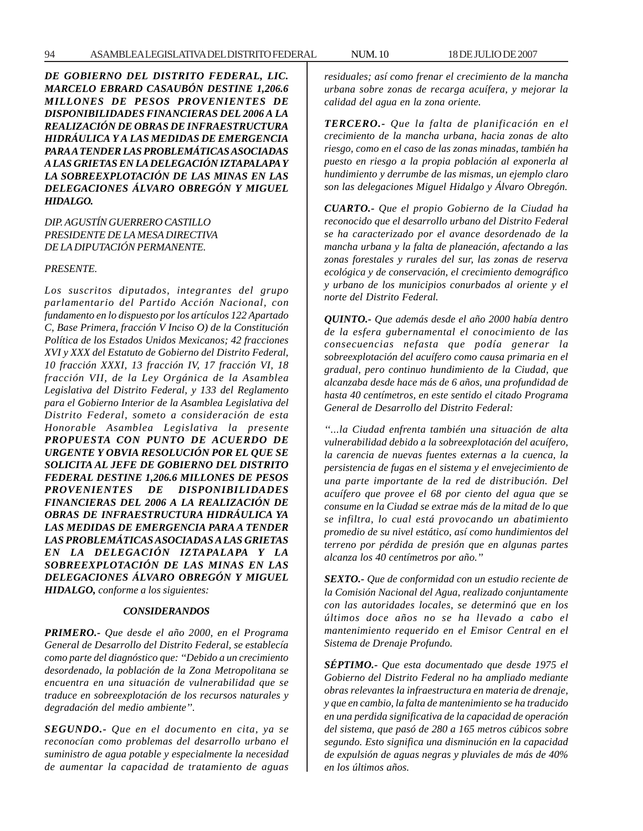*DE GOBIERNO DEL DISTRITO FEDERAL, LIC. MARCELO EBRARD CASAUBÓN DESTINE 1,206.6 MILLONES DE PESOS PROVENIENTES DE DISPONIBILIDADES FINANCIERAS DEL 2006 A LA REALIZACIÓN DE OBRAS DE INFRAESTRUCTURA HIDRÁULICA Y A LAS MEDIDAS DE EMERGENCIA PARA A TENDER LAS PROBLEMÁTICAS ASOCIADAS A LAS GRIETAS EN LA DELEGACIÓN IZTAPALAPA Y LA SOBREEXPLOTACIÓN DE LAS MINAS EN LAS DELEGACIONES ÁLVARO OBREGÓN Y MIGUEL HIDALGO.*

*DIP. AGUSTÍN GUERRERO CASTILLO PRESIDENTE DE LA MESA DIRECTIVA DE LA DIPUTACIÓN PERMANENTE.*

#### *PRESENTE.*

*Los suscritos diputados, integrantes del grupo parlamentario del Partido Acción Nacional, con fundamento en lo dispuesto por los artículos 122 Apartado C, Base Primera, fracción V Inciso O) de la Constitución Política de los Estados Unidos Mexicanos; 42 fracciones XVI y XXX del Estatuto de Gobierno del Distrito Federal, 10 fracción XXXI, 13 fracción IV, 17 fracción VI, 18 fracción VII, de la Ley Orgánica de la Asamblea Legislativa del Distrito Federal, y 133 del Reglamento para el Gobierno Interior de la Asamblea Legislativa del Distrito Federal, someto a consideración de esta Honorable Asamblea Legislativa la presente PROPUESTA CON PUNTO DE ACUERDO DE URGENTE Y OBVIA RESOLUCIÓN POR EL QUE SE SOLICITA AL JEFE DE GOBIERNO DEL DISTRITO FEDERAL DESTINE 1,206.6 MILLONES DE PESOS PROVENIENTES DE DISPONIBILIDADES FINANCIERAS DEL 2006 A LA REALIZACIÓN DE OBRAS DE INFRAESTRUCTURA HIDRÁULICA YA LAS MEDIDAS DE EMERGENCIA PARA A TENDER LAS PROBLEMÁTICAS ASOCIADAS A LAS GRIETAS EN LA DELEGACIÓN IZTAPALAPA Y LA SOBREEXPLOTACIÓN DE LAS MINAS EN LAS DELEGACIONES ÁLVARO OBREGÓN Y MIGUEL HIDALGO, conforme a los siguientes:*

#### *CONSIDERANDOS*

*PRIMERO.- Que desde el año 2000, en el Programa General de Desarrollo del Distrito Federal, se establecía como parte del diagnóstico que: ''Debido a un crecimiento desordenado, la población de la Zona Metropolitana se encuentra en una situación de vulnerabilidad que se traduce en sobreexplotación de los recursos naturales y degradación del medio ambiente''.*

*SEGUNDO.- Que en el documento en cita, ya se reconocían como problemas del desarrollo urbano el suministro de agua potable y especialmente la necesidad de aumentar la capacidad de tratamiento de aguas* *residuales; así como frenar el crecimiento de la mancha urbana sobre zonas de recarga acuífera, y mejorar la calidad del agua en la zona oriente.*

*TERCERO.- Que la falta de planificación en el crecimiento de la mancha urbana, hacia zonas de alto riesgo, como en el caso de las zonas minadas, también ha puesto en riesgo a la propia población al exponerla al hundimiento y derrumbe de las mismas, un ejemplo claro son las delegaciones Miguel Hidalgo y Álvaro Obregón.*

*CUARTO.- Que el propio Gobierno de la Ciudad ha reconocido que el desarrollo urbano del Distrito Federal se ha caracterizado por el avance desordenado de la mancha urbana y la falta de planeación, afectando a las zonas forestales y rurales del sur, las zonas de reserva ecológica y de conservación, el crecimiento demográfico y urbano de los municipios conurbados al oriente y el norte del Distrito Federal.*

*QUINTO.- Que además desde el año 2000 había dentro de la esfera gubernamental el conocimiento de las consecuencias nefasta que podía generar la sobreexplotación del acuífero como causa primaria en el gradual, pero continuo hundimiento de la Ciudad, que alcanzaba desde hace más de 6 años, una profundidad de hasta 40 centímetros, en este sentido el citado Programa General de Desarrollo del Distrito Federal:*

*''...la Ciudad enfrenta también una situación de alta vulnerabilidad debido a la sobreexplotación del acuífero, la carencia de nuevas fuentes externas a la cuenca, la persistencia de fugas en el sistema y el envejecimiento de una parte importante de la red de distribución. Del acuífero que provee el 68 por ciento del agua que se consume en la Ciudad se extrae más de la mitad de lo que se infiltra, lo cual está provocando un abatimiento promedio de su nivel estático, así como hundimientos del terreno por pérdida de presión que en algunas partes alcanza los 40 centímetros por año.''*

*SEXTO.- Que de conformidad con un estudio reciente de la Comisión Nacional del Agua, realizado conjuntamente con las autoridades locales, se determinó que en los últimos doce años no se ha llevado a cabo el mantenimiento requerido en el Emisor Central en el Sistema de Drenaje Profundo.*

*SÉPTIMO.- Que esta documentado que desde 1975 el Gobierno del Distrito Federal no ha ampliado mediante obras relevantes la infraestructura en materia de drenaje, y que en cambio, la falta de mantenimiento se ha traducido en una perdida significativa de la capacidad de operación del sistema, que pasó de 280 a 165 metros cúbicos sobre segundo. Esto significa una disminución en la capacidad de expulsión de aguas negras y pluviales de más de 40% en los últimos años.*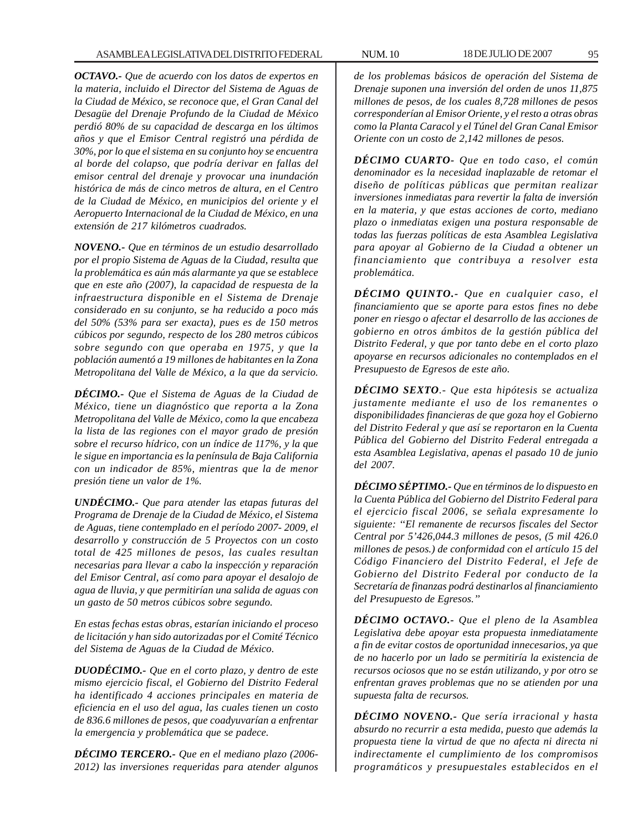*OCTAVO.- Que de acuerdo con los datos de expertos en la materia, incluido el Director del Sistema de Aguas de la Ciudad de México, se reconoce que, el Gran Canal del Desagüe del Drenaje Profundo de la Ciudad de México perdió 80% de su capacidad de descarga en los últimos años y que el Emisor Central registró una pérdida de 30%, por lo que el sistema en su conjunto hoy se encuentra al borde del colapso, que podría derivar en fallas del emisor central del drenaje y provocar una inundación histórica de más de cinco metros de altura, en el Centro de la Ciudad de México, en municipios del oriente y el Aeropuerto Internacional de la Ciudad de México, en una extensión de 217 kilómetros cuadrados.*

*NOVENO.- Que en términos de un estudio desarrollado por el propio Sistema de Aguas de la Ciudad, resulta que la problemática es aún más alarmante ya que se establece que en este año (2007), la capacidad de respuesta de la infraestructura disponible en el Sistema de Drenaje considerado en su conjunto, se ha reducido a poco más del 50% (53% para ser exacta), pues es de 150 metros cúbicos por segundo, respecto de los 280 metros cúbicos sobre segundo con que operaba en 1975, y que la población aumentó a 19 millones de habitantes en la Zona Metropolitana del Valle de México, a la que da servicio.*

*DÉCIMO.- Que el Sistema de Aguas de la Ciudad de México, tiene un diagnóstico que reporta a la Zona Metropolitana del Valle de México, como la que encabeza la lista de las regiones con el mayor grado de presión sobre el recurso hídrico, con un índice de 117%, y la que le sigue en importancia es la península de Baja California con un indicador de 85%, mientras que la de menor presión tiene un valor de 1%.*

*UNDÉCIMO.- Que para atender las etapas futuras del Programa de Drenaje de la Ciudad de México, el Sistema de Aguas, tiene contemplado en el período 2007- 2009, el desarrollo y construcción de 5 Proyectos con un costo total de 425 millones de pesos, las cuales resultan necesarias para llevar a cabo la inspección y reparación del Emisor Central, así como para apoyar el desalojo de agua de lluvia, y que permitirían una salida de aguas con un gasto de 50 metros cúbicos sobre segundo.*

*En estas fechas estas obras, estarían iniciando el proceso de licitación y han sido autorizadas por el Comité Técnico del Sistema de Aguas de la Ciudad de México.*

*DUODÉCIMO.- Que en el corto plazo, y dentro de este mismo ejercicio fiscal, el Gobierno del Distrito Federal ha identificado 4 acciones principales en materia de eficiencia en el uso del agua, las cuales tienen un costo de 836.6 millones de pesos, que coadyuvarían a enfrentar la emergencia y problemática que se padece.*

*DÉCIMO TERCERO.- Que en el mediano plazo (2006- 2012) las inversiones requeridas para atender algunos* *de los problemas básicos de operación del Sistema de Drenaje suponen una inversión del orden de unos 11,875 millones de pesos, de los cuales 8,728 millones de pesos corresponderían al Emisor Oriente, y el resto a otras obras como la Planta Caracol y el Túnel del Gran Canal Emisor Oriente con un costo de 2,142 millones de pesos.*

*DÉCIMO CUARTO- Que en todo caso, el común denominador es la necesidad inaplazable de retomar el diseño de políticas públicas que permitan realizar inversiones inmediatas para revertir la falta de inversión en la materia, y que estas acciones de corto, mediano plazo o inmediatas exigen una postura responsable de todas las fuerzas políticas de esta Asamblea Legislativa para apoyar al Gobierno de la Ciudad a obtener un financiamiento que contribuya a resolver esta problemática.*

*DÉCIMO QUINTO.- Que en cualquier caso, el financiamiento que se aporte para estos fines no debe poner en riesgo o afectar el desarrollo de las acciones de gobierno en otros ámbitos de la gestión pública del Distrito Federal, y que por tanto debe en el corto plazo apoyarse en recursos adicionales no contemplados en el Presupuesto de Egresos de este año.*

*DÉCIMO SEXTO.- Que esta hipótesis se actualiza justamente mediante el uso de los remanentes o disponibilidades financieras de que goza hoy el Gobierno del Distrito Federal y que así se reportaron en la Cuenta Pública del Gobierno del Distrito Federal entregada a esta Asamblea Legislativa, apenas el pasado 10 de junio del 2007.*

*DÉCIMO SÉPTIMO.- Que en términos de lo dispuesto en la Cuenta Pública del Gobierno del Distrito Federal para el ejercicio fiscal 2006, se señala expresamente lo siguiente: ''El remanente de recursos fiscales del Sector Central por 5'426,044.3 millones de pesos, (5 mil 426.0 millones de pesos.) de conformidad con el artículo 15 del Código Financiero del Distrito Federal, el Jefe de Gobierno del Distrito Federal por conducto de la Secretaría de finanzas podrá destinarlos al financiamiento del Presupuesto de Egresos.''*

*DÉCIMO OCTAVO.- Que el pleno de la Asamblea Legislativa debe apoyar esta propuesta inmediatamente a fin de evitar costos de oportunidad innecesarios, ya que de no hacerlo por un lado se permitiría la existencia de recursos ociosos que no se están utilizando, y por otro se enfrentan graves problemas que no se atienden por una supuesta falta de recursos.*

*DÉCIMO NOVENO.- Que sería irracional y hasta absurdo no recurrir a esta medida, puesto que además la propuesta tiene la virtud de que no afecta ni directa ni indirectamente el cumplimiento de los compromisos programáticos y presupuestales establecidos en el*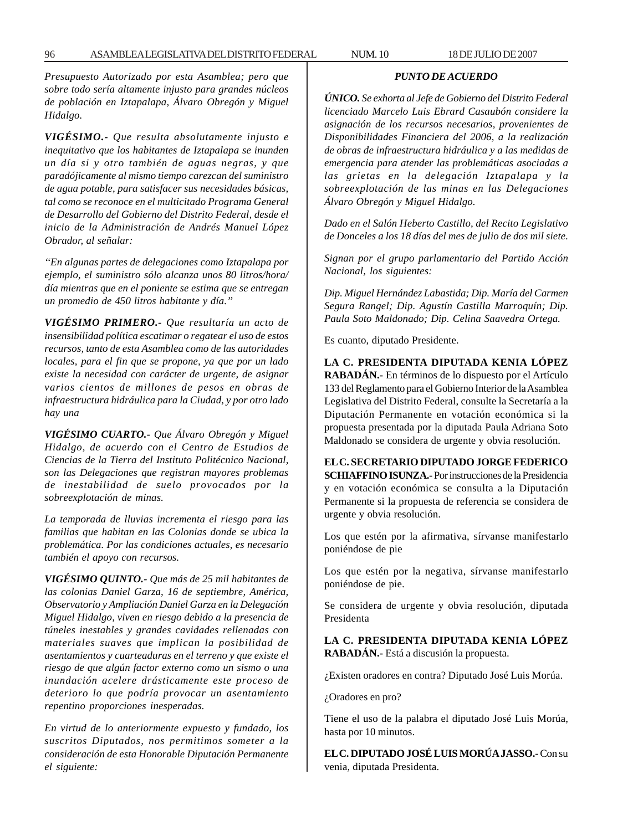*Presupuesto Autorizado por esta Asamblea; pero que sobre todo sería altamente injusto para grandes núcleos de población en Iztapalapa, Álvaro Obregón y Miguel Hidalgo.*

*VIGÉSIMO.- Que resulta absolutamente injusto e inequitativo que los habitantes de Iztapalapa se inunden un día si y otro también de aguas negras, y que paradójicamente al mismo tiempo carezcan del suministro de agua potable, para satisfacer sus necesidades básicas, tal como se reconoce en el multicitado Programa General de Desarrollo del Gobierno del Distrito Federal, desde el inicio de la Administración de Andrés Manuel López Obrador, al señalar:*

*''En algunas partes de delegaciones como Iztapalapa por ejemplo, el suministro sólo alcanza unos 80 litros/hora/ día mientras que en el poniente se estima que se entregan un promedio de 450 litros habitante y día.''*

*VIGÉSIMO PRIMERO.- Que resultaría un acto de insensibilidad política escatimar o regatear el uso de estos recursos, tanto de esta Asamblea como de las autoridades locales, para el fin que se propone, ya que por un lado existe la necesidad con carácter de urgente, de asignar varios cientos de millones de pesos en obras de infraestructura hidráulica para la Ciudad, y por otro lado hay una*

*VIGÉSIMO CUARTO.- Que Álvaro Obregón y Miguel Hidalgo, de acuerdo con el Centro de Estudios de Ciencias de la Tierra del Instituto Politécnico Nacional, son las Delegaciones que registran mayores problemas de inestabilidad de suelo provocados por la sobreexplotación de minas.*

*La temporada de lluvias incrementa el riesgo para las familias que habitan en las Colonias donde se ubica la problemática. Por las condiciones actuales, es necesario también el apoyo con recursos.*

*VIGÉSIMO QUINTO.- Que más de 25 mil habitantes de las colonias Daniel Garza, 16 de septiembre, América, Observatorio y Ampliación Daniel Garza en la Delegación Miguel Hidalgo, viven en riesgo debido a la presencia de túneles inestables y grandes cavidades rellenadas con materiales suaves que implican la posibilidad de asentamientos y cuarteaduras en el terreno y que existe el riesgo de que algún factor externo como un sismo o una inundación acelere drásticamente este proceso de deterioro lo que podría provocar un asentamiento repentino proporciones inesperadas.*

*En virtud de lo anteriormente expuesto y fundado, los suscritos Diputados, nos permitimos someter a la consideración de esta Honorable Diputación Permanente el siguiente:*

### *PUNTO DE ACUERDO*

*ÚNICO. Se exhorta al Jefe de Gobierno del Distrito Federal licenciado Marcelo Luis Ebrard Casaubón considere la asignación de los recursos necesarios, provenientes de Disponibilidades Financiera del 2006, a la realización de obras de infraestructura hidráulica y a las medidas de emergencia para atender las problemáticas asociadas a las grietas en la delegación Iztapalapa y la sobreexplotación de las minas en las Delegaciones Álvaro Obregón y Miguel Hidalgo.*

*Dado en el Salón Heberto Castillo, del Recito Legislativo de Donceles a los 18 días del mes de julio de dos mil siete*.

*Signan por el grupo parlamentario del Partido Acción Nacional, los siguientes:*

*Dip. Miguel Hernández Labastida; Dip. María del Carmen Segura Rangel; Dip. Agustín Castilla Marroquín; Dip. Paula Soto Maldonado; Dip. Celina Saavedra Ortega.*

Es cuanto, diputado Presidente.

**LA C. PRESIDENTA DIPUTADA KENIA LÓPEZ RABADÁN.-** En términos de lo dispuesto por el Artículo 133 del Reglamento para el Gobierno Interior de la Asamblea Legislativa del Distrito Federal, consulte la Secretaría a la Diputación Permanente en votación económica si la propuesta presentada por la diputada Paula Adriana Soto Maldonado se considera de urgente y obvia resolución.

**EL C. SECRETARIO DIPUTADO JORGE FEDERICO SCHIAFFINO ISUNZA.-** Por instrucciones de la Presidencia y en votación económica se consulta a la Diputación Permanente si la propuesta de referencia se considera de urgente y obvia resolución.

Los que estén por la afirmativa, sírvanse manifestarlo poniéndose de pie

Los que estén por la negativa, sírvanse manifestarlo poniéndose de pie.

Se considera de urgente y obvia resolución, diputada Presidenta

**LA C. PRESIDENTA DIPUTADA KENIA LÓPEZ RABADÁN.-** Está a discusión la propuesta.

¿Existen oradores en contra? Diputado José Luis Morúa.

¿Oradores en pro?

Tiene el uso de la palabra el diputado José Luis Morúa, hasta por 10 minutos.

**EL C. DIPUTADO JOSÉ LUIS MORÚA JASSO.-** Con su venia, diputada Presidenta.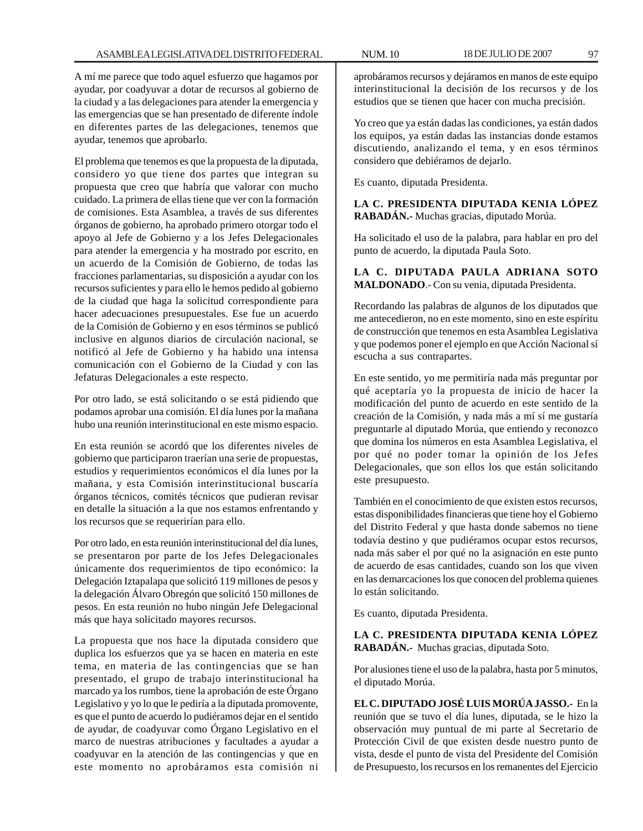A mí me parece que todo aquel esfuerzo que hagamos por ayudar, por coadyuvar a dotar de recursos al gobierno de la ciudad y a las delegaciones para atender la emergencia y las emergencias que se han presentado de diferente índole en diferentes partes de las delegaciones, tenemos que ayudar, tenemos que aprobarlo.

El problema que tenemos es que la propuesta de la diputada, considero yo que tiene dos partes que integran su propuesta que creo que habría que valorar con mucho cuidado. La primera de ellas tiene que ver con la formación de comisiones. Esta Asamblea, a través de sus diferentes órganos de gobierno, ha aprobado primero otorgar todo el apoyo al Jefe de Gobierno y a los Jefes Delegacionales para atender la emergencia y ha mostrado por escrito, en un acuerdo de la Comisión de Gobierno, de todas las fracciones parlamentarias, su disposición a ayudar con los recursos suficientes y para ello le hemos pedido al gobierno de la ciudad que haga la solicitud correspondiente para hacer adecuaciones presupuestales. Ese fue un acuerdo de la Comisión de Gobierno y en esos términos se publicó inclusive en algunos diarios de circulación nacional, se notificó al Jefe de Gobierno y ha habido una intensa comunicación con el Gobierno de la Ciudad y con las Jefaturas Delegacionales a este respecto.

Por otro lado, se está solicitando o se está pidiendo que podamos aprobar una comisión. El día lunes por la mañana hubo una reunión interinstitucional en este mismo espacio.

En esta reunión se acordó que los diferentes niveles de gobierno que participaron traerían una serie de propuestas, estudios y requerimientos económicos el día lunes por la mañana, y esta Comisión interinstitucional buscaría órganos técnicos, comités técnicos que pudieran revisar en detalle la situación a la que nos estamos enfrentando y los recursos que se requerirían para ello.

Por otro lado, en esta reunión interinstitucional del día lunes, se presentaron por parte de los Jefes Delegacionales únicamente dos requerimientos de tipo económico: la Delegación Iztapalapa que solicitó 119 millones de pesos y la delegación Álvaro Obregón que solicitó 150 millones de pesos. En esta reunión no hubo ningún Jefe Delegacional más que haya solicitado mayores recursos.

La propuesta que nos hace la diputada considero que duplica los esfuerzos que ya se hacen en materia en este tema, en materia de las contingencias que se han presentado, el grupo de trabajo interinstitucional ha marcado ya los rumbos, tiene la aprobación de este Órgano Legislativo y yo lo que le pediría a la diputada promovente, es que el punto de acuerdo lo pudiéramos dejar en el sentido de ayudar, de coadyuvar como Órgano Legislativo en el marco de nuestras atribuciones y facultades a ayudar a coadyuvar en la atención de las contingencias y que en este momento no aprobáramos esta comisión ni

aprobáramos recursos y dejáramos en manos de este equipo interinstitucional la decisión de los recursos y de los estudios que se tienen que hacer con mucha precisión.

Yo creo que ya están dadas las condiciones, ya están dados los equipos, ya están dadas las instancias donde estamos discutiendo, analizando el tema, y en esos términos considero que debiéramos de dejarlo.

Es cuanto, diputada Presidenta.

**LA C. PRESIDENTA DIPUTADA KENIA LÓPEZ RABADÁN.-** Muchas gracias, diputado Morúa.

Ha solicitado el uso de la palabra, para hablar en pro del punto de acuerdo, la diputada Paula Soto.

### **LA C. DIPUTADA PAULA ADRIANA SOTO MALDONADO**.- Con su venia, diputada Presidenta.

Recordando las palabras de algunos de los diputados que me antecedieron, no en este momento, sino en este espíritu de construcción que tenemos en esta Asamblea Legislativa y que podemos poner el ejemplo en que Acción Nacional sí escucha a sus contrapartes.

En este sentido, yo me permitiría nada más preguntar por qué aceptaría yo la propuesta de inicio de hacer la modificación del punto de acuerdo en este sentido de la creación de la Comisión, y nada más a mí sí me gustaría preguntarle al diputado Morúa, que entiendo y reconozco que domina los números en esta Asamblea Legislativa, el por qué no poder tomar la opinión de los Jefes Delegacionales, que son ellos los que están solicitando este presupuesto.

También en el conocimiento de que existen estos recursos, estas disponibilidades financieras que tiene hoy el Gobierno del Distrito Federal y que hasta donde sabemos no tiene todavía destino y que pudiéramos ocupar estos recursos, nada más saber el por qué no la asignación en este punto de acuerdo de esas cantidades, cuando son los que viven en las demarcaciones los que conocen del problema quienes lo están solicitando.

Es cuanto, diputada Presidenta.

**LA C. PRESIDENTA DIPUTADA KENIA LÓPEZ RABADÁN.-** Muchas gracias, diputada Soto.

Por alusiones tiene el uso de la palabra, hasta por 5 minutos, el diputado Morúa.

**EL C. DIPUTADO JOSÉ LUIS MORÚA JASSO.-** En la reunión que se tuvo el día lunes, diputada, se le hizo la observación muy puntual de mi parte al Secretario de Protección Civil de que existen desde nuestro punto de vista, desde el punto de vista del Presidente del Comisión de Presupuesto, los recursos en los remanentes del Ejercicio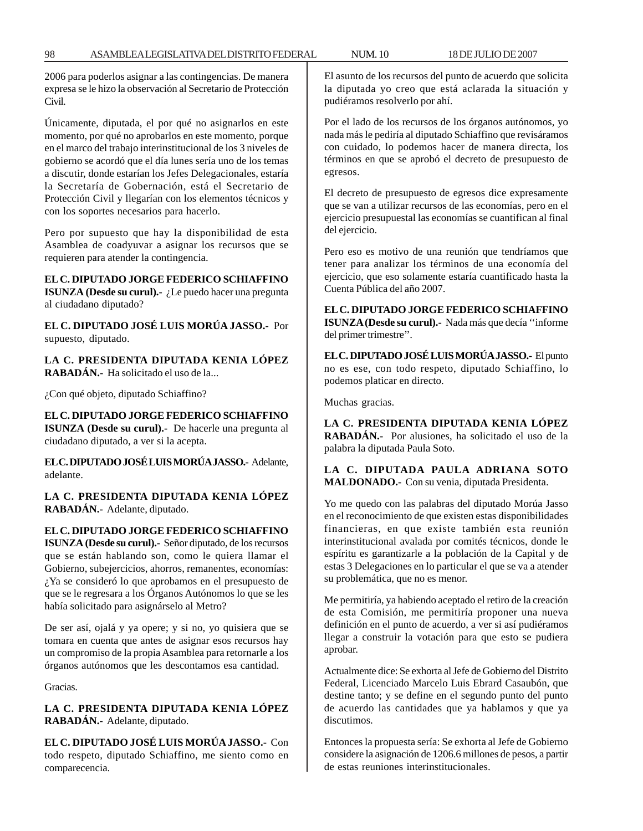2006 para poderlos asignar a las contingencias. De manera expresa se le hizo la observación al Secretario de Protección Civil.

Únicamente, diputada, el por qué no asignarlos en este momento, por qué no aprobarlos en este momento, porque en el marco del trabajo interinstitucional de los 3 niveles de gobierno se acordó que el día lunes sería uno de los temas a discutir, donde estarían los Jefes Delegacionales, estaría la Secretaría de Gobernación, está el Secretario de Protección Civil y llegarían con los elementos técnicos y con los soportes necesarios para hacerlo.

Pero por supuesto que hay la disponibilidad de esta Asamblea de coadyuvar a asignar los recursos que se requieren para atender la contingencia.

**EL C. DIPUTADO JORGE FEDERICO SCHIAFFINO**

**ISUNZA (Desde su curul).-** ¿Le puedo hacer una pregunta al ciudadano diputado?

**EL C. DIPUTADO JOSÉ LUIS MORÚA JASSO.-** Por supuesto, diputado.

**LA C. PRESIDENTA DIPUTADA KENIA LÓPEZ RABADÁN.-** Ha solicitado el uso de la...

¿Con qué objeto, diputado Schiaffino?

**EL C. DIPUTADO JORGE FEDERICO SCHIAFFINO ISUNZA (Desde su curul).-** De hacerle una pregunta al ciudadano diputado, a ver si la acepta.

**EL C. DIPUTADO JOSÉ LUIS MORÚA JASSO.-** Adelante, adelante.

**LA C. PRESIDENTA DIPUTADA KENIA LÓPEZ RABADÁN.-** Adelante, diputado.

**EL C. DIPUTADO JORGE FEDERICO SCHIAFFINO**

**ISUNZA (Desde su curul).-** Señor diputado, de los recursos que se están hablando son, como le quiera llamar el Gobierno, subejercicios, ahorros, remanentes, economías: ¿Ya se consideró lo que aprobamos en el presupuesto de que se le regresara a los Órganos Autónomos lo que se les había solicitado para asignárselo al Metro?

De ser así, ojalá y ya opere; y si no, yo quisiera que se tomara en cuenta que antes de asignar esos recursos hay un compromiso de la propia Asamblea para retornarle a los órganos autónomos que les descontamos esa cantidad.

Gracias.

**LA C. PRESIDENTA DIPUTADA KENIA LÓPEZ RABADÁN.-** Adelante, diputado.

**EL C. DIPUTADO JOSÉ LUIS MORÚA JASSO.-** Con todo respeto, diputado Schiaffino, me siento como en comparecencia.

El asunto de los recursos del punto de acuerdo que solicita la diputada yo creo que está aclarada la situación y pudiéramos resolverlo por ahí.

Por el lado de los recursos de los órganos autónomos, yo nada más le pediría al diputado Schiaffino que revisáramos con cuidado, lo podemos hacer de manera directa, los términos en que se aprobó el decreto de presupuesto de egresos.

El decreto de presupuesto de egresos dice expresamente que se van a utilizar recursos de las economías, pero en el ejercicio presupuestal las economías se cuantifican al final del ejercicio.

Pero eso es motivo de una reunión que tendríamos que tener para analizar los términos de una economía del ejercicio, que eso solamente estaría cuantificado hasta la Cuenta Pública del año 2007.

**EL C. DIPUTADO JORGE FEDERICO SCHIAFFINO ISUNZA (Desde su curul).-** Nada más que decía ''informe del primer trimestre''.

**EL C. DIPUTADO JOSÉ LUIS MORÚA JASSO.-** El punto no es ese, con todo respeto, diputado Schiaffino, lo podemos platicar en directo.

Muchas gracias.

**LA C. PRESIDENTA DIPUTADA KENIA LÓPEZ RABADÁN.-** Por alusiones, ha solicitado el uso de la palabra la diputada Paula Soto.

**LA C. DIPUTADA PAULA ADRIANA SOTO MALDONADO.-** Con su venia, diputada Presidenta.

Yo me quedo con las palabras del diputado Morúa Jasso en el reconocimiento de que existen estas disponibilidades financieras, en que existe también esta reunión interinstitucional avalada por comités técnicos, donde le espíritu es garantizarle a la población de la Capital y de estas 3 Delegaciones en lo particular el que se va a atender su problemática, que no es menor.

Me permitiría, ya habiendo aceptado el retiro de la creación de esta Comisión, me permitiría proponer una nueva definición en el punto de acuerdo, a ver si así pudiéramos llegar a construir la votación para que esto se pudiera aprobar.

Actualmente dice: Se exhorta al Jefe de Gobierno del Distrito Federal, Licenciado Marcelo Luis Ebrard Casaubón, que destine tanto; y se define en el segundo punto del punto de acuerdo las cantidades que ya hablamos y que ya discutimos.

Entonces la propuesta sería: Se exhorta al Jefe de Gobierno considere la asignación de 1206.6 millones de pesos, a partir de estas reuniones interinstitucionales.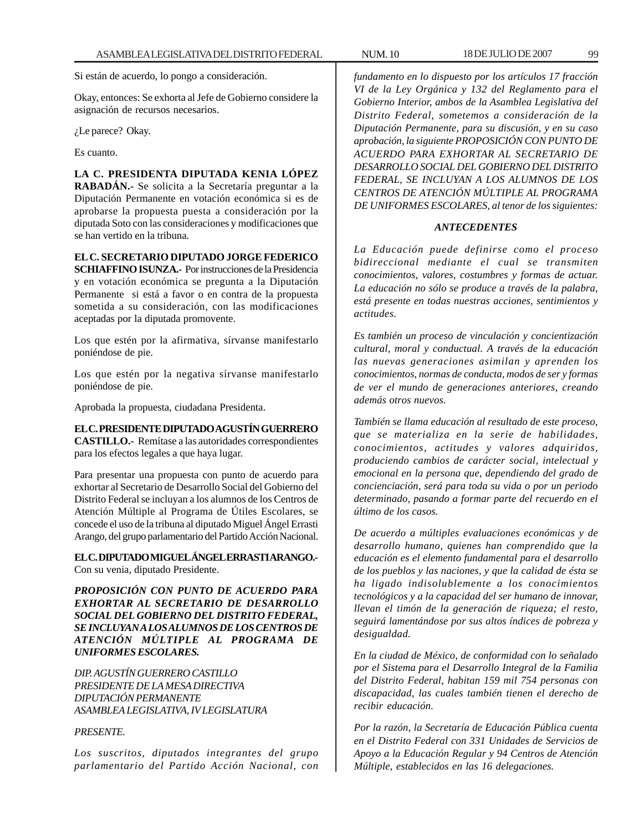Si están de acuerdo, lo pongo a consideración.

Okay, entonces: Se exhorta al Jefe de Gobierno considere la asignación de recursos necesarios.

¿Le parece? Okay.

Es cuanto.

**LA C. PRESIDENTA DIPUTADA KENIA LÓPEZ RABADÁN.-** Se solicita a la Secretaría preguntar a la Diputación Permanente en votación económica si es de aprobarse la propuesta puesta a consideración por la diputada Soto con las consideraciones y modificaciones que se han vertido en la tribuna.

## **EL C. SECRETARIO DIPUTADO JORGE FEDERICO**

**SCHIAFFINO ISUNZA.-** Por instrucciones de la Presidencia y en votación económica se pregunta a la Diputación Permanente si está a favor o en contra de la propuesta sometida a su consideración, con las modificaciones aceptadas por la diputada promovente.

Los que estén por la afirmativa, sírvanse manifestarlo poniéndose de pie.

Los que estén por la negativa sírvanse manifestarlo poniéndose de pie.

Aprobada la propuesta, ciudadana Presidenta.

## **EL C. PRESIDENTE DIPUTADO AGUSTÍN GUERRERO**

**CASTILLO.-** Remítase a las autoridades correspondientes para los efectos legales a que haya lugar.

Para presentar una propuesta con punto de acuerdo para exhortar al Secretario de Desarrollo Social del Gobierno del Distrito Federal se incluyan a los alumnos de los Centros de Atención Múltiple al Programa de Útiles Escolares, se concede el uso de la tribuna al diputado Miguel Ángel Errasti Arango, del grupo parlamentario del Partido Acción Nacional.

**EL C. DIPUTADO MIGUEL ÁNGEL ERRASTI ARANGO.-** Con su venia, diputado Presidente.

*PROPOSICIÓN CON PUNTO DE ACUERDO PARA EXHORTAR AL SECRETARIO DE DESARROLLO SOCIAL DEL GOBIERNO DEL DISTRITO FEDERAL, SE INCLUYAN A LOS ALUMNOS DE LOS CENTROS DE ATENCIÓN MÚLTIPLE AL PROGRAMA DE UNIFORMES ESCOLARES.*

*DIP. AGUSTÍN GUERRERO CASTILLO PRESIDENTE DE LA MESA DIRECTIVA DIPUTACIÓN PERMANENTE ASAMBLEA LEGISLATIVA, IV LEGISLATURA*

### *PRESENTE.*

*Los suscritos, diputados integrantes del grupo parlamentario del Partido Acción Nacional, con*

*fundamento en lo dispuesto por los artículos 17 fracción VI de la Ley Orgánica y 132 del Reglamento para el Gobierno Interior, ambos de la Asamblea Legislativa del Distrito Federal, sometemos a consideración de la Diputación Permanente, para su discusión, y en su caso aprobación, la siguiente PROPOSICIÓN CON PUNTO DE ACUERDO PARA EXHORTAR AL SECRETARIO DE DESARROLLO SOCIAL DEL GOBIERNO DEL DISTRITO FEDERAL, SE INCLUYAN A LOS ALUMNOS DE LOS CENTROS DE ATENCIÓN MÚLTIPLE AL PROGRAMA DE UNIFORMES ESCOLARES, al tenor de los siguientes:*

#### *ANTECEDENTES*

*La Educación puede definirse como el proceso bidireccional mediante el cual se transmiten conocimientos, valores, costumbres y formas de actuar. La educación no sólo se produce a través de la palabra, está presente en todas nuestras acciones, sentimientos y actitudes.*

*Es también un proceso de vinculación y concientización cultural, moral y conductual. A través de la educación las nuevas generaciones asimilan y aprenden los conocimientos, normas de conducta, modos de ser y formas de ver el mundo de generaciones anteriores, creando además otros nuevos.*

*También se llama educación al resultado de este proceso, que se materializa en la serie de habilidades, conocimientos, actitudes y valores adquiridos, produciendo cambios de carácter social, intelectual y emocional en la persona que, dependiendo del grado de concienciación, será para toda su vida o por un periodo determinado, pasando a formar parte del recuerdo en el último de los casos.*

*De acuerdo a múltiples evaluaciones económicas y de desarrollo humano, quienes han comprendido que la educación es el elemento fundamental para el desarrollo de los pueblos y las naciones, y que la calidad de ésta se ha ligado indisolublemente a los conocimientos tecnológicos y a la capacidad del ser humano de innovar, llevan el timón de la generación de riqueza; el resto, seguirá lamentándose por sus altos índices de pobreza y desigualdad.*

*En la ciudad de México, de conformidad con lo señalado por el Sistema para el Desarrollo Integral de la Familia del Distrito Federal, habitan 159 mil 754 personas con discapacidad, las cuales también tienen el derecho de recibir educación.*

*Por la razón, la Secretaría de Educación Pública cuenta en el Distrito Federal con 331 Unidades de Servicios de Apoyo a la Educación Regular y 94 Centros de Atención Múltiple, establecidos en las 16 delegaciones.*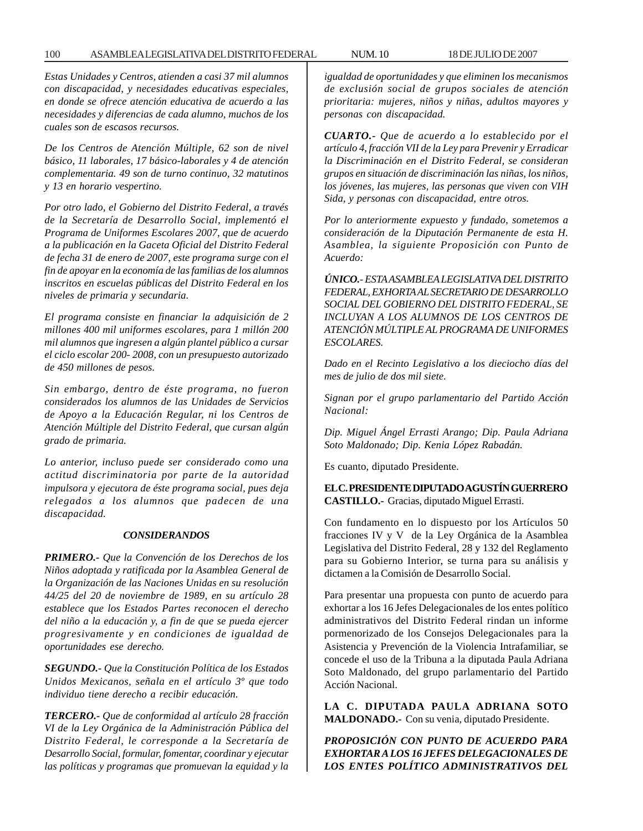### 100 ASAMBLEA LEGISLATIVA DEL DISTRITO FEDERAL NUM. 10 18 DE JULIO DE 2007

*Estas Unidades y Centros, atienden a casi 37 mil alumnos con discapacidad, y necesidades educativas especiales, en donde se ofrece atención educativa de acuerdo a las necesidades y diferencias de cada alumno, muchos de los cuales son de escasos recursos.*

*De los Centros de Atención Múltiple, 62 son de nivel básico, 11 laborales, 17 básico-laborales y 4 de atención complementaria. 49 son de turno continuo, 32 matutinos y 13 en horario vespertino.*

*Por otro lado, el Gobierno del Distrito Federal, a través de la Secretaría de Desarrollo Social, implementó el Programa de Uniformes Escolares 2007, que de acuerdo a la publicación en la Gaceta Oficial del Distrito Federal de fecha 31 de enero de 2007, este programa surge con el fin de apoyar en la economía de las familias de los alumnos inscritos en escuelas públicas del Distrito Federal en los niveles de primaria y secundaria.*

*El programa consiste en financiar la adquisición de 2 millones 400 mil uniformes escolares, para 1 millón 200 mil alumnos que ingresen a algún plantel público a cursar el ciclo escolar 200- 2008, con un presupuesto autorizado de 450 millones de pesos.*

*Sin embargo, dentro de éste programa, no fueron considerados los alumnos de las Unidades de Servicios de Apoyo a la Educación Regular, ni los Centros de Atención Múltiple del Distrito Federal, que cursan algún grado de primaria.*

*Lo anterior, incluso puede ser considerado como una actitud discriminatoria por parte de la autoridad impulsora y ejecutora de éste programa social, pues deja relegados a los alumnos que padecen de una discapacidad.*

#### *CONSIDERANDOS*

*PRIMERO.- Que la Convención de los Derechos de los Niños adoptada y ratificada por la Asamblea General de la Organización de las Naciones Unidas en su resolución 44/25 del 20 de noviembre de 1989, en su artículo 28 establece que los Estados Partes reconocen el derecho del niño a la educación y, a fin de que se pueda ejercer progresivamente y en condiciones de igualdad de oportunidades ese derecho.*

*SEGUNDO.- Que la Constitución Política de los Estados Unidos Mexicanos, señala en el artículo 3º que todo individuo tiene derecho a recibir educación.*

*TERCERO.- Que de conformidad al artículo 28 fracción VI de la Ley Orgánica de la Administración Pública del Distrito Federal, le corresponde a la Secretaría de Desarrollo Social, formular, fomentar, coordinar y ejecutar las políticas y programas que promuevan la equidad y la* *igualdad de oportunidades y que eliminen los mecanismos de exclusión social de grupos sociales de atención prioritaria: mujeres, niños y niñas, adultos mayores y personas con discapacidad.*

*CUARTO.- Que de acuerdo a lo establecido por el artículo 4, fracción VII de la Ley para Prevenir y Erradicar la Discriminación en el Distrito Federal, se consideran grupos en situación de discriminación las niñas, los niños, los jóvenes, las mujeres, las personas que viven con VIH Sida, y personas con discapacidad, entre otros.*

*Por lo anteriormente expuesto y fundado, sometemos a consideración de la Diputación Permanente de esta H. Asamblea, la siguiente Proposición con Punto de Acuerdo:*

*ÚNICO.- ESTA ASAMBLEA LEGISLATIVA DEL DISTRITO FEDERAL, EXHORTA AL SECRETARIO DE DESARROLLO SOCIAL DEL GOBIERNO DEL DISTRITO FEDERAL, SE INCLUYAN A LOS ALUMNOS DE LOS CENTROS DE ATENCIÓN MÚLTIPLE AL PROGRAMA DE UNIFORMES ESCOLARES.*

*Dado en el Recinto Legislativo a los dieciocho días del mes de julio de dos mil siete.*

*Signan por el grupo parlamentario del Partido Acción Nacional:*

*Dip. Miguel Ángel Errasti Arango; Dip. Paula Adriana Soto Maldonado; Dip. Kenia López Rabadán.*

Es cuanto, diputado Presidente.

**EL C. PRESIDENTE DIPUTADO AGUSTÍN GUERRERO CASTILLO.-** Gracias, diputado Miguel Errasti.

Con fundamento en lo dispuesto por los Artículos 50 fracciones IV y V de la Ley Orgánica de la Asamblea Legislativa del Distrito Federal, 28 y 132 del Reglamento para su Gobierno Interior, se turna para su análisis y dictamen a la Comisión de Desarrollo Social.

Para presentar una propuesta con punto de acuerdo para exhortar a los 16 Jefes Delegacionales de los entes político administrativos del Distrito Federal rindan un informe pormenorizado de los Consejos Delegacionales para la Asistencia y Prevención de la Violencia Intrafamiliar, se concede el uso de la Tribuna a la diputada Paula Adriana Soto Maldonado, del grupo parlamentario del Partido Acción Nacional.

**LA C. DIPUTADA PAULA ADRIANA SOTO MALDONADO.-** Con su venia, diputado Presidente.

*PROPOSICIÓN CON PUNTO DE ACUERDO PARA EXHORTAR A LOS 16 JEFES DELEGACIONALES DE LOS ENTES POLÍTICO ADMINISTRATIVOS DEL*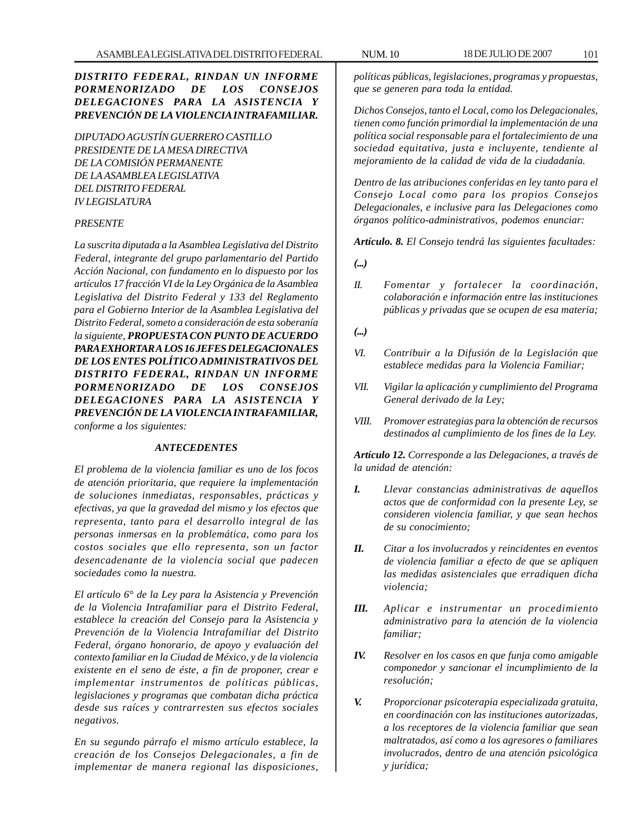## *DISTRITO FEDERAL, RINDAN UN INFORME PORMENORIZADO DE LOS CONSEJOS DELEGACIONES PARA LA ASISTENCIA Y PREVENCIÓN DE LA VIOLENCIA INTRAFAMILIAR.*

*DIPUTADO AGUSTÍN GUERRERO CASTILLO PRESIDENTE DE LA MESA DIRECTIVA DE LA COMISIÓN PERMANENTE DE LA ASAMBLEA LEGISLATIVA DEL DISTRITO FEDERAL IV LEGISLATURA*

### *PRESENTE*

*La suscrita diputada a la Asamblea Legislativa del Distrito Federal, integrante del grupo parlamentario del Partido Acción Nacional, con fundamento en lo dispuesto por los artículos 17 fracción VI de la Ley Orgánica de la Asamblea Legislativa del Distrito Federal y 133 del Reglamento para el Gobierno Interior de la Asamblea Legislativa del Distrito Federal, someto a consideración de esta soberanía la siguiente, PROPUESTA CON PUNTO DE ACUERDO PARA EXHORTAR ALOS 16 JEFES DELEGACIONALES DE LOS ENTES POLÍTICO ADMINISTRATIVOS DEL DISTRITO FEDERAL, RINDAN UN INFORME PORMENORIZADO DE LOS CONSEJOS DELEGACIONES PARA LA ASISTENCIA Y PREVENCIÓN DE LA VIOLENCIA INTRAFAMILIAR, conforme a los siguientes:*

#### *ANTECEDENTES*

*El problema de la violencia familiar es uno de los focos de atención prioritaria, que requiere la implementación de soluciones inmediatas, responsables, prácticas y efectivas, ya que la gravedad del mismo y los efectos que representa, tanto para el desarrollo integral de las personas inmersas en la problemática, como para los costos sociales que ello representa, son un factor desencadenante de la violencia social que padecen sociedades como la nuestra.*

*El artículo 6° de la Ley para la Asistencia y Prevención de la Violencia Intrafamiliar para el Distrito Federal, establece la creación del Consejo para la Asistencia y Prevención de la Violencia Intrafamiliar del Distrito Federal, órgano honorario, de apoyo y evaluación del contexto familiar en la Ciudad de México, y de la violencia existente en el seno de éste, a fin de proponer, crear e implementar instrumentos de políticas públicas, legislaciones y programas que combatan dicha práctica desde sus raíces y contrarresten sus efectos sociales negativos.*

*En su segundo párrafo el mismo artículo establece, la creación de los Consejos Delegacionales, a fin de implementar de manera regional las disposiciones,*

*políticas públicas, legislaciones, programas y propuestas, que se generen para toda la entidad.*

*Dichos Consejos, tanto el Local, como los Delegacionales, tienen como función primordial la implementación de una política social responsable para el fortalecimiento de una sociedad equitativa, justa e incluyente, tendiente al mejoramiento de la calidad de vida de la ciudadanía.*

*Dentro de las atribuciones conferidas en ley tanto para el Consejo Local como para los propios Consejos Delegacionales, e inclusive para las Delegaciones como órganos político-administrativos, podemos enunciar:*

*Artículo. 8. El Consejo tendrá las siguientes facultades:*

*(...)*

- *II. Fomentar y fortalecer la coordinación, colaboración e información entre las instituciones públicas y privadas que se ocupen de esa materia;*
- *(...)*
- *VI. Contribuir a la Difusión de la Legislación que establece medidas para la Violencia Familiar;*
- *VII. Vigilar la aplicación y cumplimiento del Programa General derivado de la Ley;*
- *VIII. Promover estrategias para la obtención de recursos destinados al cumplimiento de los fines de la Ley.*

*Artículo 12. Corresponde a las Delegaciones, a través de la unidad de atención:*

- *I. Llevar constancias administrativas de aquellos actos que de conformidad con la presente Ley, se consideren violencia familiar, y que sean hechos de su conocimiento;*
- *II. Citar a los involucrados y reincidentes en eventos de violencia familiar a efecto de que se apliquen las medidas asistenciales que erradiquen dicha violencia;*
- *III. Aplicar e instrumentar un procedimiento administrativo para la atención de la violencia familiar;*
- *IV. Resolver en los casos en que funja como amigable componedor y sancionar el incumplimiento de la resolución;*
- *V. Proporcionar psicoterapia especializada gratuita, en coordinación con las instituciones autorizadas, a los receptores de la violencia familiar que sean maltratados, así como a los agresores o familiares involucrados, dentro de una atención psicológica y jurídica;*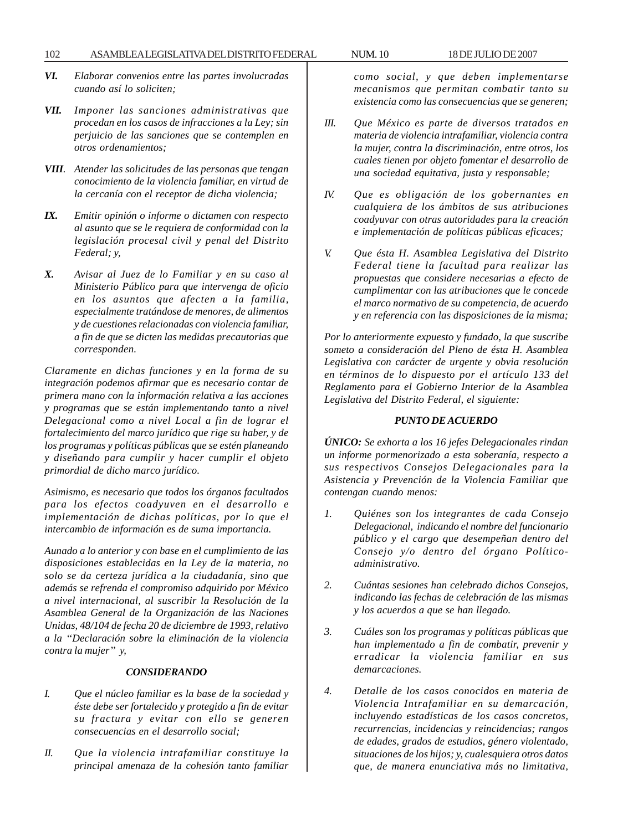### 102 ASAMBLEA LEGISLATIVA DEL DISTRITO FEDERAL NUM. 10 18 DE JULIO DE 2007

- *VI. Elaborar convenios entre las partes involucradas cuando así lo soliciten;*
- *VII. Imponer las sanciones administrativas que procedan en los casos de infracciones a la Ley; sin perjuicio de las sanciones que se contemplen en otros ordenamientos;*
- *VIII. Atender las solicitudes de las personas que tengan conocimiento de la violencia familiar, en virtud de la cercanía con el receptor de dicha violencia;*
- *IX. Emitir opinión o informe o dictamen con respecto al asunto que se le requiera de conformidad con la legislación procesal civil y penal del Distrito Federal; y,*
- *X. Avisar al Juez de lo Familiar y en su caso al Ministerio Público para que intervenga de oficio en los asuntos que afecten a la familia, especialmente tratándose de menores, de alimentos y de cuestiones relacionadas con violencia familiar, a fin de que se dicten las medidas precautorias que corresponden.*

*Claramente en dichas funciones y en la forma de su integración podemos afirmar que es necesario contar de primera mano con la información relativa a las acciones y programas que se están implementando tanto a nivel Delegacional como a nivel Local a fin de lograr el fortalecimiento del marco jurídico que rige su haber, y de los programas y políticas públicas que se estén planeando y diseñando para cumplir y hacer cumplir el objeto primordial de dicho marco jurídico.*

*Asimismo, es necesario que todos los órganos facultados para los efectos coadyuven en el desarrollo e implementación de dichas políticas, por lo que el intercambio de información es de suma importancia.*

*Aunado a lo anterior y con base en el cumplimiento de las disposiciones establecidas en la Ley de la materia, no solo se da certeza jurídica a la ciudadanía, sino que además se refrenda el compromiso adquirido por México a nivel internacional, al suscribir la Resolución de la Asamblea General de la Organización de las Naciones Unidas, 48/104 de fecha 20 de diciembre de 1993, relativo a la ''Declaración sobre la eliminación de la violencia contra la mujer'' y,*

### *CONSIDERANDO*

- *I. Que el núcleo familiar es la base de la sociedad y éste debe ser fortalecido y protegido a fin de evitar su fractura y evitar con ello se generen consecuencias en el desarrollo social;*
- *II. Que la violencia intrafamiliar constituye la principal amenaza de la cohesión tanto familiar*

*como social, y que deben implementarse mecanismos que permitan combatir tanto su existencia como las consecuencias que se generen;*

- *III. Que México es parte de diversos tratados en materia de violencia intrafamiliar, violencia contra la mujer, contra la discriminación, entre otros, los cuales tienen por objeto fomentar el desarrollo de una sociedad equitativa, justa y responsable;*
- *IV. Que es obligación de los gobernantes en cualquiera de los ámbitos de sus atribuciones coadyuvar con otras autoridades para la creación e implementación de políticas públicas eficaces;*
- *V. Que ésta H. Asamblea Legislativa del Distrito Federal tiene la facultad para realizar las propuestas que considere necesarias a efecto de cumplimentar con las atribuciones que le concede el marco normativo de su competencia, de acuerdo y en referencia con las disposiciones de la misma;*

*Por lo anteriormente expuesto y fundado, la que suscribe someto a consideración del Pleno de ésta H. Asamblea Legislativa con carácter de urgente y obvia resolución en términos de lo dispuesto por el artículo 133 del Reglamento para el Gobierno Interior de la Asamblea Legislativa del Distrito Federal, el siguiente:*

### *PUNTO DE ACUERDO*

*ÚNICO: Se exhorta a los 16 jefes Delegacionales rindan un informe pormenorizado a esta soberanía, respecto a sus respectivos Consejos Delegacionales para la Asistencia y Prevención de la Violencia Familiar que contengan cuando menos:*

- *1. Quiénes son los integrantes de cada Consejo Delegacional, indicando el nombre del funcionario público y el cargo que desempeñan dentro del Consejo y/o dentro del órgano Políticoadministrativo.*
- *2. Cuántas sesiones han celebrado dichos Consejos, indicando las fechas de celebración de las mismas y los acuerdos a que se han llegado.*
- *3. Cuáles son los programas y políticas públicas que han implementado a fin de combatir, prevenir y erradicar la violencia familiar en sus demarcaciones.*
- *4. Detalle de los casos conocidos en materia de Violencia Intrafamiliar en su demarcación, incluyendo estadísticas de los casos concretos, recurrencias, incidencias y reincidencias; rangos de edades, grados de estudios, género violentado, situaciones de los hijos; y, cualesquiera otros datos que, de manera enunciativa más no limitativa,*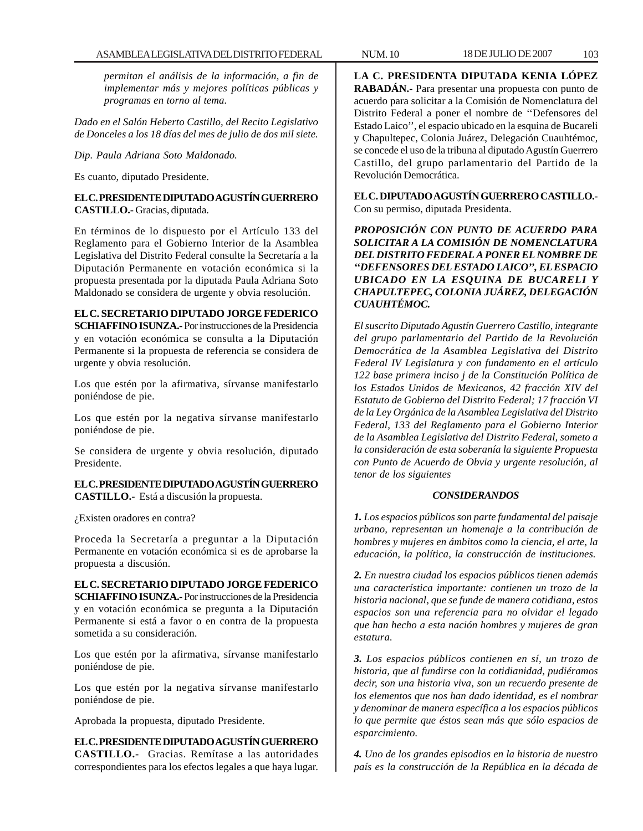*permitan el análisis de la información, a fin de implementar más y mejores políticas públicas y programas en torno al tema.*

*Dado en el Salón Heberto Castillo, del Recito Legislativo de Donceles a los 18 días del mes de julio de dos mil siete.*

*Dip. Paula Adriana Soto Maldonado.*

Es cuanto, diputado Presidente.

## **EL C. PRESIDENTE DIPUTADO AGUSTÍN GUERRERO CASTILLO.-** Gracias, diputada.

En términos de lo dispuesto por el Artículo 133 del Reglamento para el Gobierno Interior de la Asamblea Legislativa del Distrito Federal consulte la Secretaría a la Diputación Permanente en votación económica si la propuesta presentada por la diputada Paula Adriana Soto Maldonado se considera de urgente y obvia resolución.

## **EL C. SECRETARIO DIPUTADO JORGE FEDERICO**

**SCHIAFFINO ISUNZA.-** Por instrucciones de la Presidencia y en votación económica se consulta a la Diputación Permanente si la propuesta de referencia se considera de urgente y obvia resolución.

Los que estén por la afirmativa, sírvanse manifestarlo poniéndose de pie.

Los que estén por la negativa sírvanse manifestarlo poniéndose de pie.

Se considera de urgente y obvia resolución, diputado Presidente.

## **EL C. PRESIDENTE DIPUTADO AGUSTÍN GUERRERO CASTILLO.-** Está a discusión la propuesta.

¿Existen oradores en contra?

Proceda la Secretaría a preguntar a la Diputación Permanente en votación económica si es de aprobarse la propuesta a discusión.

**EL C. SECRETARIO DIPUTADO JORGE FEDERICO SCHIAFFINO ISUNZA.-** Por instrucciones de la Presidencia y en votación económica se pregunta a la Diputación Permanente si está a favor o en contra de la propuesta sometida a su consideración.

Los que estén por la afirmativa, sírvanse manifestarlo poniéndose de pie.

Los que estén por la negativa sírvanse manifestarlo poniéndose de pie.

Aprobada la propuesta, diputado Presidente.

**EL C. PRESIDENTE DIPUTADO AGUSTÍN GUERRERO CASTILLO.-** Gracias. Remítase a las autoridades correspondientes para los efectos legales a que haya lugar.

**LA C. PRESIDENTA DIPUTADA KENIA LÓPEZ RABADÁN.-** Para presentar una propuesta con punto de acuerdo para solicitar a la Comisión de Nomenclatura del Distrito Federal a poner el nombre de ''Defensores del Estado Laico'', el espacio ubicado en la esquina de Bucareli y Chapultepec, Colonia Juárez, Delegación Cuauhtémoc, se concede el uso de la tribuna al diputado Agustín Guerrero Castillo, del grupo parlamentario del Partido de la Revolución Democrática.

**EL C. DIPUTADO AGUSTÍN GUERRERO CASTILLO.-** Con su permiso, diputada Presidenta.

*PROPOSICIÓN CON PUNTO DE ACUERDO PARA SOLICITAR A LA COMISIÓN DE NOMENCLATURA DEL DISTRITO FEDERAL A PONER EL NOMBRE DE ''DEFENSORES DEL ESTADO LAICO'', EL ESPACIO UBICADO EN LA ESQUINA DE BUCARELI Y CHAPULTEPEC, COLONIA JUÁREZ, DELEGACIÓN CUAUHTÉMOC.*

*El suscrito Diputado Agustín Guerrero Castillo, integrante del grupo parlamentario del Partido de la Revolución Democrática de la Asamblea Legislativa del Distrito Federal IV Legislatura y con fundamento en el artículo 122 base primera inciso j de la Constitución Política de los Estados Unidos de Mexicanos, 42 fracción XIV del Estatuto de Gobierno del Distrito Federal; 17 fracción VI de la Ley Orgánica de la Asamblea Legislativa del Distrito Federal, 133 del Reglamento para el Gobierno Interior de la Asamblea Legislativa del Distrito Federal, someto a la consideración de esta soberanía la siguiente Propuesta con Punto de Acuerdo de Obvia y urgente resolución, al tenor de los siguientes*

## *CONSIDERANDOS*

*1. Los espacios públicos son parte fundamental del paisaje urbano, representan un homenaje a la contribución de hombres y mujeres en ámbitos como la ciencia, el arte, la educación, la política, la construcción de instituciones.*

*2. En nuestra ciudad los espacios públicos tienen además una característica importante: contienen un trozo de la historia nacional, que se funde de manera cotidiana, estos espacios son una referencia para no olvidar el legado que han hecho a esta nación hombres y mujeres de gran estatura.*

*3. Los espacios públicos contienen en sí, un trozo de historia, que al fundirse con la cotidianidad, pudiéramos decir, son una historia viva, son un recuerdo presente de los elementos que nos han dado identidad, es el nombrar y denominar de manera específica a los espacios públicos lo que permite que éstos sean más que sólo espacios de esparcimiento.*

*4. Uno de los grandes episodios en la historia de nuestro país es la construcción de la República en la década de*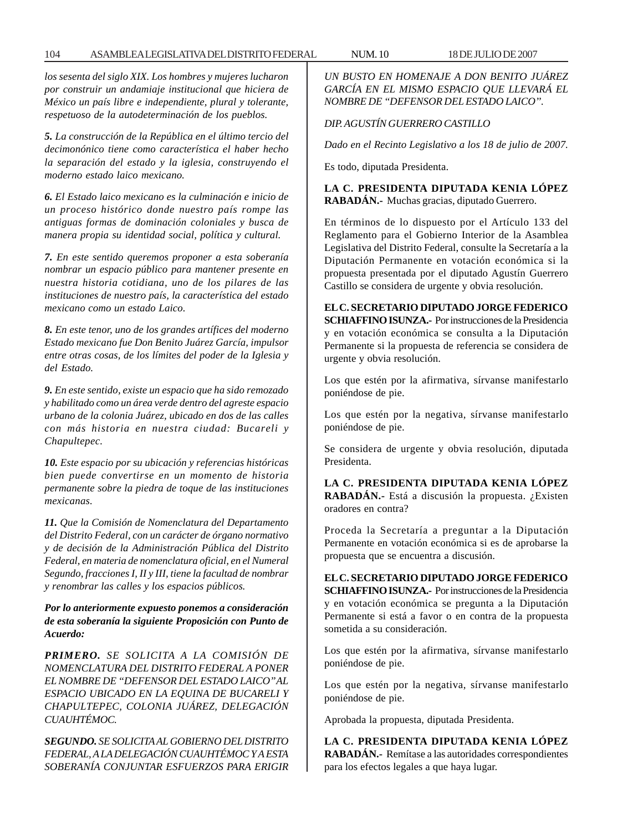*los sesenta del siglo XIX. Los hombres y mujeres lucharon por construir un andamiaje institucional que hiciera de México un país libre e independiente, plural y tolerante, respetuoso de la autodeterminación de los pueblos.*

*5. La construcción de la República en el último tercio del decimonónico tiene como característica el haber hecho la separación del estado y la iglesia, construyendo el moderno estado laico mexicano.*

*6. El Estado laico mexicano es la culminación e inicio de un proceso histórico donde nuestro país rompe las antiguas formas de dominación coloniales y busca de manera propia su identidad social, política y cultural.*

*7. En este sentido queremos proponer a esta soberanía nombrar un espacio público para mantener presente en nuestra historia cotidiana, uno de los pilares de las instituciones de nuestro país, la característica del estado mexicano como un estado Laico.*

*8. En este tenor, uno de los grandes artífices del moderno Estado mexicano fue Don Benito Juárez García, impulsor entre otras cosas, de los límites del poder de la Iglesia y del Estado.*

*9. En este sentido, existe un espacio que ha sido remozado y habilitado como un área verde dentro del agreste espacio urbano de la colonia Juárez, ubicado en dos de las calles con más historia en nuestra ciudad: Bucareli y Chapultepec.*

*10. Este espacio por su ubicación y referencias históricas bien puede convertirse en un momento de historia permanente sobre la piedra de toque de las instituciones mexicanas.*

*11. Que la Comisión de Nomenclatura del Departamento del Distrito Federal, con un carácter de órgano normativo y de decisión de la Administración Pública del Distrito Federal, en materia de nomenclatura oficial, en el Numeral Segundo, fracciones I, II y III, tiene la facultad de nombrar y renombrar las calles y los espacios públicos.*

*Por lo anteriormente expuesto ponemos a consideración de esta soberanía la siguiente Proposición con Punto de Acuerdo:*

*PRIMERO. SE SOLICITA A LA COMISIÓN DE NOMENCLATURA DEL DISTRITO FEDERAL A PONER EL NOMBRE DE ''DEFENSOR DEL ESTADO LAICO'' AL ESPACIO UBICADO EN LA EQUINA DE BUCARELI Y CHAPULTEPEC, COLONIA JUÁREZ, DELEGACIÓN CUAUHTÉMOC.*

*SEGUNDO. SE SOLICITA AL GOBIERNO DEL DISTRITO FEDERAL, A LA DELEGACIÓN CUAUHTÉMOC Y A ESTA SOBERANÍA CONJUNTAR ESFUERZOS PARA ERIGIR* *UN BUSTO EN HOMENAJE A DON BENITO JUÁREZ GARCÍA EN EL MISMO ESPACIO QUE LLEVARÁ EL NOMBRE DE ''DEFENSOR DEL ESTADO LAICO''.*

## *DIP. AGUSTÍN GUERRERO CASTILLO*

*Dado en el Recinto Legislativo a los 18 de julio de 2007.*

Es todo, diputada Presidenta.

**LA C. PRESIDENTA DIPUTADA KENIA LÓPEZ RABADÁN.-** Muchas gracias, diputado Guerrero.

En términos de lo dispuesto por el Artículo 133 del Reglamento para el Gobierno Interior de la Asamblea Legislativa del Distrito Federal, consulte la Secretaría a la Diputación Permanente en votación económica si la propuesta presentada por el diputado Agustín Guerrero Castillo se considera de urgente y obvia resolución.

**EL C. SECRETARIO DIPUTADO JORGE FEDERICO SCHIAFFINO ISUNZA.-** Por instrucciones de la Presidencia y en votación económica se consulta a la Diputación Permanente si la propuesta de referencia se considera de urgente y obvia resolución.

Los que estén por la afirmativa, sírvanse manifestarlo poniéndose de pie.

Los que estén por la negativa, sírvanse manifestarlo poniéndose de pie.

Se considera de urgente y obvia resolución, diputada Presidenta.

**LA C. PRESIDENTA DIPUTADA KENIA LÓPEZ RABADÁN.-** Está a discusión la propuesta. ¿Existen oradores en contra?

Proceda la Secretaría a preguntar a la Diputación Permanente en votación económica si es de aprobarse la propuesta que se encuentra a discusión.

**EL C. SECRETARIO DIPUTADO JORGE FEDERICO SCHIAFFINO ISUNZA.-** Por instrucciones de la Presidencia y en votación económica se pregunta a la Diputación Permanente si está a favor o en contra de la propuesta sometida a su consideración.

Los que estén por la afirmativa, sírvanse manifestarlo poniéndose de pie.

Los que estén por la negativa, sírvanse manifestarlo poniéndose de pie.

Aprobada la propuesta, diputada Presidenta.

**LA C. PRESIDENTA DIPUTADA KENIA LÓPEZ RABADÁN.-** Remítase a las autoridades correspondientes para los efectos legales a que haya lugar.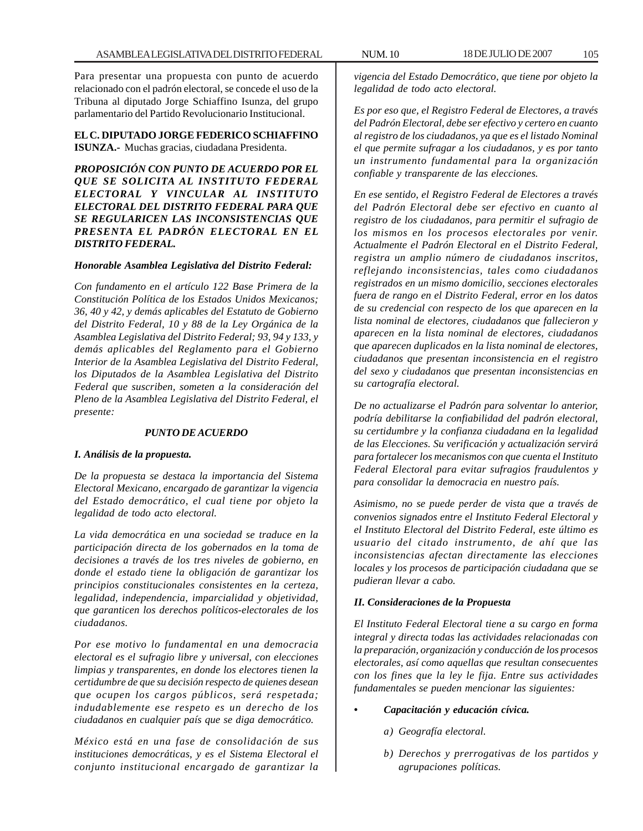Para presentar una propuesta con punto de acuerdo relacionado con el padrón electoral, se concede el uso de la Tribuna al diputado Jorge Schiaffino Isunza, del grupo parlamentario del Partido Revolucionario Institucional.

**EL C. DIPUTADO JORGE FEDERICO SCHIAFFINO ISUNZA.-** Muchas gracias, ciudadana Presidenta.

*PROPOSICIÓN CON PUNTO DE ACUERDO POR EL QUE SE SOLICITA AL INSTITUTO FEDERAL ELECTORAL Y VINCULAR AL INSTITUTO ELECTORAL DEL DISTRITO FEDERAL PARA QUE SE REGULARICEN LAS INCONSISTENCIAS QUE PRESENTA EL PADRÓN ELECTORAL EN EL DISTRITO FEDERAL.*

### *Honorable Asamblea Legislativa del Distrito Federal:*

*Con fundamento en el artículo 122 Base Primera de la Constitución Política de los Estados Unidos Mexicanos; 36, 40 y 42, y demás aplicables del Estatuto de Gobierno del Distrito Federal, 10 y 88 de la Ley Orgánica de la Asamblea Legislativa del Distrito Federal; 93, 94 y 133, y demás aplicables del Reglamento para el Gobierno Interior de la Asamblea Legislativa del Distrito Federal, los Diputados de la Asamblea Legislativa del Distrito Federal que suscriben, someten a la consideración del Pleno de la Asamblea Legislativa del Distrito Federal, el presente:*

#### *PUNTO DE ACUERDO*

#### *I. Análisis de la propuesta.*

*De la propuesta se destaca la importancia del Sistema Electoral Mexicano, encargado de garantizar la vigencia del Estado democrático, el cual tiene por objeto la legalidad de todo acto electoral.*

*La vida democrática en una sociedad se traduce en la participación directa de los gobernados en la toma de decisiones a través de los tres niveles de gobierno, en donde el estado tiene la obligación de garantizar los principios constitucionales consistentes en la certeza, legalidad, independencia, imparcialidad y objetividad, que garanticen los derechos políticos-electorales de los ciudadanos.*

*Por ese motivo lo fundamental en una democracia electoral es el sufragio libre y universal, con elecciones limpias y transparentes, en donde los electores tienen la certidumbre de que su decisión respecto de quienes desean que ocupen los cargos públicos, será respetada; indudablemente ese respeto es un derecho de los ciudadanos en cualquier país que se diga democrático.*

*México está en una fase de consolidación de sus instituciones democráticas, y es el Sistema Electoral el conjunto institucional encargado de garantizar la*

*vigencia del Estado Democrático, que tiene por objeto la legalidad de todo acto electoral.*

*Es por eso que, el Registro Federal de Electores, a través del Padrón Electoral, debe ser efectivo y certero en cuanto al registro de los ciudadanos, ya que es el listado Nominal el que permite sufragar a los ciudadanos, y es por tanto un instrumento fundamental para la organización confiable y transparente de las elecciones.*

*En ese sentido, el Registro Federal de Electores a través del Padrón Electoral debe ser efectivo en cuanto al registro de los ciudadanos, para permitir el sufragio de los mismos en los procesos electorales por venir. Actualmente el Padrón Electoral en el Distrito Federal, registra un amplio número de ciudadanos inscritos, reflejando inconsistencias, tales como ciudadanos registrados en un mismo domicilio, secciones electorales fuera de rango en el Distrito Federal, error en los datos de su credencial con respecto de los que aparecen en la lista nominal de electores, ciudadanos que fallecieron y aparecen en la lista nominal de electores, ciudadanos que aparecen duplicados en la lista nominal de electores, ciudadanos que presentan inconsistencia en el registro del sexo y ciudadanos que presentan inconsistencias en su cartografía electoral.*

*De no actualizarse el Padrón para solventar lo anterior, podría debilitarse la confiabilidad del padrón electoral, su certidumbre y la confianza ciudadana en la legalidad de las Elecciones. Su verificación y actualización servirá para fortalecer los mecanismos con que cuenta el Instituto Federal Electoral para evitar sufragios fraudulentos y para consolidar la democracia en nuestro país.*

*Asimismo, no se puede perder de vista que a través de convenios signados entre el Instituto Federal Electoral y el Instituto Electoral del Distrito Federal, este último es usuario del citado instrumento, de ahí que las inconsistencias afectan directamente las elecciones locales y los procesos de participación ciudadana que se pudieran llevar a cabo.*

#### *II. Consideraciones de la Propuesta*

*El Instituto Federal Electoral tiene a su cargo en forma integral y directa todas las actividades relacionadas con la preparación, organización y conducción de los procesos electorales, así como aquellas que resultan consecuentes con los fines que la ley le fija. Entre sus actividades fundamentales se pueden mencionar las siguientes:*

- *Capacitación y educación cívica.*
	- *a) Geografía electoral.*
	- *b) Derechos y prerrogativas de los partidos y agrupaciones políticas.*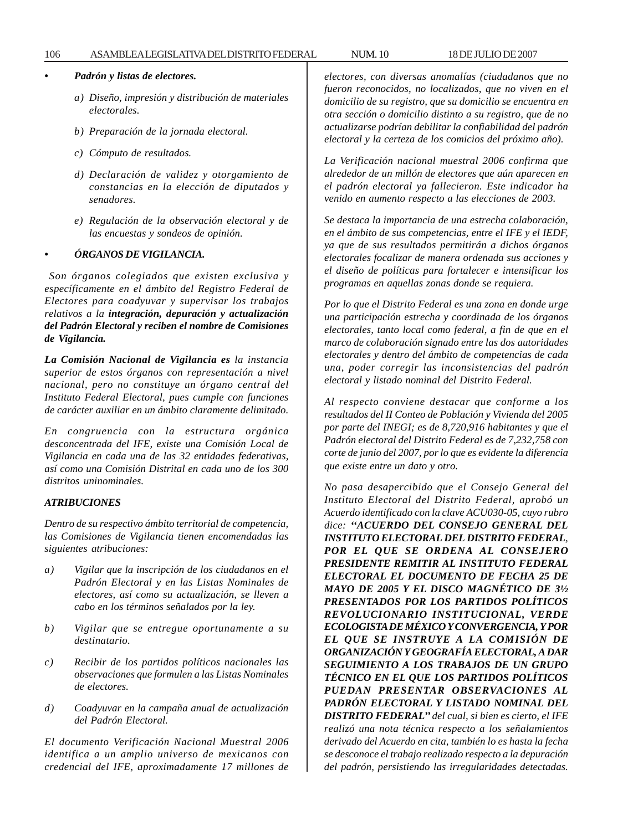### 106 ASAMBLEA LEGISLATIVA DEL DISTRITO FEDERAL NUM. 10 18 DE JULIO DE 2007

## *• Padrón y listas de electores.*

- *a) Diseño, impresión y distribución de materiales electorales.*
- *b) Preparación de la jornada electoral.*
- *c) Cómputo de resultados.*
- *d) Declaración de validez y otorgamiento de constancias en la elección de diputados y senadores.*
- *e) Regulación de la observación electoral y de las encuestas y sondeos de opinión.*

### *• ÓRGANOS DE VIGILANCIA.*

*Son órganos colegiados que existen exclusiva y específicamente en el ámbito del Registro Federal de Electores para coadyuvar y supervisar los trabajos relativos a la integración, depuración y actualización del Padrón Electoral y reciben el nombre de Comisiones de Vigilancia.*

*La Comisión Nacional de Vigilancia es la instancia superior de estos órganos con representación a nivel nacional, pero no constituye un órgano central del Instituto Federal Electoral, pues cumple con funciones de carácter auxiliar en un ámbito claramente delimitado.*

*En congruencia con la estructura orgánica desconcentrada del IFE, existe una Comisión Local de Vigilancia en cada una de las 32 entidades federativas, así como una Comisión Distrital en cada uno de los 300 distritos uninominales.*

### *ATRIBUCIONES*

*Dentro de su respectivo ámbito territorial de competencia, las Comisiones de Vigilancia tienen encomendadas las siguientes atribuciones:*

- *a) Vigilar que la inscripción de los ciudadanos en el Padrón Electoral y en las Listas Nominales de electores, así como su actualización, se lleven a cabo en los términos señalados por la ley.*
- *b) Vigilar que se entregue oportunamente a su destinatario.*
- *c) Recibir de los partidos políticos nacionales las observaciones que formulen a las Listas Nominales de electores.*
- *d) Coadyuvar en la campaña anual de actualización del Padrón Electoral.*

*El documento Verificación Nacional Muestral 2006 identifica a un amplio universo de mexicanos con credencial del IFE, aproximadamente 17 millones de*

*electores, con diversas anomalías (ciudadanos que no fueron reconocidos, no localizados, que no viven en el domicilio de su registro, que su domicilio se encuentra en otra sección o domicilio distinto a su registro, que de no actualizarse podrían debilitar la confiabilidad del padrón electoral y la certeza de los comicios del próximo año).*

*La Verificación nacional muestral 2006 confirma que alrededor de un millón de electores que aún aparecen en el padrón electoral ya fallecieron. Este indicador ha venido en aumento respecto a las elecciones de 2003.*

*Se destaca la importancia de una estrecha colaboración, en el ámbito de sus competencias, entre el IFE y el IEDF, ya que de sus resultados permitirán a dichos órganos electorales focalizar de manera ordenada sus acciones y el diseño de políticas para fortalecer e intensificar los programas en aquellas zonas donde se requiera.*

*Por lo que el Distrito Federal es una zona en donde urge una participación estrecha y coordinada de los órganos electorales, tanto local como federal, a fin de que en el marco de colaboración signado entre las dos autoridades electorales y dentro del ámbito de competencias de cada una, poder corregir las inconsistencias del padrón electoral y listado nominal del Distrito Federal.*

*Al respecto conviene destacar que conforme a los resultados del II Conteo de Población y Vivienda del 2005 por parte del INEGI; es de 8,720,916 habitantes y que el Padrón electoral del Distrito Federal es de 7,232,758 con corte de junio del 2007, por lo que es evidente la diferencia que existe entre un dato y otro.*

*No pasa desapercibido que el Consejo General del Instituto Electoral del Distrito Federal, aprobó un Acuerdo identificado con la clave ACU030-05, cuyo rubro dice: ''ACUERDO DEL CONSEJO GENERAL DEL INSTITUTO ELECTORAL DEL DISTRITO FEDERAL, POR EL QUE SE ORDENA AL CONSEJERO PRESIDENTE REMITIR AL INSTITUTO FEDERAL ELECTORAL EL DOCUMENTO DE FECHA 25 DE MAYO DE 2005 Y EL DISCO MAGNÉTICO DE 3½ PRESENTADOS POR LOS PARTIDOS POLÍTICOS REVOLUCIONARIO INSTITUCIONAL, VERDE ECOLOGISTA DE MÉXICO Y CONVERGENCIA, Y POR EL QUE SE INSTRUYE A LA COMISIÓN DE ORGANIZACIÓN Y GEOGRAFÍA ELECTORAL, A DAR SEGUIMIENTO A LOS TRABAJOS DE UN GRUPO TÉCNICO EN EL QUE LOS PARTIDOS POLÍTICOS PUEDAN PRESENTAR OBSERVACIONES AL PADRÓN ELECTORAL Y LISTADO NOMINAL DEL DISTRITO FEDERAL'' del cual, si bien es cierto, el IFE realizó una nota técnica respecto a los señalamientos derivado del Acuerdo en cita, también lo es hasta la fecha se desconoce el trabajo realizado respecto a la depuración del padrón, persistiendo las irregularidades detectadas.*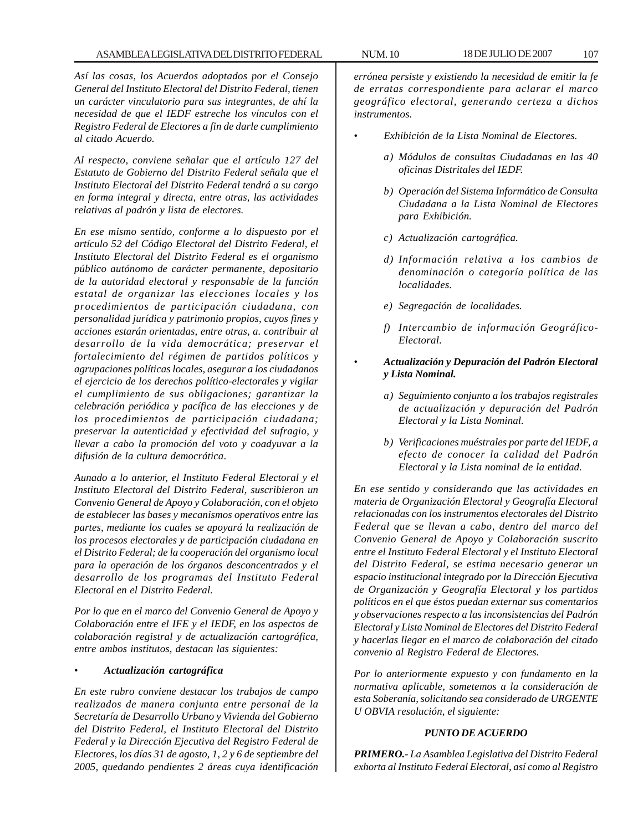*Así las cosas, los Acuerdos adoptados por el Consejo General del Instituto Electoral del Distrito Federal, tienen un carácter vinculatorio para sus integrantes, de ahí la necesidad de que el IEDF estreche los vínculos con el Registro Federal de Electores a fin de darle cumplimiento al citado Acuerdo.*

*Al respecto, conviene señalar que el artículo 127 del Estatuto de Gobierno del Distrito Federal señala que el Instituto Electoral del Distrito Federal tendrá a su cargo en forma integral y directa, entre otras, las actividades relativas al padrón y lista de electores.*

*En ese mismo sentido, conforme a lo dispuesto por el artículo 52 del Código Electoral del Distrito Federal, el Instituto Electoral del Distrito Federal es el organismo público autónomo de carácter permanente, depositario de la autoridad electoral y responsable de la función estatal de organizar las elecciones locales y los procedimientos de participación ciudadana, con personalidad jurídica y patrimonio propios, cuyos fines y acciones estarán orientadas, entre otras, a. contribuir al desarrollo de la vida democrática; preservar el fortalecimiento del régimen de partidos políticos y agrupaciones políticas locales, asegurar a los ciudadanos el ejercicio de los derechos político-electorales y vigilar el cumplimiento de sus obligaciones; garantizar la celebración periódica y pacífica de las elecciones y de los procedimientos de participación ciudadana; preservar la autenticidad y efectividad del sufragio, y llevar a cabo la promoción del voto y coadyuvar a la difusión de la cultura democrática*.

*Aunado a lo anterior, el Instituto Federal Electoral y el Instituto Electoral del Distrito Federal, suscribieron un Convenio General de Apoyo y Colaboración, con el objeto de establecer las bases y mecanismos operativos entre las partes, mediante los cuales se apoyará la realización de los procesos electorales y de participación ciudadana en el Distrito Federal; de la cooperación del organismo local para la operación de los órganos desconcentrados y el desarrollo de los programas del Instituto Federal Electoral en el Distrito Federal.*

*Por lo que en el marco del Convenio General de Apoyo y Colaboración entre el IFE y el IEDF, en los aspectos de colaboración registral y de actualización cartográfica, entre ambos institutos, destacan las siguientes:*

### • *Actualización cartográfica*

*En este rubro conviene destacar los trabajos de campo realizados de manera conjunta entre personal de la Secretaría de Desarrollo Urbano y Vivienda del Gobierno del Distrito Federal, el Instituto Electoral del Distrito Federal y la Dirección Ejecutiva del Registro Federal de Electores, los días 31 de agosto, 1, 2 y 6 de septiembre del 2005, quedando pendientes 2 áreas cuya identificación*

*errónea persiste y existiendo la necesidad de emitir la fe de erratas correspondiente para aclarar el marco geográfico electoral, generando certeza a dichos instrumentos.*

- *Exhibición de la Lista Nominal de Electores.*
	- *a) Módulos de consultas Ciudadanas en las 40 oficinas Distritales del IEDF.*
	- *b) Operación del Sistema Informático de Consulta Ciudadana a la Lista Nominal de Electores para Exhibición.*
	- *c) Actualización cartográfica.*
	- *d) Información relativa a los cambios de denominación o categoría política de las localidades.*
	- *e) Segregación de localidades.*
	- *f) Intercambio de información Geográfico-Electoral.*
	- *Actualización y Depuración del Padrón Electoral y Lista Nominal.*
	- *a) Seguimiento conjunto a los trabajos registrales de actualización y depuración del Padrón Electoral y la Lista Nominal.*
	- *b) Verificaciones muéstrales por parte del IEDF, a efecto de conocer la calidad del Padrón Electoral y la Lista nominal de la entidad.*

*En ese sentido y considerando que las actividades en materia de Organización Electoral y Geografía Electoral relacionadas con los instrumentos electorales del Distrito Federal que se llevan a cabo, dentro del marco del Convenio General de Apoyo y Colaboración suscrito entre el Instituto Federal Electoral y el Instituto Electoral del Distrito Federal, se estima necesario generar un espacio institucional integrado por la Dirección Ejecutiva de Organización y Geografía Electoral y los partidos políticos en el que éstos puedan externar sus comentarios y observaciones respecto a las inconsistencias del Padrón Electoral y Lista Nominal de Electores del Distrito Federal y hacerlas llegar en el marco de colaboración del citado convenio al Registro Federal de Electores.*

*Por lo anteriormente expuesto y con fundamento en la normativa aplicable, sometemos a la consideración de esta Soberanía, solicitando sea considerado de URGENTE U OBVIA resolución, el siguiente:*

#### *PUNTO DE ACUERDO*

*PRIMERO.- La Asamblea Legislativa del Distrito Federal exhorta al Instituto Federal Electoral, así como al Registro*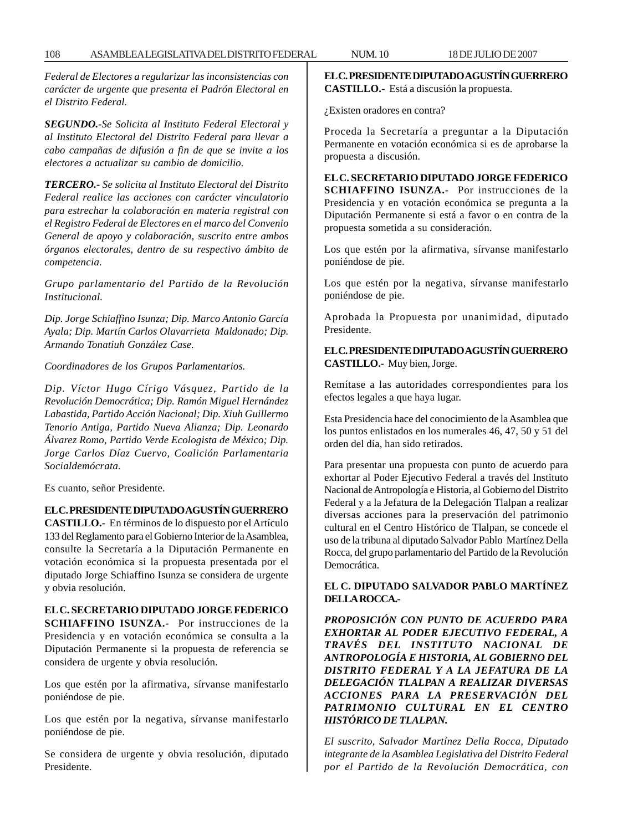*Federal de Electores a regularizar las inconsistencias con carácter de urgente que presenta el Padrón Electoral en el Distrito Federal.*

*SEGUNDO.-Se Solicita al Instituto Federal Electoral y al Instituto Electoral del Distrito Federal para llevar a cabo campañas de difusión a fin de que se invite a los electores a actualizar su cambio de domicilio.*

*TERCERO.- Se solicita al Instituto Electoral del Distrito Federal realice las acciones con carácter vinculatorio para estrechar la colaboración en materia registral con el Registro Federal de Electores en el marco del Convenio General de apoyo y colaboración, suscrito entre ambos órganos electorales, dentro de su respectivo ámbito de competencia.*

*Grupo parlamentario del Partido de la Revolución Institucional.*

*Dip. Jorge Schiaffino Isunza; Dip. Marco Antonio García Ayala; Dip. Martín Carlos Olavarrieta Maldonado; Dip. Armando Tonatiuh González Case.*

*Coordinadores de los Grupos Parlamentarios.*

*Dip. Víctor Hugo Círigo Vásquez, Partido de la Revolución Democrática; Dip. Ramón Miguel Hernández Labastida, Partido Acción Nacional; Dip. Xiuh Guillermo Tenorio Antiga, Partido Nueva Alianza; Dip. Leonardo Álvarez Romo, Partido Verde Ecologista de México; Dip. Jorge Carlos Díaz Cuervo, Coalición Parlamentaria Socialdemócrata.*

Es cuanto, señor Presidente.

**EL C. PRESIDENTE DIPUTADO AGUSTÍN GUERRERO**

**CASTILLO.-** En términos de lo dispuesto por el Artículo 133 del Reglamento para el Gobierno Interior de la Asamblea, consulte la Secretaría a la Diputación Permanente en votación económica si la propuesta presentada por el diputado Jorge Schiaffino Isunza se considera de urgente y obvia resolución.

**EL C. SECRETARIO DIPUTADO JORGE FEDERICO SCHIAFFINO ISUNZA.-** Por instrucciones de la Presidencia y en votación económica se consulta a la Diputación Permanente si la propuesta de referencia se considera de urgente y obvia resolución.

Los que estén por la afirmativa, sírvanse manifestarlo poniéndose de pie.

Los que estén por la negativa, sírvanse manifestarlo poniéndose de pie.

Se considera de urgente y obvia resolución, diputado Presidente.

**EL C. PRESIDENTE DIPUTADO AGUSTÍN GUERRERO CASTILLO.-** Está a discusión la propuesta.

¿Existen oradores en contra?

Proceda la Secretaría a preguntar a la Diputación Permanente en votación económica si es de aprobarse la propuesta a discusión.

**EL C. SECRETARIO DIPUTADO JORGE FEDERICO SCHIAFFINO ISUNZA.-** Por instrucciones de la Presidencia y en votación económica se pregunta a la Diputación Permanente si está a favor o en contra de la propuesta sometida a su consideración.

Los que estén por la afirmativa, sírvanse manifestarlo poniéndose de pie.

Los que estén por la negativa, sírvanse manifestarlo poniéndose de pie.

Aprobada la Propuesta por unanimidad, diputado Presidente.

**EL C. PRESIDENTE DIPUTADO AGUSTÍN GUERRERO CASTILLO.-** Muy bien, Jorge.

Remítase a las autoridades correspondientes para los efectos legales a que haya lugar.

Esta Presidencia hace del conocimiento de la Asamblea que los puntos enlistados en los numerales 46, 47, 50 y 51 del orden del día, han sido retirados.

Para presentar una propuesta con punto de acuerdo para exhortar al Poder Ejecutivo Federal a través del Instituto Nacional de Antropología e Historia, al Gobierno del Distrito Federal y a la Jefatura de la Delegación Tlalpan a realizar diversas acciones para la preservación del patrimonio cultural en el Centro Histórico de Tlalpan, se concede el uso de la tribuna al diputado Salvador Pablo Martínez Della Rocca, del grupo parlamentario del Partido de la Revolución Democrática.

## **EL C. DIPUTADO SALVADOR PABLO MARTÍNEZ DELLA ROCCA.-**

*PROPOSICIÓN CON PUNTO DE ACUERDO PARA EXHORTAR AL PODER EJECUTIVO FEDERAL, A TRAVÉS DEL INSTITUTO NACIONAL DE ANTROPOLOGÍA E HISTORIA, AL GOBIERNO DEL DISTRITO FEDERAL Y A LA JEFATURA DE LA DELEGACIÓN TLALPAN A REALIZAR DIVERSAS ACCIONES PARA LA PRESERVACIÓN DEL PATRIMONIO CULTURAL EN EL CENTRO HISTÓRICO DE TLALPAN.*

*El suscrito, Salvador Martínez Della Rocca, Diputado integrante de la Asamblea Legislativa del Distrito Federal por el Partido de la Revolución Democrática, con*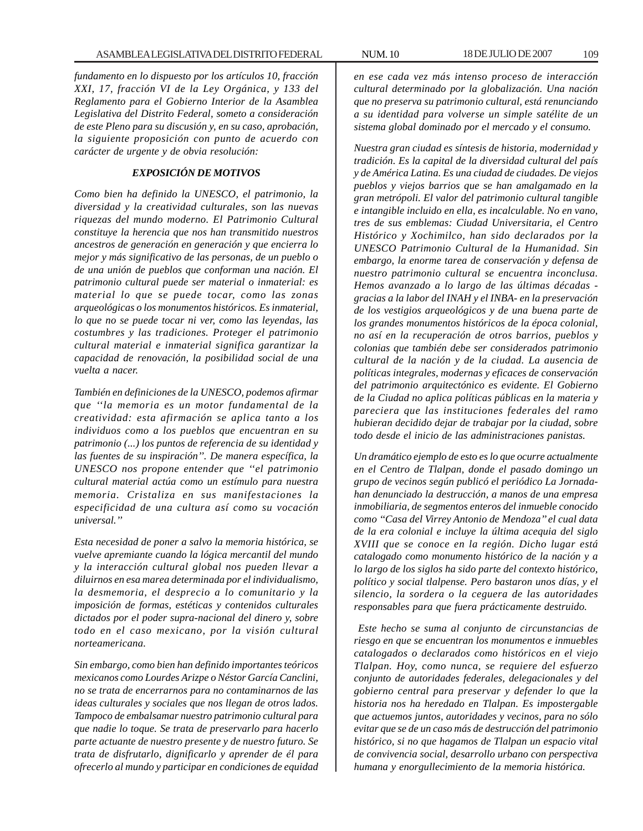*fundamento en lo dispuesto por los artículos 10, fracción XXI, 17, fracción VI de la Ley Orgánica, y 133 del Reglamento para el Gobierno Interior de la Asamblea Legislativa del Distrito Federal, someto a consideración de este Pleno para su discusión y, en su caso, aprobación, la siguiente proposición con punto de acuerdo con carácter de urgente y de obvia resolución:*

## *EXPOSICIÓN DE MOTIVOS*

*Como bien ha definido la UNESCO, el patrimonio, la diversidad y la creatividad culturales, son las nuevas riquezas del mundo moderno. El Patrimonio Cultural constituye la herencia que nos han transmitido nuestros ancestros de generación en generación y que encierra lo mejor y más significativo de las personas, de un pueblo o de una unión de pueblos que conforman una nación. El patrimonio cultural puede ser material o inmaterial: es material lo que se puede tocar, como las zonas arqueológicas o los monumentos históricos. Es inmaterial, lo que no se puede tocar ni ver, como las leyendas, las costumbres y las tradiciones. Proteger el patrimonio cultural material e inmaterial significa garantizar la capacidad de renovación, la posibilidad social de una vuelta a nacer.*

*También en definiciones de la UNESCO, podemos afirmar que ''la memoria es un motor fundamental de la creatividad: esta afirmación se aplica tanto a los individuos como a los pueblos que encuentran en su patrimonio (...) los puntos de referencia de su identidad y las fuentes de su inspiración''. De manera específica, la UNESCO nos propone entender que ''el patrimonio cultural material actúa como un estímulo para nuestra memoria. Cristaliza en sus manifestaciones la especificidad de una cultura así como su vocación universal.''*

*Esta necesidad de poner a salvo la memoria histórica, se vuelve apremiante cuando la lógica mercantil del mundo y la interacción cultural global nos pueden llevar a diluirnos en esa marea determinada por el individualismo, la desmemoria, el desprecio a lo comunitario y la imposición de formas, estéticas y contenidos culturales dictados por el poder supra-nacional del dinero y, sobre todo en el caso mexicano, por la visión cultural norteamericana.*

*Sin embargo, como bien han definido importantes teóricos mexicanos como Lourdes Arizpe o Néstor García Canclini, no se trata de encerrarnos para no contaminarnos de las ideas culturales y sociales que nos llegan de otros lados. Tampoco de embalsamar nuestro patrimonio cultural para que nadie lo toque. Se trata de preservarlo para hacerlo parte actuante de nuestro presente y de nuestro futuro. Se trata de disfrutarlo, dignificarlo y aprender de él para ofrecerlo al mundo y participar en condiciones de equidad*

*en ese cada vez más intenso proceso de interacción cultural determinado por la globalización. Una nación que no preserva su patrimonio cultural, está renunciando a su identidad para volverse un simple satélite de un sistema global dominado por el mercado y el consumo.*

*Nuestra gran ciudad es síntesis de historia, modernidad y tradición. Es la capital de la diversidad cultural del país y de América Latina. Es una ciudad de ciudades. De viejos pueblos y viejos barrios que se han amalgamado en la gran metrópoli. El valor del patrimonio cultural tangible e intangible incluido en ella, es incalculable. No en vano, tres de sus emblemas: Ciudad Universitaria, el Centro Histórico y Xochimilco, han sido declarados por la UNESCO Patrimonio Cultural de la Humanidad. Sin embargo, la enorme tarea de conservación y defensa de nuestro patrimonio cultural se encuentra inconclusa. Hemos avanzado a lo largo de las últimas décadas gracias a la labor del INAH y el INBA- en la preservación de los vestigios arqueológicos y de una buena parte de los grandes monumentos históricos de la época colonial, no así en la recuperación de otros barrios, pueblos y colonias que también debe ser considerados patrimonio cultural de la nación y de la ciudad. La ausencia de políticas integrales, modernas y eficaces de conservación del patrimonio arquitectónico es evidente. El Gobierno de la Ciudad no aplica políticas públicas en la materia y pareciera que las instituciones federales del ramo hubieran decidido dejar de trabajar por la ciudad, sobre todo desde el inicio de las administraciones panistas.*

*Un dramático ejemplo de esto es lo que ocurre actualmente en el Centro de Tlalpan, donde el pasado domingo un grupo de vecinos según publicó el periódico La Jornadahan denunciado la destrucción, a manos de una empresa inmobiliaria, de segmentos enteros del inmueble conocido como ''Casa del Virrey Antonio de Mendoza'' el cual data de la era colonial e incluye la última acequia del siglo XVIII que se conoce en la región. Dicho lugar está catalogado como monumento histórico de la nación y a lo largo de los siglos ha sido parte del contexto histórico, político y social tlalpense. Pero bastaron unos días, y el silencio, la sordera o la ceguera de las autoridades responsables para que fuera prácticamente destruido.*

 *Este hecho se suma al conjunto de circunstancias de riesgo en que se encuentran los monumentos e inmuebles catalogados o declarados como históricos en el viejo Tlalpan. Hoy, como nunca, se requiere del esfuerzo conjunto de autoridades federales, delegacionales y del gobierno central para preservar y defender lo que la historia nos ha heredado en Tlalpan. Es impostergable que actuemos juntos, autoridades y vecinos, para no sólo evitar que se de un caso más de destrucción del patrimonio histórico, si no que hagamos de Tlalpan un espacio vital de convivencia social, desarrollo urbano con perspectiva humana y enorgullecimiento de la memoria histórica.*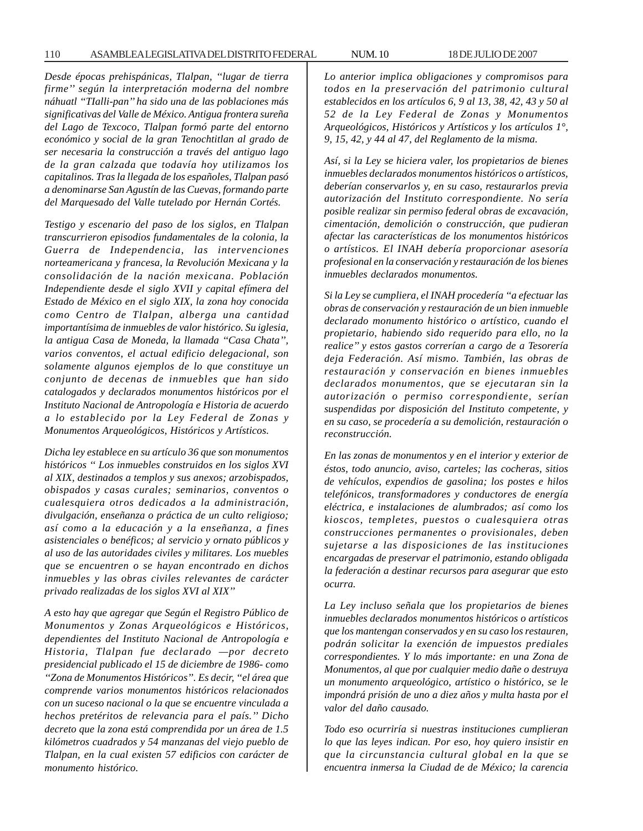110 ASAMBLEA LEGISLATIVA DEL DISTRITO FEDERAL NUM. 10 18 DE JULIO DE 2007

*Desde épocas prehispánicas, Tlalpan, ''lugar de tierra firme'' según la interpretación moderna del nombre náhuatl ''TIalli-pan'' ha sido una de las poblaciones más significativas del Valle de México. Antigua frontera sureña del Lago de Texcoco, Tlalpan formó parte del entorno económico y social de la gran Tenochtitlan al grado de ser necesaria la construcción a través del antiguo lago de la gran calzada que todavía hoy utilizamos los capitalinos. Tras la llegada de los españoles, Tlalpan pasó a denominarse San Agustín de las Cuevas, formando parte del Marquesado del Valle tutelado por Hernán Cortés.*

*Testigo y escenario del paso de los siglos, en Tlalpan transcurrieron episodios fundamentales de la colonia, la Guerra de Independencia, las intervenciones norteamericana y francesa, la Revolución Mexicana y la consolidación de la nación mexicana. Población Independiente desde el siglo XVII y capital efímera del Estado de México en el siglo XIX, la zona hoy conocida como Centro de Tlalpan, alberga una cantidad importantísima de inmuebles de valor histórico. Su iglesia, la antigua Casa de Moneda, la llamada ''Casa Chata'', varios conventos, el actual edificio delegacional, son solamente algunos ejemplos de lo que constituye un conjunto de decenas de inmuebles que han sido catalogados y declarados monumentos históricos por el Instituto Nacional de Antropología e Historia de acuerdo a lo establecido por la Ley Federal de Zonas y Monumentos Arqueológicos, Históricos y Artísticos.*

*Dicha ley establece en su artículo 36 que son monumentos históricos '' Los inmuebles construidos en los siglos XVI al XIX, destinados a templos y sus anexos; arzobispados, obispados y casas curales; seminarios, conventos o cualesquiera otros dedicados a la administración, divulgación, enseñanza o práctica de un culto religioso; así como a la educación y a la enseñanza, a fines asistenciales o benéficos; al servicio y ornato públicos y al uso de las autoridades civiles y militares. Los muebles que se encuentren o se hayan encontrado en dichos inmuebles y las obras civiles relevantes de carácter privado realizadas de los siglos XVI al XIX''*

*A esto hay que agregar que Según el Registro Público de Monumentos y Zonas Arqueológicos e Históricos, dependientes del Instituto Nacional de Antropología e Historia, Tlalpan fue declarado —por decreto presidencial publicado el 15 de diciembre de 1986- como ''Zona de Monumentos Históricos''. Es decir, ''el área que comprende varios monumentos históricos relacionados con un suceso nacional o la que se encuentre vinculada a hechos pretéritos de relevancia para el país.'' Dicho decreto que la zona está comprendida por un área de 1.5 kilómetros cuadrados y 54 manzanas del viejo pueblo de Tlalpan, en la cual existen 57 edificios con carácter de monumento histórico.*

*Lo anterior implica obligaciones y compromisos para todos en la preservación del patrimonio cultural establecidos en los artículos 6, 9 al 13, 38, 42, 43 y 50 al 52 de la Ley Federal de Zonas y Monumentos Arqueológicos, Históricos y Artísticos y los artículos 1°, 9, 15, 42, y 44 al 47, del Reglamento de la misma.*

*Así, si la Ley se hiciera valer, los propietarios de bienes inmuebles declarados monumentos históricos o artísticos, deberían conservarlos y, en su caso, restaurarlos previa autorización del Instituto correspondiente. No sería posible realizar sin permiso federal obras de excavación, cimentación, demolición o construcción, que pudieran afectar las características de los monumentos históricos o artísticos. El INAH debería proporcionar asesoría profesional en la conservación y restauración de los bienes inmuebles declarados monumentos.*

*Si la Ley se cumpliera, el INAH procedería ''a efectuar las obras de conservación y restauración de un bien inmueble declarado monumento histórico o artístico, cuando el propietario, habiendo sido requerido para ello, no la realice'' y estos gastos correrían a cargo de a Tesorería deja Federación. Así mismo. También, las obras de restauración y conservación en bienes inmuebles declarados monumentos, que se ejecutaran sin la autorización o permiso correspondiente, serían suspendidas por disposición del Instituto competente, y en su caso, se procedería a su demolición, restauración o reconstrucción.*

*En las zonas de monumentos y en el interior y exterior de éstos, todo anuncio, aviso, carteles; las cocheras, sitios de vehículos, expendios de gasolina; los postes e hilos telefónicos, transformadores y conductores de energía eléctrica, e instalaciones de alumbrados; así como los kioscos, templetes, puestos o cualesquiera otras construcciones permanentes o provisionales, deben sujetarse a las disposiciones de las instituciones encargadas de preservar el patrimonio, estando obligada la federación a destinar recursos para asegurar que esto ocurra.*

*La Ley incluso señala que los propietarios de bienes inmuebles declarados monumentos históricos o artísticos que los mantengan conservados y en su caso los restauren, podrán solicitar la exención de impuestos prediales correspondientes. Y lo más importante: en una Zona de Monumentos, al que por cualquier medio dañe o destruya un monumento arqueológico, artístico o histórico, se le impondrá prisión de uno a diez años y multa hasta por el valor del daño causado.*

*Todo eso ocurriría si nuestras instituciones cumplieran lo que las leyes indican. Por eso, hoy quiero insistir en que la circunstancia cultural global en la que se encuentra inmersa la Ciudad de de México; la carencia*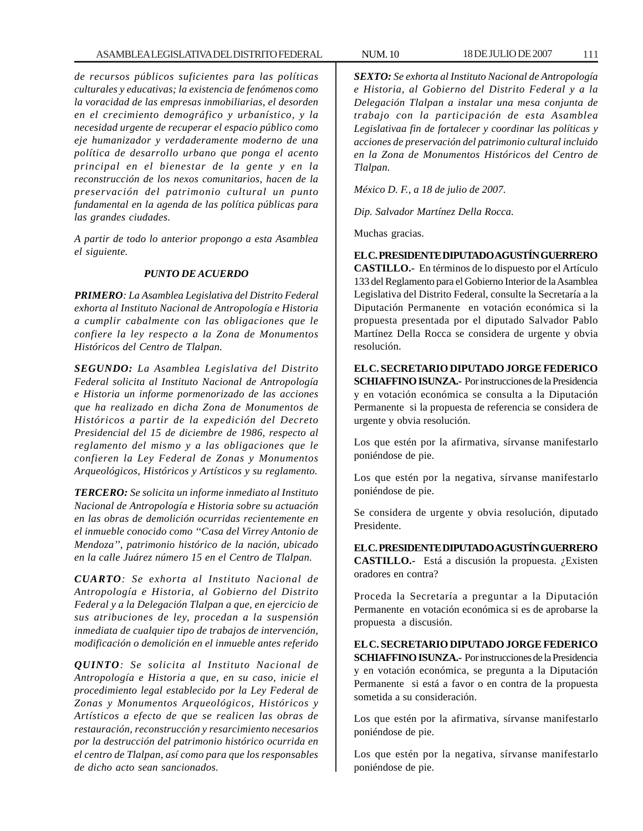*de recursos públicos suficientes para las políticas culturales y educativas; la existencia de fenómenos como la voracidad de las empresas inmobiliarias, el desorden en el crecimiento demográfico y urbanístico, y la necesidad urgente de recuperar el espacio público como eje humanizador y verdaderamente moderno de una política de desarrollo urbano que ponga el acento principal en el bienestar de la gente y en la reconstrucción de los nexos comunitarios, hacen de la preservación del patrimonio cultural un punto fundamental en la agenda de las política públicas para las grandes ciudades.*

*A partir de todo lo anterior propongo a esta Asamblea el siguiente.*

#### *PUNTO DE ACUERDO*

*PRIMERO: La Asamblea Legislativa del Distrito Federal exhorta al Instituto Nacional de Antropología e Historia a cumplir cabalmente con las obligaciones que le confiere la ley respecto a la Zona de Monumentos Históricos del Centro de Tlalpan.*

*SEGUNDO: La Asamblea Legislativa del Distrito Federal solicita al Instituto Nacional de Antropología e Historia un informe pormenorizado de las acciones que ha realizado en dicha Zona de Monumentos de Históricos a partir de la expedición del Decreto Presidencial del 15 de diciembre de 1986, respecto al reglamento del mismo y a las obligaciones que le confieren la Ley Federal de Zonas y Monumentos Arqueológicos, Históricos y Artísticos y su reglamento.*

*TERCERO: Se solicita un informe inmediato al Instituto Nacional de Antropología e Historia sobre su actuación en las obras de demolición ocurridas recientemente en el inmueble conocido como ''Casa del Virrey Antonio de Mendoza'', patrimonio histórico de la nación, ubicado en la calle Juárez número 15 en el Centro de Tlalpan.*

*CUARTO: Se exhorta al Instituto Nacional de Antropología e Historia, al Gobierno del Distrito Federal y a la Delegación Tlalpan a que, en ejercicio de sus atribuciones de ley, procedan a la suspensión inmediata de cualquier tipo de trabajos de intervención, modificación o demolición en el inmueble antes referido*

*QUINTO: Se solicita al Instituto Nacional de Antropología e Historia a que, en su caso, inicie el procedimiento legal establecido por la Ley Federal de Zonas y Monumentos Arqueológicos, Históricos y Artísticos a efecto de que se realicen las obras de restauración, reconstrucción y resarcimiento necesarios por la destrucción del patrimonio histórico ocurrida en el centro de Tlalpan, así como para que los responsables de dicho acto sean sancionados.*

*SEXTO: Se exhorta al Instituto Nacional de Antropología e Historia, al Gobierno del Distrito Federal y a la Delegación Tlalpan a instalar una mesa conjunta de trabajo con la participación de esta Asamblea Legislativaa fin de fortalecer y coordinar las políticas y acciones de preservación del patrimonio cultural incluido en la Zona de Monumentos Históricos del Centro de Tlalpan.*

*México D. F., a 18 de julio de 2007.*

*Dip. Salvador Martínez Della Rocca.*

Muchas gracias.

**EL C. PRESIDENTE DIPUTADO AGUSTÍN GUERRERO CASTILLO.-** En términos de lo dispuesto por el Artículo 133 del Reglamento para el Gobierno Interior de la Asamblea Legislativa del Distrito Federal, consulte la Secretaría a la Diputación Permanente en votación económica si la propuesta presentada por el diputado Salvador Pablo Martínez Della Rocca se considera de urgente y obvia resolución.

**EL C. SECRETARIO DIPUTADO JORGE FEDERICO SCHIAFFINO ISUNZA.-** Por instrucciones de la Presidencia y en votación económica se consulta a la Diputación Permanente si la propuesta de referencia se considera de urgente y obvia resolución.

Los que estén por la afirmativa, sírvanse manifestarlo poniéndose de pie.

Los que estén por la negativa, sírvanse manifestarlo poniéndose de pie.

Se considera de urgente y obvia resolución, diputado Presidente.

**EL C. PRESIDENTE DIPUTADO AGUSTÍN GUERRERO CASTILLO.-** Está a discusión la propuesta. ¿Existen oradores en contra?

Proceda la Secretaría a preguntar a la Diputación Permanente en votación económica si es de aprobarse la propuesta a discusión.

**EL C. SECRETARIO DIPUTADO JORGE FEDERICO SCHIAFFINO ISUNZA.-** Por instrucciones de la Presidencia y en votación económica, se pregunta a la Diputación Permanente si está a favor o en contra de la propuesta sometida a su consideración.

Los que estén por la afirmativa, sírvanse manifestarlo poniéndose de pie.

Los que estén por la negativa, sírvanse manifestarlo poniéndose de pie.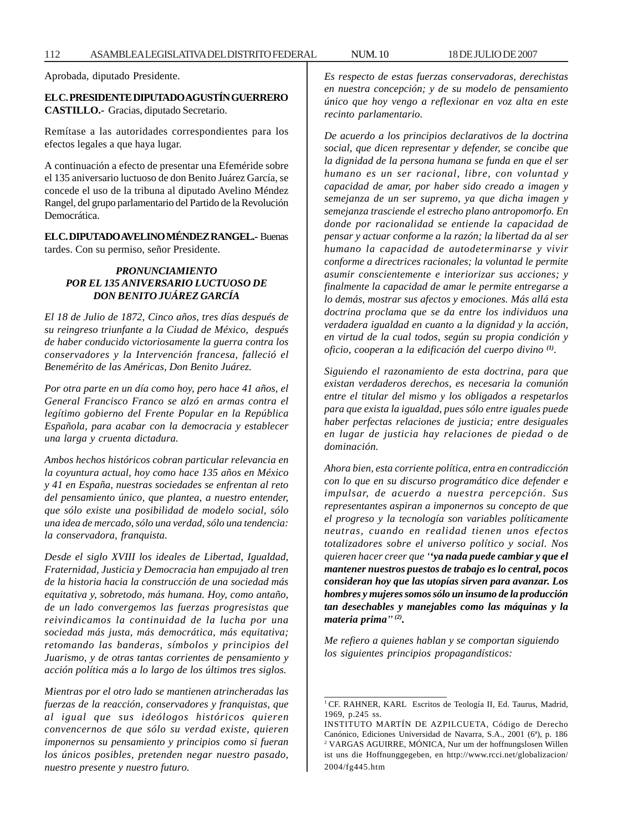Aprobada, diputado Presidente.

### **EL C. PRESIDENTE DIPUTADO AGUSTÍN GUERRERO CASTILLO.-** Gracias, diputado Secretario.

Remítase a las autoridades correspondientes para los efectos legales a que haya lugar.

A continuación a efecto de presentar una Efeméride sobre el 135 aniversario luctuoso de don Benito Juárez García, se concede el uso de la tribuna al diputado Avelino Méndez Rangel, del grupo parlamentario del Partido de la Revolución Democrática.

# **EL C. DIPUTADO AVELINO MÉNDEZ RANGEL.-** Buenas tardes. Con su permiso, señor Presidente.

## *PRONUNCIAMIENTO POR EL 135 ANIVERSARIO LUCTUOSO DE DON BENITO JUÁREZ GARCÍA*

*El 18 de Julio de 1872, Cinco años, tres días después de su reingreso triunfante a la Ciudad de México, después de haber conducido victoriosamente la guerra contra los conservadores y la Intervención francesa, falleció el Benemérito de las Américas, Don Benito Juárez.*

*Por otra parte en un día como hoy, pero hace 41 años, el General Francisco Franco se alzó en armas contra el legítimo gobierno del Frente Popular en la República Española, para acabar con la democracia y establecer una larga y cruenta dictadura.*

*Ambos hechos históricos cobran particular relevancia en la coyuntura actual, hoy como hace 135 años en México y 41 en España, nuestras sociedades se enfrentan al reto del pensamiento único, que plantea, a nuestro entender, que sólo existe una posibilidad de modelo social, sólo una idea de mercado, sólo una verdad, sólo una tendencia: la conservadora, franquista.*

*Desde el siglo XVIII los ideales de Libertad, Igualdad, Fraternidad, Justicia y Democracia han empujado al tren de la historia hacia la construcción de una sociedad más equitativa y, sobretodo, más humana. Hoy, como antaño, de un lado convergemos las fuerzas progresistas que reivindicamos la continuidad de la lucha por una sociedad más justa, más democrática, más equitativa; retomando las banderas, símbolos y principios del Juarismo, y de otras tantas corrientes de pensamiento y acción política más a lo largo de los últimos tres siglos.*

*Mientras por el otro lado se mantienen atrincheradas las fuerzas de la reacción, conservadores y franquistas, que al igual que sus ideólogos históricos quieren convencernos de que sólo su verdad existe, quieren imponernos su pensamiento y principios como si fueran los únicos posibles, pretenden negar nuestro pasado, nuestro presente y nuestro futuro.*

*Es respecto de estas fuerzas conservadoras, derechistas en nuestra concepción; y de su modelo de pensamiento único que hoy vengo a reflexionar en voz alta en este recinto parlamentario.*

*De acuerdo a los principios declarativos de la doctrina social, que dicen representar y defender, se concibe que la dignidad de la persona humana se funda en que el ser humano es un ser racional, libre, con voluntad y capacidad de amar, por haber sido creado a imagen y semejanza de un ser supremo, ya que dicha imagen y semejanza trasciende el estrecho plano antropomorfo. En donde por racionalidad se entiende la capacidad de pensar y actuar conforme a la razón; la libertad da al ser humano la capacidad de autodeterminarse y vivir conforme a directrices racionales; la voluntad le permite asumir conscientemente e interiorizar sus acciones; y finalmente la capacidad de amar le permite entregarse a lo demás, mostrar sus afectos y emociones. Más allá esta doctrina proclama que se da entre los individuos una verdadera igualdad en cuanto a la dignidad y la acción, en virtud de la cual todos, según su propia condición y oficio, cooperan a la edificación del cuerpo divino (1).*

*Siguiendo el razonamiento de esta doctrina, para que existan verdaderos derechos, es necesaria la comunión entre el titular del mismo y los obligados a respetarlos para que exista la igualdad, pues sólo entre iguales puede haber perfectas relaciones de justicia; entre desiguales en lugar de justicia hay relaciones de piedad o de dominación.*

*Ahora bien, esta corriente política, entra en contradicción con lo que en su discurso programático dice defender e impulsar, de acuerdo a nuestra percepción. Sus representantes aspiran a imponernos su concepto de que el progreso y la tecnología son variables políticamente neutras, cuando en realidad tienen unos efectos totalizadores sobre el universo político y social. Nos quieren hacer creer que ''ya nada puede cambiar y que el mantener nuestros puestos de trabajo es lo central, pocos consideran hoy que las utopías sirven para avanzar. Los hombres y mujeres somos sólo un insumo de la producción tan desechables y manejables como las máquinas y la materia prima'' (2).*

*Me refiero a quienes hablan y se comportan siguiendo los siguientes principios propagandísticos:*

<sup>&</sup>lt;sup>1</sup> CF. RAHNER, KARL Escritos de Teología II, Ed. Taurus, Madrid, 1969, p.245 ss.

INSTITUTO MARTÍN DE AZPILCUETA, Código de Derecho Canónico, Ediciones Universidad de Navarra, S.A., 2001 (6ª), p. 186 2 VARGAS AGUIRRE, MÓNICA, Nur um der hoffnungslosen Willen ist uns die Hoffnunggegeben, en http://www.rcci.net/globalizacion/ 2004/fg445.htm